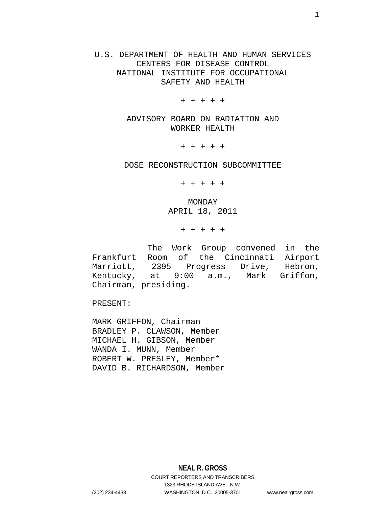U.S. DEPARTMENT OF HEALTH AND HUMAN SERVICES CENTERS FOR DISEASE CONTROL NATIONAL INSTITUTE FOR OCCUPATIONAL SAFETY AND HEALTH

+ + + + +

ADVISORY BOARD ON RADIATION AND WORKER HEALTH

+ + + + +

DOSE RECONSTRUCTION SUBCOMMITTEE

+ + + + +

MONDAY APRIL 18, 2011

+ + + + +

The Work Group convened in the Frankfurt Room of the Cincinnati Airport Marriott, 2395 Progress Drive, Hebron, Kentucky, at 9:00 a.m., Mark Griffon, Chairman, presiding.

PRESENT:

MARK GRIFFON, Chairman BRADLEY P. CLAWSON, Member MICHAEL H. GIBSON, Member WANDA I. MUNN, Member ROBERT W. PRESLEY, Member\* DAVID B. RICHARDSON, Member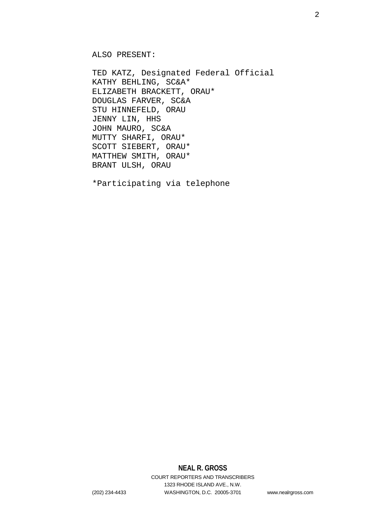ALSO PRESENT:

TED KATZ, Designated Federal Official KATHY BEHLING, SC&A\* ELIZABETH BRACKETT, ORAU\* DOUGLAS FARVER, SC&A STU HINNEFELD, ORAU JENNY LIN, HHS JOHN MAURO, SC&A MUTTY SHARFI, ORAU\* SCOTT SIEBERT, ORAU\* MATTHEW SMITH, ORAU\* BRANT ULSH, ORAU

\*Participating via telephone

# **NEAL R. GROSS**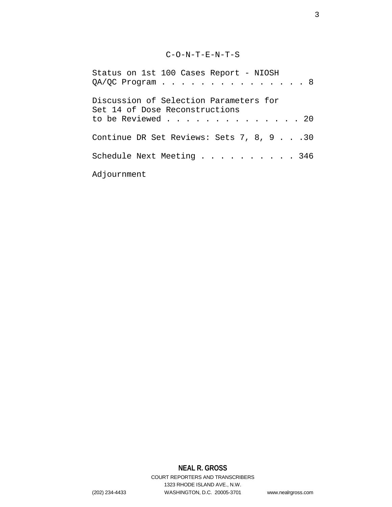# C-O-N-T-E-N-T-S

| Status on 1st 100 Cases Report - NIOSH                                   |  |
|--------------------------------------------------------------------------|--|
| $QA/QC$ Program 8                                                        |  |
| Discussion of Selection Parameters for<br>Set 14 of Dose Reconstructions |  |
| to be Reviewed 20                                                        |  |
| Continue DR Set Reviews: Sets 7, 8, 9 30                                 |  |
| Schedule Next Meeting 346                                                |  |
| Adjournment                                                              |  |

# **NEAL R. GROSS**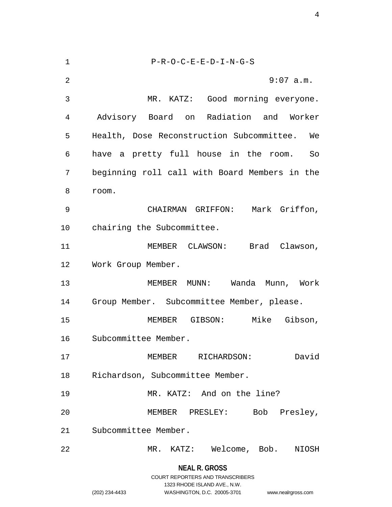| 1  | $P-R-O-C-E-E-D-I-N-G-S$                         |
|----|-------------------------------------------------|
| 2  | $9:07$ a.m.                                     |
| 3  | MR. KATZ: Good morning everyone.                |
| 4  | Advisory Board on Radiation and Worker          |
| 5  | Health, Dose Reconstruction Subcommittee.<br>We |
| 6  | have a pretty full house in the room. So        |
| 7  | beginning roll call with Board Members in the   |
| 8  | room.                                           |
| 9  | Mark Griffon,<br>CHAIRMAN GRIFFON:              |
| 10 | chairing the Subcommittee.                      |
| 11 | MEMBER CLAWSON: Brad Clawson,                   |
| 12 | Work Group Member.                              |
| 13 | Wanda Munn, Work<br>MEMBER MUNN:                |
| 14 | Group Member. Subcommittee Member, please.      |
| 15 | Mike Gibson,<br>MEMBER GIBSON:                  |
| 16 | Subcommittee Member.                            |
| 17 | David<br>MEMBER RICHARDSON:                     |
| 18 | Richardson, Subcommittee Member.                |
| 19 | MR. KATZ: And on the line?                      |
| 20 | MEMBER PRESLEY: Bob Presley,                    |
| 21 | Subcommittee Member.                            |
| 22 | MR. KATZ: Welcome, Bob. NIOSH                   |
|    |                                                 |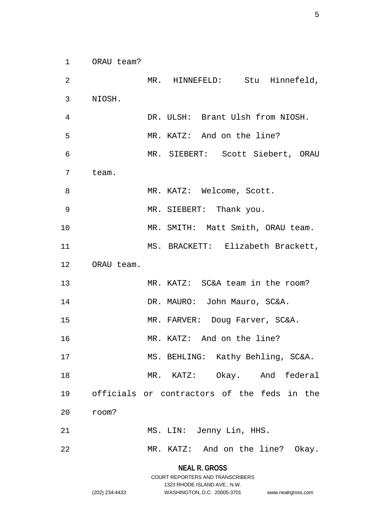ORAU team?

| 2  |            | MR. HINNEFELD: Stu Hinnefeld,               |
|----|------------|---------------------------------------------|
| 3  | NIOSH.     |                                             |
| 4  |            | DR. ULSH: Brant Ulsh from NIOSH.            |
| 5  |            | MR. KATZ: And on the line?                  |
| 6  |            | MR. SIEBERT: Scott Siebert, ORAU            |
| 7  | team.      |                                             |
| 8  |            | MR. KATZ: Welcome, Scott.                   |
| 9  |            | MR. SIEBERT: Thank you.                     |
| 10 |            | MR. SMITH: Matt Smith, ORAU team.           |
| 11 |            | MS. BRACKETT: Elizabeth Brackett,           |
| 12 | ORAU team. |                                             |
| 13 |            | MR. KATZ: SC&A team in the room?            |
| 14 |            | DR. MAURO: John Mauro, SC&A.                |
| 15 |            | MR. FARVER: Doug Farver, SC&A.              |
| 16 |            | MR. KATZ: And on the line?                  |
| 17 |            | MS. BEHLING: Kathy Behling, SC&A.           |
| 18 |            | MR. KATZ: Okay. And federal                 |
| 19 |            | officials or contractors of the feds in the |
| 20 | room?      |                                             |
| 21 |            | MS. LIN: Jenny Lin, HHS.                    |
| 22 |            | MR. KATZ: And on the line? Okay.            |

**NEAL R. GROSS** COURT REPORTERS AND TRANSCRIBERS

1323 RHODE ISLAND AVE., N.W.

(202) 234-4433 WASHINGTON, D.C. 20005-3701 www.nealrgross.com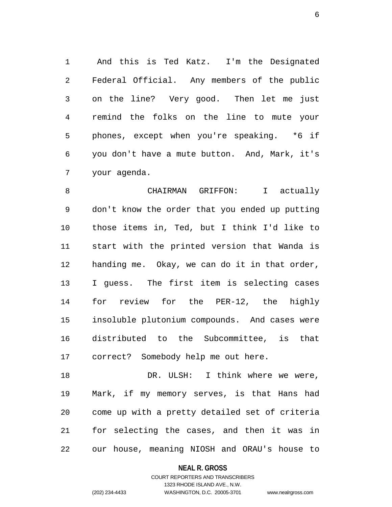And this is Ted Katz. I'm the Designated Federal Official. Any members of the public on the line? Very good. Then let me just remind the folks on the line to mute your phones, except when you're speaking. \*6 if you don't have a mute button. And, Mark, it's your agenda.

 CHAIRMAN GRIFFON: I actually don't know the order that you ended up putting those items in, Ted, but I think I'd like to start with the printed version that Wanda is handing me. Okay, we can do it in that order, I guess. The first item is selecting cases for review for the PER-12, the highly insoluble plutonium compounds. And cases were distributed to the Subcommittee, is that correct? Somebody help me out here.

18 DR. ULSH: I think where we were, Mark, if my memory serves, is that Hans had come up with a pretty detailed set of criteria for selecting the cases, and then it was in our house, meaning NIOSH and ORAU's house to

**NEAL R. GROSS**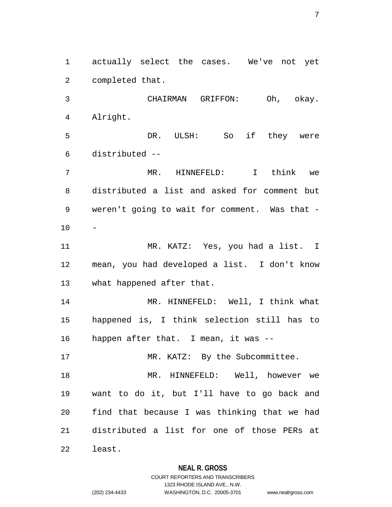actually select the cases. We've not yet completed that.

 CHAIRMAN GRIFFON: Oh, okay. Alright. DR. ULSH: So if they were

 MR. HINNEFELD: I think we distributed a list and asked for comment but weren't going to wait for comment. Was that - -

 MR. KATZ: Yes, you had a list. I mean, you had developed a list. I don't know what happened after that.

 MR. HINNEFELD: Well, I think what happened is, I think selection still has to happen after that. I mean, it was --

17 MR. KATZ: By the Subcommittee. MR. HINNEFELD: Well, however we want to do it, but I'll have to go back and find that because I was thinking that we had distributed a list for one of those PERs at least.

### **NEAL R. GROSS**

distributed --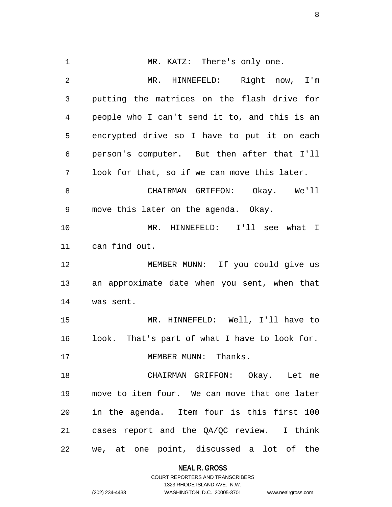1 MR. KATZ: There's only one. MR. HINNEFELD: Right now, I'm putting the matrices on the flash drive for people who I can't send it to, and this is an encrypted drive so I have to put it on each person's computer. But then after that I'll look for that, so if we can move this later. CHAIRMAN GRIFFON: Okay. We'll move this later on the agenda. Okay. MR. HINNEFELD: I'll see what I can find out. MEMBER MUNN: If you could give us an approximate date when you sent, when that was sent. MR. HINNEFELD: Well, I'll have to look. That's part of what I have to look for. 17 MEMBER MUNN: Thanks. CHAIRMAN GRIFFON: Okay. Let me move to item four. We can move that one later in the agenda. Item four is this first 100 cases report and the QA/QC review. I think we, at one point, discussed a lot of the

**NEAL R. GROSS**

COURT REPORTERS AND TRANSCRIBERS 1323 RHODE ISLAND AVE., N.W. (202) 234-4433 WASHINGTON, D.C. 20005-3701 www.nealrgross.com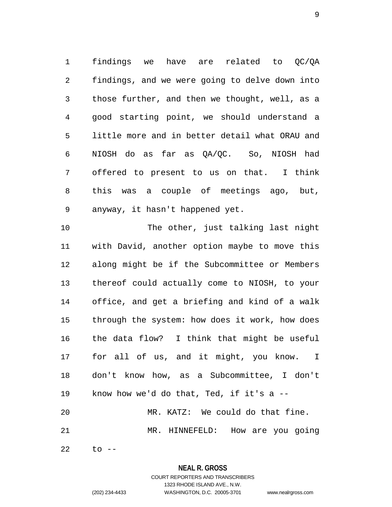findings we have are related to QC/QA findings, and we were going to delve down into those further, and then we thought, well, as a good starting point, we should understand a little more and in better detail what ORAU and NIOSH do as far as QA/QC. So, NIOSH had offered to present to us on that. I think this was a couple of meetings ago, but, anyway, it hasn't happened yet.

 The other, just talking last night with David, another option maybe to move this along might be if the Subcommittee or Members thereof could actually come to NIOSH, to your office, and get a briefing and kind of a walk through the system: how does it work, how does the data flow? I think that might be useful for all of us, and it might, you know. I don't know how, as a Subcommittee, I don't know how we'd do that, Ted, if it's a -- MR. KATZ: We could do that fine. MR. HINNEFELD: How are you going

to --

# **NEAL R. GROSS**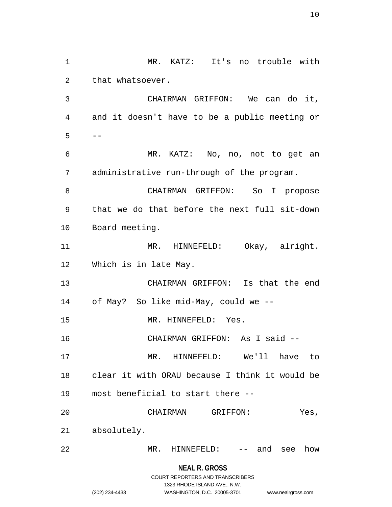MR. KATZ: It's no trouble with that whatsoever. CHAIRMAN GRIFFON: We can do it, and it doesn't have to be a public meeting or  $5 - -$  MR. KATZ: No, no, not to get an administrative run-through of the program. CHAIRMAN GRIFFON: So I propose that we do that before the next full sit-down Board meeting. 11 MR. HINNEFELD: Okay, alright. Which is in late May. CHAIRMAN GRIFFON: Is that the end of May? So like mid-May, could we -- 15 MR. HINNEFELD: Yes. CHAIRMAN GRIFFON: As I said -- MR. HINNEFELD: We'll have to clear it with ORAU because I think it would be most beneficial to start there -- CHAIRMAN GRIFFON: Yes, absolutely. MR. HINNEFELD: -- and see how

**NEAL R. GROSS**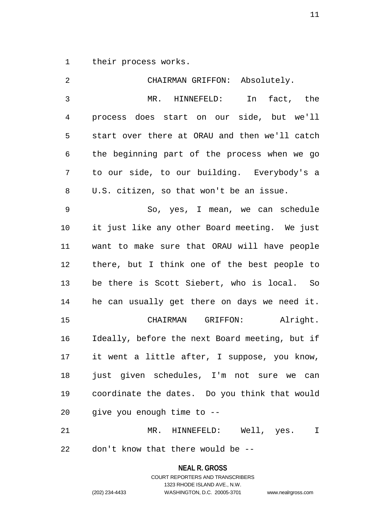their process works.

| 2              | CHAIRMAN GRIFFON: Absolutely.                  |
|----------------|------------------------------------------------|
| $\mathfrak{Z}$ | MR. HINNEFELD: In<br>fact, the                 |
| $\overline{4}$ | process does start on our side, but we'll      |
| 5              | start over there at ORAU and then we'll catch  |
| 6              | the beginning part of the process when we go   |
| 7              | to our side, to our building. Everybody's a    |
| 8              | U.S. citizen, so that won't be an issue.       |
| 9              | So, yes, I mean, we can schedule               |
| 10             | it just like any other Board meeting. We just  |
| 11             | want to make sure that ORAU will have people   |
| 12             | there, but I think one of the best people to   |
| 13             | be there is Scott Siebert, who is local. So    |
| 14             | he can usually get there on days we need it.   |
| 15             | CHAIRMAN GRIFFON: Alright.                     |
| 16             | Ideally, before the next Board meeting, but if |
| 17             | it went a little after, I suppose, you know,   |
| 18             | just given schedules, I'm not sure we can      |
| 19             | coordinate the dates. Do you think that would  |
| 20             | give you enough time to --                     |
| 21             | MR. HINNEFELD: Well, yes. I                    |
| 22             | don't know that there would be --              |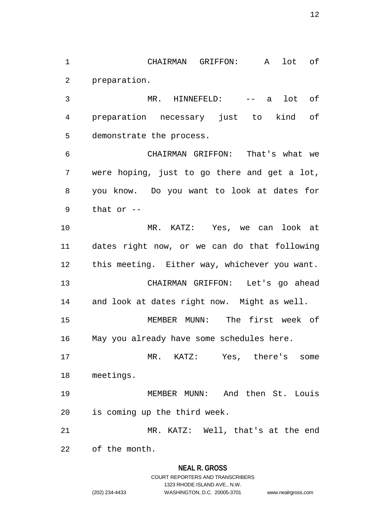CHAIRMAN GRIFFON: A lot of preparation.

 MR. HINNEFELD: -- a lot of preparation necessary just to kind of demonstrate the process.

 CHAIRMAN GRIFFON: That's what we were hoping, just to go there and get a lot, you know. Do you want to look at dates for that or --

 MR. KATZ: Yes, we can look at dates right now, or we can do that following this meeting. Either way, whichever you want. CHAIRMAN GRIFFON: Let's go ahead and look at dates right now. Might as well.

 MEMBER MUNN: The first week of May you already have some schedules here.

 MR. KATZ: Yes, there's some meetings.

 MEMBER MUNN: And then St. Louis is coming up the third week.

 MR. KATZ: Well, that's at the end of the month.

# **NEAL R. GROSS**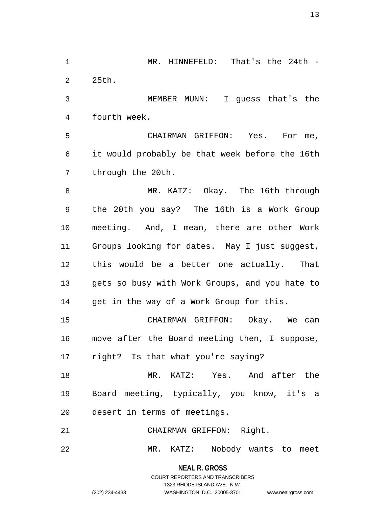MR. HINNEFELD: That's the 24th - 25th.

 MEMBER MUNN: I guess that's the fourth week.

 CHAIRMAN GRIFFON: Yes. For me, it would probably be that week before the 16th through the 20th.

 MR. KATZ: Okay. The 16th through the 20th you say? The 16th is a Work Group meeting. And, I mean, there are other Work Groups looking for dates. May I just suggest, this would be a better one actually. That gets so busy with Work Groups, and you hate to get in the way of a Work Group for this.

 CHAIRMAN GRIFFON: Okay. We can move after the Board meeting then, I suppose, right? Is that what you're saying?

 MR. KATZ: Yes. And after the Board meeting, typically, you know, it's a desert in terms of meetings.

CHAIRMAN GRIFFON: Right.

MR. KATZ: Nobody wants to meet

**NEAL R. GROSS** COURT REPORTERS AND TRANSCRIBERS

1323 RHODE ISLAND AVE., N.W.

(202) 234-4433 WASHINGTON, D.C. 20005-3701 www.nealrgross.com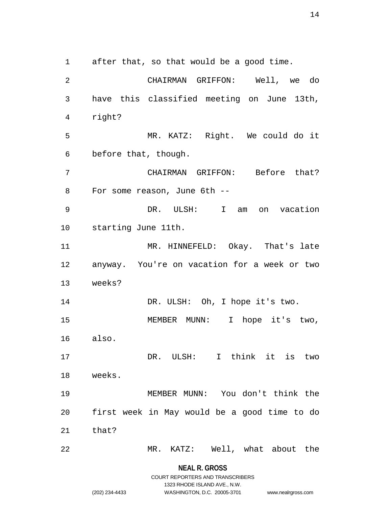after that, so that would be a good time. CHAIRMAN GRIFFON: Well, we do have this classified meeting on June 13th, right? MR. KATZ: Right. We could do it before that, though. CHAIRMAN GRIFFON: Before that? For some reason, June 6th -- DR. ULSH: I am on vacation starting June 11th. MR. HINNEFELD: Okay. That's late anyway. You're on vacation for a week or two weeks? 14 DR. ULSH: Oh, I hope it's two. MEMBER MUNN: I hope it's two, also. DR. ULSH: I think it is two weeks. MEMBER MUNN: You don't think the first week in May would be a good time to do that? MR. KATZ: Well, what about the

> **NEAL R. GROSS** COURT REPORTERS AND TRANSCRIBERS

> > 1323 RHODE ISLAND AVE., N.W.

(202) 234-4433 WASHINGTON, D.C. 20005-3701 www.nealrgross.com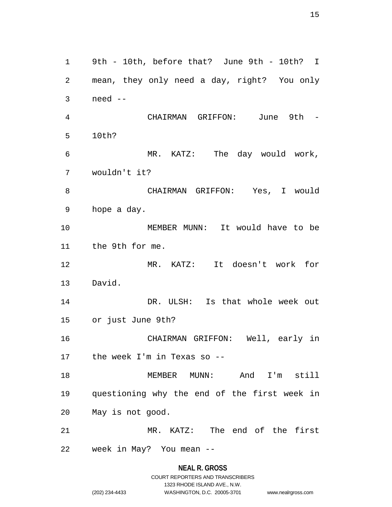9th - 10th, before that? June 9th - 10th? I mean, they only need a day, right? You only need -- CHAIRMAN GRIFFON: June 9th - 10th? MR. KATZ: The day would work, wouldn't it? CHAIRMAN GRIFFON: Yes, I would hope a day. MEMBER MUNN: It would have to be the 9th for me. MR. KATZ: It doesn't work for David. DR. ULSH: Is that whole week out or just June 9th? CHAIRMAN GRIFFON: Well, early in the week I'm in Texas so -- MEMBER MUNN: And I'm still questioning why the end of the first week in May is not good. MR. KATZ: The end of the first week in May? You mean --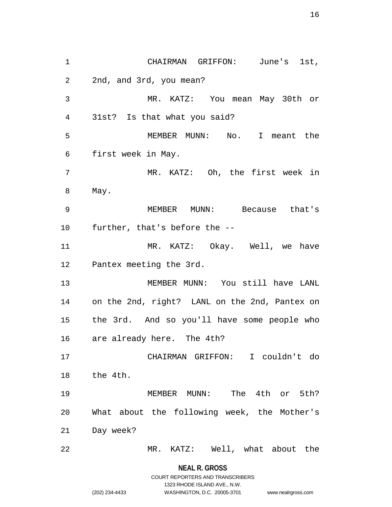CHAIRMAN GRIFFON: June's 1st, 2nd, and 3rd, you mean? MR. KATZ: You mean May 30th or 31st? Is that what you said? MEMBER MUNN: No. I meant the first week in May. MR. KATZ: Oh, the first week in May. MEMBER MUNN: Because that's further, that's before the -- MR. KATZ: Okay. Well, we have Pantex meeting the 3rd. MEMBER MUNN: You still have LANL on the 2nd, right? LANL on the 2nd, Pantex on the 3rd. And so you'll have some people who are already here. The 4th? CHAIRMAN GRIFFON: I couldn't do the 4th. MEMBER MUNN: The 4th or 5th? What about the following week, the Mother's Day week? MR. KATZ: Well, what about the

**NEAL R. GROSS**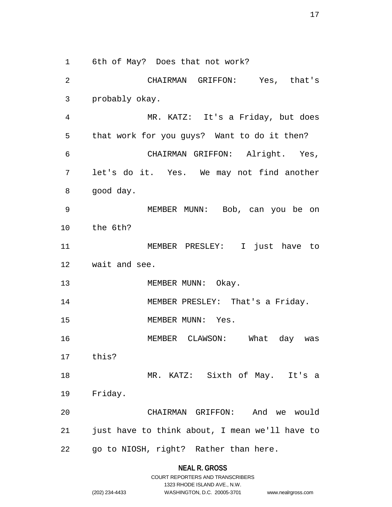6th of May? Does that not work?

 CHAIRMAN GRIFFON: Yes, that's probably okay. MR. KATZ: It's a Friday, but does that work for you guys? Want to do it then? CHAIRMAN GRIFFON: Alright. Yes, let's do it. Yes. We may not find another good day. MEMBER MUNN: Bob, can you be on the 6th? MEMBER PRESLEY: I just have to wait and see. 13 MEMBER MUNN: Okay. 14 MEMBER PRESLEY: That's a Friday. 15 MEMBER MUNN: Yes. MEMBER CLAWSON: What day was this? MR. KATZ: Sixth of May. It's a Friday. CHAIRMAN GRIFFON: And we would just have to think about, I mean we'll have to go to NIOSH, right? Rather than here.

# **NEAL R. GROSS**

|                | COURT REPORTERS AND TRANSCRIBERS |                    |
|----------------|----------------------------------|--------------------|
|                | 1323 RHODE ISLAND AVE N.W.       |                    |
| (202) 234-4433 | WASHINGTON, D.C. 20005-3701      | www.nealrgross.com |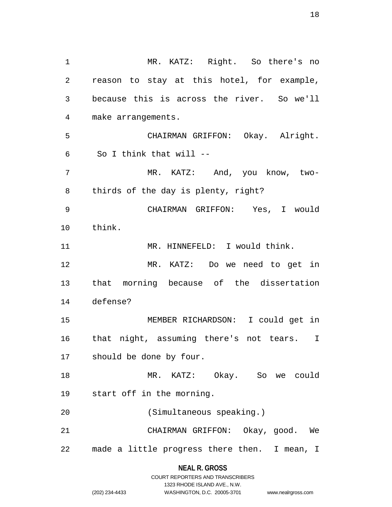MR. KATZ: Right. So there's no reason to stay at this hotel, for example, because this is across the river. So we'll make arrangements. CHAIRMAN GRIFFON: Okay. Alright. So I think that will -- 7 MR. KATZ: And, you know, two- thirds of the day is plenty, right? CHAIRMAN GRIFFON: Yes, I would think. 11 MR. HINNEFELD: I would think. MR. KATZ: Do we need to get in that morning because of the dissertation defense? MEMBER RICHARDSON: I could get in that night, assuming there's not tears. I should be done by four. MR. KATZ: Okay. So we could start off in the morning. (Simultaneous speaking.) CHAIRMAN GRIFFON: Okay, good. We made a little progress there then. I mean, I

> **NEAL R. GROSS** COURT REPORTERS AND TRANSCRIBERS

> > 1323 RHODE ISLAND AVE., N.W.

| $(202)$ 234-4433 |  |
|------------------|--|

(202) 234-4433 WASHINGTON, D.C. 20005-3701 www.nealrgross.com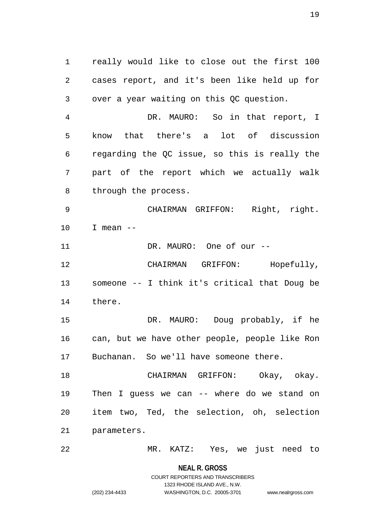really would like to close out the first 100 cases report, and it's been like held up for over a year waiting on this QC question.

 DR. MAURO: So in that report, I know that there's a lot of discussion regarding the QC issue, so this is really the part of the report which we actually walk through the process.

 CHAIRMAN GRIFFON: Right, right. I mean --

11 DR. MAURO: One of our --

 CHAIRMAN GRIFFON: Hopefully, someone -- I think it's critical that Doug be there.

 DR. MAURO: Doug probably, if he can, but we have other people, people like Ron Buchanan. So we'll have someone there.

 CHAIRMAN GRIFFON: Okay, okay. Then I guess we can -- where do we stand on item two, Ted, the selection, oh, selection parameters.

MR. KATZ: Yes, we just need to

**NEAL R. GROSS** COURT REPORTERS AND TRANSCRIBERS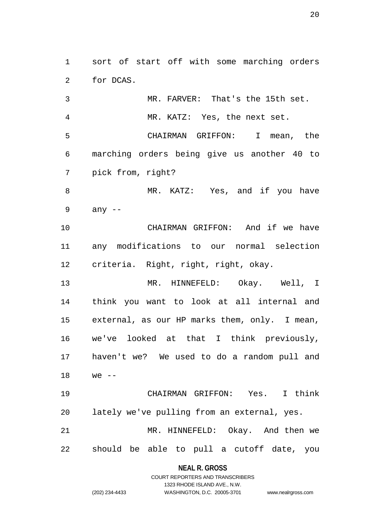sort of start off with some marching orders for DCAS.

 MR. FARVER: That's the 15th set. MR. KATZ: Yes, the next set. CHAIRMAN GRIFFON: I mean, the marching orders being give us another 40 to pick from, right? 8 MR. KATZ: Yes, and if you have

any --

 CHAIRMAN GRIFFON: And if we have any modifications to our normal selection criteria. Right, right, right, okay.

 MR. HINNEFELD: Okay. Well, I think you want to look at all internal and external, as our HP marks them, only. I mean, we've looked at that I think previously, haven't we? We used to do a random pull and we --

 CHAIRMAN GRIFFON: Yes. I think lately we've pulling from an external, yes. MR. HINNEFELD: Okay. And then we should be able to pull a cutoff date, you

> **NEAL R. GROSS** COURT REPORTERS AND TRANSCRIBERS

> > 1323 RHODE ISLAND AVE., N.W.

(202) 234-4433 WASHINGTON, D.C. 20005-3701 www.nealrgross.com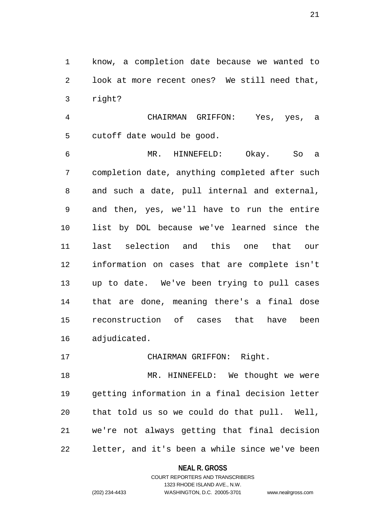know, a completion date because we wanted to look at more recent ones? We still need that, right?

 CHAIRMAN GRIFFON: Yes, yes, a cutoff date would be good.

 MR. HINNEFELD: Okay. So a completion date, anything completed after such and such a date, pull internal and external, and then, yes, we'll have to run the entire list by DOL because we've learned since the last selection and this one that our information on cases that are complete isn't up to date. We've been trying to pull cases that are done, meaning there's a final dose reconstruction of cases that have been adjudicated.

# CHAIRMAN GRIFFON: Right.

18 MR. HINNEFELD: We thought we were getting information in a final decision letter that told us so we could do that pull. Well, we're not always getting that final decision letter, and it's been a while since we've been

#### **NEAL R. GROSS**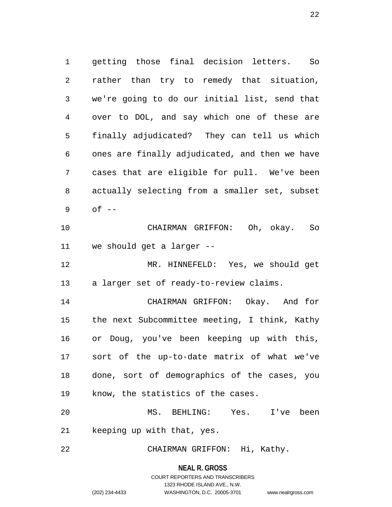getting those final decision letters. So rather than try to remedy that situation, we're going to do our initial list, send that over to DOL, and say which one of these are finally adjudicated? They can tell us which ones are finally adjudicated, and then we have cases that are eligible for pull. We've been actually selecting from a smaller set, subset of -- CHAIRMAN GRIFFON: Oh, okay. So we should get a larger --

 MR. HINNEFELD: Yes, we should get a larger set of ready-to-review claims.

 CHAIRMAN GRIFFON: Okay. And for the next Subcommittee meeting, I think, Kathy or Doug, you've been keeping up with this, sort of the up-to-date matrix of what we've done, sort of demographics of the cases, you know, the statistics of the cases.

 MS. BEHLING: Yes. I've been keeping up with that, yes.

CHAIRMAN GRIFFON: Hi, Kathy.

**NEAL R. GROSS**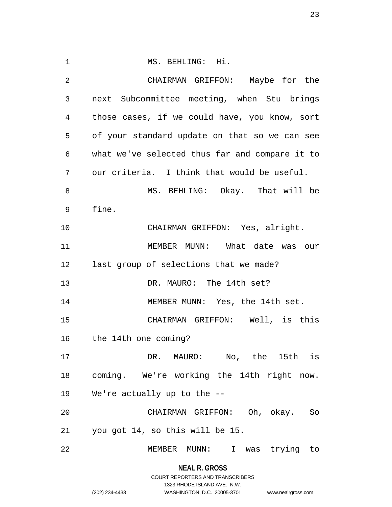1 MS. BEHLING: Hi. CHAIRMAN GRIFFON: Maybe for the next Subcommittee meeting, when Stu brings those cases, if we could have, you know, sort of your standard update on that so we can see what we've selected thus far and compare it to our criteria. I think that would be useful. MS. BEHLING: Okay. That will be fine. CHAIRMAN GRIFFON: Yes, alright. 11 MEMBER MUNN: What date was our last group of selections that we made? DR. MAURO: The 14th set? MEMBER MUNN: Yes, the 14th set. CHAIRMAN GRIFFON: Well, is this the 14th one coming? DR. MAURO: No, the 15th is coming. We're working the 14th right now. We're actually up to the -- CHAIRMAN GRIFFON: Oh, okay. So you got 14, so this will be 15. MEMBER MUNN: I was trying to

> **NEAL R. GROSS** COURT REPORTERS AND TRANSCRIBERS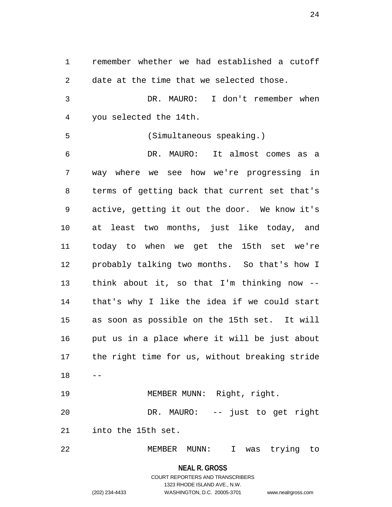remember whether we had established a cutoff date at the time that we selected those. DR. MAURO: I don't remember when you selected the 14th. (Simultaneous speaking.) DR. MAURO: It almost comes as a way where we see how we're progressing in terms of getting back that current set that's active, getting it out the door. We know it's at least two months, just like today, and today to when we get the 15th set we're probably talking two months. So that's how I think about it, so that I'm thinking now -- that's why I like the idea if we could start as soon as possible on the 15th set. It will put us in a place where it will be just about the right time for us, without breaking stride  $18 - -$  MEMBER MUNN: Right, right. DR. MAURO: -- just to get right into the 15th set. MEMBER MUNN: I was trying to

> **NEAL R. GROSS** COURT REPORTERS AND TRANSCRIBERS 1323 RHODE ISLAND AVE., N.W. (202) 234-4433 WASHINGTON, D.C. 20005-3701 www.nealrgross.com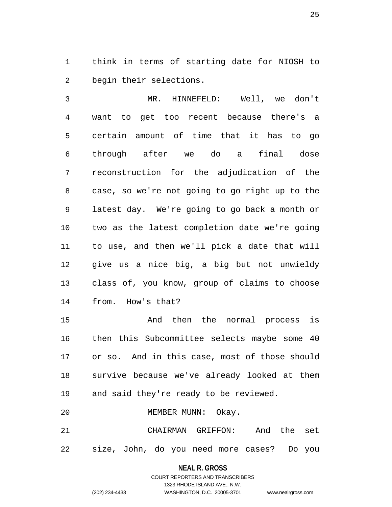think in terms of starting date for NIOSH to begin their selections.

 MR. HINNEFELD: Well, we don't want to get too recent because there's a certain amount of time that it has to go through after we do a final dose reconstruction for the adjudication of the case, so we're not going to go right up to the latest day. We're going to go back a month or two as the latest completion date we're going to use, and then we'll pick a date that will give us a nice big, a big but not unwieldy class of, you know, group of claims to choose from. How's that?

 And then the normal process is then this Subcommittee selects maybe some 40 or so. And in this case, most of those should survive because we've already looked at them and said they're ready to be reviewed.

MEMBER MUNN: Okay.

 CHAIRMAN GRIFFON: And the set size, John, do you need more cases? Do you

#### **NEAL R. GROSS**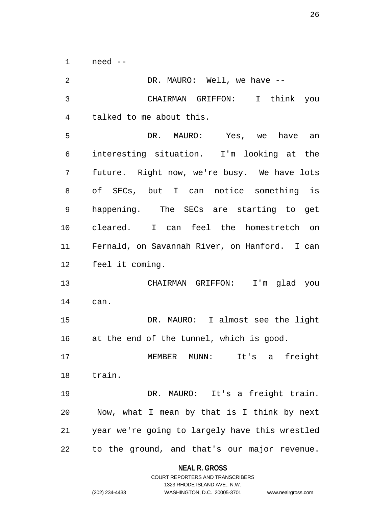need --

| 2  | DR. MAURO: Well, we have --                    |
|----|------------------------------------------------|
| 3  | CHAIRMAN GRIFFON: I think you                  |
| 4  | talked to me about this.                       |
| 5  | DR. MAURO: Yes, we have an                     |
| 6  | interesting situation. I'm looking at the      |
| 7  | future. Right now, we're busy. We have lots    |
| 8  | of SECs, but I can notice something is         |
| 9  | happening. The SECs are starting to get        |
| 10 | cleared. I can feel the homestretch on         |
| 11 | Fernald, on Savannah River, on Hanford. I can  |
| 12 | feel it coming.                                |
| 13 | CHAIRMAN GRIFFON: I'm glad you                 |
| 14 | can.                                           |
| 15 | DR. MAURO: I almost see the light              |
| 16 | at the end of the tunnel, which is good.       |
| 17 | It's a freight<br>MEMBER MUNN:                 |
| 18 | train.                                         |
| 19 | DR. MAURO: It's a freight train.               |
| 20 | Now, what I mean by that is I think by next    |
| 21 | year we're going to largely have this wrestled |
| 22 | to the ground, and that's our major revenue.   |

**NEAL R. GROSS**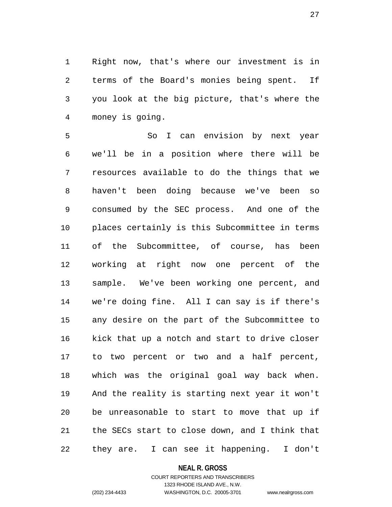Right now, that's where our investment is in terms of the Board's monies being spent. If you look at the big picture, that's where the money is going.

 So I can envision by next year we'll be in a position where there will be resources available to do the things that we haven't been doing because we've been so consumed by the SEC process. And one of the places certainly is this Subcommittee in terms of the Subcommittee, of course, has been working at right now one percent of the sample. We've been working one percent, and we're doing fine. All I can say is if there's any desire on the part of the Subcommittee to kick that up a notch and start to drive closer to two percent or two and a half percent, which was the original goal way back when. And the reality is starting next year it won't be unreasonable to start to move that up if the SECs start to close down, and I think that they are. I can see it happening. I don't

#### **NEAL R. GROSS**

## COURT REPORTERS AND TRANSCRIBERS 1323 RHODE ISLAND AVE., N.W. (202) 234-4433 WASHINGTON, D.C. 20005-3701 www.nealrgross.com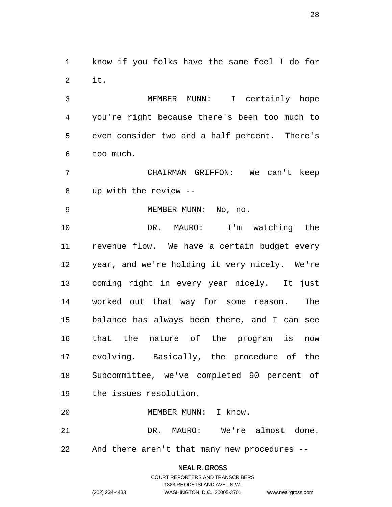know if you folks have the same feel I do for it.

 MEMBER MUNN: I certainly hope you're right because there's been too much to even consider two and a half percent. There's too much.

 CHAIRMAN GRIFFON: We can't keep up with the review --

MEMBER MUNN: No, no.

 DR. MAURO: I'm watching the revenue flow. We have a certain budget every year, and we're holding it very nicely. We're coming right in every year nicely. It just worked out that way for some reason. The balance has always been there, and I can see that the nature of the program is now evolving. Basically, the procedure of the Subcommittee, we've completed 90 percent of the issues resolution.

MEMBER MUNN: I know.

 DR. MAURO: We're almost done. And there aren't that many new procedures --

**NEAL R. GROSS**

# COURT REPORTERS AND TRANSCRIBERS 1323 RHODE ISLAND AVE., N.W. (202) 234-4433 WASHINGTON, D.C. 20005-3701 www.nealrgross.com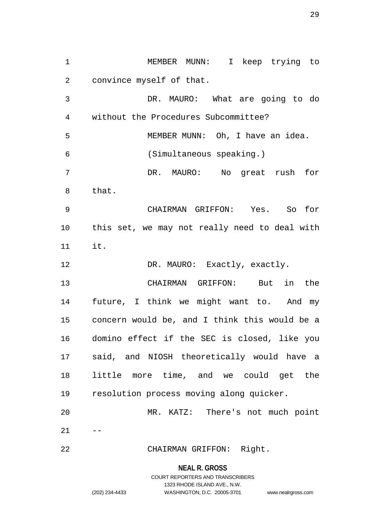MEMBER MUNN: I keep trying to convince myself of that.

 DR. MAURO: What are going to do without the Procedures Subcommittee? MEMBER MUNN: Oh, I have an idea. (Simultaneous speaking.) DR. MAURO: No great rush for that. CHAIRMAN GRIFFON: Yes. So for this set, we may not really need to deal with it. 12 DR. MAURO: Exactly, exactly. CHAIRMAN GRIFFON: But in the future, I think we might want to. And my

 concern would be, and I think this would be a domino effect if the SEC is closed, like you said, and NIOSH theoretically would have a little more time, and we could get the resolution process moving along quicker.

 MR. KATZ: There's not much point  $21 - -$ 

CHAIRMAN GRIFFON: Right.

**NEAL R. GROSS**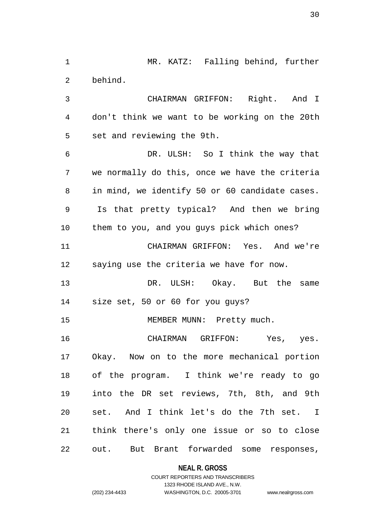MR. KATZ: Falling behind, further behind.

 CHAIRMAN GRIFFON: Right. And I don't think we want to be working on the 20th set and reviewing the 9th.

 DR. ULSH: So I think the way that we normally do this, once we have the criteria in mind, we identify 50 or 60 candidate cases. Is that pretty typical? And then we bring them to you, and you guys pick which ones? CHAIRMAN GRIFFON: Yes. And we're saying use the criteria we have for now. DR. ULSH: Okay. But the same size set, 50 or 60 for you guys? 15 MEMBER MUNN: Pretty much. CHAIRMAN GRIFFON: Yes, yes. Okay. Now on to the more mechanical portion

 of the program. I think we're ready to go into the DR set reviews, 7th, 8th, and 9th set. And I think let's do the 7th set. I think there's only one issue or so to close

out. But Brant forwarded some responses,

**NEAL R. GROSS**

## COURT REPORTERS AND TRANSCRIBERS 1323 RHODE ISLAND AVE., N.W. (202) 234-4433 WASHINGTON, D.C. 20005-3701 www.nealrgross.com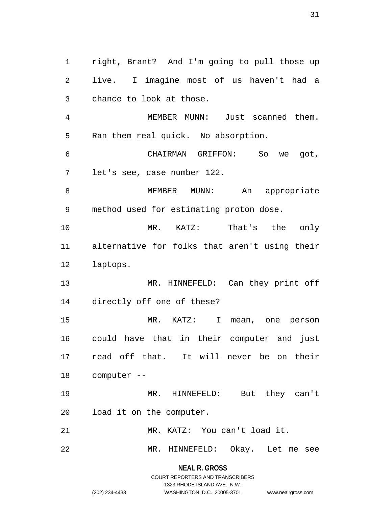right, Brant? And I'm going to pull those up live. I imagine most of us haven't had a chance to look at those. MEMBER MUNN: Just scanned them. Ran them real quick. No absorption. CHAIRMAN GRIFFON: So we got, let's see, case number 122. MEMBER MUNN: An appropriate method used for estimating proton dose. MR. KATZ: That's the only alternative for folks that aren't using their laptops. 13 MR. HINNEFELD: Can they print off directly off one of these? MR. KATZ: I mean, one person could have that in their computer and just read off that. It will never be on their computer -- MR. HINNEFELD: But they can't load it on the computer. MR. KATZ: You can't load it. MR. HINNEFELD: Okay. Let me see

> **NEAL R. GROSS** COURT REPORTERS AND TRANSCRIBERS

> > 1323 RHODE ISLAND AVE., N.W.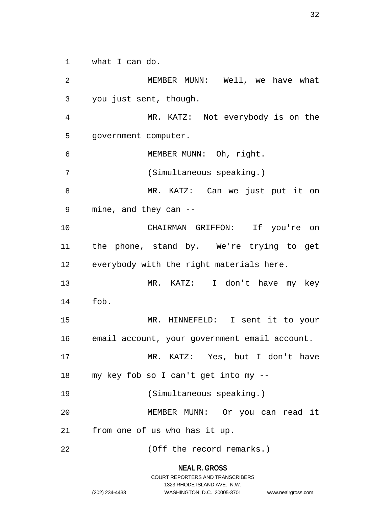what I can do.

 MEMBER MUNN: Well, we have what you just sent, though. MR. KATZ: Not everybody is on the government computer. MEMBER MUNN: Oh, right. (Simultaneous speaking.) MR. KATZ: Can we just put it on mine, and they can -- CHAIRMAN GRIFFON: If you're on the phone, stand by. We're trying to get everybody with the right materials here. MR. KATZ: I don't have my key fob. MR. HINNEFELD: I sent it to your email account, your government email account. MR. KATZ: Yes, but I don't have my key fob so I can't get into my -- (Simultaneous speaking.) MEMBER MUNN: Or you can read it from one of us who has it up. (Off the record remarks.)

**NEAL R. GROSS**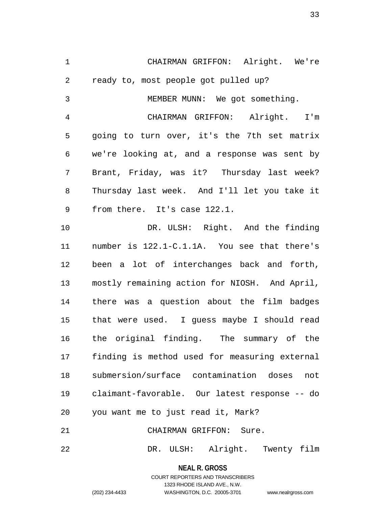CHAIRMAN GRIFFON: Alright. We're ready to, most people got pulled up? MEMBER MUNN: We got something. CHAIRMAN GRIFFON: Alright. I'm going to turn over, it's the 7th set matrix we're looking at, and a response was sent by Brant, Friday, was it? Thursday last week? Thursday last week. And I'll let you take it 9 from there. It's case 122.1. DR. ULSH: Right. And the finding number is 122.1-C.1.1A. You see that there's been a lot of interchanges back and forth, mostly remaining action for NIOSH. And April, there was a question about the film badges that were used. I guess maybe I should read the original finding. The summary of the finding is method used for measuring external submersion/surface contamination doses not claimant-favorable. Our latest response -- do you want me to just read it, Mark? CHAIRMAN GRIFFON: Sure. DR. ULSH: Alright. Twenty film

> **NEAL R. GROSS** COURT REPORTERS AND TRANSCRIBERS 1323 RHODE ISLAND AVE., N.W. (202) 234-4433 WASHINGTON, D.C. 20005-3701 www.nealrgross.com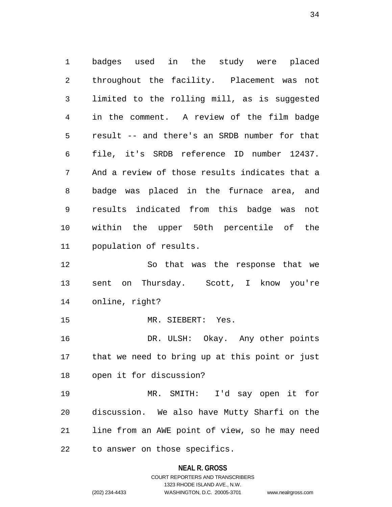badges used in the study were placed throughout the facility. Placement was not limited to the rolling mill, as is suggested in the comment. A review of the film badge result -- and there's an SRDB number for that file, it's SRDB reference ID number 12437. And a review of those results indicates that a badge was placed in the furnace area, and results indicated from this badge was not within the upper 50th percentile of the population of results. So that was the response that we sent on Thursday. Scott, I know you're online, right?

MR. SIEBERT: Yes.

 DR. ULSH: Okay. Any other points that we need to bring up at this point or just open it for discussion?

 MR. SMITH: I'd say open it for discussion. We also have Mutty Sharfi on the line from an AWE point of view, so he may need to answer on those specifics.

#### **NEAL R. GROSS**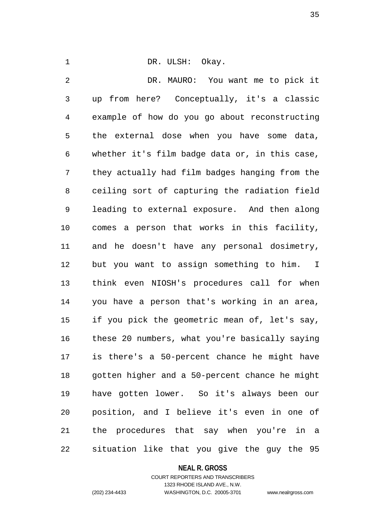# 1 DR. ULSH: Okay.

 DR. MAURO: You want me to pick it up from here? Conceptually, it's a classic example of how do you go about reconstructing the external dose when you have some data, whether it's film badge data or, in this case, they actually had film badges hanging from the ceiling sort of capturing the radiation field leading to external exposure. And then along comes a person that works in this facility, and he doesn't have any personal dosimetry, but you want to assign something to him. I think even NIOSH's procedures call for when you have a person that's working in an area, if you pick the geometric mean of, let's say, these 20 numbers, what you're basically saying is there's a 50-percent chance he might have gotten higher and a 50-percent chance he might have gotten lower. So it's always been our position, and I believe it's even in one of the procedures that say when you're in a situation like that you give the guy the 95

### **NEAL R. GROSS**

COURT REPORTERS AND TRANSCRIBERS 1323 RHODE ISLAND AVE., N.W. (202) 234-4433 WASHINGTON, D.C. 20005-3701 www.nealrgross.com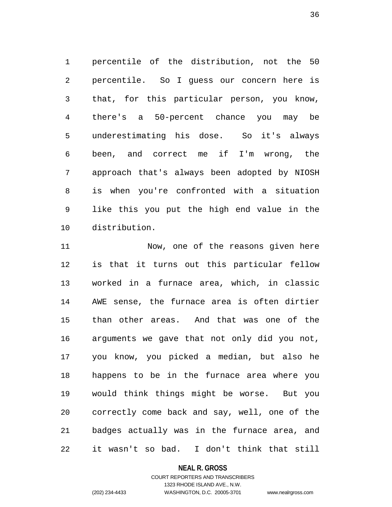percentile of the distribution, not the 50 percentile. So I guess our concern here is that, for this particular person, you know, there's a 50-percent chance you may be underestimating his dose. So it's always been, and correct me if I'm wrong, the approach that's always been adopted by NIOSH is when you're confronted with a situation like this you put the high end value in the distribution.

 Now, one of the reasons given here is that it turns out this particular fellow worked in a furnace area, which, in classic AWE sense, the furnace area is often dirtier than other areas. And that was one of the arguments we gave that not only did you not, you know, you picked a median, but also he happens to be in the furnace area where you would think things might be worse. But you correctly come back and say, well, one of the badges actually was in the furnace area, and it wasn't so bad. I don't think that still

**NEAL R. GROSS**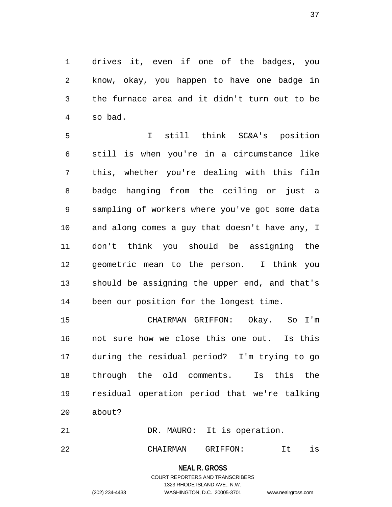drives it, even if one of the badges, you know, okay, you happen to have one badge in the furnace area and it didn't turn out to be so bad.

 I still think SC&A's position still is when you're in a circumstance like this, whether you're dealing with this film badge hanging from the ceiling or just a sampling of workers where you've got some data and along comes a guy that doesn't have any, I don't think you should be assigning the geometric mean to the person. I think you should be assigning the upper end, and that's been our position for the longest time.

 CHAIRMAN GRIFFON: Okay. So I'm not sure how we close this one out. Is this during the residual period? I'm trying to go through the old comments. Is this the residual operation period that we're talking about?

21 DR. MAURO: It is operation.

CHAIRMAN GRIFFON: It is

# **NEAL R. GROSS**

COURT REPORTERS AND TRANSCRIBERS 1323 RHODE ISLAND AVE., N.W. (202) 234-4433 WASHINGTON, D.C. 20005-3701 www.nealrgross.com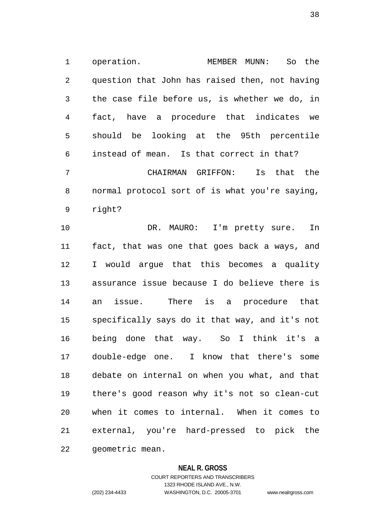operation. MEMBER MUNN: So the question that John has raised then, not having the case file before us, is whether we do, in fact, have a procedure that indicates we should be looking at the 95th percentile instead of mean. Is that correct in that? CHAIRMAN GRIFFON: Is that the normal protocol sort of is what you're saying,

right?

 DR. MAURO: I'm pretty sure. In fact, that was one that goes back a ways, and I would argue that this becomes a quality assurance issue because I do believe there is an issue. There is a procedure that specifically says do it that way, and it's not being done that way. So I think it's a double-edge one. I know that there's some debate on internal on when you what, and that there's good reason why it's not so clean-cut when it comes to internal. When it comes to external, you're hard-pressed to pick the geometric mean.

#### **NEAL R. GROSS**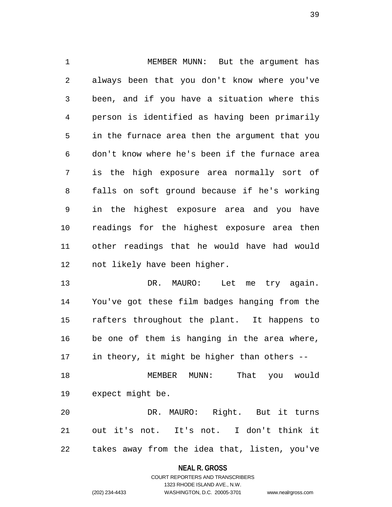MEMBER MUNN: But the argument has always been that you don't know where you've been, and if you have a situation where this person is identified as having been primarily in the furnace area then the argument that you don't know where he's been if the furnace area is the high exposure area normally sort of falls on soft ground because if he's working in the highest exposure area and you have readings for the highest exposure area then other readings that he would have had would not likely have been higher.

13 DR. MAURO: Let me try again. You've got these film badges hanging from the rafters throughout the plant. It happens to be one of them is hanging in the area where, in theory, it might be higher than others -- MEMBER MUNN: That you would

expect might be.

 DR. MAURO: Right. But it turns out it's not. It's not. I don't think it takes away from the idea that, listen, you've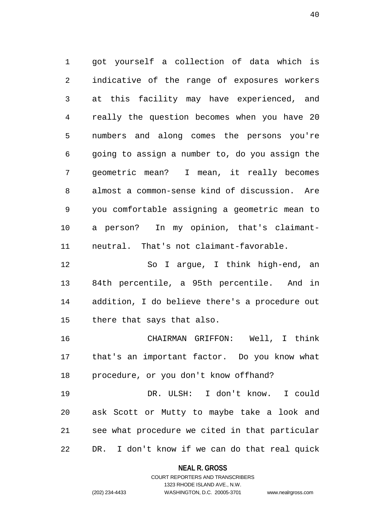got yourself a collection of data which is indicative of the range of exposures workers at this facility may have experienced, and really the question becomes when you have 20 numbers and along comes the persons you're going to assign a number to, do you assign the geometric mean? I mean, it really becomes almost a common-sense kind of discussion. Are you comfortable assigning a geometric mean to a person? In my opinion, that's claimant-neutral. That's not claimant-favorable.

 So I argue, I think high-end, an 84th percentile, a 95th percentile. And in addition, I do believe there's a procedure out there that says that also.

 CHAIRMAN GRIFFON: Well, I think that's an important factor. Do you know what procedure, or you don't know offhand?

 DR. ULSH: I don't know. I could ask Scott or Mutty to maybe take a look and see what procedure we cited in that particular DR. I don't know if we can do that real quick

## **NEAL R. GROSS** COURT REPORTERS AND TRANSCRIBERS

1323 RHODE ISLAND AVE., N.W.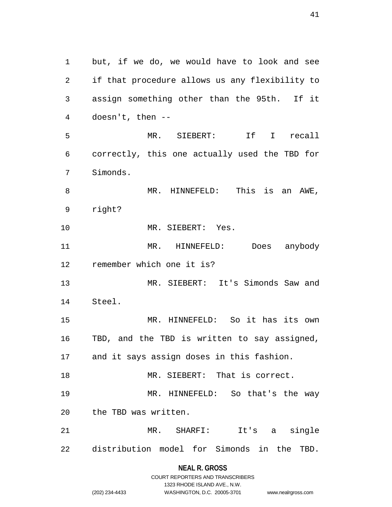but, if we do, we would have to look and see if that procedure allows us any flexibility to assign something other than the 95th. If it doesn't, then -- MR. SIEBERT: If I recall correctly, this one actually used the TBD for Simonds. MR. HINNEFELD: This is an AWE, right? MR. SIEBERT: Yes. MR. HINNEFELD: Does anybody remember which one it is? MR. SIEBERT: It's Simonds Saw and Steel. MR. HINNEFELD: So it has its own TBD, and the TBD is written to say assigned, and it says assign doses in this fashion. MR. SIEBERT: That is correct. MR. HINNEFELD: So that's the way the TBD was written. MR. SHARFI: It's a single distribution model for Simonds in the TBD.

## **NEAL R. GROSS** COURT REPORTERS AND TRANSCRIBERS

1323 RHODE ISLAND AVE., N.W.

(202) 234-4433 WASHINGTON, D.C. 20005-3701 www.nealrgross.com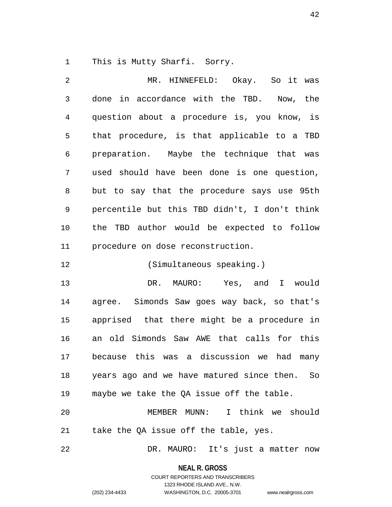This is Mutty Sharfi. Sorry.

 MR. HINNEFELD: Okay. So it was done in accordance with the TBD. Now, the question about a procedure is, you know, is that procedure, is that applicable to a TBD preparation. Maybe the technique that was used should have been done is one question, but to say that the procedure says use 95th percentile but this TBD didn't, I don't think the TBD author would be expected to follow procedure on dose reconstruction.

(Simultaneous speaking.)

 DR. MAURO: Yes, and I would agree. Simonds Saw goes way back, so that's apprised that there might be a procedure in an old Simonds Saw AWE that calls for this because this was a discussion we had many years ago and we have matured since then. So maybe we take the QA issue off the table.

 MEMBER MUNN: I think we should take the QA issue off the table, yes.

DR. MAURO: It's just a matter now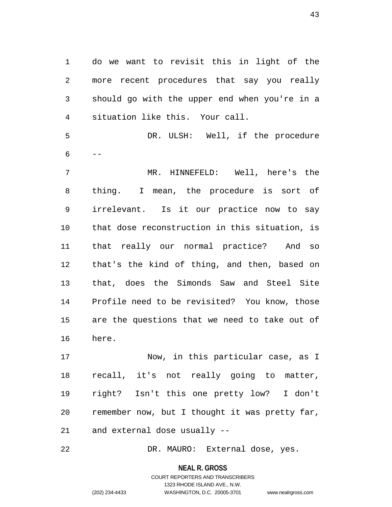do we want to revisit this in light of the more recent procedures that say you really should go with the upper end when you're in a situation like this. Your call.

 DR. ULSH: Well, if the procedure  $6 - -$ 

 MR. HINNEFELD: Well, here's the thing. I mean, the procedure is sort of irrelevant. Is it our practice now to say that dose reconstruction in this situation, is that really our normal practice? And so that's the kind of thing, and then, based on that, does the Simonds Saw and Steel Site Profile need to be revisited? You know, those are the questions that we need to take out of here.

 Now, in this particular case, as I recall, it's not really going to matter, right? Isn't this one pretty low? I don't remember now, but I thought it was pretty far, and external dose usually --

DR. MAURO: External dose, yes.

**NEAL R. GROSS**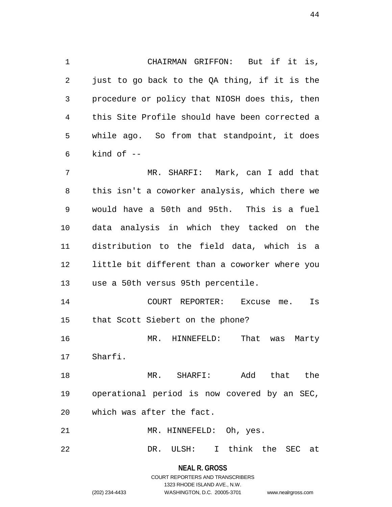CHAIRMAN GRIFFON: But if it is, just to go back to the QA thing, if it is the procedure or policy that NIOSH does this, then this Site Profile should have been corrected a while ago. So from that standpoint, it does kind of  $-$ 

 MR. SHARFI: Mark, can I add that this isn't a coworker analysis, which there we would have a 50th and 95th. This is a fuel data analysis in which they tacked on the distribution to the field data, which is a little bit different than a coworker where you use a 50th versus 95th percentile.

 COURT REPORTER: Excuse me. Is that Scott Siebert on the phone?

 MR. HINNEFELD: That was Marty Sharfi.

 MR. SHARFI: Add that the operational period is now covered by an SEC, which was after the fact.

MR. HINNEFELD: Oh, yes.

DR. ULSH: I think the SEC at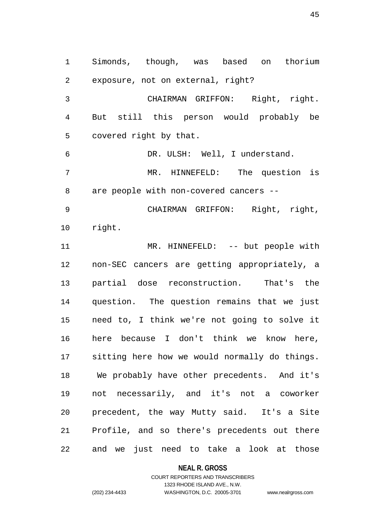Simonds, though, was based on thorium exposure, not on external, right? CHAIRMAN GRIFFON: Right, right. But still this person would probably be covered right by that. DR. ULSH: Well, I understand. MR. HINNEFELD: The question is are people with non-covered cancers -- CHAIRMAN GRIFFON: Right, right, right. MR. HINNEFELD: -- but people with non-SEC cancers are getting appropriately, a partial dose reconstruction. That's the question. The question remains that we just need to, I think we're not going to solve it here because I don't think we know here, sitting here how we would normally do things. We probably have other precedents. And it's not necessarily, and it's not a coworker precedent, the way Mutty said. It's a Site Profile, and so there's precedents out there and we just need to take a look at those

#### **NEAL R. GROSS**

## COURT REPORTERS AND TRANSCRIBERS 1323 RHODE ISLAND AVE., N.W. (202) 234-4433 WASHINGTON, D.C. 20005-3701 www.nealrgross.com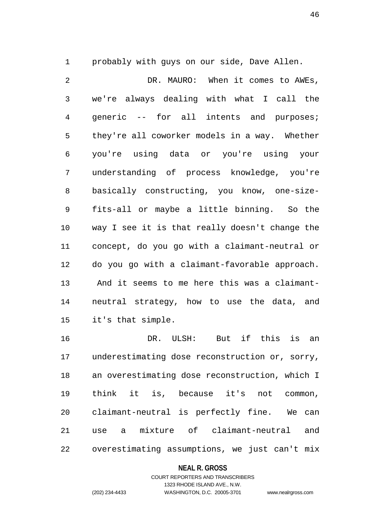probably with guys on our side, Dave Allen. DR. MAURO: When it comes to AWEs, we're always dealing with what I call the generic -- for all intents and purposes; they're all coworker models in a way. Whether you're using data or you're using your understanding of process knowledge, you're basically constructing, you know, one-size- fits-all or maybe a little binning. So the way I see it is that really doesn't change the concept, do you go with a claimant-neutral or do you go with a claimant-favorable approach. And it seems to me here this was a claimant- neutral strategy, how to use the data, and it's that simple.

 DR. ULSH: But if this is an underestimating dose reconstruction or, sorry, an overestimating dose reconstruction, which I think it is, because it's not common, claimant-neutral is perfectly fine. We can use a mixture of claimant-neutral and overestimating assumptions, we just can't mix

#### **NEAL R. GROSS**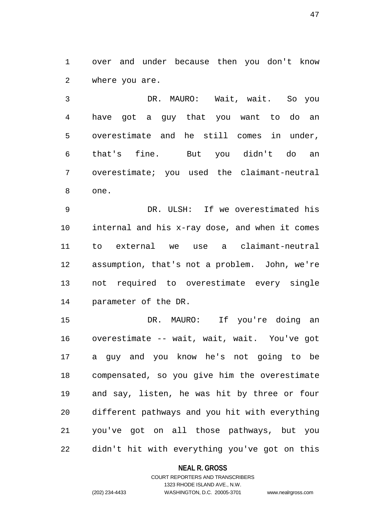over and under because then you don't know where you are.

 DR. MAURO: Wait, wait. So you have got a guy that you want to do an overestimate and he still comes in under, that's fine. But you didn't do an overestimate; you used the claimant-neutral one.

 DR. ULSH: If we overestimated his internal and his x-ray dose, and when it comes to external we use a claimant-neutral assumption, that's not a problem. John, we're not required to overestimate every single parameter of the DR.

 DR. MAURO: If you're doing an overestimate -- wait, wait, wait. You've got a guy and you know he's not going to be compensated, so you give him the overestimate and say, listen, he was hit by three or four different pathways and you hit with everything you've got on all those pathways, but you didn't hit with everything you've got on this

#### **NEAL R. GROSS**

## COURT REPORTERS AND TRANSCRIBERS 1323 RHODE ISLAND AVE., N.W. (202) 234-4433 WASHINGTON, D.C. 20005-3701 www.nealrgross.com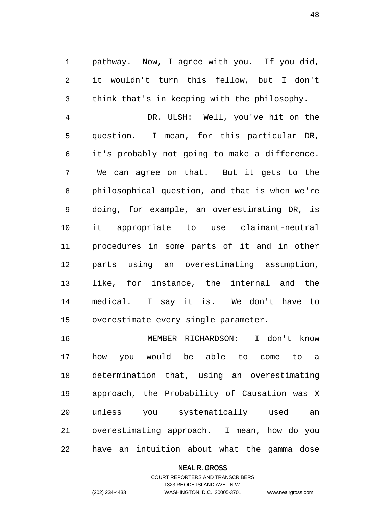pathway. Now, I agree with you. If you did, it wouldn't turn this fellow, but I don't think that's in keeping with the philosophy.

 DR. ULSH: Well, you've hit on the question. I mean, for this particular DR, it's probably not going to make a difference. We can agree on that. But it gets to the philosophical question, and that is when we're doing, for example, an overestimating DR, is it appropriate to use claimant-neutral procedures in some parts of it and in other parts using an overestimating assumption, like, for instance, the internal and the medical. I say it is. We don't have to overestimate every single parameter.

 MEMBER RICHARDSON: I don't know how you would be able to come to a determination that, using an overestimating approach, the Probability of Causation was X unless you systematically used an overestimating approach. I mean, how do you have an intuition about what the gamma dose

#### **NEAL R. GROSS**

## COURT REPORTERS AND TRANSCRIBERS 1323 RHODE ISLAND AVE., N.W. (202) 234-4433 WASHINGTON, D.C. 20005-3701 www.nealrgross.com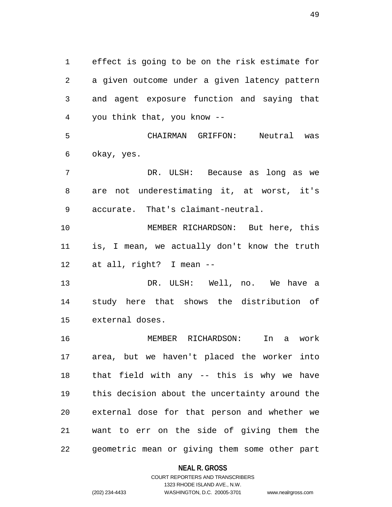effect is going to be on the risk estimate for a given outcome under a given latency pattern and agent exposure function and saying that you think that, you know -- CHAIRMAN GRIFFON: Neutral was okay, yes. DR. ULSH: Because as long as we are not underestimating it, at worst, it's accurate. That's claimant-neutral. MEMBER RICHARDSON: But here, this is, I mean, we actually don't know the truth at all, right? I mean -- DR. ULSH: Well, no. We have a study here that shows the distribution of external doses. MEMBER RICHARDSON: In a work area, but we haven't placed the worker into that field with any -- this is why we have this decision about the uncertainty around the external dose for that person and whether we want to err on the side of giving them the geometric mean or giving them some other part

**NEAL R. GROSS**

## COURT REPORTERS AND TRANSCRIBERS 1323 RHODE ISLAND AVE., N.W. (202) 234-4433 WASHINGTON, D.C. 20005-3701 www.nealrgross.com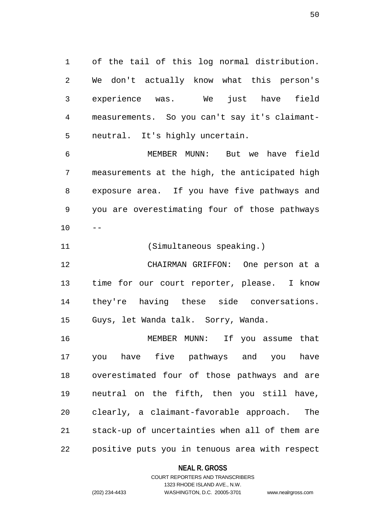of the tail of this log normal distribution. We don't actually know what this person's experience was. We just have field measurements. So you can't say it's claimant-neutral. It's highly uncertain.

 MEMBER MUNN: But we have field measurements at the high, the anticipated high exposure area. If you have five pathways and you are overestimating four of those pathways  $10 - -$ 

(Simultaneous speaking.)

 CHAIRMAN GRIFFON: One person at a time for our court reporter, please. I know they're having these side conversations. Guys, let Wanda talk. Sorry, Wanda.

 MEMBER MUNN: If you assume that you have five pathways and you have overestimated four of those pathways and are neutral on the fifth, then you still have, clearly, a claimant-favorable approach. The stack-up of uncertainties when all of them are positive puts you in tenuous area with respect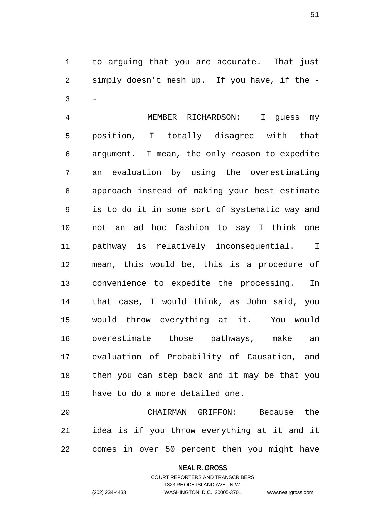to arguing that you are accurate. That just simply doesn't mesh up. If you have, if the -  $3 -$ 

 MEMBER RICHARDSON: I guess my position, I totally disagree with that argument. I mean, the only reason to expedite an evaluation by using the overestimating approach instead of making your best estimate is to do it in some sort of systematic way and not an ad hoc fashion to say I think one pathway is relatively inconsequential. I mean, this would be, this is a procedure of convenience to expedite the processing. In that case, I would think, as John said, you would throw everything at it. You would overestimate those pathways, make an evaluation of Probability of Causation, and then you can step back and it may be that you have to do a more detailed one.

 CHAIRMAN GRIFFON: Because the idea is if you throw everything at it and it comes in over 50 percent then you might have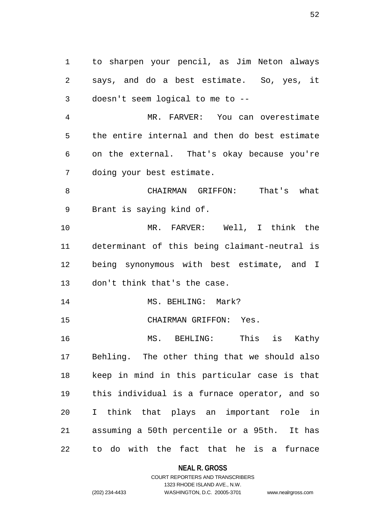to sharpen your pencil, as Jim Neton always says, and do a best estimate. So, yes, it doesn't seem logical to me to --

 MR. FARVER: You can overestimate the entire internal and then do best estimate on the external. That's okay because you're doing your best estimate.

 CHAIRMAN GRIFFON: That's what Brant is saying kind of.

 MR. FARVER: Well, I think the determinant of this being claimant-neutral is being synonymous with best estimate, and I don't think that's the case.

14 MS. BEHLING: Mark?

CHAIRMAN GRIFFON: Yes.

 MS. BEHLING: This is Kathy Behling. The other thing that we should also keep in mind in this particular case is that this individual is a furnace operator, and so I think that plays an important role in assuming a 50th percentile or a 95th. It has to do with the fact that he is a furnace

**NEAL R. GROSS**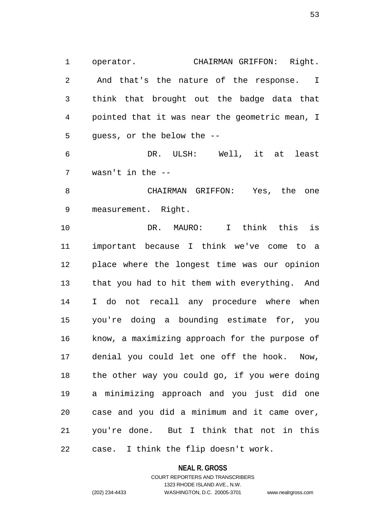operator. CHAIRMAN GRIFFON: Right. And that's the nature of the response. I think that brought out the badge data that pointed that it was near the geometric mean, I guess, or the below the --

 DR. ULSH: Well, it at least wasn't in the --

 CHAIRMAN GRIFFON: Yes, the one measurement. Right.

 DR. MAURO: I think this is important because I think we've come to a place where the longest time was our opinion that you had to hit them with everything. And I do not recall any procedure where when you're doing a bounding estimate for, you know, a maximizing approach for the purpose of denial you could let one off the hook. Now, the other way you could go, if you were doing a minimizing approach and you just did one case and you did a minimum and it came over, you're done. But I think that not in this case. I think the flip doesn't work.

**NEAL R. GROSS**

## COURT REPORTERS AND TRANSCRIBERS 1323 RHODE ISLAND AVE., N.W. (202) 234-4433 WASHINGTON, D.C. 20005-3701 www.nealrgross.com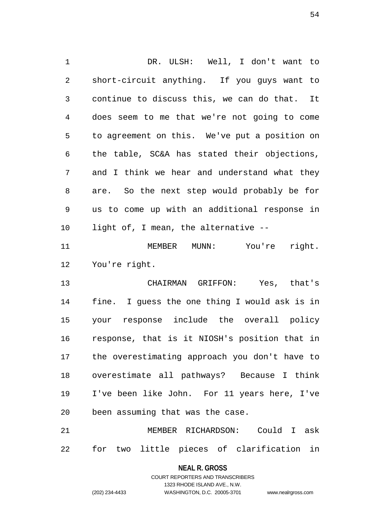DR. ULSH: Well, I don't want to short-circuit anything. If you guys want to continue to discuss this, we can do that. It does seem to me that we're not going to come to agreement on this. We've put a position on the table, SC&A has stated their objections, and I think we hear and understand what they are. So the next step would probably be for us to come up with an additional response in light of, I mean, the alternative -- MEMBER MUNN: You're right. You're right. CHAIRMAN GRIFFON: Yes, that's fine. I guess the one thing I would ask is in your response include the overall policy response, that is it NIOSH's position that in the overestimating approach you don't have to overestimate all pathways? Because I think I've been like John. For 11 years here, I've been assuming that was the case.

 MEMBER RICHARDSON: Could I ask for two little pieces of clarification in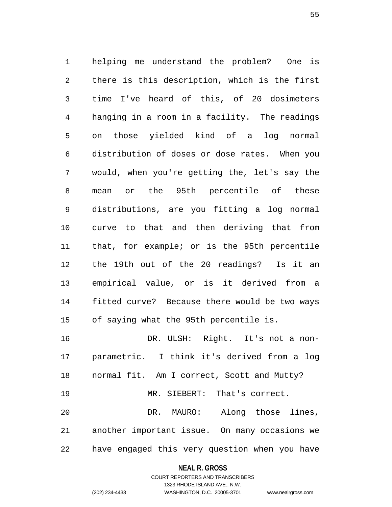helping me understand the problem? One is there is this description, which is the first time I've heard of this, of 20 dosimeters hanging in a room in a facility. The readings on those yielded kind of a log normal distribution of doses or dose rates. When you would, when you're getting the, let's say the mean or the 95th percentile of these distributions, are you fitting a log normal curve to that and then deriving that from that, for example; or is the 95th percentile the 19th out of the 20 readings? Is it an empirical value, or is it derived from a fitted curve? Because there would be two ways of saying what the 95th percentile is. DR. ULSH: Right. It's not a non-

 parametric. I think it's derived from a log normal fit. Am I correct, Scott and Mutty? MR. SIEBERT: That's correct. DR. MAURO: Along those lines, another important issue. On many occasions we have engaged this very question when you have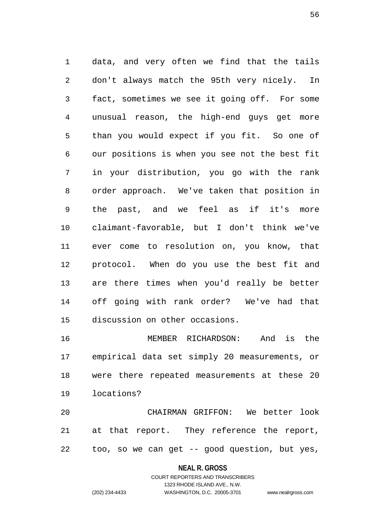data, and very often we find that the tails don't always match the 95th very nicely. In fact, sometimes we see it going off. For some unusual reason, the high-end guys get more than you would expect if you fit. So one of our positions is when you see not the best fit in your distribution, you go with the rank order approach. We've taken that position in the past, and we feel as if it's more claimant-favorable, but I don't think we've ever come to resolution on, you know, that protocol. When do you use the best fit and are there times when you'd really be better off going with rank order? We've had that discussion on other occasions.

 MEMBER RICHARDSON: And is the empirical data set simply 20 measurements, or were there repeated measurements at these 20 locations?

 CHAIRMAN GRIFFON: We better look at that report. They reference the report, too, so we can get -- good question, but yes,

#### **NEAL R. GROSS**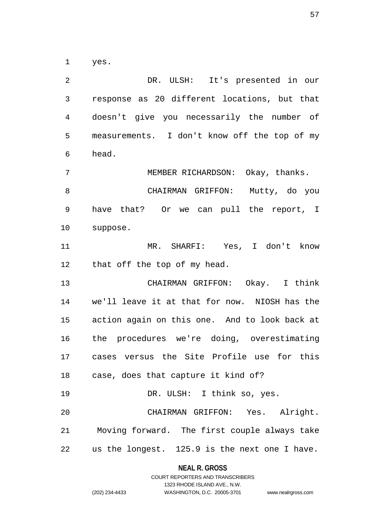yes.

 DR. ULSH: It's presented in our response as 20 different locations, but that doesn't give you necessarily the number of measurements. I don't know off the top of my head. MEMBER RICHARDSON: Okay, thanks. CHAIRMAN GRIFFON: Mutty, do you have that? Or we can pull the report, I suppose. MR. SHARFI: Yes, I don't know that off the top of my head. CHAIRMAN GRIFFON: Okay. I think we'll leave it at that for now. NIOSH has the action again on this one. And to look back at the procedures we're doing, overestimating cases versus the Site Profile use for this case, does that capture it kind of? 19 DR. ULSH: I think so, yes. CHAIRMAN GRIFFON: Yes. Alright. Moving forward. The first couple always take us the longest. 125.9 is the next one I have.

> **NEAL R. GROSS** COURT REPORTERS AND TRANSCRIBERS

1323 RHODE ISLAND AVE., N.W. (202) 234-4433 WASHINGTON, D.C. 20005-3701 www.nealrgross.com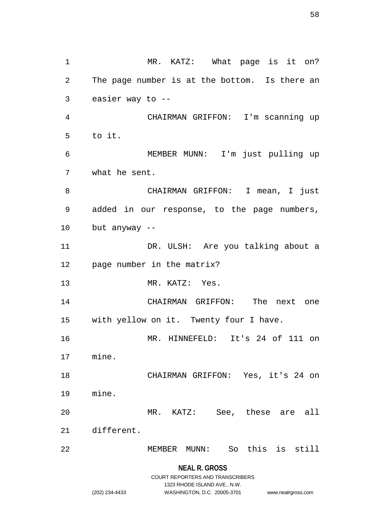**NEAL R. GROSS** 1 MR. KATZ: What page is it on? The page number is at the bottom. Is there an easier way to -- CHAIRMAN GRIFFON: I'm scanning up to it. MEMBER MUNN: I'm just pulling up what he sent. CHAIRMAN GRIFFON: I mean, I just added in our response, to the page numbers, but anyway -- DR. ULSH: Are you talking about a page number in the matrix? MR. KATZ: Yes. CHAIRMAN GRIFFON: The next one with yellow on it. Twenty four I have. MR. HINNEFELD: It's 24 of 111 on mine. CHAIRMAN GRIFFON: Yes, it's 24 on mine. MR. KATZ: See, these are all different. MEMBER MUNN: So this is still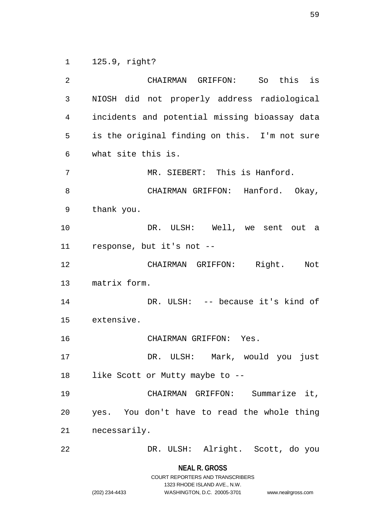125.9, right?

 CHAIRMAN GRIFFON: So this is NIOSH did not properly address radiological incidents and potential missing bioassay data is the original finding on this. I'm not sure what site this is. MR. SIEBERT: This is Hanford. CHAIRMAN GRIFFON: Hanford. Okay, thank you. DR. ULSH: Well, we sent out a response, but it's not -- CHAIRMAN GRIFFON: Right. Not matrix form. DR. ULSH: -- because it's kind of extensive. CHAIRMAN GRIFFON: Yes. DR. ULSH: Mark, would you just 18 like Scott or Mutty maybe to -- CHAIRMAN GRIFFON: Summarize it, yes. You don't have to read the whole thing necessarily. DR. ULSH: Alright. Scott, do you

> **NEAL R. GROSS** COURT REPORTERS AND TRANSCRIBERS

> > 1323 RHODE ISLAND AVE., N.W.

(202) 234-4433 WASHINGTON, D.C. 20005-3701 www.nealrgross.com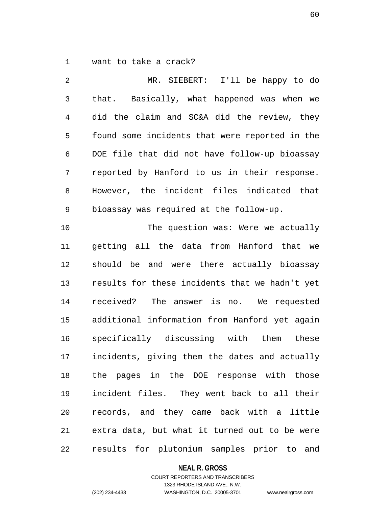want to take a crack?

 MR. SIEBERT: I'll be happy to do that. Basically, what happened was when we did the claim and SC&A did the review, they found some incidents that were reported in the DOE file that did not have follow-up bioassay reported by Hanford to us in their response. However, the incident files indicated that bioassay was required at the follow-up. 10 The question was: Were we actually getting all the data from Hanford that we should be and were there actually bioassay results for these incidents that we hadn't yet received? The answer is no. We requested additional information from Hanford yet again specifically discussing with them these incidents, giving them the dates and actually the pages in the DOE response with those incident files. They went back to all their records, and they came back with a little extra data, but what it turned out to be were results for plutonium samples prior to and

**NEAL R. GROSS**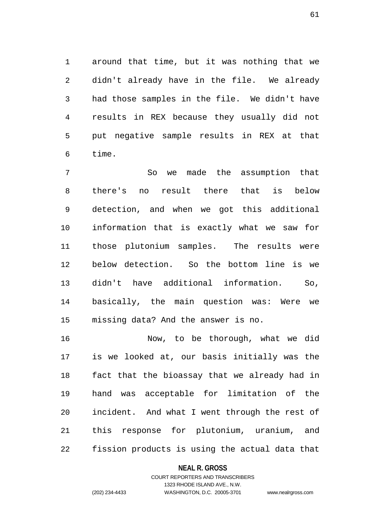around that time, but it was nothing that we didn't already have in the file. We already had those samples in the file. We didn't have results in REX because they usually did not put negative sample results in REX at that time.

 So we made the assumption that there's no result there that is below detection, and when we got this additional information that is exactly what we saw for those plutonium samples. The results were below detection. So the bottom line is we didn't have additional information. So, basically, the main question was: Were we missing data? And the answer is no.

 Now, to be thorough, what we did is we looked at, our basis initially was the fact that the bioassay that we already had in hand was acceptable for limitation of the incident. And what I went through the rest of this response for plutonium, uranium, and fission products is using the actual data that

#### **NEAL R. GROSS**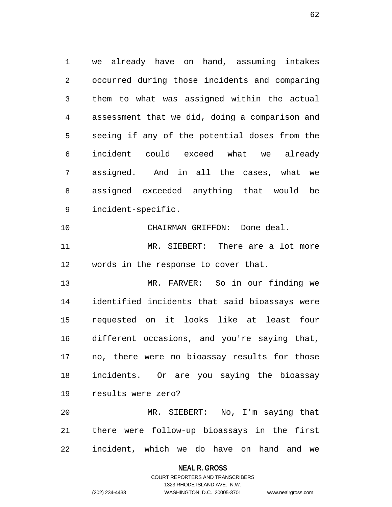we already have on hand, assuming intakes occurred during those incidents and comparing them to what was assigned within the actual assessment that we did, doing a comparison and seeing if any of the potential doses from the incident could exceed what we already assigned. And in all the cases, what we assigned exceeded anything that would be incident-specific.

CHAIRMAN GRIFFON: Done deal.

 MR. SIEBERT: There are a lot more words in the response to cover that.

 MR. FARVER: So in our finding we identified incidents that said bioassays were requested on it looks like at least four different occasions, and you're saying that, no, there were no bioassay results for those incidents. Or are you saying the bioassay results were zero?

 MR. SIEBERT: No, I'm saying that there were follow-up bioassays in the first incident, which we do have on hand and we

#### **NEAL R. GROSS**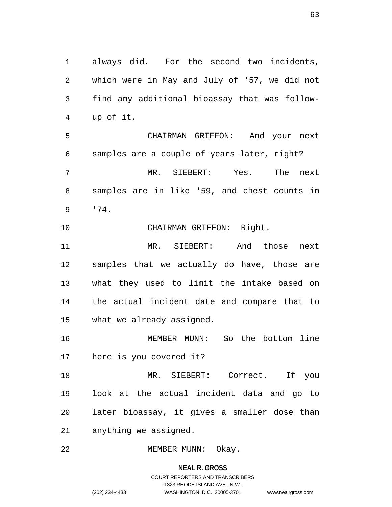always did. For the second two incidents, which were in May and July of '57, we did not find any additional bioassay that was follow-up of it.

 CHAIRMAN GRIFFON: And your next samples are a couple of years later, right? MR. SIEBERT: Yes. The next samples are in like '59, and chest counts in '74.

CHAIRMAN GRIFFON: Right.

 MR. SIEBERT: And those next samples that we actually do have, those are what they used to limit the intake based on the actual incident date and compare that to what we already assigned.

 MEMBER MUNN: So the bottom line here is you covered it?

 MR. SIEBERT: Correct. If you look at the actual incident data and go to later bioassay, it gives a smaller dose than anything we assigned.

22 MEMBER MUNN: Okay.

**NEAL R. GROSS** COURT REPORTERS AND TRANSCRIBERS 1323 RHODE ISLAND AVE., N.W. (202) 234-4433 WASHINGTON, D.C. 20005-3701 www.nealrgross.com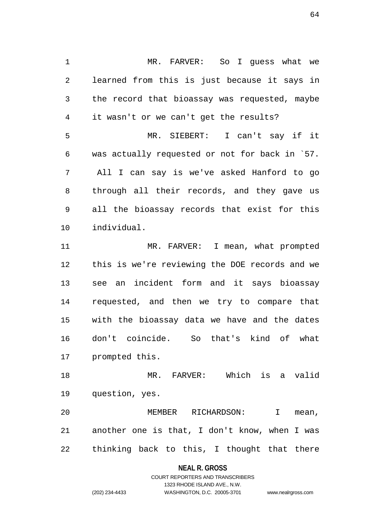MR. FARVER: So I guess what we learned from this is just because it says in the record that bioassay was requested, maybe it wasn't or we can't get the results? MR. SIEBERT: I can't say if it was actually requested or not for back in `57. All I can say is we've asked Hanford to go through all their records, and they gave us all the bioassay records that exist for this individual. MR. FARVER: I mean, what prompted this is we're reviewing the DOE records and we see an incident form and it says bioassay requested, and then we try to compare that with the bioassay data we have and the dates don't coincide. So that's kind of what prompted this.

 MR. FARVER: Which is a valid question, yes.

 MEMBER RICHARDSON: I mean, another one is that, I don't know, when I was thinking back to this, I thought that there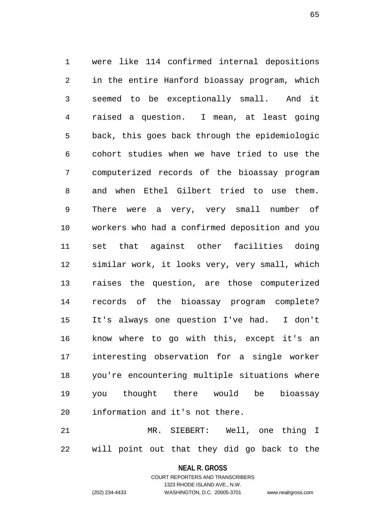were like 114 confirmed internal depositions in the entire Hanford bioassay program, which seemed to be exceptionally small. And it raised a question. I mean, at least going back, this goes back through the epidemiologic cohort studies when we have tried to use the computerized records of the bioassay program and when Ethel Gilbert tried to use them. There were a very, very small number of workers who had a confirmed deposition and you set that against other facilities doing similar work, it looks very, very small, which raises the question, are those computerized records of the bioassay program complete? It's always one question I've had. I don't know where to go with this, except it's an interesting observation for a single worker you're encountering multiple situations where you thought there would be bioassay information and it's not there.

 MR. SIEBERT: Well, one thing I will point out that they did go back to the

## **NEAL R. GROSS** COURT REPORTERS AND TRANSCRIBERS

1323 RHODE ISLAND AVE., N.W.

(202) 234-4433 WASHINGTON, D.C. 20005-3701 www.nealrgross.com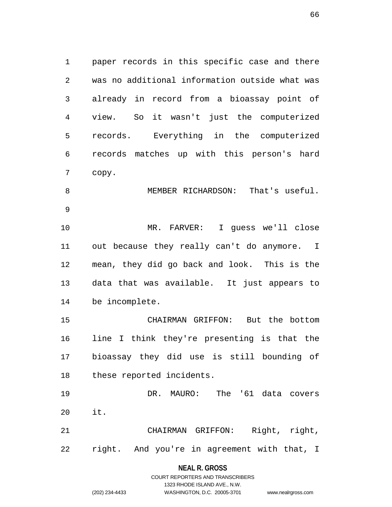paper records in this specific case and there was no additional information outside what was already in record from a bioassay point of view. So it wasn't just the computerized records. Everything in the computerized records matches up with this person's hard copy. MEMBER RICHARDSON: That's useful. MR. FARVER: I guess we'll close out because they really can't do anymore. I mean, they did go back and look. This is the data that was available. It just appears to be incomplete.

 CHAIRMAN GRIFFON: But the bottom line I think they're presenting is that the bioassay they did use is still bounding of these reported incidents.

 DR. MAURO: The '61 data covers it. CHAIRMAN GRIFFON: Right, right,

right. And you're in agreement with that, I

## **NEAL R. GROSS** COURT REPORTERS AND TRANSCRIBERS

1323 RHODE ISLAND AVE., N.W.

(202) 234-4433 WASHINGTON, D.C. 20005-3701 www.nealrgross.com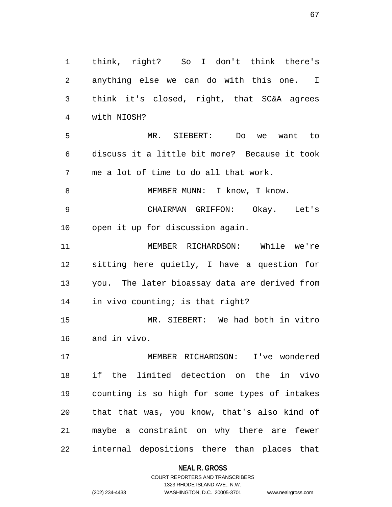think, right? So I don't think there's anything else we can do with this one. I think it's closed, right, that SC&A agrees with NIOSH? MR. SIEBERT: Do we want to discuss it a little bit more? Because it took me a lot of time to do all that work. 8 MEMBER MUNN: I know, I know. CHAIRMAN GRIFFON: Okay. Let's open it up for discussion again. MEMBER RICHARDSON: While we're sitting here quietly, I have a question for you. The later bioassay data are derived from in vivo counting; is that right? MR. SIEBERT: We had both in vitro and in vivo. MEMBER RICHARDSON: I've wondered if the limited detection on the in vivo counting is so high for some types of intakes that that was, you know, that's also kind of maybe a constraint on why there are fewer internal depositions there than places that

#### **NEAL R. GROSS**

COURT REPORTERS AND TRANSCRIBERS 1323 RHODE ISLAND AVE., N.W. (202) 234-4433 WASHINGTON, D.C. 20005-3701 www.nealrgross.com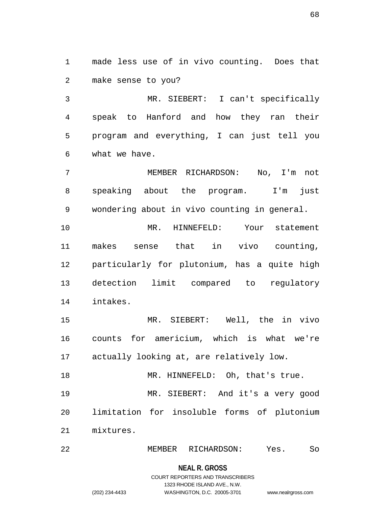made less use of in vivo counting. Does that make sense to you?

 MR. SIEBERT: I can't specifically speak to Hanford and how they ran their program and everything, I can just tell you what we have.

 MEMBER RICHARDSON: No, I'm not speaking about the program. I'm just wondering about in vivo counting in general.

 MR. HINNEFELD: Your statement makes sense that in vivo counting, particularly for plutonium, has a quite high detection limit compared to regulatory intakes.

 MR. SIEBERT: Well, the in vivo counts for americium, which is what we're actually looking at, are relatively low.

18 MR. HINNEFELD: Oh, that's true. MR. SIEBERT: And it's a very good limitation for insoluble forms of plutonium mixtures.

MEMBER RICHARDSON: Yes. So

#### **NEAL R. GROSS**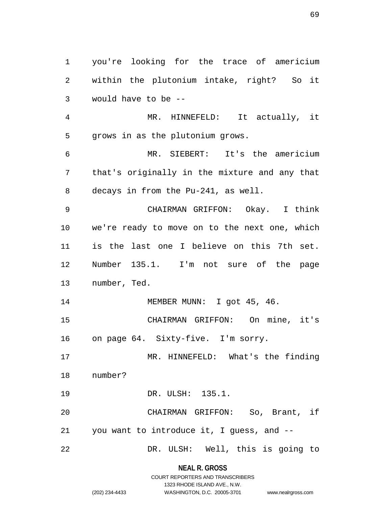you're looking for the trace of americium within the plutonium intake, right? So it would have to be -- MR. HINNEFELD: It actually, it grows in as the plutonium grows. MR. SIEBERT: It's the americium that's originally in the mixture and any that decays in from the Pu-241, as well. CHAIRMAN GRIFFON: Okay. I think we're ready to move on to the next one, which is the last one I believe on this 7th set. Number 135.1. I'm not sure of the page number, Ted. 14 MEMBER MUNN: I got 45, 46. CHAIRMAN GRIFFON: On mine, it's on page 64. Sixty-five. I'm sorry. MR. HINNEFELD: What's the finding number? DR. ULSH: 135.1. CHAIRMAN GRIFFON: So, Brant, if you want to introduce it, I guess, and -- DR. ULSH: Well, this is going to

#### **NEAL R. GROSS**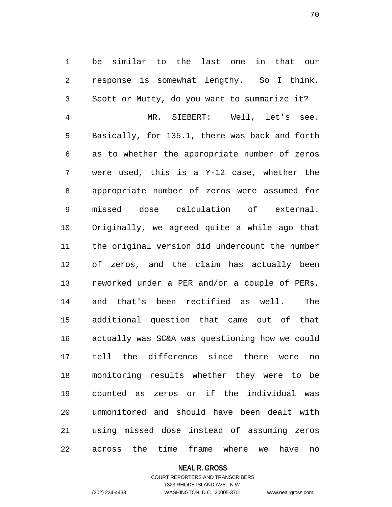be similar to the last one in that our response is somewhat lengthy. So I think, Scott or Mutty, do you want to summarize it? MR. SIEBERT: Well, let's see. Basically, for 135.1, there was back and forth as to whether the appropriate number of zeros were used, this is a Y-12 case, whether the appropriate number of zeros were assumed for missed dose calculation of external. Originally, we agreed quite a while ago that the original version did undercount the number of zeros, and the claim has actually been reworked under a PER and/or a couple of PERs, and that's been rectified as well. The additional question that came out of that actually was SC&A was questioning how we could tell the difference since there were no monitoring results whether they were to be counted as zeros or if the individual was unmonitored and should have been dealt with using missed dose instead of assuming zeros

**NEAL R. GROSS**

across the time frame where we have no

COURT REPORTERS AND TRANSCRIBERS 1323 RHODE ISLAND AVE., N.W. (202) 234-4433 WASHINGTON, D.C. 20005-3701 www.nealrgross.com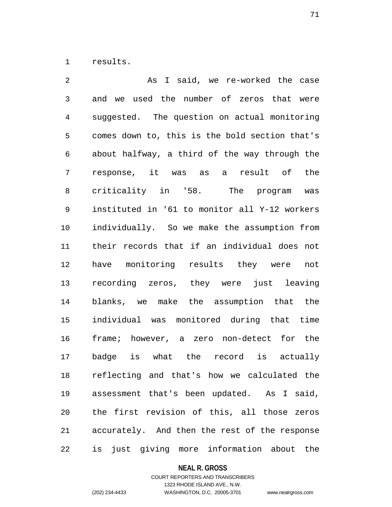results.

 As I said, we re-worked the case and we used the number of zeros that were suggested. The question on actual monitoring comes down to, this is the bold section that's about halfway, a third of the way through the response, it was as a result of the criticality in '58. The program was instituted in '61 to monitor all Y-12 workers individually. So we make the assumption from their records that if an individual does not have monitoring results they were not recording zeros, they were just leaving blanks, we make the assumption that the individual was monitored during that time frame; however, a zero non-detect for the badge is what the record is actually reflecting and that's how we calculated the assessment that's been updated. As I said, the first revision of this, all those zeros accurately. And then the rest of the response is just giving more information about the

#### **NEAL R. GROSS**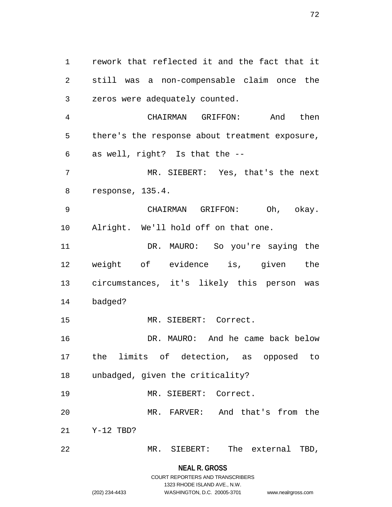rework that reflected it and the fact that it still was a non-compensable claim once the zeros were adequately counted.

 CHAIRMAN GRIFFON: And then there's the response about treatment exposure, as well, right? Is that the --

 MR. SIEBERT: Yes, that's the next response, 135.4.

 CHAIRMAN GRIFFON: Oh, okay. Alright. We'll hold off on that one.

 DR. MAURO: So you're saying the weight of evidence is, given the circumstances, it's likely this person was badged?

MR. SIEBERT: Correct.

 DR. MAURO: And he came back below the limits of detection, as opposed to unbadged, given the criticality?

MR. SIEBERT: Correct.

 MR. FARVER: And that's from the Y-12 TBD?

MR. SIEBERT: The external TBD,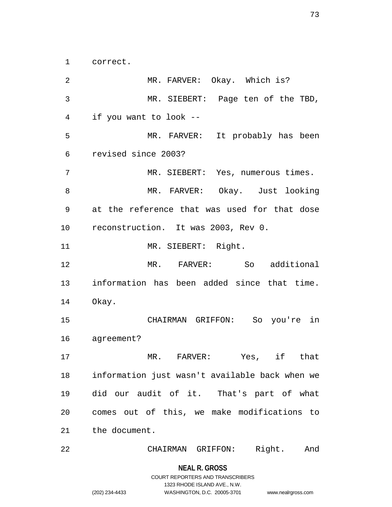correct.

2 MR. FARVER: Okay. Which is? MR. SIEBERT: Page ten of the TBD, if you want to look -- MR. FARVER: It probably has been revised since 2003? MR. SIEBERT: Yes, numerous times. MR. FARVER: Okay. Just looking at the reference that was used for that dose reconstruction. It was 2003, Rev 0. 11 MR. SIEBERT: Right. MR. FARVER: So additional information has been added since that time. Okay. CHAIRMAN GRIFFON: So you're in agreement? MR. FARVER: Yes, if that information just wasn't available back when we did our audit of it. That's part of what comes out of this, we make modifications to the document.

CHAIRMAN GRIFFON: Right. And

### **NEAL R. GROSS**

COURT REPORTERS AND TRANSCRIBERS 1323 RHODE ISLAND AVE., N.W. (202) 234-4433 WASHINGTON, D.C. 20005-3701 www.nealrgross.com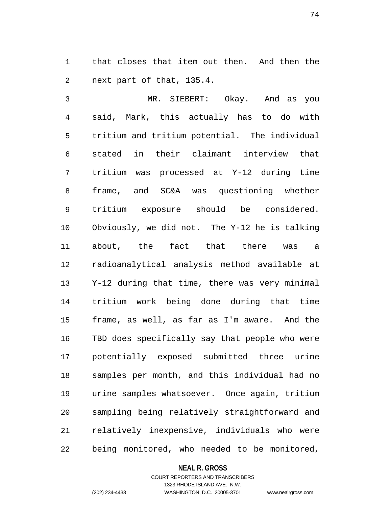that closes that item out then. And then the next part of that, 135.4.

 MR. SIEBERT: Okay. And as you said, Mark, this actually has to do with tritium and tritium potential. The individual stated in their claimant interview that tritium was processed at Y-12 during time frame, and SC&A was questioning whether tritium exposure should be considered. Obviously, we did not. The Y-12 he is talking about, the fact that there was a radioanalytical analysis method available at Y-12 during that time, there was very minimal tritium work being done during that time frame, as well, as far as I'm aware. And the TBD does specifically say that people who were potentially exposed submitted three urine samples per month, and this individual had no urine samples whatsoever. Once again, tritium sampling being relatively straightforward and relatively inexpensive, individuals who were being monitored, who needed to be monitored,

#### **NEAL R. GROSS**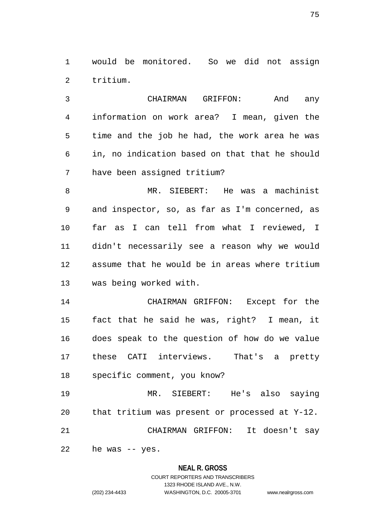would be monitored. So we did not assign tritium.

 CHAIRMAN GRIFFON: And any information on work area? I mean, given the time and the job he had, the work area he was in, no indication based on that that he should have been assigned tritium?

 MR. SIEBERT: He was a machinist and inspector, so, as far as I'm concerned, as far as I can tell from what I reviewed, I didn't necessarily see a reason why we would assume that he would be in areas where tritium was being worked with.

 CHAIRMAN GRIFFON: Except for the fact that he said he was, right? I mean, it does speak to the question of how do we value these CATI interviews. That's a pretty specific comment, you know?

 MR. SIEBERT: He's also saying that tritium was present or processed at Y-12. CHAIRMAN GRIFFON: It doesn't say

he was -- yes.

### **NEAL R. GROSS**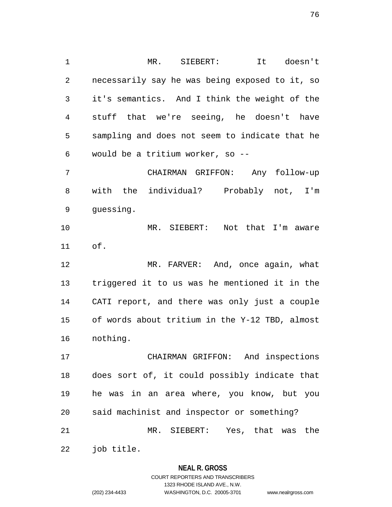MR. SIEBERT: It doesn't necessarily say he was being exposed to it, so it's semantics. And I think the weight of the stuff that we're seeing, he doesn't have sampling and does not seem to indicate that he would be a tritium worker, so --

 CHAIRMAN GRIFFON: Any follow-up with the individual? Probably not, I'm guessing.

 MR. SIEBERT: Not that I'm aware of.

 MR. FARVER: And, once again, what triggered it to us was he mentioned it in the CATI report, and there was only just a couple of words about tritium in the Y-12 TBD, almost nothing.

 CHAIRMAN GRIFFON: And inspections does sort of, it could possibly indicate that he was in an area where, you know, but you said machinist and inspector or something? MR. SIEBERT: Yes, that was the

job title.

### **NEAL R. GROSS**

COURT REPORTERS AND TRANSCRIBERS 1323 RHODE ISLAND AVE., N.W. (202) 234-4433 WASHINGTON, D.C. 20005-3701 www.nealrgross.com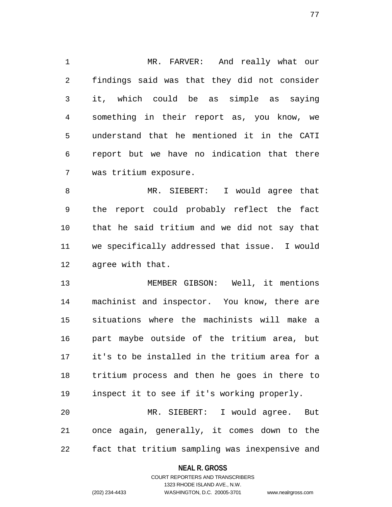MR. FARVER: And really what our findings said was that they did not consider it, which could be as simple as saying something in their report as, you know, we understand that he mentioned it in the CATI report but we have no indication that there was tritium exposure.

 MR. SIEBERT: I would agree that the report could probably reflect the fact that he said tritium and we did not say that we specifically addressed that issue. I would agree with that.

 MEMBER GIBSON: Well, it mentions machinist and inspector. You know, there are situations where the machinists will make a part maybe outside of the tritium area, but it's to be installed in the tritium area for a tritium process and then he goes in there to inspect it to see if it's working properly. MR. SIEBERT: I would agree. But

 once again, generally, it comes down to the fact that tritium sampling was inexpensive and

### **NEAL R. GROSS**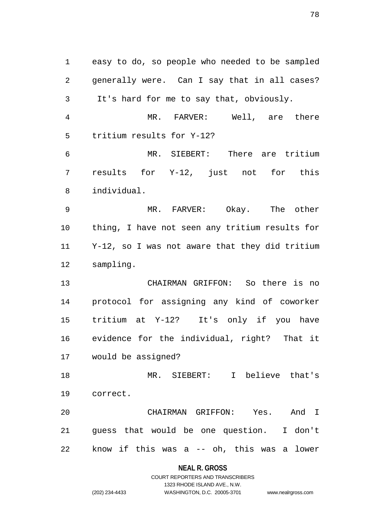easy to do, so people who needed to be sampled generally were. Can I say that in all cases? It's hard for me to say that, obviously. MR. FARVER: Well, are there tritium results for Y-12? MR. SIEBERT: There are tritium results for Y-12, just not for this individual. MR. FARVER: Okay. The other thing, I have not seen any tritium results for Y-12, so I was not aware that they did tritium sampling. CHAIRMAN GRIFFON: So there is no protocol for assigning any kind of coworker tritium at Y-12? It's only if you have evidence for the individual, right? That it would be assigned? MR. SIEBERT: I believe that's correct. CHAIRMAN GRIFFON: Yes. And I guess that would be one question. I don't know if this was a -- oh, this was a lower

### **NEAL R. GROSS**

COURT REPORTERS AND TRANSCRIBERS 1323 RHODE ISLAND AVE., N.W. (202) 234-4433 WASHINGTON, D.C. 20005-3701 www.nealrgross.com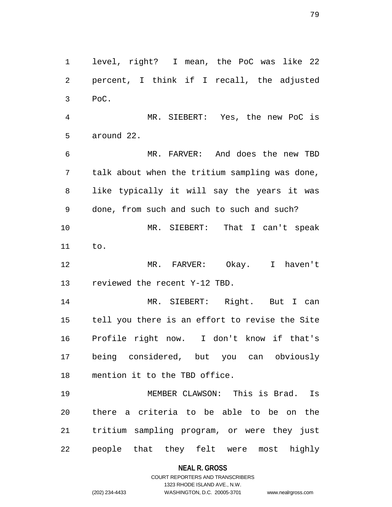level, right? I mean, the PoC was like 22 percent, I think if I recall, the adjusted PoC.

 MR. SIEBERT: Yes, the new PoC is around 22.

 MR. FARVER: And does the new TBD talk about when the tritium sampling was done, like typically it will say the years it was done, from such and such to such and such? MR. SIEBERT: That I can't speak to.

 MR. FARVER: Okay. I haven't reviewed the recent Y-12 TBD.

 MR. SIEBERT: Right. But I can tell you there is an effort to revise the Site Profile right now. I don't know if that's being considered, but you can obviously mention it to the TBD office.

 MEMBER CLAWSON: This is Brad. Is there a criteria to be able to be on the tritium sampling program, or were they just people that they felt were most highly

**NEAL R. GROSS**

### COURT REPORTERS AND TRANSCRIBERS 1323 RHODE ISLAND AVE., N.W. (202) 234-4433 WASHINGTON, D.C. 20005-3701 www.nealrgross.com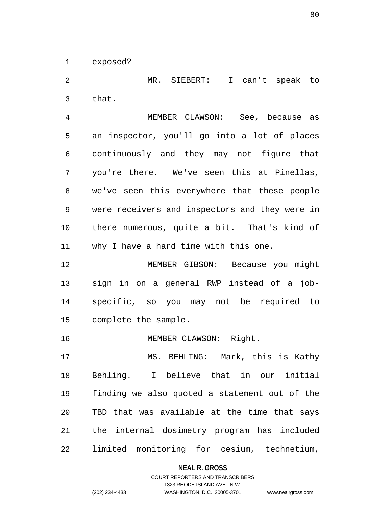exposed?

 MR. SIEBERT: I can't speak to that.

 MEMBER CLAWSON: See, because as an inspector, you'll go into a lot of places continuously and they may not figure that you're there. We've seen this at Pinellas, we've seen this everywhere that these people were receivers and inspectors and they were in there numerous, quite a bit. That's kind of why I have a hard time with this one.

 MEMBER GIBSON: Because you might sign in on a general RWP instead of a job- specific, so you may not be required to complete the sample.

16 MEMBER CLAWSON: Right.

 MS. BEHLING: Mark, this is Kathy Behling. I believe that in our initial finding we also quoted a statement out of the TBD that was available at the time that says the internal dosimetry program has included limited monitoring for cesium, technetium,

**NEAL R. GROSS**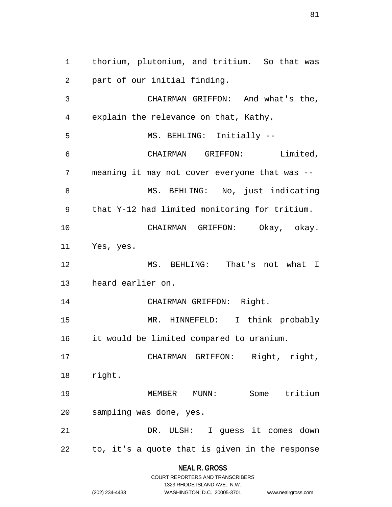thorium, plutonium, and tritium. So that was part of our initial finding. CHAIRMAN GRIFFON: And what's the, explain the relevance on that, Kathy. 5 MS. BEHLING: Initially -- CHAIRMAN GRIFFON: Limited, meaning it may not cover everyone that was -- 8 MS. BEHLING: No, just indicating that Y-12 had limited monitoring for tritium. CHAIRMAN GRIFFON: Okay, okay. Yes, yes. MS. BEHLING: That's not what I heard earlier on. CHAIRMAN GRIFFON: Right. MR. HINNEFELD: I think probably it would be limited compared to uranium. CHAIRMAN GRIFFON: Right, right, right. MEMBER MUNN: Some tritium sampling was done, yes. DR. ULSH: I guess it comes down to, it's a quote that is given in the response

**NEAL R. GROSS**

|                | COURT REPORTERS AND TRANSCRIBERS |                    |
|----------------|----------------------------------|--------------------|
|                | 1323 RHODE ISLAND AVE., N.W.     |                    |
| (202) 234-4433 | WASHINGTON, D.C. 20005-3701      | www.nealrgross.com |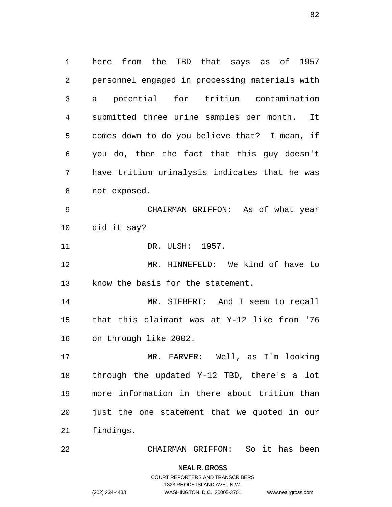here from the TBD that says as of 1957 personnel engaged in processing materials with a potential for tritium contamination submitted three urine samples per month. It comes down to do you believe that? I mean, if you do, then the fact that this guy doesn't have tritium urinalysis indicates that he was not exposed. CHAIRMAN GRIFFON: As of what year did it say? 11 DR. ULSH: 1957. MR. HINNEFELD: We kind of have to know the basis for the statement. MR. SIEBERT: And I seem to recall that this claimant was at Y-12 like from '76 on through like 2002. MR. FARVER: Well, as I'm looking through the updated Y-12 TBD, there's a lot more information in there about tritium than just the one statement that we quoted in our findings. CHAIRMAN GRIFFON: So it has been

**NEAL R. GROSS**

COURT REPORTERS AND TRANSCRIBERS 1323 RHODE ISLAND AVE., N.W. (202) 234-4433 WASHINGTON, D.C. 20005-3701 www.nealrgross.com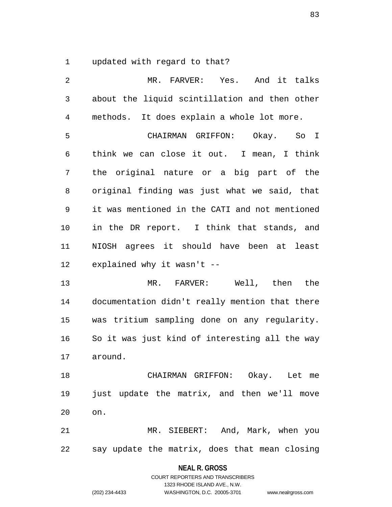updated with regard to that?

 MR. FARVER: Yes. And it talks about the liquid scintillation and then other methods. It does explain a whole lot more. CHAIRMAN GRIFFON: Okay. So I think we can close it out. I mean, I think the original nature or a big part of the original finding was just what we said, that it was mentioned in the CATI and not mentioned in the DR report. I think that stands, and NIOSH agrees it should have been at least explained why it wasn't -- MR. FARVER: Well, then the documentation didn't really mention that there was tritium sampling done on any regularity. So it was just kind of interesting all the way around. CHAIRMAN GRIFFON: Okay. Let me just update the matrix, and then we'll move on. MR. SIEBERT: And, Mark, when you say update the matrix, does that mean closing

**NEAL R. GROSS**

COURT REPORTERS AND TRANSCRIBERS 1323 RHODE ISLAND AVE., N.W. (202) 234-4433 WASHINGTON, D.C. 20005-3701 www.nealrgross.com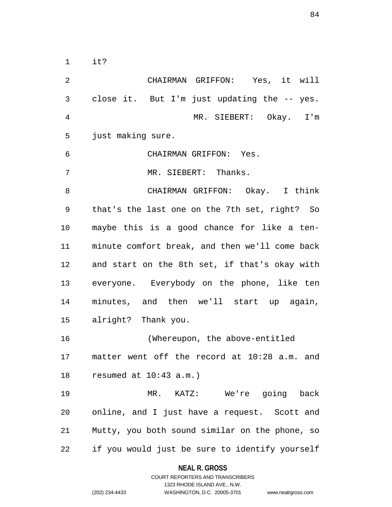it?

| $\overline{2}$ | CHAIRMAN GRIFFON: Yes, it will                 |
|----------------|------------------------------------------------|
| 3              | close it. But I'm just updating the -- yes.    |
| 4              | MR. SIEBERT: Okay. I'm                         |
| 5              | just making sure.                              |
| 6              | CHAIRMAN GRIFFON: Yes.                         |
| 7              | MR. SIEBERT: Thanks.                           |
| 8              | CHAIRMAN GRIFFON: Okay. I think                |
| 9              | that's the last one on the 7th set, right? So  |
| 10             | maybe this is a good chance for like a ten-    |
| 11             | minute comfort break, and then we'll come back |
| 12             | and start on the 8th set, if that's okay with  |
| 13             | everyone. Everybody on the phone, like ten     |
| 14             | minutes, and then we'll start up again,        |
| 15             | alright? Thank you.                            |
| 16             | (Whereupon, the above-entitled                 |
| 17             | matter went off the record at 10:28 a.m. and   |
| 18             | resumed at $10:43$ a.m.)                       |
| 19             | MR. KATZ: We're going back                     |
| 20             | online, and I just have a request. Scott and   |
| 21             | Mutty, you both sound similar on the phone, so |
| 22             | if you would just be sure to identify yourself |

# **NEAL R. GROSS**

COURT REPORTERS AND TRANSCRIBERS 1323 RHODE ISLAND AVE., N.W. (202) 234-4433 WASHINGTON, D.C. 20005-3701 www.nealrgross.com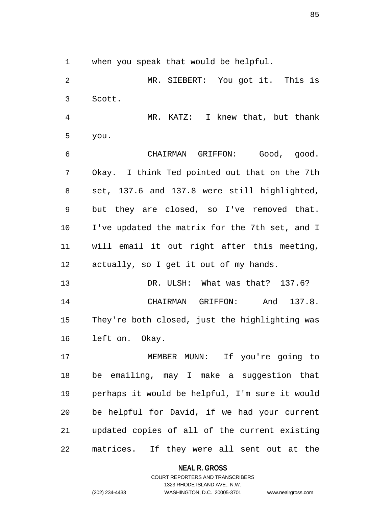when you speak that would be helpful.

 MR. SIEBERT: You got it. This is Scott.

 MR. KATZ: I knew that, but thank you.

 CHAIRMAN GRIFFON: Good, good. Okay. I think Ted pointed out that on the 7th set, 137.6 and 137.8 were still highlighted, but they are closed, so I've removed that. I've updated the matrix for the 7th set, and I will email it out right after this meeting, actually, so I get it out of my hands.

13 DR. ULSH: What was that? 137.6? CHAIRMAN GRIFFON: And 137.8. They're both closed, just the highlighting was left on. Okay.

 MEMBER MUNN: If you're going to be emailing, may I make a suggestion that perhaps it would be helpful, I'm sure it would be helpful for David, if we had your current updated copies of all of the current existing matrices. If they were all sent out at the

**NEAL R. GROSS**

COURT REPORTERS AND TRANSCRIBERS 1323 RHODE ISLAND AVE., N.W. (202) 234-4433 WASHINGTON, D.C. 20005-3701 www.nealrgross.com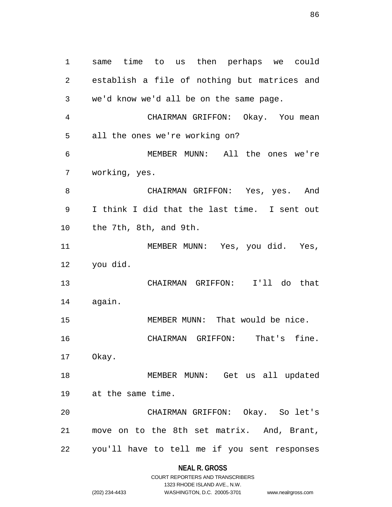same time to us then perhaps we could establish a file of nothing but matrices and we'd know we'd all be on the same page. CHAIRMAN GRIFFON: Okay. You mean all the ones we're working on? MEMBER MUNN: All the ones we're working, yes. CHAIRMAN GRIFFON: Yes, yes. And I think I did that the last time. I sent out the 7th, 8th, and 9th. MEMBER MUNN: Yes, you did. Yes, you did. CHAIRMAN GRIFFON: I'll do that again. MEMBER MUNN: That would be nice. CHAIRMAN GRIFFON: That's fine. Okay. MEMBER MUNN: Get us all updated at the same time. CHAIRMAN GRIFFON: Okay. So let's move on to the 8th set matrix. And, Brant, you'll have to tell me if you sent responses

> **NEAL R. GROSS** COURT REPORTERS AND TRANSCRIBERS

1323 RHODE ISLAND AVE., N.W. (202) 234-4433 WASHINGTON, D.C. 20005-3701 www.nealrgross.com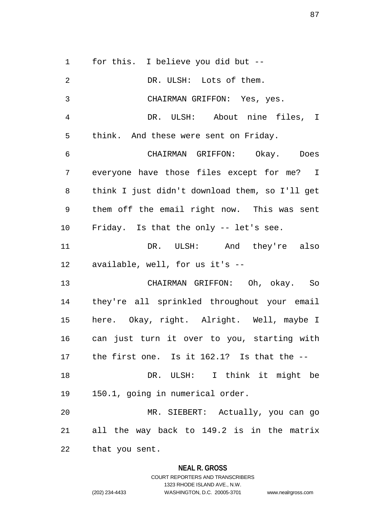for this. I believe you did but -- DR. ULSH: Lots of them. CHAIRMAN GRIFFON: Yes, yes. DR. ULSH: About nine files, I think. And these were sent on Friday. CHAIRMAN GRIFFON: Okay. Does everyone have those files except for me? I think I just didn't download them, so I'll get them off the email right now. This was sent Friday. Is that the only -- let's see. DR. ULSH: And they're also available, well, for us it's -- CHAIRMAN GRIFFON: Oh, okay. So they're all sprinkled throughout your email here. Okay, right. Alright. Well, maybe I can just turn it over to you, starting with the first one. Is it 162.1? Is that the -- DR. ULSH: I think it might be 150.1, going in numerical order. MR. SIEBERT: Actually, you can go all the way back to 149.2 is in the matrix that you sent.

### **NEAL R. GROSS**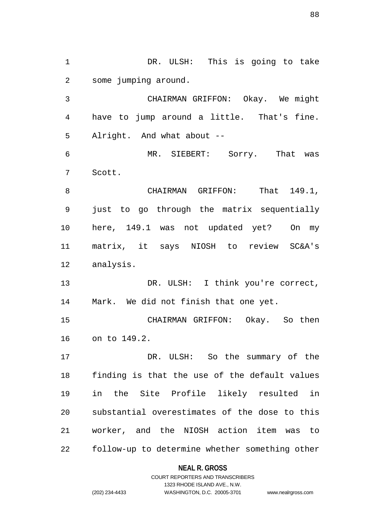DR. ULSH: This is going to take some jumping around. CHAIRMAN GRIFFON: Okay. We might have to jump around a little. That's fine. Alright. And what about -- MR. SIEBERT: Sorry. That was Scott. 8 CHAIRMAN GRIFFON: That 149.1, just to go through the matrix sequentially here, 149.1 was not updated yet? On my matrix, it says NIOSH to review SC&A's analysis. DR. ULSH: I think you're correct, Mark. We did not finish that one yet. CHAIRMAN GRIFFON: Okay. So then on to 149.2. DR. ULSH: So the summary of the finding is that the use of the default values in the Site Profile likely resulted in substantial overestimates of the dose to this worker, and the NIOSH action item was to follow-up to determine whether something other

### **NEAL R. GROSS**

COURT REPORTERS AND TRANSCRIBERS 1323 RHODE ISLAND AVE., N.W. (202) 234-4433 WASHINGTON, D.C. 20005-3701 www.nealrgross.com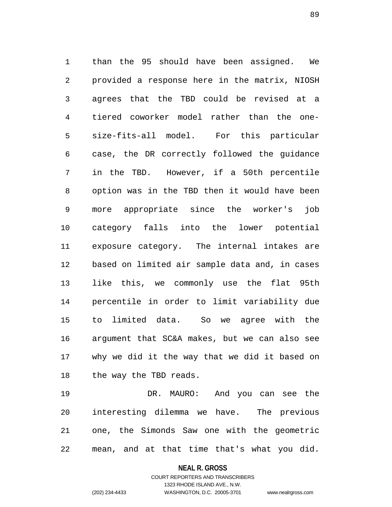than the 95 should have been assigned. We provided a response here in the matrix, NIOSH agrees that the TBD could be revised at a tiered coworker model rather than the one- size-fits-all model. For this particular case, the DR correctly followed the guidance in the TBD. However, if a 50th percentile option was in the TBD then it would have been more appropriate since the worker's job category falls into the lower potential exposure category. The internal intakes are based on limited air sample data and, in cases like this, we commonly use the flat 95th percentile in order to limit variability due to limited data. So we agree with the argument that SC&A makes, but we can also see why we did it the way that we did it based on the way the TBD reads.

 DR. MAURO: And you can see the interesting dilemma we have. The previous one, the Simonds Saw one with the geometric mean, and at that time that's what you did.

**NEAL R. GROSS**

COURT REPORTERS AND TRANSCRIBERS 1323 RHODE ISLAND AVE., N.W. (202) 234-4433 WASHINGTON, D.C. 20005-3701 www.nealrgross.com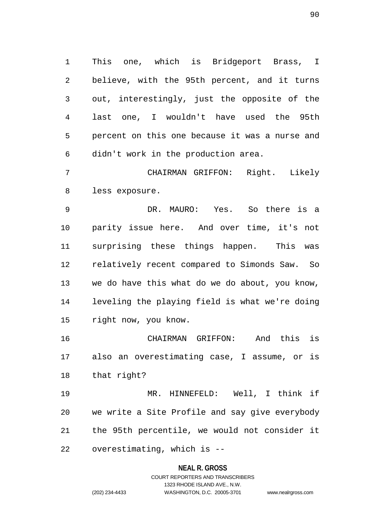This one, which is Bridgeport Brass, I believe, with the 95th percent, and it turns out, interestingly, just the opposite of the last one, I wouldn't have used the 95th percent on this one because it was a nurse and didn't work in the production area.

 CHAIRMAN GRIFFON: Right. Likely less exposure.

 DR. MAURO: Yes. So there is a parity issue here. And over time, it's not surprising these things happen. This was relatively recent compared to Simonds Saw. So we do have this what do we do about, you know, leveling the playing field is what we're doing right now, you know.

 CHAIRMAN GRIFFON: And this is also an overestimating case, I assume, or is that right?

 MR. HINNEFELD: Well, I think if we write a Site Profile and say give everybody the 95th percentile, we would not consider it overestimating, which is --

#### **NEAL R. GROSS**

## COURT REPORTERS AND TRANSCRIBERS 1323 RHODE ISLAND AVE., N.W. (202) 234-4433 WASHINGTON, D.C. 20005-3701 www.nealrgross.com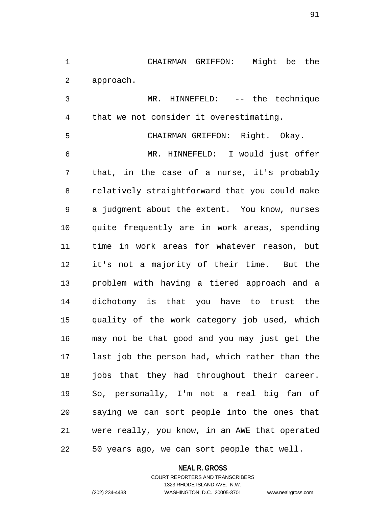CHAIRMAN GRIFFON: Might be the approach.

 MR. HINNEFELD: -- the technique that we not consider it overestimating.

 CHAIRMAN GRIFFON: Right. Okay. MR. HINNEFELD: I would just offer that, in the case of a nurse, it's probably relatively straightforward that you could make a judgment about the extent. You know, nurses quite frequently are in work areas, spending time in work areas for whatever reason, but it's not a majority of their time. But the problem with having a tiered approach and a dichotomy is that you have to trust the quality of the work category job used, which may not be that good and you may just get the last job the person had, which rather than the jobs that they had throughout their career. So, personally, I'm not a real big fan of saying we can sort people into the ones that were really, you know, in an AWE that operated 50 years ago, we can sort people that well.

### **NEAL R. GROSS**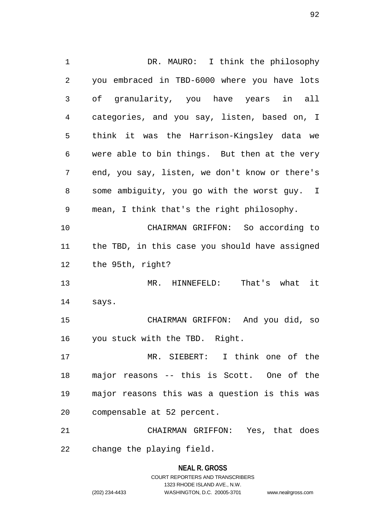DR. MAURO: I think the philosophy you embraced in TBD-6000 where you have lots of granularity, you have years in all categories, and you say, listen, based on, I think it was the Harrison-Kingsley data we were able to bin things. But then at the very end, you say, listen, we don't know or there's some ambiguity, you go with the worst guy. I mean, I think that's the right philosophy. CHAIRMAN GRIFFON: So according to the TBD, in this case you should have assigned the 95th, right? MR. HINNEFELD: That's what it says. CHAIRMAN GRIFFON: And you did, so you stuck with the TBD. Right. MR. SIEBERT: I think one of the major reasons -- this is Scott. One of the major reasons this was a question is this was compensable at 52 percent. CHAIRMAN GRIFFON: Yes, that does change the playing field.

## **NEAL R. GROSS** COURT REPORTERS AND TRANSCRIBERS 1323 RHODE ISLAND AVE., N.W. (202) 234-4433 WASHINGTON, D.C. 20005-3701 www.nealrgross.com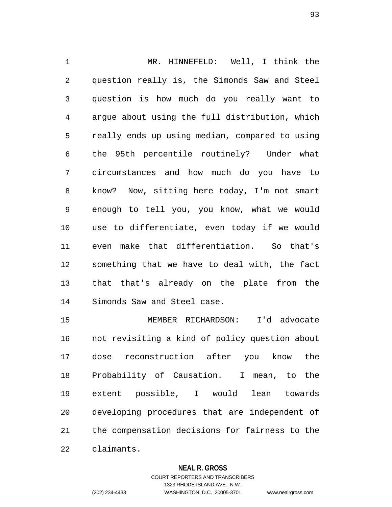MR. HINNEFELD: Well, I think the question really is, the Simonds Saw and Steel question is how much do you really want to argue about using the full distribution, which really ends up using median, compared to using the 95th percentile routinely? Under what circumstances and how much do you have to know? Now, sitting here today, I'm not smart enough to tell you, you know, what we would use to differentiate, even today if we would even make that differentiation. So that's something that we have to deal with, the fact that that's already on the plate from the Simonds Saw and Steel case.

 MEMBER RICHARDSON: I'd advocate not revisiting a kind of policy question about dose reconstruction after you know the Probability of Causation. I mean, to the extent possible, I would lean towards developing procedures that are independent of the compensation decisions for fairness to the claimants.

### **NEAL R. GROSS**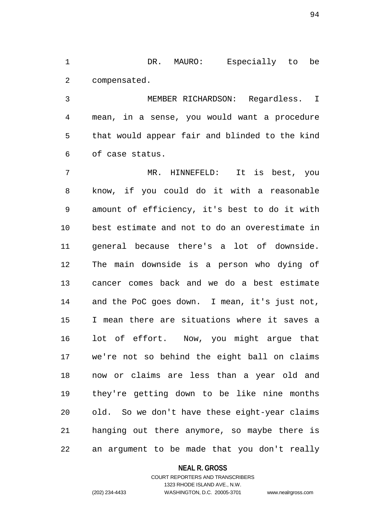DR. MAURO: Especially to be compensated.

 MEMBER RICHARDSON: Regardless. I mean, in a sense, you would want a procedure that would appear fair and blinded to the kind of case status.

 MR. HINNEFELD: It is best, you know, if you could do it with a reasonable amount of efficiency, it's best to do it with best estimate and not to do an overestimate in general because there's a lot of downside. The main downside is a person who dying of cancer comes back and we do a best estimate and the PoC goes down. I mean, it's just not, I mean there are situations where it saves a lot of effort. Now, you might argue that we're not so behind the eight ball on claims now or claims are less than a year old and they're getting down to be like nine months old. So we don't have these eight-year claims hanging out there anymore, so maybe there is an argument to be made that you don't really

### **NEAL R. GROSS**

### COURT REPORTERS AND TRANSCRIBERS 1323 RHODE ISLAND AVE., N.W. (202) 234-4433 WASHINGTON, D.C. 20005-3701 www.nealrgross.com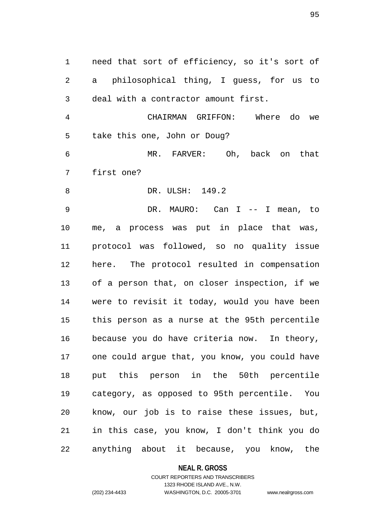need that sort of efficiency, so it's sort of a philosophical thing, I guess, for us to deal with a contractor amount first. CHAIRMAN GRIFFON: Where do we

 MR. FARVER: Oh, back on that first one?

DR. ULSH: 149.2

take this one, John or Doug?

 DR. MAURO: Can I -- I mean, to me, a process was put in place that was, protocol was followed, so no quality issue here. The protocol resulted in compensation of a person that, on closer inspection, if we were to revisit it today, would you have been this person as a nurse at the 95th percentile because you do have criteria now. In theory, one could argue that, you know, you could have put this person in the 50th percentile category, as opposed to 95th percentile. You know, our job is to raise these issues, but, in this case, you know, I don't think you do anything about it because, you know, the

**NEAL R. GROSS**

COURT REPORTERS AND TRANSCRIBERS 1323 RHODE ISLAND AVE., N.W. (202) 234-4433 WASHINGTON, D.C. 20005-3701 www.nealrgross.com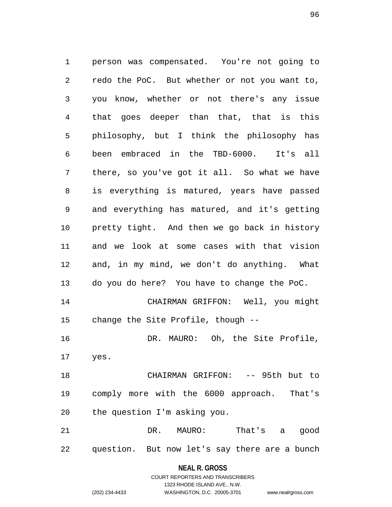person was compensated. You're not going to redo the PoC. But whether or not you want to, you know, whether or not there's any issue that goes deeper than that, that is this philosophy, but I think the philosophy has been embraced in the TBD-6000. It's all there, so you've got it all. So what we have is everything is matured, years have passed and everything has matured, and it's getting pretty tight. And then we go back in history and we look at some cases with that vision and, in my mind, we don't do anything. What do you do here? You have to change the PoC. CHAIRMAN GRIFFON: Well, you might change the Site Profile, though -- DR. MAURO: Oh, the Site Profile, yes. CHAIRMAN GRIFFON: -- 95th but to comply more with the 6000 approach. That's the question I'm asking you. DR. MAURO: That's a good question. But now let's say there are a bunch

> **NEAL R. GROSS** COURT REPORTERS AND TRANSCRIBERS

> > 1323 RHODE ISLAND AVE., N.W.

(202) 234-4433 WASHINGTON, D.C. 20005-3701 www.nealrgross.com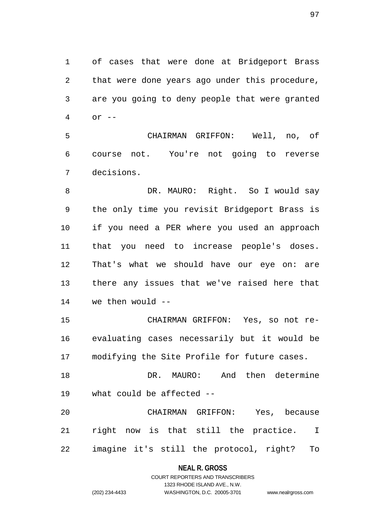of cases that were done at Bridgeport Brass that were done years ago under this procedure, are you going to deny people that were granted or --

 CHAIRMAN GRIFFON: Well, no, of course not. You're not going to reverse decisions.

8 DR. MAURO: Right. So I would say the only time you revisit Bridgeport Brass is if you need a PER where you used an approach that you need to increase people's doses. That's what we should have our eye on: are there any issues that we've raised here that we then would --

 CHAIRMAN GRIFFON: Yes, so not re- evaluating cases necessarily but it would be modifying the Site Profile for future cases.

 DR. MAURO: And then determine what could be affected --

 CHAIRMAN GRIFFON: Yes, because right now is that still the practice. I imagine it's still the protocol, right? To

### **NEAL R. GROSS**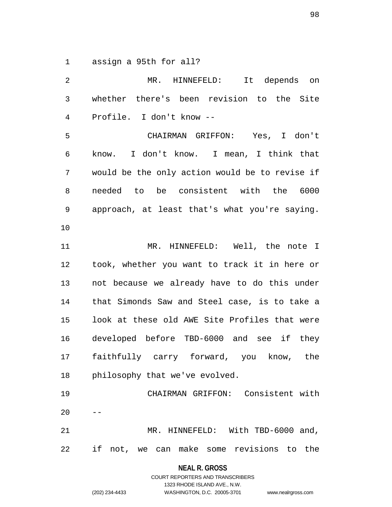assign a 95th for all?

| 2              | MR.<br>HINNEFELD:<br>It depends on             |
|----------------|------------------------------------------------|
| 3              | whether there's been revision to the Site      |
| $\overline{4}$ | Profile. I don't know --                       |
| 5              | CHAIRMAN GRIFFON: Yes, I don't                 |
| 6              | know. I don't know. I mean, I think that       |
| 7              | would be the only action would be to revise if |
| 8              | needed to be consistent with the 6000          |
| 9              | approach, at least that's what you're saying.  |
| 10             |                                                |
| 11             | MR. HINNEFELD: Well, the note I                |
| 12             | took, whether you want to track it in here or  |
| 13             | not because we already have to do this under   |
| 14             | that Simonds Saw and Steel case, is to take a  |
| 15             | look at these old AWE Site Profiles that were  |
| 16             | developed before TBD-6000 and see if they      |
| 17             | faithfully carry forward, you know, the        |
| 18             | philosophy that we've evolved.                 |
| 19             | CHAIRMAN GRIFFON: Consistent with              |
| 20             |                                                |
| 21             | MR. HINNEFELD: With TBD-6000 and,              |
| 22             | if not, we can make some revisions to the      |

**NEAL R. GROSS** COURT REPORTERS AND TRANSCRIBERS

1323 RHODE ISLAND AVE., N.W.

(202) 234-4433 WASHINGTON, D.C. 20005-3701 www.nealrgross.com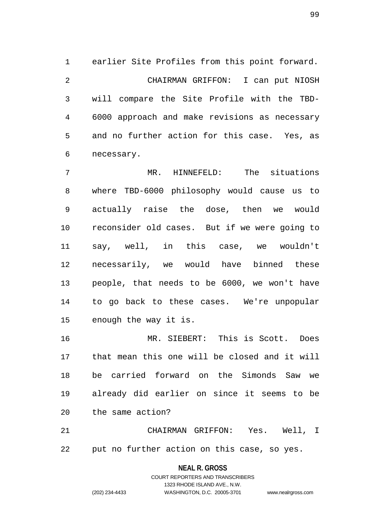earlier Site Profiles from this point forward. CHAIRMAN GRIFFON: I can put NIOSH will compare the Site Profile with the TBD- 6000 approach and make revisions as necessary and no further action for this case. Yes, as necessary.

 MR. HINNEFELD: The situations where TBD-6000 philosophy would cause us to actually raise the dose, then we would reconsider old cases. But if we were going to say, well, in this case, we wouldn't necessarily, we would have binned these people, that needs to be 6000, we won't have to go back to these cases. We're unpopular enough the way it is.

 MR. SIEBERT: This is Scott. Does that mean this one will be closed and it will be carried forward on the Simonds Saw we already did earlier on since it seems to be the same action?

 CHAIRMAN GRIFFON: Yes. Well, I put no further action on this case, so yes.

### **NEAL R. GROSS**

COURT REPORTERS AND TRANSCRIBERS 1323 RHODE ISLAND AVE., N.W. (202) 234-4433 WASHINGTON, D.C. 20005-3701 www.nealrgross.com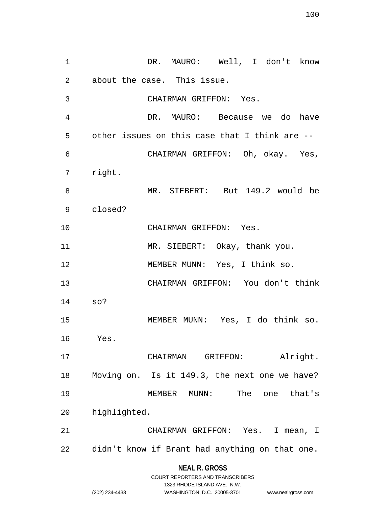DR. MAURO: Well, I don't know about the case. This issue. CHAIRMAN GRIFFON: Yes. DR. MAURO: Because we do have other issues on this case that I think are -- CHAIRMAN GRIFFON: Oh, okay. Yes, right. MR. SIEBERT: But 149.2 would be closed? CHAIRMAN GRIFFON: Yes. 11 MR. SIEBERT: Okay, thank you. MEMBER MUNN: Yes, I think so. CHAIRMAN GRIFFON: You don't think so? MEMBER MUNN: Yes, I do think so. Yes. CHAIRMAN GRIFFON: Alright. Moving on. Is it 149.3, the next one we have? MEMBER MUNN: The one that's highlighted. CHAIRMAN GRIFFON: Yes. I mean, I didn't know if Brant had anything on that one.

**NEAL R. GROSS**

|                | COURT REPORTERS AND TRANSCRIBERS |                    |
|----------------|----------------------------------|--------------------|
|                | 1323 RHODE ISLAND AVE N.W.       |                    |
| (202) 234-4433 | WASHINGTON, D.C. 20005-3701      | www.nealrgross.com |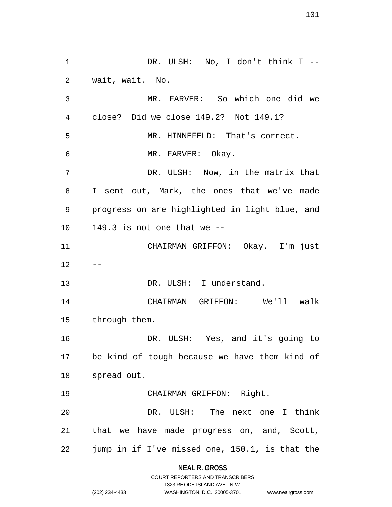DR. ULSH: No, I don't think I -- wait, wait. No. MR. FARVER: So which one did we close? Did we close 149.2? Not 149.1? MR. HINNEFELD: That's correct. MR. FARVER: Okay. DR. ULSH: Now, in the matrix that I sent out, Mark, the ones that we've made progress on are highlighted in light blue, and 149.3 is not one that we -- CHAIRMAN GRIFFON: Okay. I'm just  $12 - -$ 13 DR. ULSH: I understand. CHAIRMAN GRIFFON: We'll walk through them. DR. ULSH: Yes, and it's going to be kind of tough because we have them kind of spread out. CHAIRMAN GRIFFON: Right. DR. ULSH: The next one I think that we have made progress on, and, Scott, jump in if I've missed one, 150.1, is that the

### **NEAL R. GROSS**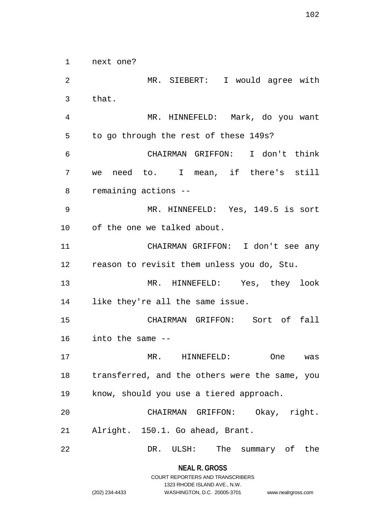next one?

 MR. SIEBERT: I would agree with that. MR. HINNEFELD: Mark, do you want to go through the rest of these 149s? CHAIRMAN GRIFFON: I don't think we need to. I mean, if there's still remaining actions -- MR. HINNEFELD: Yes, 149.5 is sort of the one we talked about. CHAIRMAN GRIFFON: I don't see any reason to revisit them unless you do, Stu. MR. HINNEFELD: Yes, they look like they're all the same issue. CHAIRMAN GRIFFON: Sort of fall into the same -- MR. HINNEFELD: One was transferred, and the others were the same, you know, should you use a tiered approach. CHAIRMAN GRIFFON: Okay, right. Alright. 150.1. Go ahead, Brant. DR. ULSH: The summary of the

> **NEAL R. GROSS** COURT REPORTERS AND TRANSCRIBERS

> > 1323 RHODE ISLAND AVE., N.W.

(202) 234-4433 WASHINGTON, D.C. 20005-3701 www.nealrgross.com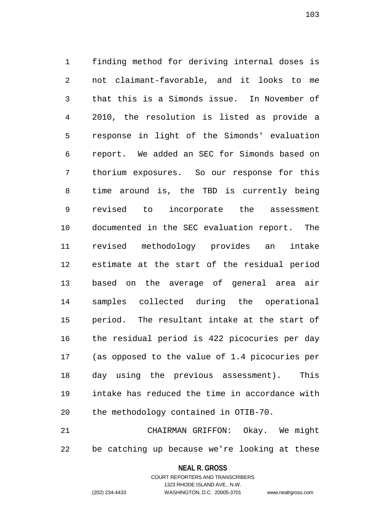finding method for deriving internal doses is not claimant-favorable, and it looks to me that this is a Simonds issue. In November of 2010, the resolution is listed as provide a response in light of the Simonds' evaluation report. We added an SEC for Simonds based on thorium exposures. So our response for this time around is, the TBD is currently being revised to incorporate the assessment documented in the SEC evaluation report. The revised methodology provides an intake estimate at the start of the residual period based on the average of general area air samples collected during the operational period. The resultant intake at the start of the residual period is 422 picocuries per day (as opposed to the value of 1.4 picocuries per day using the previous assessment). This intake has reduced the time in accordance with the methodology contained in OTIB-70.

 CHAIRMAN GRIFFON: Okay. We might be catching up because we're looking at these

### **NEAL R. GROSS** COURT REPORTERS AND TRANSCRIBERS

1323 RHODE ISLAND AVE., N.W.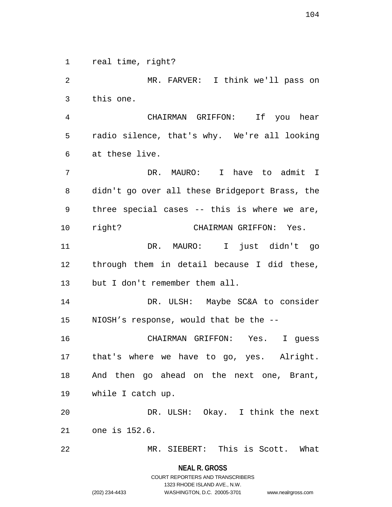real time, right?

 MR. FARVER: I think we'll pass on this one. CHAIRMAN GRIFFON: If you hear radio silence, that's why. We're all looking at these live. DR. MAURO: I have to admit I didn't go over all these Bridgeport Brass, the three special cases -- this is where we are, right? CHAIRMAN GRIFFON: Yes. DR. MAURO: I just didn't go through them in detail because I did these, but I don't remember them all. DR. ULSH: Maybe SC&A to consider NIOSH's response, would that be the -- CHAIRMAN GRIFFON: Yes. I guess that's where we have to go, yes. Alright. And then go ahead on the next one, Brant, while I catch up. DR. ULSH: Okay. I think the next one is 152.6. MR. SIEBERT: This is Scott. What

> **NEAL R. GROSS** COURT REPORTERS AND TRANSCRIBERS

> > 1323 RHODE ISLAND AVE., N.W.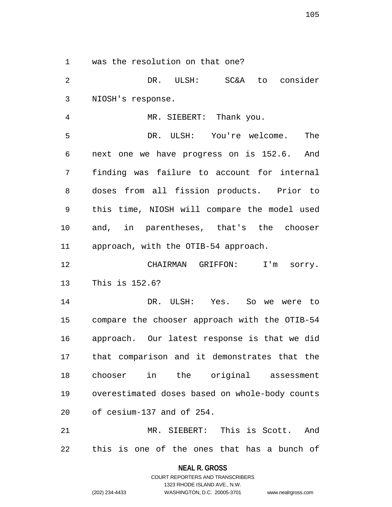was the resolution on that one?

 DR. ULSH: SC&A to consider NIOSH's response.

 MR. SIEBERT: Thank you. DR. ULSH: You're welcome. The next one we have progress on is 152.6. And finding was failure to account for internal doses from all fission products. Prior to this time, NIOSH will compare the model used and, in parentheses, that's the chooser approach, with the OTIB-54 approach.

 CHAIRMAN GRIFFON: I'm sorry. This is 152.6?

 DR. ULSH: Yes. So we were to compare the chooser approach with the OTIB-54 approach. Our latest response is that we did that comparison and it demonstrates that the chooser in the original assessment overestimated doses based on whole-body counts of cesium-137 and of 254.

 MR. SIEBERT: This is Scott. And this is one of the ones that has a bunch of

> **NEAL R. GROSS** COURT REPORTERS AND TRANSCRIBERS 1323 RHODE ISLAND AVE., N.W. (202) 234-4433 WASHINGTON, D.C. 20005-3701 www.nealrgross.com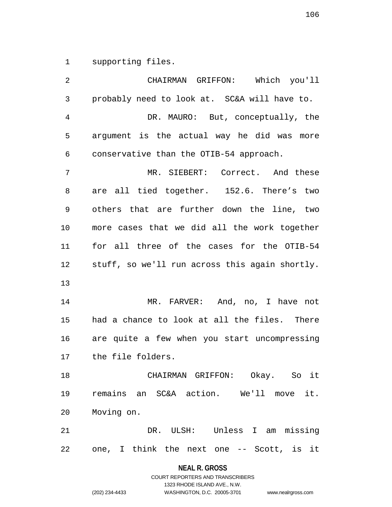supporting files.

| 2              | CHAIRMAN GRIFFON: Which you'll                 |
|----------------|------------------------------------------------|
| $\mathfrak{Z}$ | probably need to look at. SC&A will have to.   |
| 4              | DR. MAURO: But, conceptually, the              |
| 5              | argument is the actual way he did was more     |
| 6              | conservative than the OTIB-54 approach.        |
| 7              | MR. SIEBERT: Correct. And these                |
| 8              | are all tied together. 152.6. There's two      |
| 9              | others that are further down the line, two     |
| 10             | more cases that we did all the work together   |
| 11             | for all three of the cases for the OTIB-54     |
| 12             | stuff, so we'll run across this again shortly. |
| 13             |                                                |
| 14             | MR. FARVER: And, no, I have not                |
| 15             | had a chance to look at all the files. There   |
| 16             | are quite a few when you start uncompressing   |
| 17             | the file folders.                              |
| 18             | CHAIRMAN GRIFFON: Okay. So it                  |
| 19             | remains an SC&A action. We'll move it.         |
| 20             | Moving on.                                     |
| 21             | DR. ULSH: Unless I am missing                  |
| 22             | one, I think the next one -- Scott, is it      |

**NEAL R. GROSS**

COURT REPORTERS AND TRANSCRIBERS 1323 RHODE ISLAND AVE., N.W. (202) 234-4433 WASHINGTON, D.C. 20005-3701 www.nealrgross.com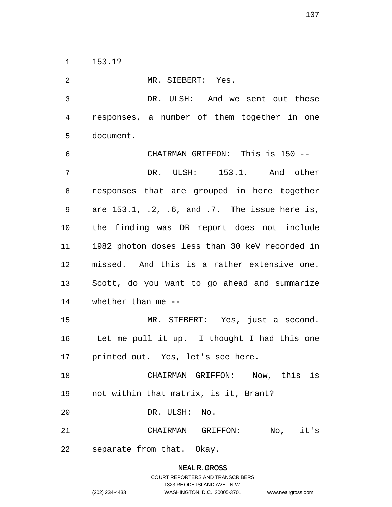153.1?

 MR. SIEBERT: Yes. DR. ULSH: And we sent out these responses, a number of them together in one document. CHAIRMAN GRIFFON: This is 150 -- DR. ULSH: 153.1. And other responses that are grouped in here together are 153.1, .2, .6, and .7. The issue here is, the finding was DR report does not include 1982 photon doses less than 30 keV recorded in missed. And this is a rather extensive one. Scott, do you want to go ahead and summarize whether than me -- MR. SIEBERT: Yes, just a second. Let me pull it up. I thought I had this one printed out. Yes, let's see here. CHAIRMAN GRIFFON: Now, this is not within that matrix, is it, Brant? DR. ULSH: No. CHAIRMAN GRIFFON: No, it's separate from that. Okay.

## **NEAL R. GROSS** COURT REPORTERS AND TRANSCRIBERS 1323 RHODE ISLAND AVE., N.W. (202) 234-4433 WASHINGTON, D.C. 20005-3701 www.nealrgross.com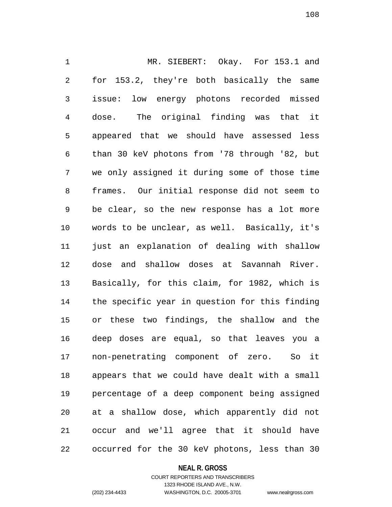MR. SIEBERT: Okay. For 153.1 and for 153.2, they're both basically the same issue: low energy photons recorded missed dose. The original finding was that it appeared that we should have assessed less than 30 keV photons from '78 through '82, but we only assigned it during some of those time frames. Our initial response did not seem to be clear, so the new response has a lot more words to be unclear, as well. Basically, it's just an explanation of dealing with shallow dose and shallow doses at Savannah River. Basically, for this claim, for 1982, which is the specific year in question for this finding or these two findings, the shallow and the deep doses are equal, so that leaves you a non-penetrating component of zero. So it appears that we could have dealt with a small percentage of a deep component being assigned at a shallow dose, which apparently did not occur and we'll agree that it should have occurred for the 30 keV photons, less than 30

#### **NEAL R. GROSS**

### COURT REPORTERS AND TRANSCRIBERS 1323 RHODE ISLAND AVE., N.W. (202) 234-4433 WASHINGTON, D.C. 20005-3701 www.nealrgross.com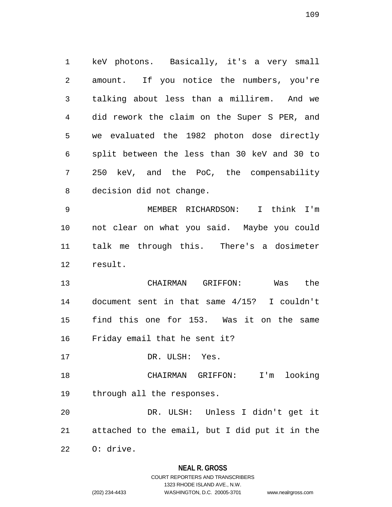keV photons. Basically, it's a very small amount. If you notice the numbers, you're talking about less than a millirem. And we did rework the claim on the Super S PER, and we evaluated the 1982 photon dose directly split between the less than 30 keV and 30 to 250 keV, and the PoC, the compensability decision did not change.

 MEMBER RICHARDSON: I think I'm not clear on what you said. Maybe you could talk me through this. There's a dosimeter result.

 CHAIRMAN GRIFFON: Was the document sent in that same 4/15? I couldn't find this one for 153. Was it on the same Friday email that he sent it?

DR. ULSH: Yes.

 CHAIRMAN GRIFFON: I'm looking through all the responses.

 DR. ULSH: Unless I didn't get it attached to the email, but I did put it in the

O: drive.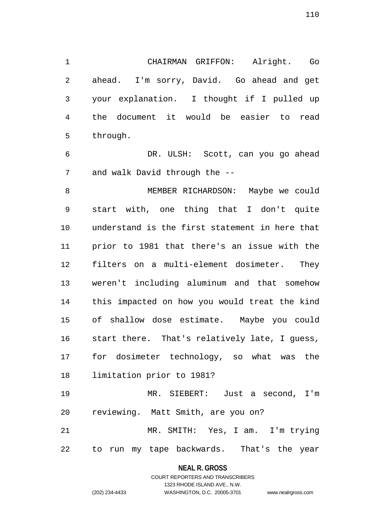CHAIRMAN GRIFFON: Alright. Go ahead. I'm sorry, David. Go ahead and get your explanation. I thought if I pulled up the document it would be easier to read through.

 DR. ULSH: Scott, can you go ahead and walk David through the --

 MEMBER RICHARDSON: Maybe we could start with, one thing that I don't quite understand is the first statement in here that prior to 1981 that there's an issue with the filters on a multi-element dosimeter. They weren't including aluminum and that somehow this impacted on how you would treat the kind of shallow dose estimate. Maybe you could start there. That's relatively late, I guess, for dosimeter technology, so what was the limitation prior to 1981?

 MR. SIEBERT: Just a second, I'm reviewing. Matt Smith, are you on?

 MR. SMITH: Yes, I am. I'm trying to run my tape backwards. That's the year

#### **NEAL R. GROSS**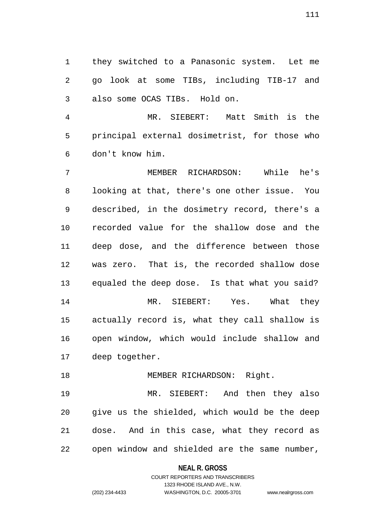they switched to a Panasonic system. Let me go look at some TIBs, including TIB-17 and also some OCAS TIBs. Hold on.

 MR. SIEBERT: Matt Smith is the principal external dosimetrist, for those who don't know him.

 MEMBER RICHARDSON: While he's looking at that, there's one other issue. You described, in the dosimetry record, there's a recorded value for the shallow dose and the deep dose, and the difference between those was zero. That is, the recorded shallow dose equaled the deep dose. Is that what you said? MR. SIEBERT: Yes. What they actually record is, what they call shallow is open window, which would include shallow and deep together.

# 18 MEMBER RICHARDSON: Right.

 MR. SIEBERT: And then they also give us the shielded, which would be the deep dose. And in this case, what they record as open window and shielded are the same number,

#### **NEAL R. GROSS**

# COURT REPORTERS AND TRANSCRIBERS 1323 RHODE ISLAND AVE., N.W. (202) 234-4433 WASHINGTON, D.C. 20005-3701 www.nealrgross.com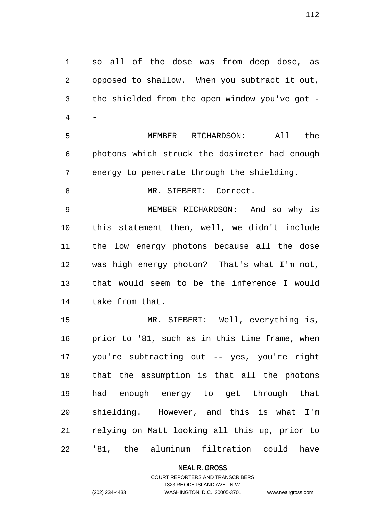so all of the dose was from deep dose, as opposed to shallow. When you subtract it out, the shielded from the open window you've got - - MEMBER RICHARDSON: All the photons which struck the dosimeter had enough energy to penetrate through the shielding. 8 MR. SIEBERT: Correct. MEMBER RICHARDSON: And so why is this statement then, well, we didn't include the low energy photons because all the dose was high energy photon? That's what I'm not, that would seem to be the inference I would take from that. MR. SIEBERT: Well, everything is, prior to '81, such as in this time frame, when you're subtracting out -- yes, you're right that the assumption is that all the photons had enough energy to get through that shielding. However, and this is what I'm relying on Matt looking all this up, prior to '81, the aluminum filtration could have

**NEAL R. GROSS**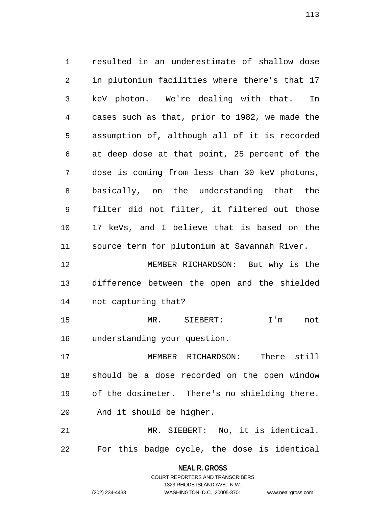resulted in an underestimate of shallow dose in plutonium facilities where there's that 17 keV photon. We're dealing with that. In cases such as that, prior to 1982, we made the assumption of, although all of it is recorded at deep dose at that point, 25 percent of the dose is coming from less than 30 keV photons, basically, on the understanding that the filter did not filter, it filtered out those 17 keVs, and I believe that is based on the source term for plutonium at Savannah River. MEMBER RICHARDSON: But why is the difference between the open and the shielded not capturing that? MR. SIEBERT: I'm not understanding your question. MEMBER RICHARDSON: There still should be a dose recorded on the open window

 of the dosimeter. There's no shielding there. And it should be higher.

 MR. SIEBERT: No, it is identical. For this badge cycle, the dose is identical

> **NEAL R. GROSS** COURT REPORTERS AND TRANSCRIBERS

> > 1323 RHODE ISLAND AVE., N.W.

(202) 234-4433 WASHINGTON, D.C. 20005-3701 www.nealrgross.com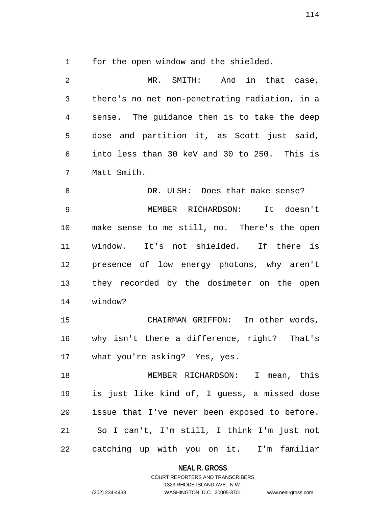for the open window and the shielded.

 MR. SMITH: And in that case, there's no net non-penetrating radiation, in a sense. The guidance then is to take the deep dose and partition it, as Scott just said, into less than 30 keV and 30 to 250. This is Matt Smith. 8 B DR. ULSH: Does that make sense? MEMBER RICHARDSON: It doesn't make sense to me still, no. There's the open window. It's not shielded. If there is presence of low energy photons, why aren't they recorded by the dosimeter on the open window? CHAIRMAN GRIFFON: In other words, why isn't there a difference, right? That's what you're asking? Yes, yes.

 MEMBER RICHARDSON: I mean, this is just like kind of, I guess, a missed dose issue that I've never been exposed to before. So I can't, I'm still, I think I'm just not catching up with you on it. I'm familiar

**NEAL R. GROSS**

# COURT REPORTERS AND TRANSCRIBERS 1323 RHODE ISLAND AVE., N.W. (202) 234-4433 WASHINGTON, D.C. 20005-3701 www.nealrgross.com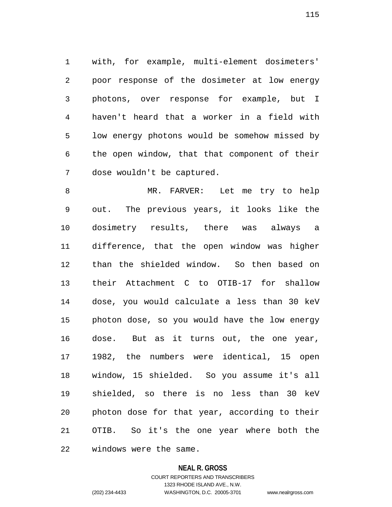with, for example, multi-element dosimeters' poor response of the dosimeter at low energy photons, over response for example, but I haven't heard that a worker in a field with low energy photons would be somehow missed by the open window, that that component of their dose wouldn't be captured.

 MR. FARVER: Let me try to help out. The previous years, it looks like the dosimetry results, there was always a difference, that the open window was higher than the shielded window. So then based on their Attachment C to OTIB-17 for shallow dose, you would calculate a less than 30 keV photon dose, so you would have the low energy dose. But as it turns out, the one year, 1982, the numbers were identical, 15 open window, 15 shielded. So you assume it's all shielded, so there is no less than 30 keV photon dose for that year, according to their OTIB. So it's the one year where both the windows were the same.

#### **NEAL R. GROSS**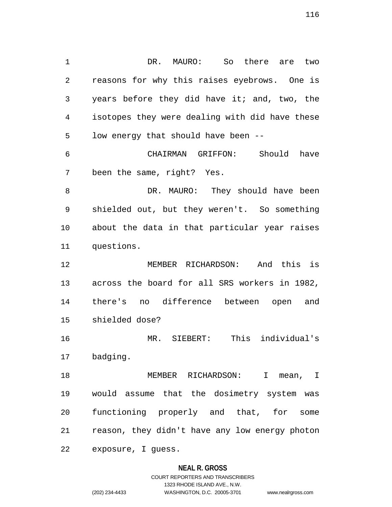DR. MAURO: So there are two reasons for why this raises eyebrows. One is years before they did have it; and, two, the isotopes they were dealing with did have these low energy that should have been -- CHAIRMAN GRIFFON: Should have been the same, right? Yes. 8 DR. MAURO: They should have been shielded out, but they weren't. So something about the data in that particular year raises questions. MEMBER RICHARDSON: And this is across the board for all SRS workers in 1982, there's no difference between open and shielded dose? MR. SIEBERT: This individual's badging. MEMBER RICHARDSON: I mean, I would assume that the dosimetry system was functioning properly and that, for some reason, they didn't have any low energy photon exposure, I guess.

## **NEAL R. GROSS**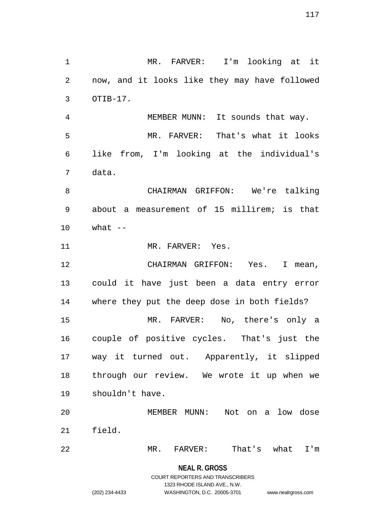MR. FARVER: I'm looking at it now, and it looks like they may have followed MEMBER MUNN: It sounds that way. MR. FARVER: That's what it looks like from, I'm looking at the individual's

 CHAIRMAN GRIFFON: We're talking about a measurement of 15 millirem; is that what  $-$ 

11 MR. FARVER: Yes.

OTIB-17.

data.

 CHAIRMAN GRIFFON: Yes. I mean, could it have just been a data entry error where they put the deep dose in both fields? MR. FARVER: No, there's only a couple of positive cycles. That's just the way it turned out. Apparently, it slipped through our review. We wrote it up when we shouldn't have.

 MEMBER MUNN: Not on a low dose field.

MR. FARVER: That's what I'm

**NEAL R. GROSS** COURT REPORTERS AND TRANSCRIBERS

1323 RHODE ISLAND AVE., N.W.

(202) 234-4433 WASHINGTON, D.C. 20005-3701 www.nealrgross.com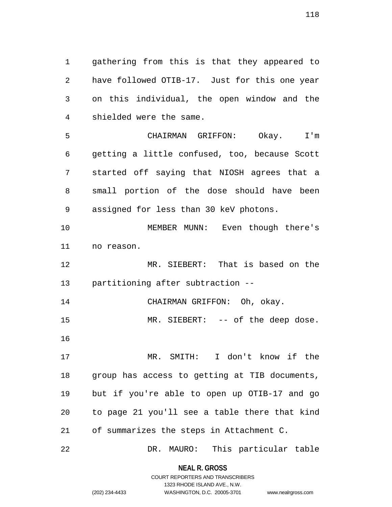gathering from this is that they appeared to have followed OTIB-17. Just for this one year on this individual, the open window and the shielded were the same.

 CHAIRMAN GRIFFON: Okay. I'm getting a little confused, too, because Scott started off saying that NIOSH agrees that a small portion of the dose should have been assigned for less than 30 keV photons.

 MEMBER MUNN: Even though there's no reason.

 MR. SIEBERT: That is based on the partitioning after subtraction --

CHAIRMAN GRIFFON: Oh, okay.

15 MR. SIEBERT: -- of the deep dose.

 MR. SMITH: I don't know if the group has access to getting at TIB documents, but if you're able to open up OTIB-17 and go to page 21 you'll see a table there that kind of summarizes the steps in Attachment C.

DR. MAURO: This particular table

**NEAL R. GROSS**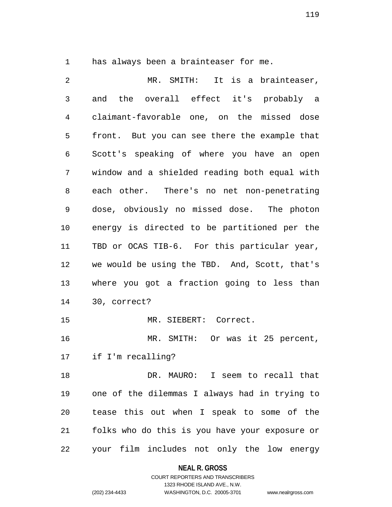has always been a brainteaser for me.

 MR. SMITH: It is a brainteaser, and the overall effect it's probably a claimant-favorable one, on the missed dose front. But you can see there the example that Scott's speaking of where you have an open window and a shielded reading both equal with each other. There's no net non-penetrating dose, obviously no missed dose. The photon energy is directed to be partitioned per the TBD or OCAS TIB-6. For this particular year, we would be using the TBD. And, Scott, that's where you got a fraction going to less than 30, correct? MR. SIEBERT: Correct. MR. SMITH: Or was it 25 percent, if I'm recalling? DR. MAURO: I seem to recall that one of the dilemmas I always had in trying to tease this out when I speak to some of the folks who do this is you have your exposure or your film includes not only the low energy

**NEAL R. GROSS**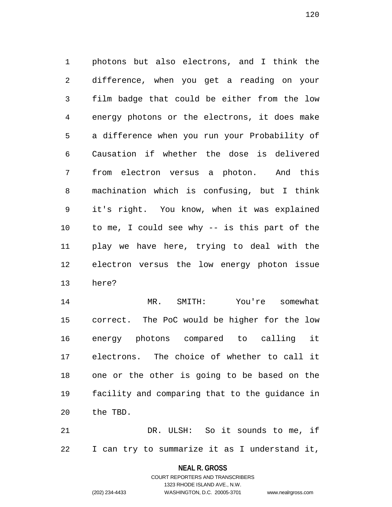photons but also electrons, and I think the difference, when you get a reading on your film badge that could be either from the low energy photons or the electrons, it does make a difference when you run your Probability of Causation if whether the dose is delivered from electron versus a photon. And this machination which is confusing, but I think it's right. You know, when it was explained to me, I could see why -- is this part of the play we have here, trying to deal with the electron versus the low energy photon issue here?

 MR. SMITH: You're somewhat correct. The PoC would be higher for the low energy photons compared to calling it electrons. The choice of whether to call it one or the other is going to be based on the facility and comparing that to the guidance in the TBD.

 DR. ULSH: So it sounds to me, if I can try to summarize it as I understand it,

> **NEAL R. GROSS** COURT REPORTERS AND TRANSCRIBERS

> > 1323 RHODE ISLAND AVE., N.W.

(202) 234-4433 WASHINGTON, D.C. 20005-3701 www.nealrgross.com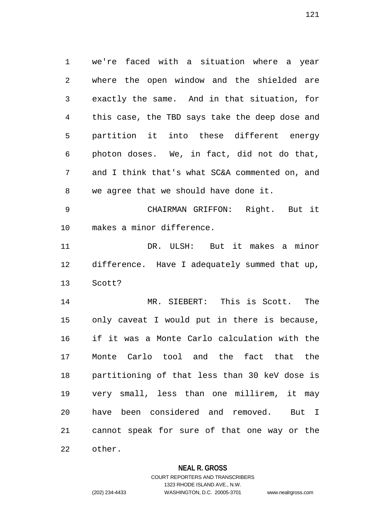we're faced with a situation where a year where the open window and the shielded are exactly the same. And in that situation, for this case, the TBD says take the deep dose and partition it into these different energy photon doses. We, in fact, did not do that, and I think that's what SC&A commented on, and we agree that we should have done it.

 CHAIRMAN GRIFFON: Right. But it makes a minor difference.

 DR. ULSH: But it makes a minor difference. Have I adequately summed that up, Scott?

 MR. SIEBERT: This is Scott. The only caveat I would put in there is because, if it was a Monte Carlo calculation with the Monte Carlo tool and the fact that the partitioning of that less than 30 keV dose is very small, less than one millirem, it may have been considered and removed. But I cannot speak for sure of that one way or the other.

# **NEAL R. GROSS**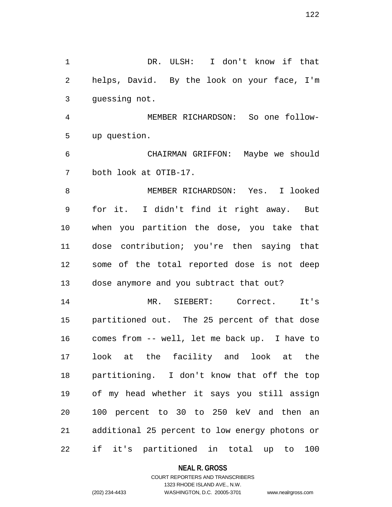DR. ULSH: I don't know if that helps, David. By the look on your face, I'm guessing not.

 MEMBER RICHARDSON: So one follow-up question.

 CHAIRMAN GRIFFON: Maybe we should both look at OTIB-17.

 MEMBER RICHARDSON: Yes. I looked for it. I didn't find it right away. But when you partition the dose, you take that dose contribution; you're then saying that some of the total reported dose is not deep dose anymore and you subtract that out?

 MR. SIEBERT: Correct. It's partitioned out. The 25 percent of that dose comes from -- well, let me back up. I have to look at the facility and look at the partitioning. I don't know that off the top of my head whether it says you still assign 100 percent to 30 to 250 keV and then an additional 25 percent to low energy photons or if it's partitioned in total up to 100

## **NEAL R. GROSS**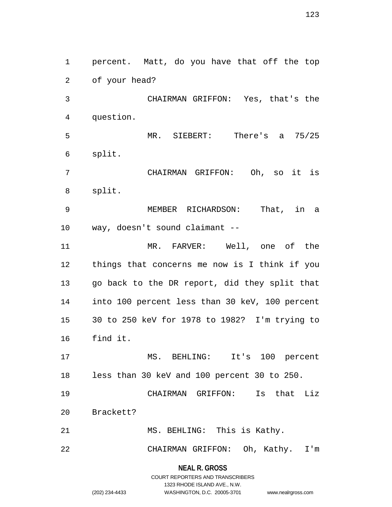percent. Matt, do you have that off the top of your head? CHAIRMAN GRIFFON: Yes, that's the question. MR. SIEBERT: There's a 75/25 split. CHAIRMAN GRIFFON: Oh, so it is split. MEMBER RICHARDSON: That, in a way, doesn't sound claimant -- MR. FARVER: Well, one of the things that concerns me now is I think if you go back to the DR report, did they split that into 100 percent less than 30 keV, 100 percent 30 to 250 keV for 1978 to 1982? I'm trying to find it. MS. BEHLING: It's 100 percent less than 30 keV and 100 percent 30 to 250. CHAIRMAN GRIFFON: Is that Liz Brackett? MS. BEHLING: This is Kathy. CHAIRMAN GRIFFON: Oh, Kathy. I'm

> **NEAL R. GROSS** COURT REPORTERS AND TRANSCRIBERS 1323 RHODE ISLAND AVE., N.W. (202) 234-4433 WASHINGTON, D.C. 20005-3701 www.nealrgross.com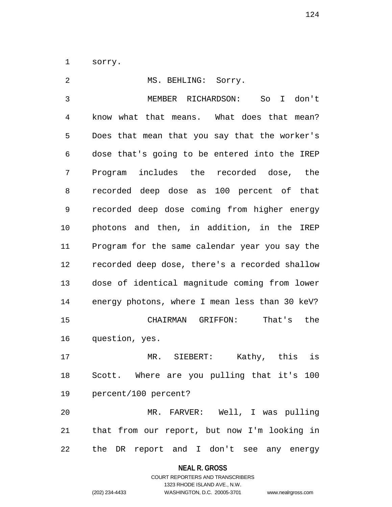sorry.

| 2  | MS. BEHLING: Sorry.                            |
|----|------------------------------------------------|
| 3  | MEMBER RICHARDSON: So I don't                  |
| 4  | know what that means. What does that mean?     |
| 5  | Does that mean that you say that the worker's  |
| 6  | dose that's going to be entered into the IREP  |
| 7  | Program includes the recorded dose, the        |
| 8  | recorded deep dose as 100 percent of that      |
| 9  | recorded deep dose coming from higher energy   |
| 10 | photons and then, in addition, in the IREP     |
| 11 | Program for the same calendar year you say the |
| 12 | recorded deep dose, there's a recorded shallow |
| 13 | dose of identical magnitude coming from lower  |
| 14 | energy photons, where I mean less than 30 keV? |
| 15 | That's the<br>CHAIRMAN GRIFFON:                |
| 16 | question, yes.                                 |
| 17 | Kathy, this<br>is<br>MR. SIEBERT:              |
| 18 | Scott. Where are you pulling that it's 100     |
| 19 | percent/100 percent?                           |
| 20 | MR. FARVER: Well, I was pulling                |
| 21 | that from our report, but now I'm looking in   |
| 22 | the DR report and I don't see any energy       |

# **NEAL R. GROSS**

# COURT REPORTERS AND TRANSCRIBERS 1323 RHODE ISLAND AVE., N.W. (202) 234-4433 WASHINGTON, D.C. 20005-3701 www.nealrgross.com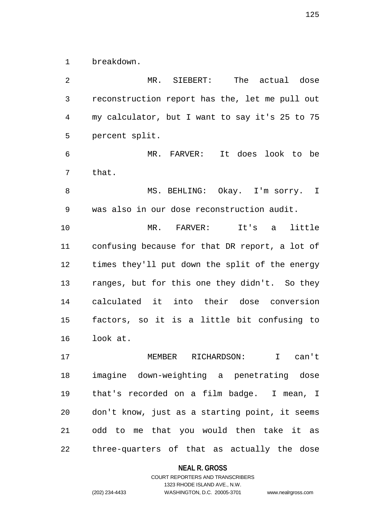breakdown.

 MR. SIEBERT: The actual dose reconstruction report has the, let me pull out my calculator, but I want to say it's 25 to 75 percent split. MR. FARVER: It does look to be that. 8 MS. BEHLING: Okay. I'm sorry. I was also in our dose reconstruction audit. MR. FARVER: It's a little confusing because for that DR report, a lot of times they'll put down the split of the energy ranges, but for this one they didn't. So they calculated it into their dose conversion factors, so it is a little bit confusing to look at. MEMBER RICHARDSON: I can't imagine down-weighting a penetrating dose

 that's recorded on a film badge. I mean, I don't know, just as a starting point, it seems odd to me that you would then take it as three-quarters of that as actually the dose

**NEAL R. GROSS**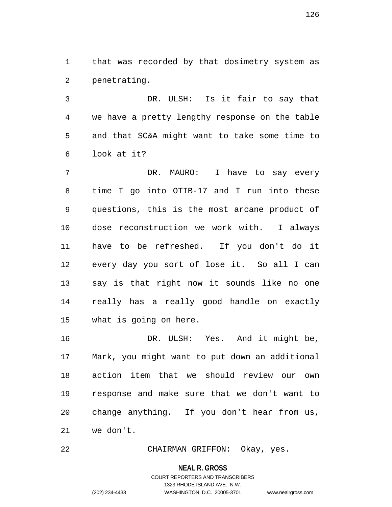that was recorded by that dosimetry system as penetrating.

 DR. ULSH: Is it fair to say that we have a pretty lengthy response on the table and that SC&A might want to take some time to look at it?

 DR. MAURO: I have to say every time I go into OTIB-17 and I run into these questions, this is the most arcane product of dose reconstruction we work with. I always have to be refreshed. If you don't do it every day you sort of lose it. So all I can say is that right now it sounds like no one really has a really good handle on exactly what is going on here.

 DR. ULSH: Yes. And it might be, Mark, you might want to put down an additional action item that we should review our own response and make sure that we don't want to change anything. If you don't hear from us, we don't.

CHAIRMAN GRIFFON: Okay, yes.

#### **NEAL R. GROSS**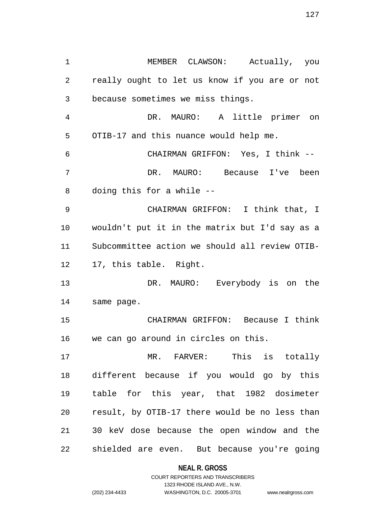MEMBER CLAWSON: Actually, you really ought to let us know if you are or not because sometimes we miss things. DR. MAURO: A little primer on OTIB-17 and this nuance would help me. CHAIRMAN GRIFFON: Yes, I think -- DR. MAURO: Because I've been doing this for a while -- CHAIRMAN GRIFFON: I think that, I wouldn't put it in the matrix but I'd say as a Subcommittee action we should all review OTIB- 17, this table. Right. DR. MAURO: Everybody is on the same page. CHAIRMAN GRIFFON: Because I think we can go around in circles on this. MR. FARVER: This is totally different because if you would go by this table for this year, that 1982 dosimeter result, by OTIB-17 there would be no less than 30 keV dose because the open window and the shielded are even. But because you're going

> **NEAL R. GROSS** COURT REPORTERS AND TRANSCRIBERS

1323 RHODE ISLAND AVE., N.W. (202) 234-4433 WASHINGTON, D.C. 20005-3701 www.nealrgross.com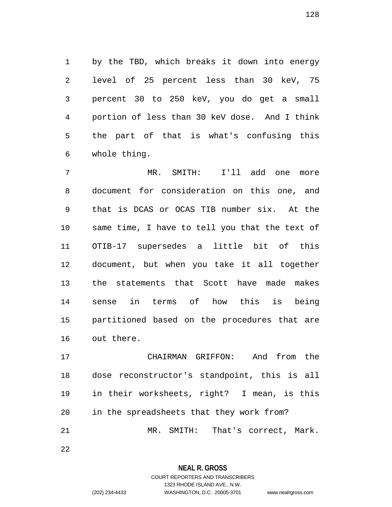by the TBD, which breaks it down into energy level of 25 percent less than 30 keV, 75 percent 30 to 250 keV, you do get a small portion of less than 30 keV dose. And I think the part of that is what's confusing this whole thing.

 MR. SMITH: I'll add one more document for consideration on this one, and that is DCAS or OCAS TIB number six. At the same time, I have to tell you that the text of OTIB-17 supersedes a little bit of this document, but when you take it all together the statements that Scott have made makes sense in terms of how this is being partitioned based on the procedures that are out there.

 CHAIRMAN GRIFFON: And from the dose reconstructor's standpoint, this is all in their worksheets, right? I mean, is this in the spreadsheets that they work from? MR. SMITH: That's correct, Mark.

**NEAL R. GROSS**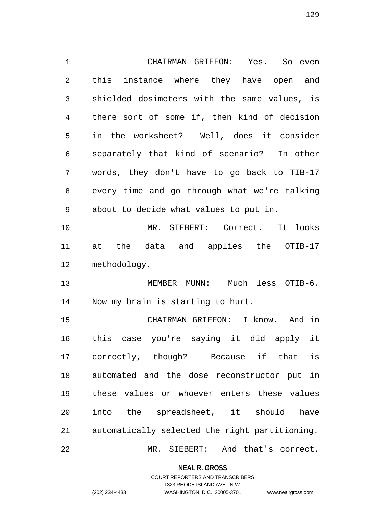CHAIRMAN GRIFFON: Yes. So even this instance where they have open and shielded dosimeters with the same values, is there sort of some if, then kind of decision in the worksheet? Well, does it consider separately that kind of scenario? In other words, they don't have to go back to TIB-17 every time and go through what we're talking about to decide what values to put in. MR. SIEBERT: Correct. It looks at the data and applies the OTIB-17 methodology. MEMBER MUNN: Much less OTIB-6. Now my brain is starting to hurt. CHAIRMAN GRIFFON: I know. And in this case you're saying it did apply it correctly, though? Because if that is automated and the dose reconstructor put in these values or whoever enters these values into the spreadsheet, it should have automatically selected the right partitioning. MR. SIEBERT: And that's correct,

**NEAL R. GROSS**

COURT REPORTERS AND TRANSCRIBERS 1323 RHODE ISLAND AVE., N.W. (202) 234-4433 WASHINGTON, D.C. 20005-3701 www.nealrgross.com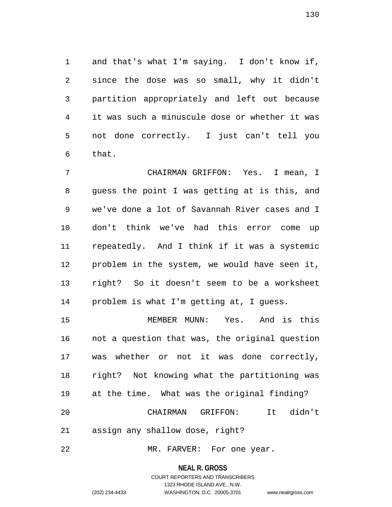and that's what I'm saying. I don't know if, since the dose was so small, why it didn't partition appropriately and left out because it was such a minuscule dose or whether it was not done correctly. I just can't tell you that.

 CHAIRMAN GRIFFON: Yes. I mean, I guess the point I was getting at is this, and we've done a lot of Savannah River cases and I don't think we've had this error come up repeatedly. And I think if it was a systemic problem in the system, we would have seen it, right? So it doesn't seem to be a worksheet problem is what I'm getting at, I guess.

 MEMBER MUNN: Yes. And is this not a question that was, the original question was whether or not it was done correctly, right? Not knowing what the partitioning was at the time. What was the original finding? CHAIRMAN GRIFFON: It didn't assign any shallow dose, right?

22 MR. FARVER: For one year.

**NEAL R. GROSS**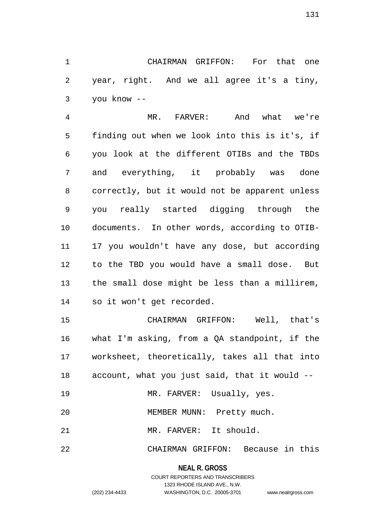CHAIRMAN GRIFFON: For that one year, right. And we all agree it's a tiny, you know --

 MR. FARVER: And what we're finding out when we look into this is it's, if you look at the different OTIBs and the TBDs and everything, it probably was done correctly, but it would not be apparent unless you really started digging through the documents. In other words, according to OTIB- 17 you wouldn't have any dose, but according to the TBD you would have a small dose. But the small dose might be less than a millirem, so it won't get recorded.

 CHAIRMAN GRIFFON: Well, that's what I'm asking, from a QA standpoint, if the worksheet, theoretically, takes all that into account, what you just said, that it would --

19 MR. FARVER: Usually, yes.

20 MEMBER MUNN: Pretty much.

MR. FARVER: It should.

CHAIRMAN GRIFFON: Because in this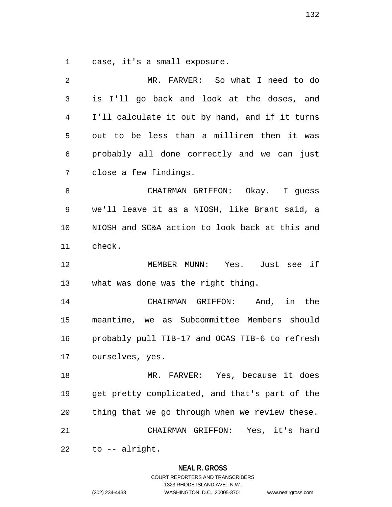case, it's a small exposure.

| 2  | MR. FARVER: So what I need to do               |
|----|------------------------------------------------|
| 3  | is I'll go back and look at the doses, and     |
| 4  | I'll calculate it out by hand, and if it turns |
| 5  | out to be less than a millirem then it was     |
| 6  | probably all done correctly and we can just    |
| 7  | close a few findings.                          |
| 8  | CHAIRMAN GRIFFON: Okay. I guess                |
| 9  | we'll leave it as a NIOSH, like Brant said, a  |
| 10 | NIOSH and SC&A action to look back at this and |
| 11 | check.                                         |
| 12 | MEMBER MUNN: Yes. Just see if                  |
|    |                                                |
| 13 | what was done was the right thing.             |
| 14 | CHAIRMAN GRIFFON: And, in the                  |
| 15 | meantime, we as Subcommittee Members should    |
| 16 | probably pull TIB-17 and OCAS TIB-6 to refresh |
| 17 | ourselves, yes.                                |
| 18 | MR. FARVER: Yes, because it does               |
| 19 | get pretty complicated, and that's part of the |
| 20 | thing that we go through when we review these. |
| 21 | CHAIRMAN GRIFFON: Yes, it's hard               |

**NEAL R. GROSS** COURT REPORTERS AND TRANSCRIBERS

1323 RHODE ISLAND AVE., N.W.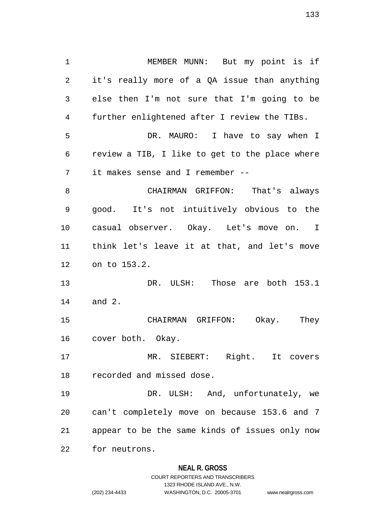MEMBER MUNN: But my point is if it's really more of a QA issue than anything else then I'm not sure that I'm going to be further enlightened after I review the TIBs. DR. MAURO: I have to say when I review a TIB, I like to get to the place where it makes sense and I remember -- CHAIRMAN GRIFFON: That's always good. It's not intuitively obvious to the casual observer. Okay. Let's move on. I think let's leave it at that, and let's move on to 153.2. DR. ULSH: Those are both 153.1 and 2. CHAIRMAN GRIFFON: Okay. They cover both. Okay. MR. SIEBERT: Right. It covers recorded and missed dose. DR. ULSH: And, unfortunately, we can't completely move on because 153.6 and 7 appear to be the same kinds of issues only now for neutrons.

## **NEAL R. GROSS**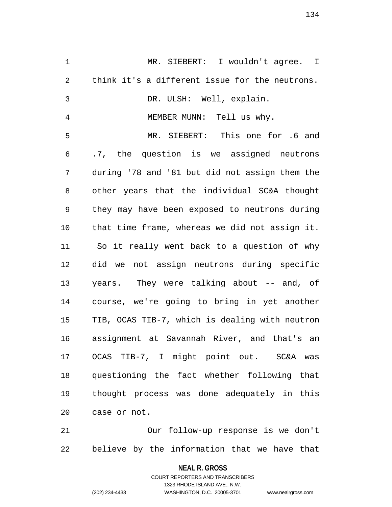MR. SIEBERT: I wouldn't agree. I think it's a different issue for the neutrons. DR. ULSH: Well, explain. MEMBER MUNN: Tell us why. MR. SIEBERT: This one for .6 and .7, the question is we assigned neutrons during '78 and '81 but did not assign them the other years that the individual SC&A thought they may have been exposed to neutrons during that time frame, whereas we did not assign it. So it really went back to a question of why did we not assign neutrons during specific years. They were talking about -- and, of course, we're going to bring in yet another TIB, OCAS TIB-7, which is dealing with neutron assignment at Savannah River, and that's an OCAS TIB-7, I might point out. SC&A was questioning the fact whether following that thought process was done adequately in this case or not.

 Our follow-up response is we don't believe by the information that we have that

> **NEAL R. GROSS** COURT REPORTERS AND TRANSCRIBERS

> > 1323 RHODE ISLAND AVE., N.W.

(202) 234-4433 WASHINGTON, D.C. 20005-3701 www.nealrgross.com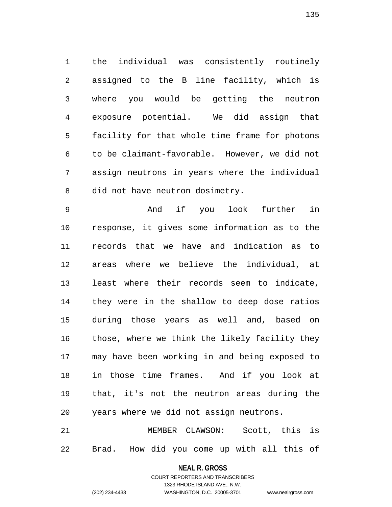the individual was consistently routinely assigned to the B line facility, which is where you would be getting the neutron exposure potential. We did assign that facility for that whole time frame for photons to be claimant-favorable. However, we did not assign neutrons in years where the individual did not have neutron dosimetry.

 And if you look further in response, it gives some information as to the records that we have and indication as to areas where we believe the individual, at least where their records seem to indicate, they were in the shallow to deep dose ratios during those years as well and, based on those, where we think the likely facility they may have been working in and being exposed to in those time frames. And if you look at that, it's not the neutron areas during the years where we did not assign neutrons.

 MEMBER CLAWSON: Scott, this is Brad. How did you come up with all this of

# **NEAL R. GROSS** COURT REPORTERS AND TRANSCRIBERS

1323 RHODE ISLAND AVE., N.W.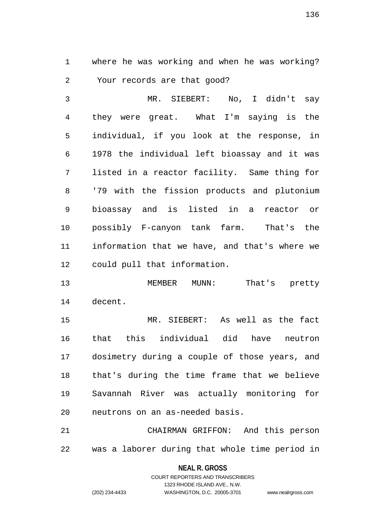where he was working and when he was working? Your records are that good?

 MR. SIEBERT: No, I didn't say they were great. What I'm saying is the individual, if you look at the response, in 1978 the individual left bioassay and it was listed in a reactor facility. Same thing for '79 with the fission products and plutonium bioassay and is listed in a reactor or possibly F-canyon tank farm. That's the information that we have, and that's where we could pull that information.

13 MEMBER MUNN: That's pretty decent.

 MR. SIEBERT: As well as the fact that this individual did have neutron dosimetry during a couple of those years, and that's during the time frame that we believe Savannah River was actually monitoring for neutrons on an as-needed basis.

 CHAIRMAN GRIFFON: And this person was a laborer during that whole time period in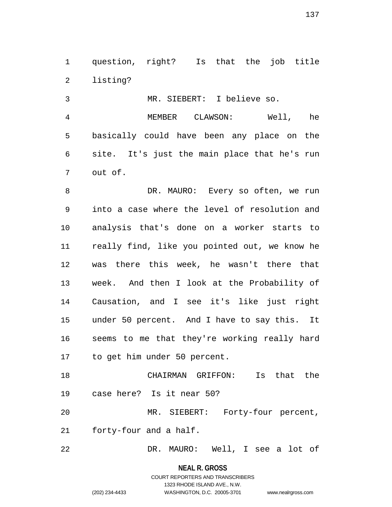question, right? Is that the job title listing?

MR. SIEBERT: I believe so.

 MEMBER CLAWSON: Well, he basically could have been any place on the site. It's just the main place that he's run out of.

 DR. MAURO: Every so often, we run into a case where the level of resolution and analysis that's done on a worker starts to really find, like you pointed out, we know he was there this week, he wasn't there that week. And then I look at the Probability of Causation, and I see it's like just right under 50 percent. And I have to say this. It seems to me that they're working really hard to get him under 50 percent.

 CHAIRMAN GRIFFON: Is that the case here? Is it near 50? MR. SIEBERT: Forty-four percent,

forty-four and a half.

DR. MAURO: Well, I see a lot of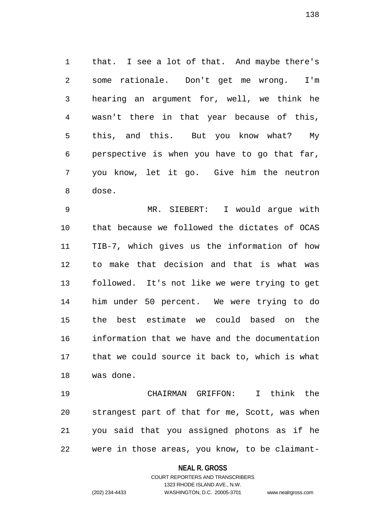that. I see a lot of that. And maybe there's some rationale. Don't get me wrong. I'm hearing an argument for, well, we think he wasn't there in that year because of this, this, and this. But you know what? My perspective is when you have to go that far, you know, let it go. Give him the neutron dose.

 MR. SIEBERT: I would argue with that because we followed the dictates of OCAS TIB-7, which gives us the information of how to make that decision and that is what was followed. It's not like we were trying to get him under 50 percent. We were trying to do the best estimate we could based on the information that we have and the documentation that we could source it back to, which is what was done.

 CHAIRMAN GRIFFON: I think the strangest part of that for me, Scott, was when you said that you assigned photons as if he were in those areas, you know, to be claimant-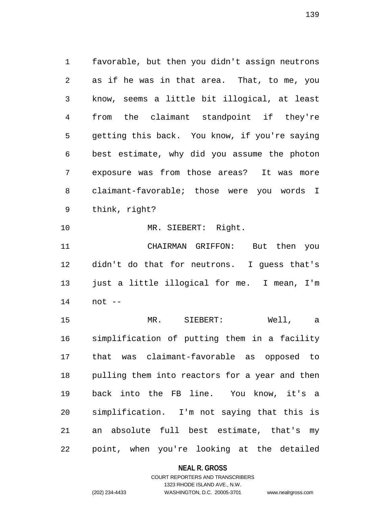favorable, but then you didn't assign neutrons as if he was in that area. That, to me, you know, seems a little bit illogical, at least from the claimant standpoint if they're getting this back. You know, if you're saying best estimate, why did you assume the photon exposure was from those areas? It was more claimant-favorable; those were you words I think, right? MR. SIEBERT: Right.

 CHAIRMAN GRIFFON: But then you didn't do that for neutrons. I guess that's just a little illogical for me. I mean, I'm not --

 MR. SIEBERT: Well, a simplification of putting them in a facility that was claimant-favorable as opposed to pulling them into reactors for a year and then back into the FB line. You know, it's a simplification. I'm not saying that this is an absolute full best estimate, that's my point, when you're looking at the detailed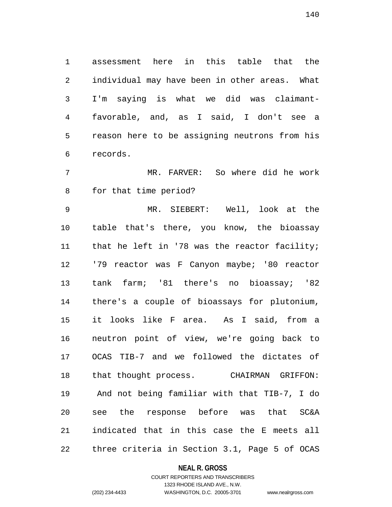assessment here in this table that the individual may have been in other areas. What I'm saying is what we did was claimant- favorable, and, as I said, I don't see a reason here to be assigning neutrons from his records.

 MR. FARVER: So where did he work for that time period?

 MR. SIEBERT: Well, look at the table that's there, you know, the bioassay that he left in '78 was the reactor facility; '79 reactor was F Canyon maybe; '80 reactor tank farm; '81 there's no bioassay; '82 there's a couple of bioassays for plutonium, it looks like F area. As I said, from a neutron point of view, we're going back to OCAS TIB-7 and we followed the dictates of that thought process. CHAIRMAN GRIFFON: And not being familiar with that TIB-7, I do see the response before was that SC&A indicated that in this case the E meets all three criteria in Section 3.1, Page 5 of OCAS

## **NEAL R. GROSS**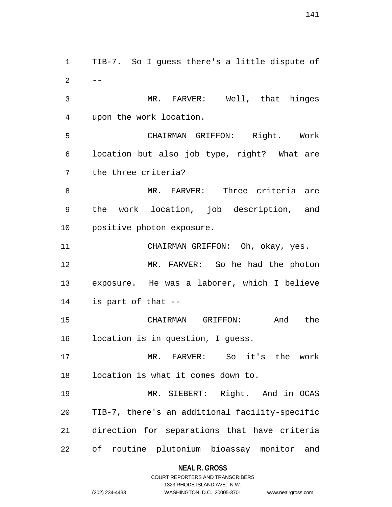TIB-7. So I guess there's a little dispute of  $2 - -$  MR. FARVER: Well, that hinges upon the work location. CHAIRMAN GRIFFON: Right. Work location but also job type, right? What are the three criteria? MR. FARVER: Three criteria are the work location, job description, and positive photon exposure. CHAIRMAN GRIFFON: Oh, okay, yes. MR. FARVER: So he had the photon exposure. He was a laborer, which I believe is part of that -- CHAIRMAN GRIFFON: And the location is in question, I guess. MR. FARVER: So it's the work location is what it comes down to. MR. SIEBERT: Right. And in OCAS TIB-7, there's an additional facility-specific direction for separations that have criteria of routine plutonium bioassay monitor and

> **NEAL R. GROSS** COURT REPORTERS AND TRANSCRIBERS

> > 1323 RHODE ISLAND AVE., N.W.

(202) 234-4433 WASHINGTON, D.C. 20005-3701 www.nealrgross.com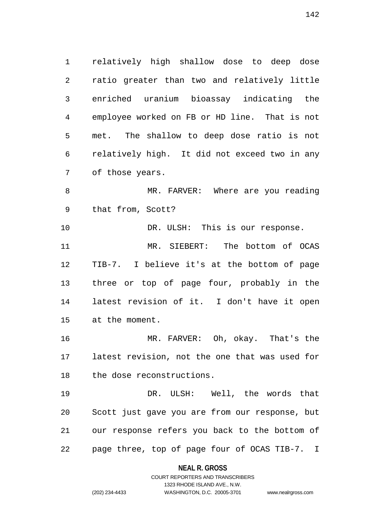relatively high shallow dose to deep dose ratio greater than two and relatively little enriched uranium bioassay indicating the employee worked on FB or HD line. That is not met. The shallow to deep dose ratio is not relatively high. It did not exceed two in any of those years.

8 MR. FARVER: Where are you reading that from, Scott?

 DR. ULSH: This is our response. MR. SIEBERT: The bottom of OCAS TIB-7. I believe it's at the bottom of page three or top of page four, probably in the latest revision of it. I don't have it open at the moment.

 MR. FARVER: Oh, okay. That's the latest revision, not the one that was used for the dose reconstructions.

 DR. ULSH: Well, the words that Scott just gave you are from our response, but our response refers you back to the bottom of page three, top of page four of OCAS TIB-7. I

# **NEAL R. GROSS** COURT REPORTERS AND TRANSCRIBERS

1323 RHODE ISLAND AVE., N.W.

(202) 234-4433 WASHINGTON, D.C. 20005-3701 www.nealrgross.com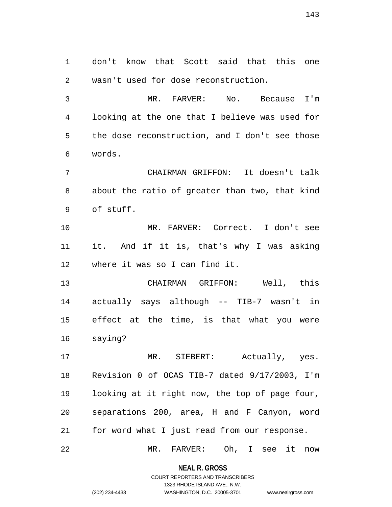don't know that Scott said that this one wasn't used for dose reconstruction.

 MR. FARVER: No. Because I'm looking at the one that I believe was used for the dose reconstruction, and I don't see those words.

 CHAIRMAN GRIFFON: It doesn't talk about the ratio of greater than two, that kind of stuff.

 MR. FARVER: Correct. I don't see it. And if it is, that's why I was asking where it was so I can find it.

 CHAIRMAN GRIFFON: Well, this actually says although -- TIB-7 wasn't in effect at the time, is that what you were saying?

 MR. SIEBERT: Actually, yes. Revision 0 of OCAS TIB-7 dated 9/17/2003, I'm looking at it right now, the top of page four, separations 200, area, H and F Canyon, word for word what I just read from our response.

MR. FARVER: Oh, I see it now

**NEAL R. GROSS** COURT REPORTERS AND TRANSCRIBERS

1323 RHODE ISLAND AVE., N.W.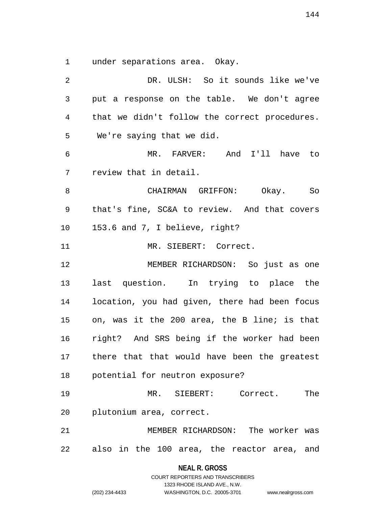under separations area. Okay.

| $\overline{2}$ | DR. ULSH: So it sounds like we've             |
|----------------|-----------------------------------------------|
| 3              | put a response on the table. We don't agree   |
| 4              | that we didn't follow the correct procedures. |
| 5              | We're saying that we did.                     |
| 6              | MR. FARVER: And I'll have to                  |
| 7              | review that in detail.                        |
| 8              | CHAIRMAN GRIFFON: Okay. So                    |
| 9              | that's fine, SC&A to review. And that covers  |
| 10             | 153.6 and 7, I believe, right?                |
| 11             | MR. SIEBERT: Correct.                         |
| 12             | MEMBER RICHARDSON: So just as one             |
| 13             | last question. In trying to place the         |
| 14             | location, you had given, there had been focus |
| 15             | on, was it the 200 area, the B line; is that  |
| 16             | right? And SRS being if the worker had been   |
| 17             | there that that would have been the greatest  |
| 18             | potential for neutron exposure?               |
| 19             | MR. SIEBERT: Correct.<br>The                  |
| 20             | plutonium area, correct.                      |
| 21             | MEMBER RICHARDSON: The worker was             |
| 22             | also in the 100 area, the reactor area, and   |

**NEAL R. GROSS** COURT REPORTERS AND TRANSCRIBERS

1323 RHODE ISLAND AVE., N.W.

(202) 234-4433 WASHINGTON, D.C. 20005-3701 www.nealrgross.com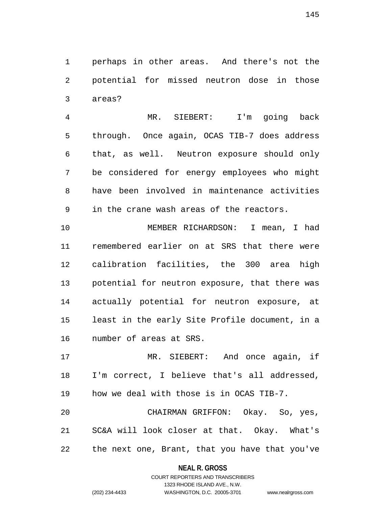perhaps in other areas. And there's not the potential for missed neutron dose in those areas?

 MR. SIEBERT: I'm going back through. Once again, OCAS TIB-7 does address that, as well. Neutron exposure should only be considered for energy employees who might have been involved in maintenance activities in the crane wash areas of the reactors.

 MEMBER RICHARDSON: I mean, I had remembered earlier on at SRS that there were calibration facilities, the 300 area high potential for neutron exposure, that there was actually potential for neutron exposure, at least in the early Site Profile document, in a number of areas at SRS.

 MR. SIEBERT: And once again, if I'm correct, I believe that's all addressed, how we deal with those is in OCAS TIB-7.

 CHAIRMAN GRIFFON: Okay. So, yes, SC&A will look closer at that. Okay. What's the next one, Brant, that you have that you've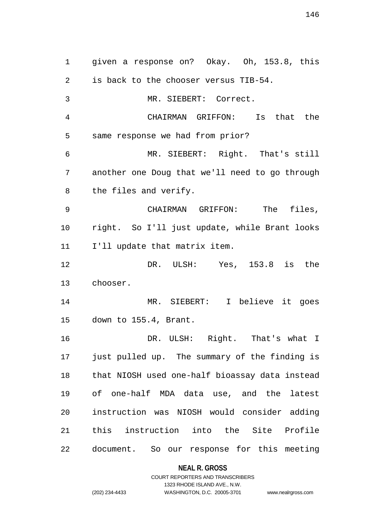given a response on? Okay. Oh, 153.8, this is back to the chooser versus TIB-54. MR. SIEBERT: Correct. CHAIRMAN GRIFFON: Is that the same response we had from prior? MR. SIEBERT: Right. That's still another one Doug that we'll need to go through the files and verify. CHAIRMAN GRIFFON: The files, right. So I'll just update, while Brant looks I'll update that matrix item. DR. ULSH: Yes, 153.8 is the chooser. MR. SIEBERT: I believe it goes down to 155.4, Brant. DR. ULSH: Right. That's what I just pulled up. The summary of the finding is that NIOSH used one-half bioassay data instead of one-half MDA data use, and the latest instruction was NIOSH would consider adding this instruction into the Site Profile document. So our response for this meeting

### **NEAL R. GROSS**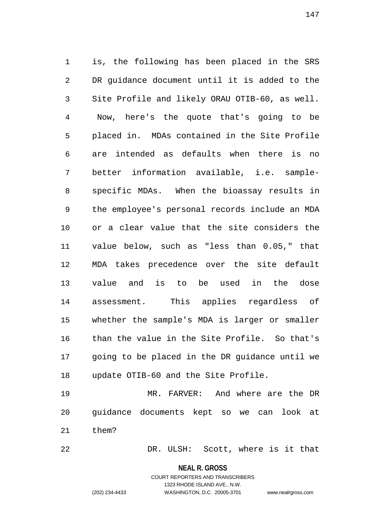is, the following has been placed in the SRS DR guidance document until it is added to the Site Profile and likely ORAU OTIB-60, as well. Now, here's the quote that's going to be placed in. MDAs contained in the Site Profile are intended as defaults when there is no better information available, i.e. sample- specific MDAs. When the bioassay results in the employee's personal records include an MDA or a clear value that the site considers the value below, such as "less than 0.05," that MDA takes precedence over the site default value and is to be used in the dose assessment. This applies regardless of whether the sample's MDA is larger or smaller than the value in the Site Profile. So that's going to be placed in the DR guidance until we update OTIB-60 and the Site Profile.

 MR. FARVER: And where are the DR guidance documents kept so we can look at them?

DR. ULSH: Scott, where is it that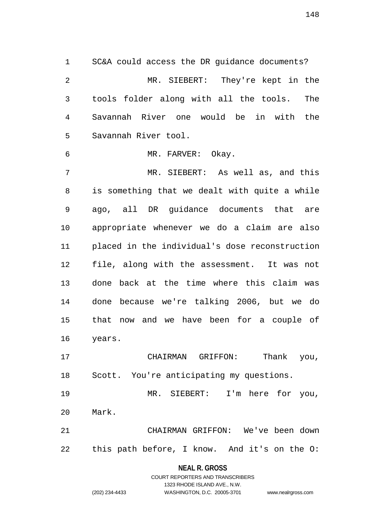SC&A could access the DR guidance documents? MR. SIEBERT: They're kept in the tools folder along with all the tools. The Savannah River one would be in with the Savannah River tool.

MR. FARVER: Okay.

 MR. SIEBERT: As well as, and this is something that we dealt with quite a while ago, all DR guidance documents that are appropriate whenever we do a claim are also placed in the individual's dose reconstruction file, along with the assessment. It was not done back at the time where this claim was done because we're talking 2006, but we do that now and we have been for a couple of years.

 CHAIRMAN GRIFFON: Thank you, Scott. You're anticipating my questions.

 MR. SIEBERT: I'm here for you, Mark.

 CHAIRMAN GRIFFON: We've been down this path before, I know. And it's on the O:

> **NEAL R. GROSS** COURT REPORTERS AND TRANSCRIBERS

> > 1323 RHODE ISLAND AVE., N.W.

| (202) 234-4433 |  |
|----------------|--|

(202) 234-4433 WASHINGTON, D.C. 20005-3701 www.nealrgross.com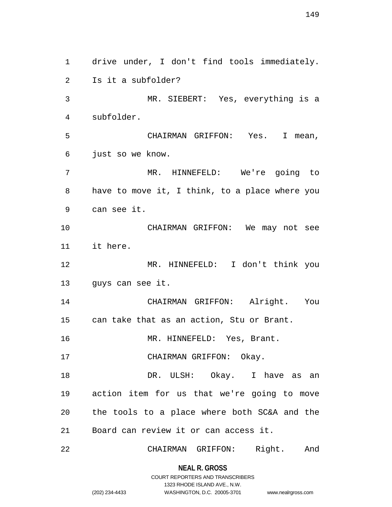drive under, I don't find tools immediately. Is it a subfolder? MR. SIEBERT: Yes, everything is a subfolder. CHAIRMAN GRIFFON: Yes. I mean, just so we know. MR. HINNEFELD: We're going to have to move it, I think, to a place where you can see it. CHAIRMAN GRIFFON: We may not see it here. MR. HINNEFELD: I don't think you guys can see it. CHAIRMAN GRIFFON: Alright. You can take that as an action, Stu or Brant. 16 MR. HINNEFELD: Yes, Brant. 17 CHAIRMAN GRIFFON: Okay. DR. ULSH: Okay. I have as an action item for us that we're going to move the tools to a place where both SC&A and the Board can review it or can access it. CHAIRMAN GRIFFON: Right. And

> **NEAL R. GROSS** COURT REPORTERS AND TRANSCRIBERS

> > 1323 RHODE ISLAND AVE., N.W.

(202) 234-4433 WASHINGTON, D.C. 20005-3701 www.nealrgross.com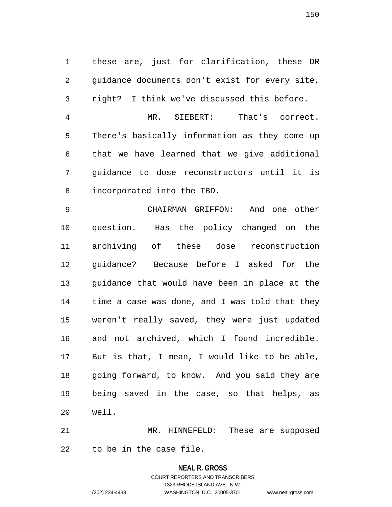these are, just for clarification, these DR guidance documents don't exist for every site, right? I think we've discussed this before. MR. SIEBERT: That's correct. There's basically information as they come up that we have learned that we give additional guidance to dose reconstructors until it is incorporated into the TBD. CHAIRMAN GRIFFON: And one other question. Has the policy changed on the archiving of these dose reconstruction guidance? Because before I asked for the guidance that would have been in place at the time a case was done, and I was told that they weren't really saved, they were just updated and not archived, which I found incredible. But is that, I mean, I would like to be able,

 going forward, to know. And you said they are being saved in the case, so that helps, as well.

 MR. HINNEFELD: These are supposed to be in the case file.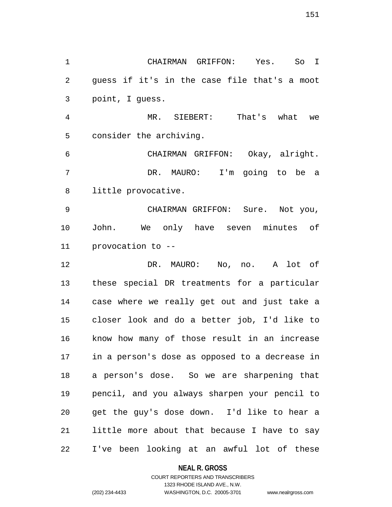CHAIRMAN GRIFFON: Yes. So I guess if it's in the case file that's a moot point, I guess.

 MR. SIEBERT: That's what we consider the archiving.

 CHAIRMAN GRIFFON: Okay, alright. DR. MAURO: I'm going to be a little provocative.

 CHAIRMAN GRIFFON: Sure. Not you, John. We only have seven minutes of provocation to --

 DR. MAURO: No, no. A lot of these special DR treatments for a particular case where we really get out and just take a closer look and do a better job, I'd like to know how many of those result in an increase in a person's dose as opposed to a decrease in a person's dose. So we are sharpening that pencil, and you always sharpen your pencil to get the guy's dose down. I'd like to hear a little more about that because I have to say I've been looking at an awful lot of these

### **NEAL R. GROSS**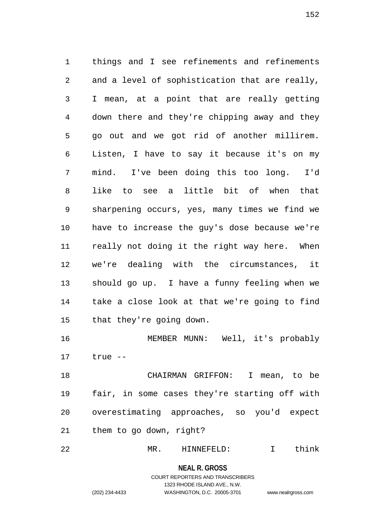things and I see refinements and refinements and a level of sophistication that are really, I mean, at a point that are really getting down there and they're chipping away and they go out and we got rid of another millirem. Listen, I have to say it because it's on my mind. I've been doing this too long. I'd like to see a little bit of when that sharpening occurs, yes, many times we find we have to increase the guy's dose because we're really not doing it the right way here. When we're dealing with the circumstances, it should go up. I have a funny feeling when we take a close look at that we're going to find that they're going down.

 MEMBER MUNN: Well, it's probably true --

 CHAIRMAN GRIFFON: I mean, to be fair, in some cases they're starting off with overestimating approaches, so you'd expect them to go down, right?

MR. HINNEFELD: I think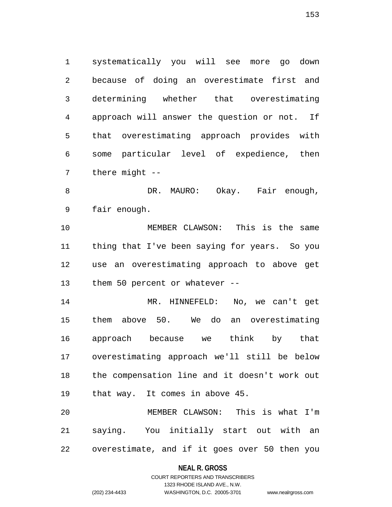systematically you will see more go down because of doing an overestimate first and determining whether that overestimating approach will answer the question or not. If that overestimating approach provides with some particular level of expedience, then there might --

8 DR. MAURO: Okay. Fair enough, fair enough.

 MEMBER CLAWSON: This is the same thing that I've been saying for years. So you use an overestimating approach to above get them 50 percent or whatever --

 MR. HINNEFELD: No, we can't get them above 50. We do an overestimating approach because we think by that overestimating approach we'll still be below the compensation line and it doesn't work out that way. It comes in above 45.

 MEMBER CLAWSON: This is what I'm saying. You initially start out with an overestimate, and if it goes over 50 then you

### **NEAL R. GROSS**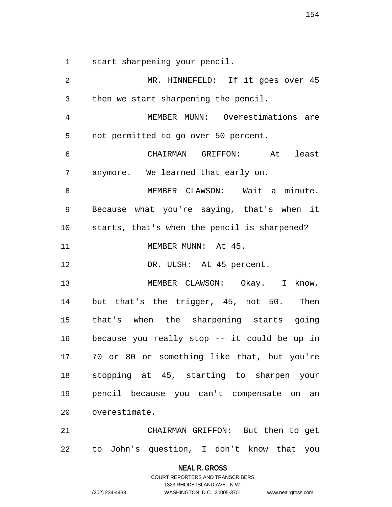start sharpening your pencil.

 MR. HINNEFELD: If it goes over 45 then we start sharpening the pencil. MEMBER MUNN: Overestimations are not permitted to go over 50 percent. CHAIRMAN GRIFFON: At least anymore. We learned that early on. 8 MEMBER CLAWSON: Wait a minute. Because what you're saying, that's when it starts, that's when the pencil is sharpened? 11 MEMBER MUNN: At 45. 12 DR. ULSH: At 45 percent. 13 MEMBER CLAWSON: Okay. I know, but that's the trigger, 45, not 50. Then that's when the sharpening starts going because you really stop -- it could be up in 70 or 80 or something like that, but you're stopping at 45, starting to sharpen your pencil because you can't compensate on an overestimate. CHAIRMAN GRIFFON: But then to get to John's question, I don't know that you

**NEAL R. GROSS**

COURT REPORTERS AND TRANSCRIBERS 1323 RHODE ISLAND AVE., N.W. (202) 234-4433 WASHINGTON, D.C. 20005-3701 www.nealrgross.com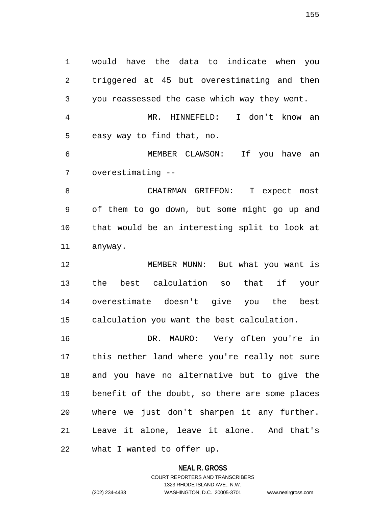would have the data to indicate when you triggered at 45 but overestimating and then you reassessed the case which way they went.

 MR. HINNEFELD: I don't know an easy way to find that, no.

 MEMBER CLAWSON: If you have an overestimating --

 CHAIRMAN GRIFFON: I expect most of them to go down, but some might go up and that would be an interesting split to look at anyway.

 MEMBER MUNN: But what you want is the best calculation so that if your overestimate doesn't give you the best calculation you want the best calculation.

 DR. MAURO: Very often you're in this nether land where you're really not sure and you have no alternative but to give the benefit of the doubt, so there are some places where we just don't sharpen it any further. Leave it alone, leave it alone. And that's

what I wanted to offer up.

### **NEAL R. GROSS**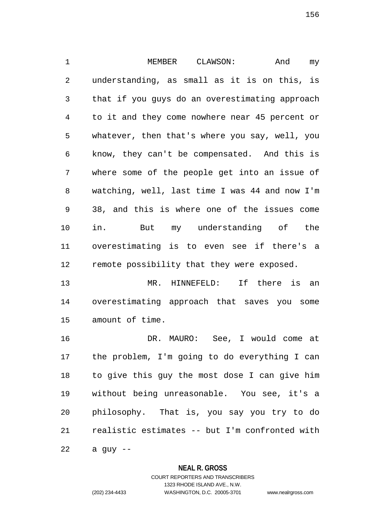1 MEMBER CLAWSON: And my understanding, as small as it is on this, is that if you guys do an overestimating approach to it and they come nowhere near 45 percent or whatever, then that's where you say, well, you know, they can't be compensated. And this is where some of the people get into an issue of watching, well, last time I was 44 and now I'm 38, and this is where one of the issues come in. But my understanding of the overestimating is to even see if there's a remote possibility that they were exposed.

 MR. HINNEFELD: If there is an overestimating approach that saves you some amount of time.

 DR. MAURO: See, I would come at the problem, I'm going to do everything I can to give this guy the most dose I can give him without being unreasonable. You see, it's a philosophy. That is, you say you try to do realistic estimates -- but I'm confronted with

a quy  $-$ 

### **NEAL R. GROSS**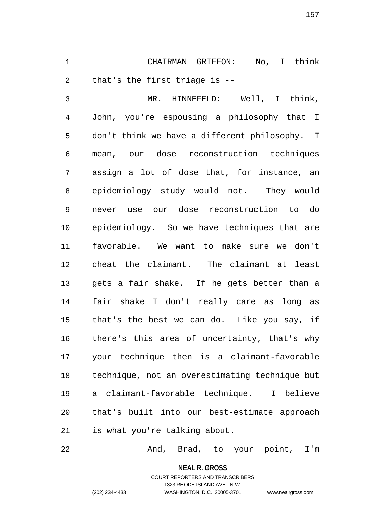CHAIRMAN GRIFFON: No, I think that's the first triage is --

 MR. HINNEFELD: Well, I think, John, you're espousing a philosophy that I don't think we have a different philosophy. I mean, our dose reconstruction techniques assign a lot of dose that, for instance, an epidemiology study would not. They would never use our dose reconstruction to do epidemiology. So we have techniques that are favorable. We want to make sure we don't cheat the claimant. The claimant at least gets a fair shake. If he gets better than a fair shake I don't really care as long as that's the best we can do. Like you say, if there's this area of uncertainty, that's why your technique then is a claimant-favorable technique, not an overestimating technique but a claimant-favorable technique. I believe that's built into our best-estimate approach is what you're talking about.

And, Brad, to your point, I'm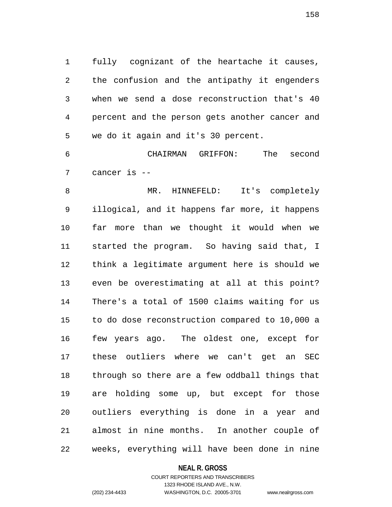fully cognizant of the heartache it causes, the confusion and the antipathy it engenders when we send a dose reconstruction that's 40 percent and the person gets another cancer and we do it again and it's 30 percent.

 CHAIRMAN GRIFFON: The second cancer is --

8 MR. HINNEFELD: It's completely illogical, and it happens far more, it happens far more than we thought it would when we started the program. So having said that, I think a legitimate argument here is should we even be overestimating at all at this point? There's a total of 1500 claims waiting for us to do dose reconstruction compared to 10,000 a few years ago. The oldest one, except for these outliers where we can't get an SEC through so there are a few oddball things that are holding some up, but except for those outliers everything is done in a year and almost in nine months. In another couple of weeks, everything will have been done in nine

#### **NEAL R. GROSS**

### COURT REPORTERS AND TRANSCRIBERS 1323 RHODE ISLAND AVE., N.W. (202) 234-4433 WASHINGTON, D.C. 20005-3701 www.nealrgross.com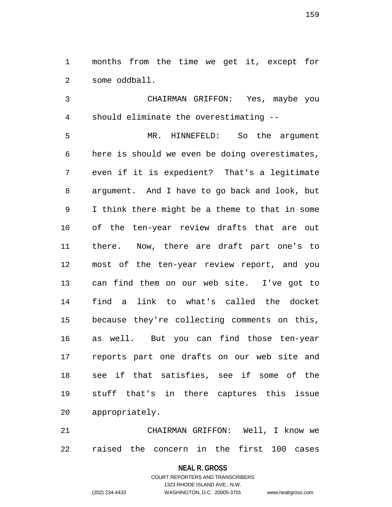months from the time we get it, except for some oddball.

 CHAIRMAN GRIFFON: Yes, maybe you should eliminate the overestimating --

 MR. HINNEFELD: So the argument here is should we even be doing overestimates, even if it is expedient? That's a legitimate argument. And I have to go back and look, but I think there might be a theme to that in some of the ten-year review drafts that are out there. Now, there are draft part one's to most of the ten-year review report, and you can find them on our web site. I've got to find a link to what's called the docket because they're collecting comments on this, as well. But you can find those ten-year reports part one drafts on our web site and see if that satisfies, see if some of the stuff that's in there captures this issue appropriately.

 CHAIRMAN GRIFFON: Well, I know we raised the concern in the first 100 cases

#### **NEAL R. GROSS**

COURT REPORTERS AND TRANSCRIBERS 1323 RHODE ISLAND AVE., N.W. (202) 234-4433 WASHINGTON, D.C. 20005-3701 www.nealrgross.com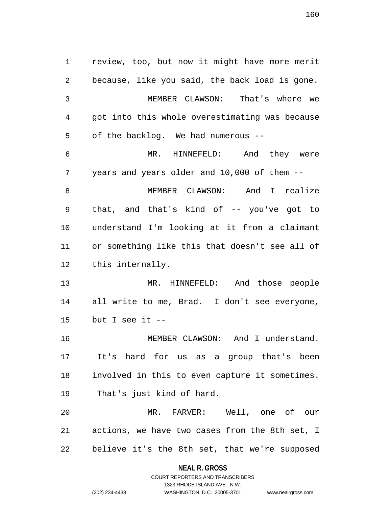review, too, but now it might have more merit because, like you said, the back load is gone. MEMBER CLAWSON: That's where we got into this whole overestimating was because of the backlog. We had numerous -- MR. HINNEFELD: And they were years and years older and 10,000 of them -- MEMBER CLAWSON: And I realize that, and that's kind of -- you've got to understand I'm looking at it from a claimant or something like this that doesn't see all of this internally. MR. HINNEFELD: And those people all write to me, Brad. I don't see everyone, but I see it -- 16 MEMBER CLAWSON: And I understand. It's hard for us as a group that's been involved in this to even capture it sometimes. That's just kind of hard. MR. FARVER: Well, one of our actions, we have two cases from the 8th set, I believe it's the 8th set, that we're supposed

> **NEAL R. GROSS** COURT REPORTERS AND TRANSCRIBERS

> > 1323 RHODE ISLAND AVE., N.W.

(202) 234-4433 WASHINGTON, D.C. 20005-3701 www.nealrgross.com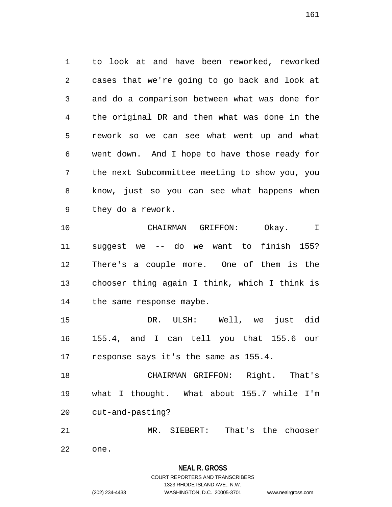to look at and have been reworked, reworked cases that we're going to go back and look at and do a comparison between what was done for the original DR and then what was done in the rework so we can see what went up and what went down. And I hope to have those ready for the next Subcommittee meeting to show you, you know, just so you can see what happens when they do a rework.

 CHAIRMAN GRIFFON: Okay. I suggest we -- do we want to finish 155? There's a couple more. One of them is the chooser thing again I think, which I think is the same response maybe.

 DR. ULSH: Well, we just did 155.4, and I can tell you that 155.6 our response says it's the same as 155.4.

 CHAIRMAN GRIFFON: Right. That's what I thought. What about 155.7 while I'm cut-and-pasting?

MR. SIEBERT: That's the chooser

one.

# **NEAL R. GROSS**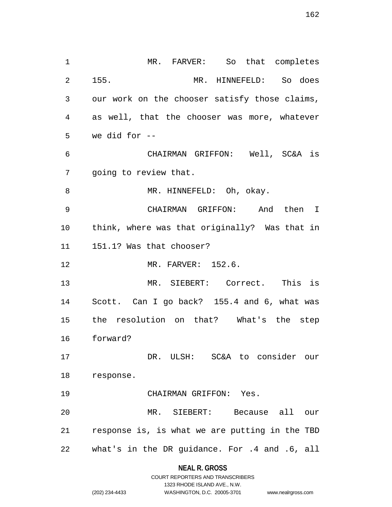MR. FARVER: So that completes 155. MR. HINNEFELD: So does our work on the chooser satisfy those claims, as well, that the chooser was more, whatever we did for -- CHAIRMAN GRIFFON: Well, SC&A is going to review that. 8 MR. HINNEFELD: Oh, okay. CHAIRMAN GRIFFON: And then I think, where was that originally? Was that in 151.1? Was that chooser? MR. FARVER: 152.6. MR. SIEBERT: Correct. This is Scott. Can I go back? 155.4 and 6, what was the resolution on that? What's the step forward? DR. ULSH: SC&A to consider our response. CHAIRMAN GRIFFON: Yes. MR. SIEBERT: Because all our response is, is what we are putting in the TBD what's in the DR guidance. For .4 and .6, all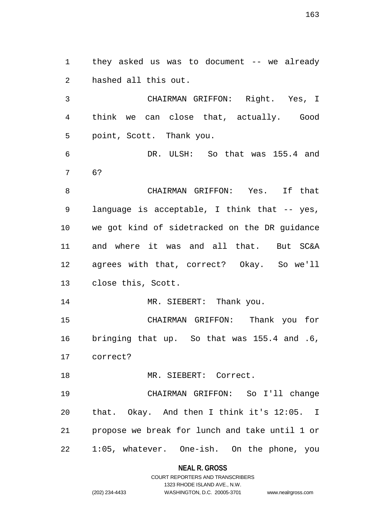they asked us was to document -- we already hashed all this out.

 CHAIRMAN GRIFFON: Right. Yes, I think we can close that, actually. Good point, Scott. Thank you.

 DR. ULSH: So that was 155.4 and 6?

 CHAIRMAN GRIFFON: Yes. If that language is acceptable, I think that -- yes, we got kind of sidetracked on the DR guidance and where it was and all that. But SC&A agrees with that, correct? Okay. So we'll close this, Scott.

14 MR. SIEBERT: Thank you.

 CHAIRMAN GRIFFON: Thank you for bringing that up. So that was 155.4 and .6, correct?

18 MR. SIEBERT: Correct.

 CHAIRMAN GRIFFON: So I'll change that. Okay. And then I think it's 12:05. I propose we break for lunch and take until 1 or 1:05, whatever. One-ish. On the phone, you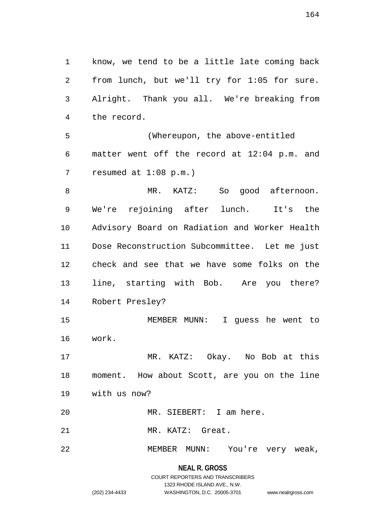know, we tend to be a little late coming back from lunch, but we'll try for 1:05 for sure. Alright. Thank you all. We're breaking from the record.

 (Whereupon, the above-entitled matter went off the record at 12:04 p.m. and resumed at 1:08 p.m.)

 MR. KATZ: So good afternoon. We're rejoining after lunch. It's the Advisory Board on Radiation and Worker Health Dose Reconstruction Subcommittee. Let me just check and see that we have some folks on the line, starting with Bob. Are you there? Robert Presley?

 MEMBER MUNN: I guess he went to work.

 MR. KATZ: Okay. No Bob at this moment. How about Scott, are you on the line with us now?

MR. SIEBERT: I am here.

MR. KATZ: Great.

MEMBER MUNN: You're very weak,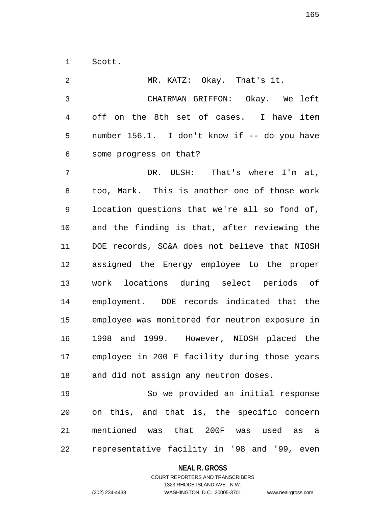Scott.

| 2  | MR. KATZ: Okay. That's it.                     |
|----|------------------------------------------------|
| 3  | CHAIRMAN GRIFFON: Okay. We left                |
| 4  | off on the 8th set of cases. I have item       |
| 5  | number 156.1. I don't know if -- do you have   |
| 6  | some progress on that?                         |
| 7  | DR. ULSH: That's where I'm at,                 |
| 8  | too, Mark. This is another one of those work   |
| 9  | location questions that we're all so fond of,  |
| 10 | and the finding is that, after reviewing the   |
| 11 | DOE records, SC&A does not believe that NIOSH  |
| 12 | assigned the Energy employee to the proper     |
| 13 | work locations during select periods of        |
| 14 | employment. DOE records indicated that the     |
| 15 | employee was monitored for neutron exposure in |
| 16 | 1998 and 1999. However, NIOSH placed the       |
| 17 | employee in 200 F facility during those years  |
| 18 | and did not assign any neutron doses.          |
| 19 | So we provided an initial response             |
| 20 | on this, and that is, the specific concern     |
| 21 | mentioned was that 200F was used as a          |
| 22 | representative facility in '98 and '99, even   |

# **NEAL R. GROSS**

# COURT REPORTERS AND TRANSCRIBERS 1323 RHODE ISLAND AVE., N.W. (202) 234-4433 WASHINGTON, D.C. 20005-3701 www.nealrgross.com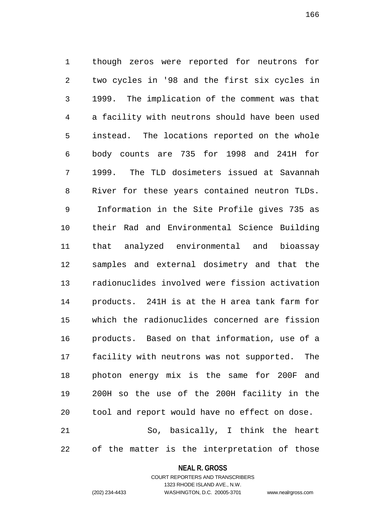though zeros were reported for neutrons for two cycles in '98 and the first six cycles in 1999. The implication of the comment was that a facility with neutrons should have been used instead. The locations reported on the whole body counts are 735 for 1998 and 241H for 1999. The TLD dosimeters issued at Savannah River for these years contained neutron TLDs. Information in the Site Profile gives 735 as their Rad and Environmental Science Building that analyzed environmental and bioassay samples and external dosimetry and that the radionuclides involved were fission activation products. 241H is at the H area tank farm for which the radionuclides concerned are fission products. Based on that information, use of a facility with neutrons was not supported. The photon energy mix is the same for 200F and 200H so the use of the 200H facility in the tool and report would have no effect on dose. So, basically, I think the heart

of the matter is the interpretation of those

# **NEAL R. GROSS** COURT REPORTERS AND TRANSCRIBERS

1323 RHODE ISLAND AVE., N.W. (202) 234-4433 WASHINGTON, D.C. 20005-3701 www.nealrgross.com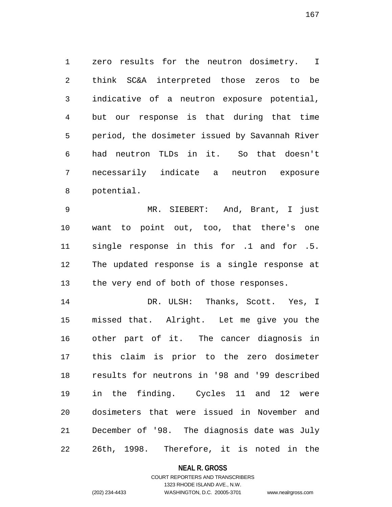zero results for the neutron dosimetry. I think SC&A interpreted those zeros to be indicative of a neutron exposure potential, but our response is that during that time period, the dosimeter issued by Savannah River had neutron TLDs in it. So that doesn't necessarily indicate a neutron exposure potential.

 MR. SIEBERT: And, Brant, I just want to point out, too, that there's one single response in this for .1 and for .5. The updated response is a single response at 13 the very end of both of those responses.

 DR. ULSH: Thanks, Scott. Yes, I missed that. Alright. Let me give you the other part of it. The cancer diagnosis in this claim is prior to the zero dosimeter results for neutrons in '98 and '99 described in the finding. Cycles 11 and 12 were dosimeters that were issued in November and December of '98. The diagnosis date was July 26th, 1998. Therefore, it is noted in the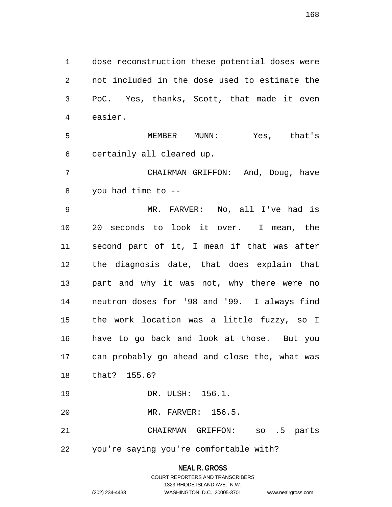dose reconstruction these potential doses were not included in the dose used to estimate the PoC. Yes, thanks, Scott, that made it even easier.

 MEMBER MUNN: Yes, that's certainly all cleared up.

 CHAIRMAN GRIFFON: And, Doug, have you had time to --

 MR. FARVER: No, all I've had is 20 seconds to look it over. I mean, the second part of it, I mean if that was after the diagnosis date, that does explain that part and why it was not, why there were no neutron doses for '98 and '99. I always find the work location was a little fuzzy, so I have to go back and look at those. But you can probably go ahead and close the, what was that? 155.6? DR. ULSH: 156.1.

MR. FARVER: 156.5.

CHAIRMAN GRIFFON: so .5 parts

you're saying you're comfortable with?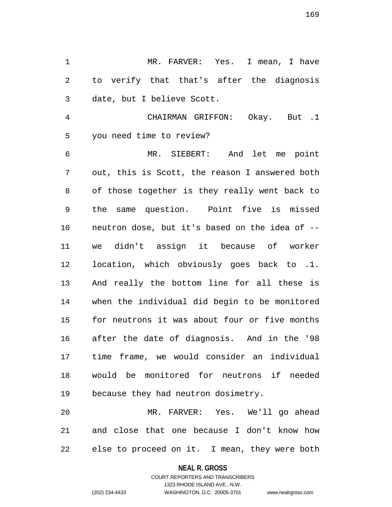MR. FARVER: Yes. I mean, I have to verify that that's after the diagnosis date, but I believe Scott.

 CHAIRMAN GRIFFON: Okay. But .1 you need time to review?

 MR. SIEBERT: And let me point out, this is Scott, the reason I answered both of those together is they really went back to the same question. Point five is missed neutron dose, but it's based on the idea of -- we didn't assign it because of worker location, which obviously goes back to .1. And really the bottom line for all these is when the individual did begin to be monitored for neutrons it was about four or five months after the date of diagnosis. And in the '98 time frame, we would consider an individual would be monitored for neutrons if needed because they had neutron dosimetry.

 MR. FARVER: Yes. We'll go ahead and close that one because I don't know how else to proceed on it. I mean, they were both

**NEAL R. GROSS**

COURT REPORTERS AND TRANSCRIBERS 1323 RHODE ISLAND AVE., N.W. (202) 234-4433 WASHINGTON, D.C. 20005-3701 www.nealrgross.com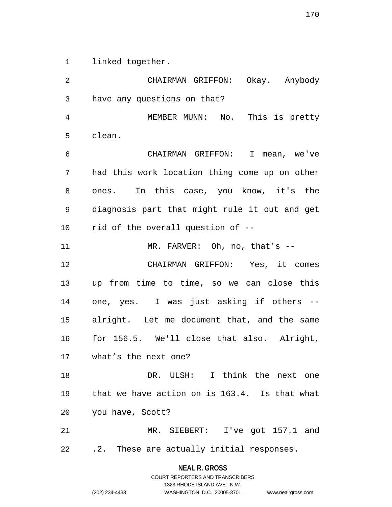linked together.

 CHAIRMAN GRIFFON: Okay. Anybody have any questions on that? MEMBER MUNN: No. This is pretty clean. CHAIRMAN GRIFFON: I mean, we've had this work location thing come up on other ones. In this case, you know, it's the diagnosis part that might rule it out and get rid of the overall question of -- 11 MR. FARVER: Oh, no, that's -- CHAIRMAN GRIFFON: Yes, it comes up from time to time, so we can close this one, yes. I was just asking if others -- alright. Let me document that, and the same for 156.5. We'll close that also. Alright, what's the next one? 18 DR. ULSH: I think the next one that we have action on is 163.4. Is that what you have, Scott? MR. SIEBERT: I've got 157.1 and .2. These are actually initial responses.

> **NEAL R. GROSS** COURT REPORTERS AND TRANSCRIBERS

1323 RHODE ISLAND AVE., N.W. (202) 234-4433 WASHINGTON, D.C. 20005-3701 www.nealrgross.com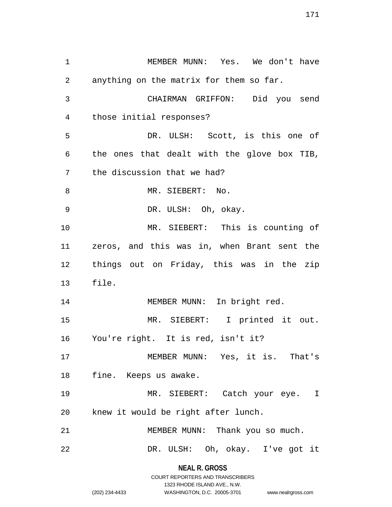MEMBER MUNN: Yes. We don't have anything on the matrix for them so far. CHAIRMAN GRIFFON: Did you send those initial responses? DR. ULSH: Scott, is this one of the ones that dealt with the glove box TIB, the discussion that we had? 8 MR. SIEBERT: No. DR. ULSH: Oh, okay. MR. SIEBERT: This is counting of zeros, and this was in, when Brant sent the things out on Friday, this was in the zip file. 14 MEMBER MUNN: In bright red. MR. SIEBERT: I printed it out. You're right. It is red, isn't it? MEMBER MUNN: Yes, it is. That's fine. Keeps us awake. MR. SIEBERT: Catch your eye. I knew it would be right after lunch. 21 MEMBER MUNN: Thank you so much. DR. ULSH: Oh, okay. I've got it

> **NEAL R. GROSS** COURT REPORTERS AND TRANSCRIBERS

> > 1323 RHODE ISLAND AVE., N.W.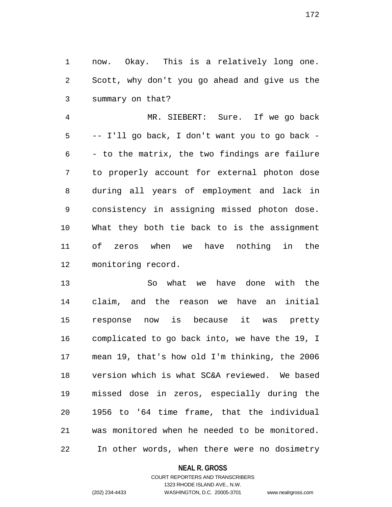now. Okay. This is a relatively long one. Scott, why don't you go ahead and give us the summary on that?

 MR. SIEBERT: Sure. If we go back -- I'll go back, I don't want you to go back - - to the matrix, the two findings are failure to properly account for external photon dose during all years of employment and lack in consistency in assigning missed photon dose. What they both tie back to is the assignment of zeros when we have nothing in the monitoring record.

 So what we have done with the claim, and the reason we have an initial response now is because it was pretty complicated to go back into, we have the 19, I mean 19, that's how old I'm thinking, the 2006 version which is what SC&A reviewed. We based missed dose in zeros, especially during the 1956 to '64 time frame, that the individual was monitored when he needed to be monitored. In other words, when there were no dosimetry

### **NEAL R. GROSS**

### COURT REPORTERS AND TRANSCRIBERS 1323 RHODE ISLAND AVE., N.W. (202) 234-4433 WASHINGTON, D.C. 20005-3701 www.nealrgross.com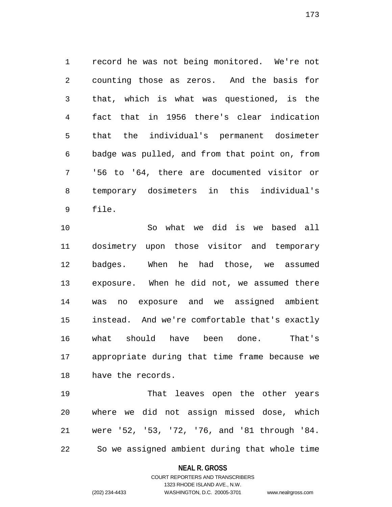record he was not being monitored. We're not counting those as zeros. And the basis for that, which is what was questioned, is the fact that in 1956 there's clear indication that the individual's permanent dosimeter badge was pulled, and from that point on, from '56 to '64, there are documented visitor or temporary dosimeters in this individual's file.

 So what we did is we based all dosimetry upon those visitor and temporary badges. When he had those, we assumed exposure. When he did not, we assumed there was no exposure and we assigned ambient instead. And we're comfortable that's exactly what should have been done. That's appropriate during that time frame because we have the records.

 That leaves open the other years where we did not assign missed dose, which were '52, '53, '72, '76, and '81 through '84. So we assigned ambient during that whole time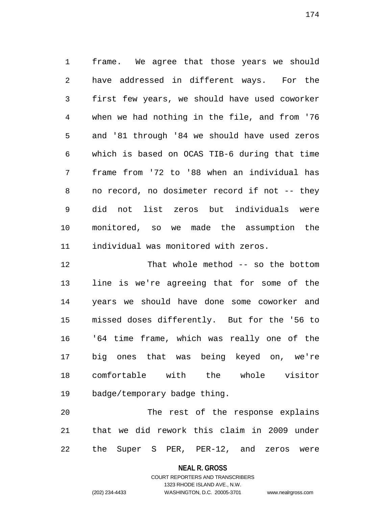frame. We agree that those years we should have addressed in different ways. For the first few years, we should have used coworker when we had nothing in the file, and from '76 and '81 through '84 we should have used zeros which is based on OCAS TIB-6 during that time frame from '72 to '88 when an individual has no record, no dosimeter record if not -- they did not list zeros but individuals were monitored, so we made the assumption the individual was monitored with zeros.

 That whole method -- so the bottom line is we're agreeing that for some of the years we should have done some coworker and missed doses differently. But for the '56 to '64 time frame, which was really one of the big ones that was being keyed on, we're comfortable with the whole visitor badge/temporary badge thing.

 The rest of the response explains that we did rework this claim in 2009 under the Super S PER, PER-12, and zeros were

**NEAL R. GROSS**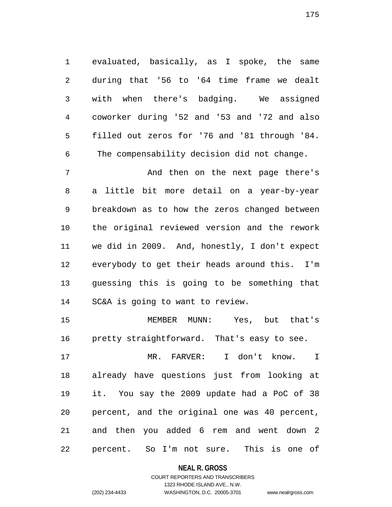evaluated, basically, as I spoke, the same during that '56 to '64 time frame we dealt with when there's badging. We assigned coworker during '52 and '53 and '72 and also filled out zeros for '76 and '81 through '84. The compensability decision did not change.

 And then on the next page there's a little bit more detail on a year-by-year breakdown as to how the zeros changed between the original reviewed version and the rework we did in 2009. And, honestly, I don't expect everybody to get their heads around this. I'm guessing this is going to be something that SC&A is going to want to review.

 MEMBER MUNN: Yes, but that's pretty straightforward. That's easy to see.

 MR. FARVER: I don't know. I already have questions just from looking at it. You say the 2009 update had a PoC of 38 percent, and the original one was 40 percent, and then you added 6 rem and went down 2 percent. So I'm not sure. This is one of

### **NEAL R. GROSS**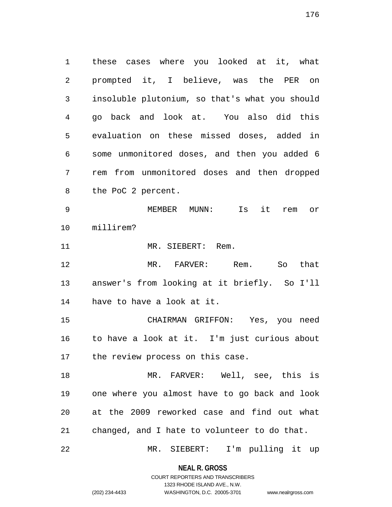these cases where you looked at it, what prompted it, I believe, was the PER on insoluble plutonium, so that's what you should go back and look at. You also did this evaluation on these missed doses, added in some unmonitored doses, and then you added 6 rem from unmonitored doses and then dropped the PoC 2 percent.

 MEMBER MUNN: Is it rem or millirem?

11 MR. SIEBERT: Rem.

 MR. FARVER: Rem. So that answer's from looking at it briefly. So I'll have to have a look at it.

 CHAIRMAN GRIFFON: Yes, you need to have a look at it. I'm just curious about the review process on this case.

 MR. FARVER: Well, see, this is one where you almost have to go back and look at the 2009 reworked case and find out what changed, and I hate to volunteer to do that.

MR. SIEBERT: I'm pulling it up

**NEAL R. GROSS** COURT REPORTERS AND TRANSCRIBERS

1323 RHODE ISLAND AVE., N.W.

(202) 234-4433 WASHINGTON, D.C. 20005-3701 www.nealrgross.com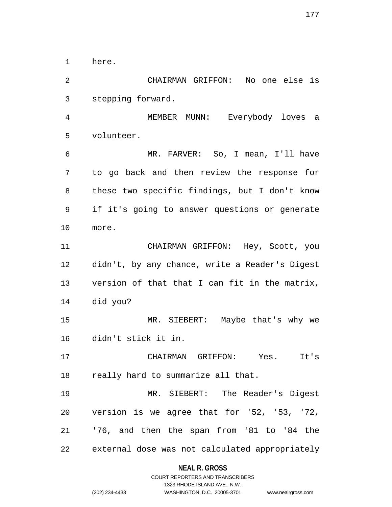here.

 CHAIRMAN GRIFFON: No one else is stepping forward.

 MEMBER MUNN: Everybody loves a volunteer.

 MR. FARVER: So, I mean, I'll have to go back and then review the response for these two specific findings, but I don't know if it's going to answer questions or generate more.

 CHAIRMAN GRIFFON: Hey, Scott, you didn't, by any chance, write a Reader's Digest version of that that I can fit in the matrix, did you?

 MR. SIEBERT: Maybe that's why we didn't stick it in.

 CHAIRMAN GRIFFON: Yes. It's 18 really hard to summarize all that.

 MR. SIEBERT: The Reader's Digest version is we agree that for '52, '53, '72, '76, and then the span from '81 to '84 the external dose was not calculated appropriately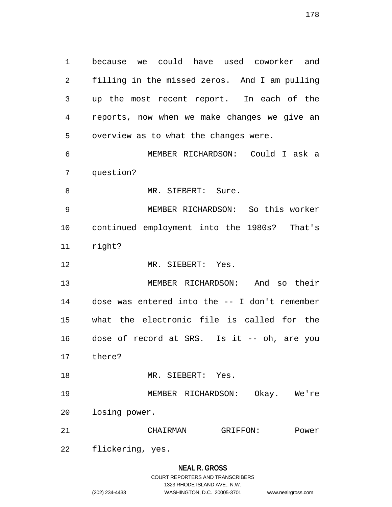because we could have used coworker and filling in the missed zeros. And I am pulling up the most recent report. In each of the reports, now when we make changes we give an overview as to what the changes were. MEMBER RICHARDSON: Could I ask a question? 8 MR. SIEBERT: Sure. MEMBER RICHARDSON: So this worker continued employment into the 1980s? That's

- right?
- 12 MR. SIEBERT: Yes.

 MEMBER RICHARDSON: And so their dose was entered into the -- I don't remember what the electronic file is called for the dose of record at SRS. Is it -- oh, are you there?

18 MR. SIEBERT: Yes.

 MEMBER RICHARDSON: Okay. We're losing power.

CHAIRMAN GRIFFON: Power

flickering, yes.

### **NEAL R. GROSS**

|                | COURT REPORTERS AND TRANSCRIBERS |                    |
|----------------|----------------------------------|--------------------|
|                | 1323 RHODE ISLAND AVE N.W.       |                    |
| (202) 234-4433 | WASHINGTON, D.C. 20005-3701      | www.nealrgross.com |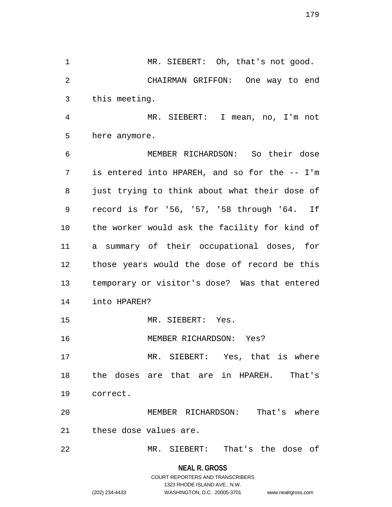1 MR. SIEBERT: Oh, that's not good. CHAIRMAN GRIFFON: One way to end this meeting. MR. SIEBERT: I mean, no, I'm not

here anymore.

 MEMBER RICHARDSON: So their dose is entered into HPAREH, and so for the -- I'm just trying to think about what their dose of record is for '56, '57, '58 through '64. If the worker would ask the facility for kind of a summary of their occupational doses, for those years would the dose of record be this temporary or visitor's dose? Was that entered into HPAREH?

MR. SIEBERT: Yes.

MEMBER RICHARDSON: Yes?

 MR. SIEBERT: Yes, that is where the doses are that are in HPAREH. That's correct.

 MEMBER RICHARDSON: That's where these dose values are.

MR. SIEBERT: That's the dose of

**NEAL R. GROSS**

COURT REPORTERS AND TRANSCRIBERS 1323 RHODE ISLAND AVE., N.W. (202) 234-4433 WASHINGTON, D.C. 20005-3701 www.nealrgross.com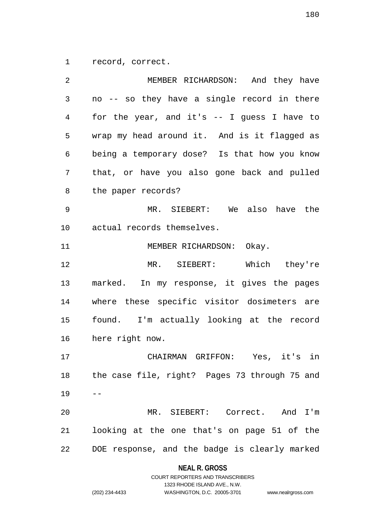record, correct.

 MEMBER RICHARDSON: And they have no -- so they have a single record in there for the year, and it's -- I guess I have to wrap my head around it. And is it flagged as being a temporary dose? Is that how you know that, or have you also gone back and pulled the paper records? MR. SIEBERT: We also have the actual records themselves. 11 MEMBER RICHARDSON: Okay. MR. SIEBERT: Which they're marked. In my response, it gives the pages where these specific visitor dosimeters are found. I'm actually looking at the record here right now. CHAIRMAN GRIFFON: Yes, it's in the case file, right? Pages 73 through 75 and  $19 - -$  MR. SIEBERT: Correct. And I'm looking at the one that's on page 51 of the DOE response, and the badge is clearly marked

#### **NEAL R. GROSS**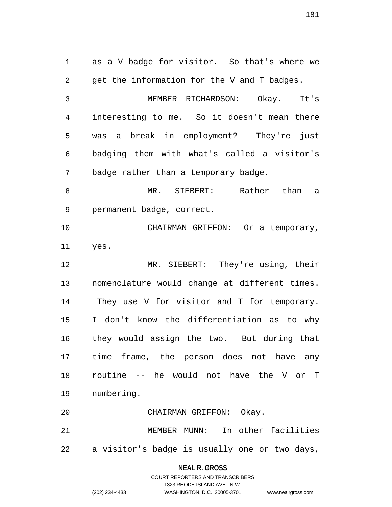as a V badge for visitor. So that's where we get the information for the V and T badges. MEMBER RICHARDSON: Okay. It's interesting to me. So it doesn't mean there was a break in employment? They're just badging them with what's called a visitor's badge rather than a temporary badge. MR. SIEBERT: Rather than a permanent badge, correct. CHAIRMAN GRIFFON: Or a temporary, yes. MR. SIEBERT: They're using, their nomenclature would change at different times. They use V for visitor and T for temporary. I don't know the differentiation as to why they would assign the two. But during that time frame, the person does not have any routine -- he would not have the V or T numbering. CHAIRMAN GRIFFON: Okay. MEMBER MUNN: In other facilities a visitor's badge is usually one or two days,

> **NEAL R. GROSS** COURT REPORTERS AND TRANSCRIBERS

1323 RHODE ISLAND AVE., N.W. (202) 234-4433 WASHINGTON, D.C. 20005-3701 www.nealrgross.com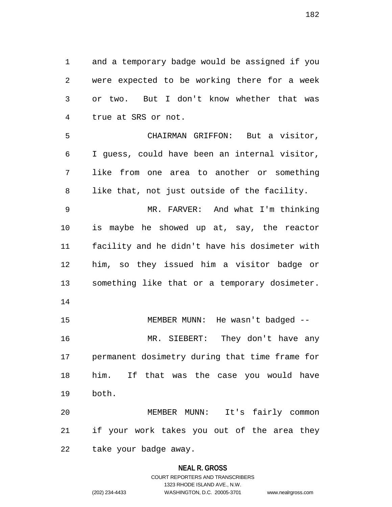and a temporary badge would be assigned if you were expected to be working there for a week or two. But I don't know whether that was true at SRS or not.

 CHAIRMAN GRIFFON: But a visitor, I guess, could have been an internal visitor, like from one area to another or something like that, not just outside of the facility.

 MR. FARVER: And what I'm thinking is maybe he showed up at, say, the reactor facility and he didn't have his dosimeter with him, so they issued him a visitor badge or something like that or a temporary dosimeter.

 MEMBER MUNN: He wasn't badged -- MR. SIEBERT: They don't have any permanent dosimetry during that time frame for him. If that was the case you would have both.

 MEMBER MUNN: It's fairly common if your work takes you out of the area they take your badge away.

### **NEAL R. GROSS**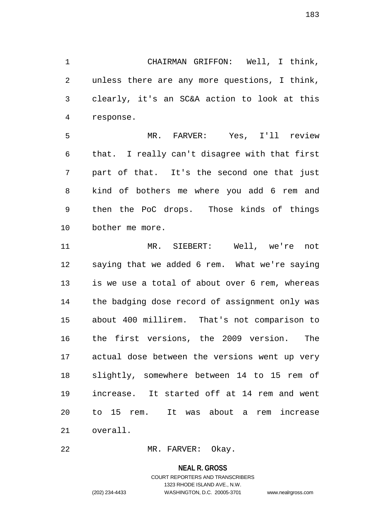CHAIRMAN GRIFFON: Well, I think, unless there are any more questions, I think, clearly, it's an SC&A action to look at this response.

 MR. FARVER: Yes, I'll review that. I really can't disagree with that first part of that. It's the second one that just kind of bothers me where you add 6 rem and then the PoC drops. Those kinds of things bother me more.

 MR. SIEBERT: Well, we're not saying that we added 6 rem. What we're saying is we use a total of about over 6 rem, whereas the badging dose record of assignment only was about 400 millirem. That's not comparison to the first versions, the 2009 version. The actual dose between the versions went up very slightly, somewhere between 14 to 15 rem of increase. It started off at 14 rem and went to 15 rem. It was about a rem increase overall.

MR. FARVER: Okay.

**NEAL R. GROSS**

COURT REPORTERS AND TRANSCRIBERS 1323 RHODE ISLAND AVE., N.W. (202) 234-4433 WASHINGTON, D.C. 20005-3701 www.nealrgross.com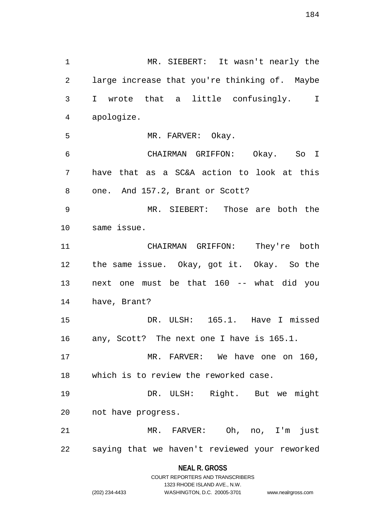MR. SIEBERT: It wasn't nearly the large increase that you're thinking of. Maybe I wrote that a little confusingly. I apologize. MR. FARVER: Okay. CHAIRMAN GRIFFON: Okay. So I have that as a SC&A action to look at this one. And 157.2, Brant or Scott? MR. SIEBERT: Those are both the same issue. CHAIRMAN GRIFFON: They're both the same issue. Okay, got it. Okay. So the next one must be that 160 -- what did you have, Brant? DR. ULSH: 165.1. Have I missed any, Scott? The next one I have is 165.1. MR. FARVER: We have one on 160, which is to review the reworked case. DR. ULSH: Right. But we might not have progress. MR. FARVER: Oh, no, I'm just saying that we haven't reviewed your reworked

# **NEAL R. GROSS** COURT REPORTERS AND TRANSCRIBERS

1323 RHODE ISLAND AVE., N.W.

(202) 234-4433 WASHINGTON, D.C. 20005-3701 www.nealrgross.com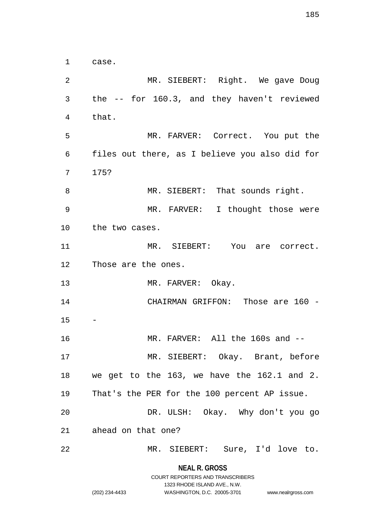case.

 MR. SIEBERT: Right. We gave Doug the -- for 160.3, and they haven't reviewed that. MR. FARVER: Correct. You put the files out there, as I believe you also did for 175? 8 MR. SIEBERT: That sounds right. MR. FARVER: I thought those were the two cases. MR. SIEBERT: You are correct. Those are the ones. 13 MR. FARVER: Okay. CHAIRMAN GRIFFON: Those are 160 - MR. FARVER: All the 160s and -- MR. SIEBERT: Okay. Brant, before we get to the 163, we have the 162.1 and 2. That's the PER for the 100 percent AP issue. DR. ULSH: Okay. Why don't you go ahead on that one? MR. SIEBERT: Sure, I'd love to.

> **NEAL R. GROSS** COURT REPORTERS AND TRANSCRIBERS

> > 1323 RHODE ISLAND AVE., N.W.

(202) 234-4433 WASHINGTON, D.C. 20005-3701 www.nealrgross.com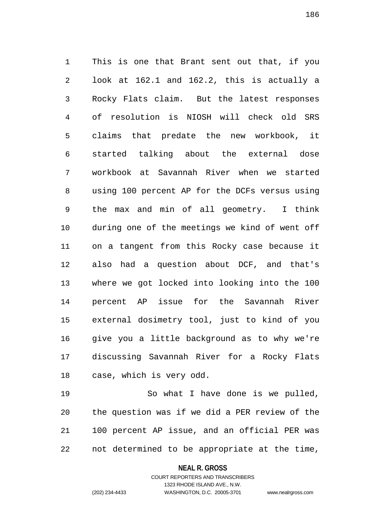This is one that Brant sent out that, if you look at 162.1 and 162.2, this is actually a Rocky Flats claim. But the latest responses of resolution is NIOSH will check old SRS claims that predate the new workbook, it started talking about the external dose workbook at Savannah River when we started using 100 percent AP for the DCFs versus using the max and min of all geometry. I think during one of the meetings we kind of went off on a tangent from this Rocky case because it also had a question about DCF, and that's where we got locked into looking into the 100 percent AP issue for the Savannah River external dosimetry tool, just to kind of you give you a little background as to why we're discussing Savannah River for a Rocky Flats case, which is very odd.

 So what I have done is we pulled, the question was if we did a PER review of the 100 percent AP issue, and an official PER was not determined to be appropriate at the time,

> **NEAL R. GROSS** COURT REPORTERS AND TRANSCRIBERS

> > 1323 RHODE ISLAND AVE., N.W.

(202) 234-4433 WASHINGTON, D.C. 20005-3701 www.nealrgross.com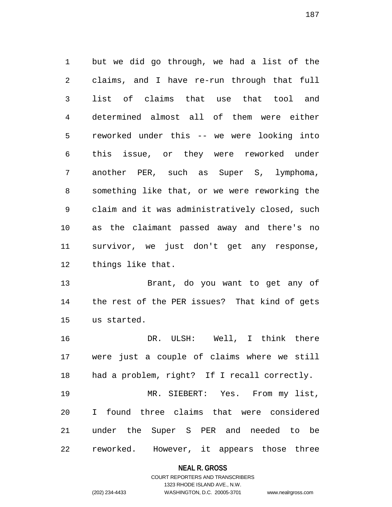but we did go through, we had a list of the claims, and I have re-run through that full list of claims that use that tool and determined almost all of them were either reworked under this -- we were looking into this issue, or they were reworked under another PER, such as Super S, lymphoma, something like that, or we were reworking the claim and it was administratively closed, such as the claimant passed away and there's no survivor, we just don't get any response, things like that.

 Brant, do you want to get any of the rest of the PER issues? That kind of gets us started.

 DR. ULSH: Well, I think there were just a couple of claims where we still had a problem, right? If I recall correctly. MR. SIEBERT: Yes. From my list, I found three claims that were considered

 under the Super S PER and needed to be reworked. However, it appears those three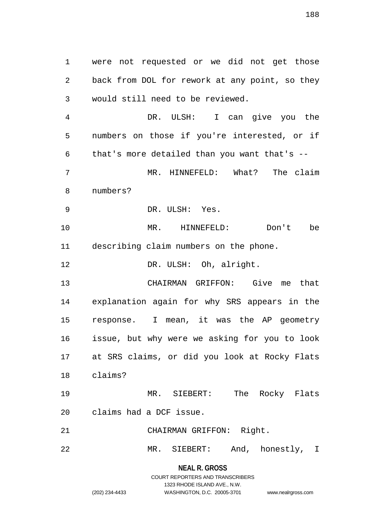were not requested or we did not get those back from DOL for rework at any point, so they would still need to be reviewed.

 DR. ULSH: I can give you the numbers on those if you're interested, or if that's more detailed than you want that's -- MR. HINNEFELD: What? The claim numbers? DR. ULSH: Yes. MR. HINNEFELD: Don't be describing claim numbers on the phone. 12 DR. ULSH: Oh, alright. CHAIRMAN GRIFFON: Give me that explanation again for why SRS appears in the response. I mean, it was the AP geometry

 issue, but why were we asking for you to look at SRS claims, or did you look at Rocky Flats claims?

 MR. SIEBERT: The Rocky Flats claims had a DCF issue.

CHAIRMAN GRIFFON: Right.

MR. SIEBERT: And, honestly, I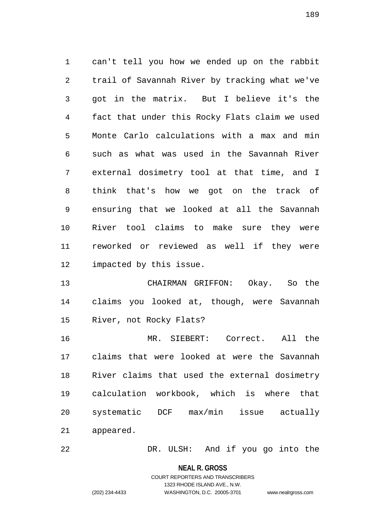can't tell you how we ended up on the rabbit trail of Savannah River by tracking what we've got in the matrix. But I believe it's the fact that under this Rocky Flats claim we used Monte Carlo calculations with a max and min such as what was used in the Savannah River external dosimetry tool at that time, and I think that's how we got on the track of ensuring that we looked at all the Savannah River tool claims to make sure they were reworked or reviewed as well if they were impacted by this issue.

 CHAIRMAN GRIFFON: Okay. So the claims you looked at, though, were Savannah River, not Rocky Flats?

 MR. SIEBERT: Correct. All the claims that were looked at were the Savannah River claims that used the external dosimetry calculation workbook, which is where that systematic DCF max/min issue actually appeared.

DR. ULSH: And if you go into the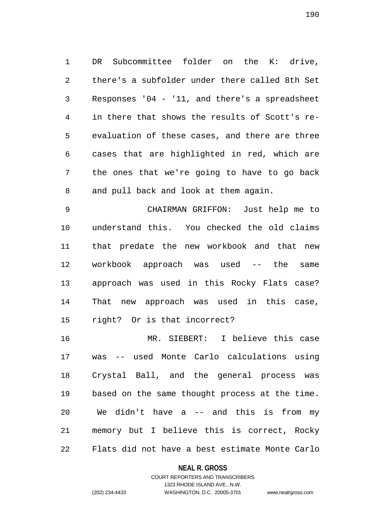DR Subcommittee folder on the K: drive, there's a subfolder under there called 8th Set Responses '04 - '11, and there's a spreadsheet in there that shows the results of Scott's re- evaluation of these cases, and there are three cases that are highlighted in red, which are the ones that we're going to have to go back and pull back and look at them again.

 CHAIRMAN GRIFFON: Just help me to understand this. You checked the old claims that predate the new workbook and that new workbook approach was used -- the same approach was used in this Rocky Flats case? That new approach was used in this case, right? Or is that incorrect?

 MR. SIEBERT: I believe this case was -- used Monte Carlo calculations using Crystal Ball, and the general process was based on the same thought process at the time. We didn't have a -- and this is from my memory but I believe this is correct, Rocky Flats did not have a best estimate Monte Carlo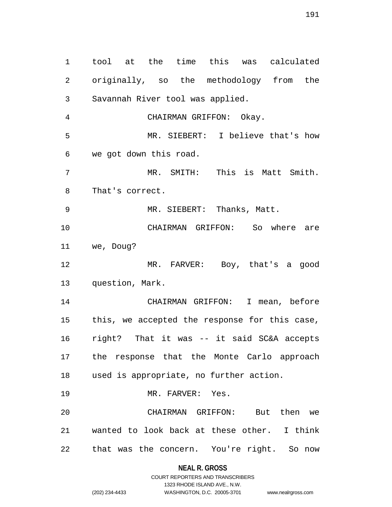tool at the time this was calculated originally, so the methodology from the Savannah River tool was applied. CHAIRMAN GRIFFON: Okay. MR. SIEBERT: I believe that's how we got down this road. MR. SMITH: This is Matt Smith. That's correct. MR. SIEBERT: Thanks, Matt. CHAIRMAN GRIFFON: So where are we, Doug? MR. FARVER: Boy, that's a good question, Mark. CHAIRMAN GRIFFON: I mean, before this, we accepted the response for this case, right? That it was -- it said SC&A accepts the response that the Monte Carlo approach used is appropriate, no further action. 19 MR. FARVER: Yes. CHAIRMAN GRIFFON: But then we wanted to look back at these other. I think that was the concern. You're right. So now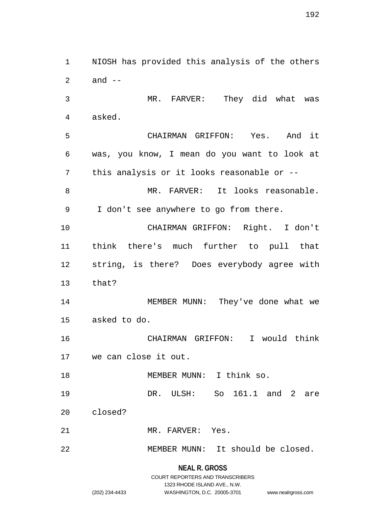NIOSH has provided this analysis of the others and -- MR. FARVER: They did what was asked. CHAIRMAN GRIFFON: Yes. And it was, you know, I mean do you want to look at this analysis or it looks reasonable or -- MR. FARVER: It looks reasonable. I don't see anywhere to go from there. CHAIRMAN GRIFFON: Right. I don't think there's much further to pull that string, is there? Does everybody agree with that? 14 MEMBER MUNN: They've done what we asked to do. CHAIRMAN GRIFFON: I would think we can close it out. 18 MEMBER MUNN: I think so. DR. ULSH: So 161.1 and 2 are closed? MR. FARVER: Yes. MEMBER MUNN: It should be closed.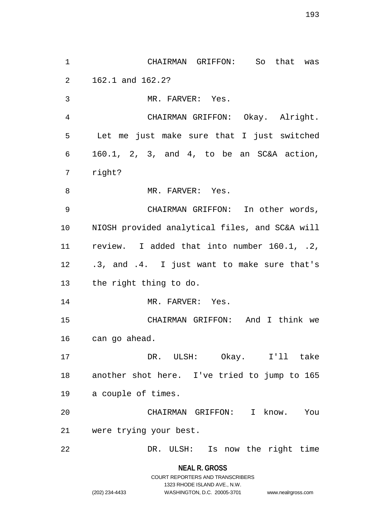CHAIRMAN GRIFFON: So that was 162.1 and 162.2? MR. FARVER: Yes. CHAIRMAN GRIFFON: Okay. Alright. Let me just make sure that I just switched 160.1, 2, 3, and 4, to be an SC&A action, right? 8 MR. FARVER: Yes. CHAIRMAN GRIFFON: In other words, NIOSH provided analytical files, and SC&A will review. I added that into number 160.1, .2, .3, and .4. I just want to make sure that's the right thing to do. 14 MR. FARVER: Yes. CHAIRMAN GRIFFON: And I think we can go ahead. DR. ULSH: Okay. I'll take another shot here. I've tried to jump to 165 a couple of times. CHAIRMAN GRIFFON: I know. You were trying your best. DR. ULSH: Is now the right time

**NEAL R. GROSS**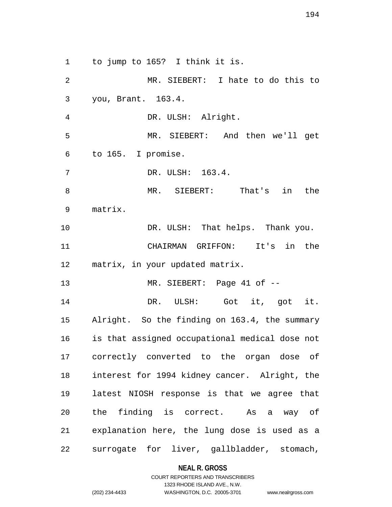to jump to 165? I think it is.

 MR. SIEBERT: I hate to do this to you, Brant. 163.4. DR. ULSH: Alright. MR. SIEBERT: And then we'll get to 165. I promise. DR. ULSH: 163.4. MR. SIEBERT: That's in the matrix. 10 DR. ULSH: That helps. Thank you. CHAIRMAN GRIFFON: It's in the matrix, in your updated matrix. 13 MR. SIEBERT: Page 41 of -- DR. ULSH: Got it, got it. Alright. So the finding on 163.4, the summary is that assigned occupational medical dose not correctly converted to the organ dose of interest for 1994 kidney cancer. Alright, the latest NIOSH response is that we agree that the finding is correct. As a way of explanation here, the lung dose is used as a surrogate for liver, gallbladder, stomach,

**NEAL R. GROSS**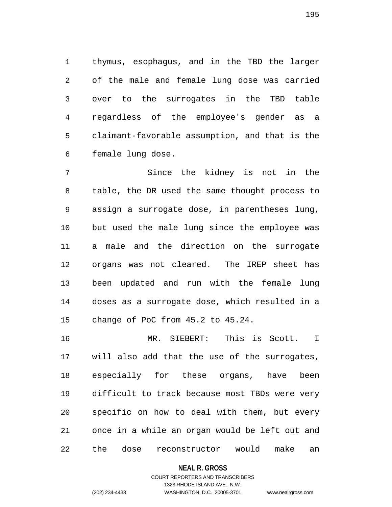thymus, esophagus, and in the TBD the larger of the male and female lung dose was carried over to the surrogates in the TBD table regardless of the employee's gender as a claimant-favorable assumption, and that is the female lung dose.

 Since the kidney is not in the table, the DR used the same thought process to assign a surrogate dose, in parentheses lung, but used the male lung since the employee was a male and the direction on the surrogate organs was not cleared. The IREP sheet has been updated and run with the female lung doses as a surrogate dose, which resulted in a change of PoC from 45.2 to 45.24.

 MR. SIEBERT: This is Scott. I will also add that the use of the surrogates, especially for these organs, have been difficult to track because most TBDs were very specific on how to deal with them, but every once in a while an organ would be left out and the dose reconstructor would make an

### **NEAL R. GROSS**

## COURT REPORTERS AND TRANSCRIBERS 1323 RHODE ISLAND AVE., N.W. (202) 234-4433 WASHINGTON, D.C. 20005-3701 www.nealrgross.com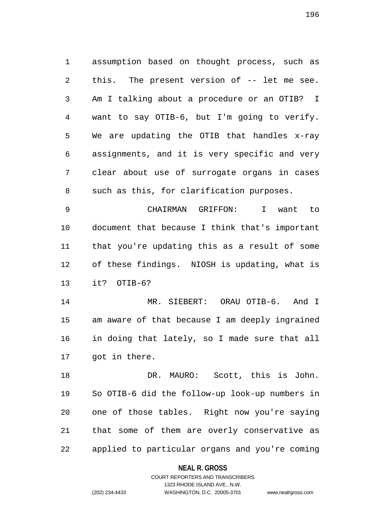assumption based on thought process, such as this. The present version of -- let me see. Am I talking about a procedure or an OTIB? I want to say OTIB-6, but I'm going to verify. We are updating the OTIB that handles x-ray assignments, and it is very specific and very clear about use of surrogate organs in cases such as this, for clarification purposes.

 CHAIRMAN GRIFFON: I want to document that because I think that's important that you're updating this as a result of some of these findings. NIOSH is updating, what is it? OTIB-6?

 MR. SIEBERT: ORAU OTIB-6. And I am aware of that because I am deeply ingrained in doing that lately, so I made sure that all got in there.

 DR. MAURO: Scott, this is John. So OTIB-6 did the follow-up look-up numbers in one of those tables. Right now you're saying that some of them are overly conservative as applied to particular organs and you're coming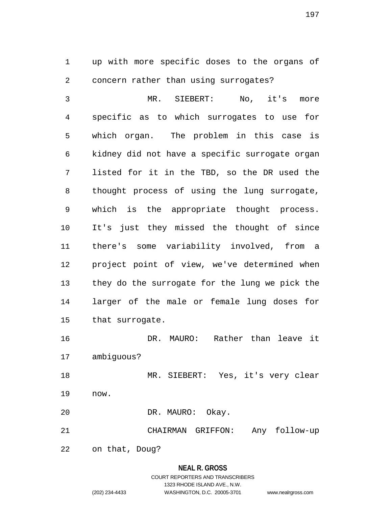up with more specific doses to the organs of concern rather than using surrogates?

 MR. SIEBERT: No, it's more specific as to which surrogates to use for which organ. The problem in this case is kidney did not have a specific surrogate organ listed for it in the TBD, so the DR used the thought process of using the lung surrogate, which is the appropriate thought process. It's just they missed the thought of since there's some variability involved, from a project point of view, we've determined when they do the surrogate for the lung we pick the larger of the male or female lung doses for that surrogate.

 DR. MAURO: Rather than leave it ambiguous?

 MR. SIEBERT: Yes, it's very clear now.

DR. MAURO: Okay.

CHAIRMAN GRIFFON: Any follow-up

on that, Doug?

## **NEAL R. GROSS**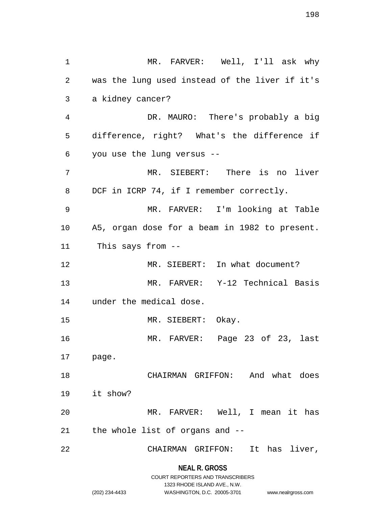| 1              | MR. FARVER: Well, I'll ask why                 |
|----------------|------------------------------------------------|
| $\overline{a}$ | was the lung used instead of the liver if it's |
| 3              | a kidney cancer?                               |
| 4              | DR. MAURO: There's probably a big              |
| 5              | difference, right? What's the difference if    |
| 6              | you use the lung versus --                     |
| 7              | MR. SIEBERT: There is no liver                 |
| 8              | DCF in ICRP 74, if I remember correctly.       |
| 9              | MR. FARVER: I'm looking at Table               |
| 10             | A5, organ dose for a beam in 1982 to present.  |
| 11             | This says from --                              |
| 12             | MR. SIEBERT: In what document?                 |
| 13             | MR. FARVER: Y-12 Technical Basis               |
| 14             | under the medical dose.                        |
| 15             | MR. SIEBERT: Okay.                             |
| 16             | MR. FARVER: Page 23 of 23, last                |
| 17 page.       |                                                |
| 18             | CHAIRMAN GRIFFON: And what does                |
| 19             | it show?                                       |
| 20             | MR. FARVER: Well, I mean it has                |
| 21             | the whole list of organs and --                |
| 22             | It has liver,<br>CHAIRMAN GRIFFON:             |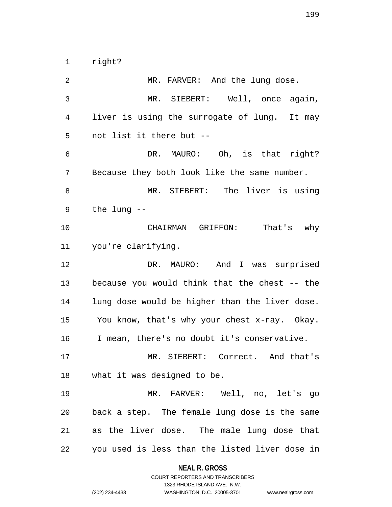right?

2 MR. FARVER: And the lung dose. MR. SIEBERT: Well, once again, liver is using the surrogate of lung. It may not list it there but -- DR. MAURO: Oh, is that right? Because they both look like the same number. MR. SIEBERT: The liver is using the lung -- CHAIRMAN GRIFFON: That's why you're clarifying. DR. MAURO: And I was surprised because you would think that the chest -- the lung dose would be higher than the liver dose. You know, that's why your chest x-ray. Okay. I mean, there's no doubt it's conservative. MR. SIEBERT: Correct. And that's what it was designed to be. MR. FARVER: Well, no, let's go back a step. The female lung dose is the same as the liver dose. The male lung dose that you used is less than the listed liver dose in

> **NEAL R. GROSS** COURT REPORTERS AND TRANSCRIBERS

1323 RHODE ISLAND AVE., N.W. (202) 234-4433 WASHINGTON, D.C. 20005-3701 www.nealrgross.com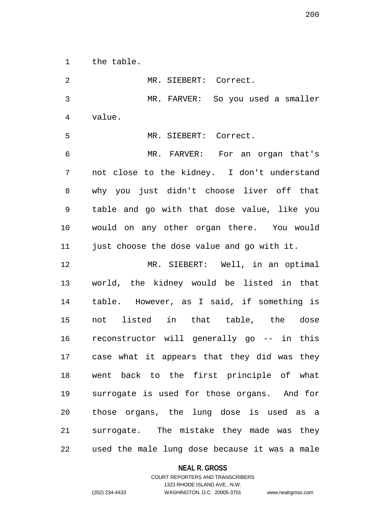the table.

| 2              | MR. SIEBERT: Correct.                         |
|----------------|-----------------------------------------------|
| $\mathfrak{Z}$ | MR. FARVER: So you used a smaller             |
| $\overline{4}$ | value.                                        |
| 5              | MR. SIEBERT: Correct.                         |
| $\epsilon$     | MR. FARVER: For an organ that's               |
| 7              | not close to the kidney. I don't understand   |
| 8              | why you just didn't choose liver off that     |
| $\mathsf 9$    | table and go with that dose value, like you   |
| 10             | would on any other organ there. You would     |
| 11             | just choose the dose value and go with it.    |
| 12             | MR. SIEBERT: Well, in an optimal              |
| 13             | world, the kidney would be listed in that     |
| 14             | table. However, as I said, if something is    |
| 15             | not listed in that table, the dose            |
| 16             | reconstructor will generally go -- in this    |
| 17             | case what it appears that they did was they   |
| 18             | went back to the first principle of what      |
| 19             | surrogate is used for those organs. And for   |
| 20             | those organs, the lung dose is used as a      |
| 21             | surrogate. The mistake they made was they     |
| 22             | used the male lung dose because it was a male |

**NEAL R. GROSS**

COURT REPORTERS AND TRANSCRIBERS 1323 RHODE ISLAND AVE., N.W. (202) 234-4433 WASHINGTON, D.C. 20005-3701 www.nealrgross.com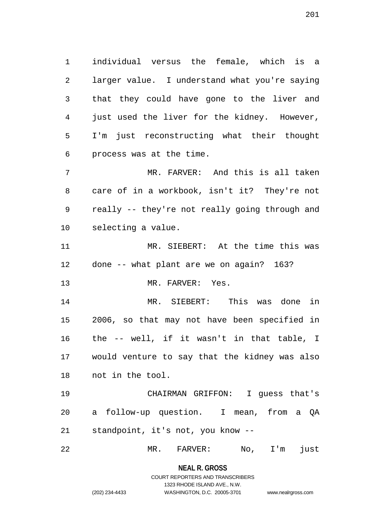individual versus the female, which is a larger value. I understand what you're saying that they could have gone to the liver and just used the liver for the kidney. However, I'm just reconstructing what their thought process was at the time.

 MR. FARVER: And this is all taken care of in a workbook, isn't it? They're not really -- they're not really going through and selecting a value.

 MR. SIEBERT: At the time this was done -- what plant are we on again? 163?

MR. FARVER: Yes.

 MR. SIEBERT: This was done in 2006, so that may not have been specified in the -- well, if it wasn't in that table, I would venture to say that the kidney was also not in the tool.

 CHAIRMAN GRIFFON: I guess that's a follow-up question. I mean, from a QA standpoint, it's not, you know --

MR. FARVER: No, I'm just

**NEAL R. GROSS**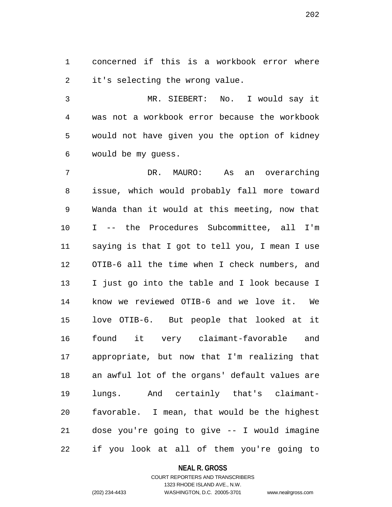concerned if this is a workbook error where it's selecting the wrong value.

 MR. SIEBERT: No. I would say it was not a workbook error because the workbook would not have given you the option of kidney would be my guess.

 DR. MAURO: As an overarching issue, which would probably fall more toward Wanda than it would at this meeting, now that I -- the Procedures Subcommittee, all I'm saying is that I got to tell you, I mean I use OTIB-6 all the time when I check numbers, and I just go into the table and I look because I know we reviewed OTIB-6 and we love it. We love OTIB-6. But people that looked at it found it very claimant-favorable and appropriate, but now that I'm realizing that an awful lot of the organs' default values are lungs. And certainly that's claimant- favorable. I mean, that would be the highest dose you're going to give -- I would imagine if you look at all of them you're going to

#### **NEAL R. GROSS**

## COURT REPORTERS AND TRANSCRIBERS 1323 RHODE ISLAND AVE., N.W. (202) 234-4433 WASHINGTON, D.C. 20005-3701 www.nealrgross.com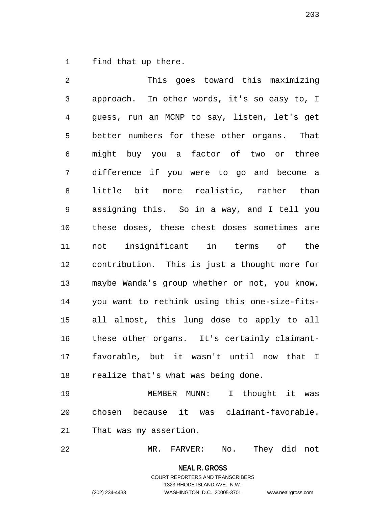find that up there.

 This goes toward this maximizing approach. In other words, it's so easy to, I guess, run an MCNP to say, listen, let's get better numbers for these other organs. That might buy you a factor of two or three difference if you were to go and become a little bit more realistic, rather than assigning this. So in a way, and I tell you these doses, these chest doses sometimes are not insignificant in terms of the contribution. This is just a thought more for maybe Wanda's group whether or not, you know, you want to rethink using this one-size-fits- all almost, this lung dose to apply to all these other organs. It's certainly claimant- favorable, but it wasn't until now that I realize that's what was being done.

 MEMBER MUNN: I thought it was chosen because it was claimant-favorable. That was my assertion.

MR. FARVER: No. They did not

**NEAL R. GROSS**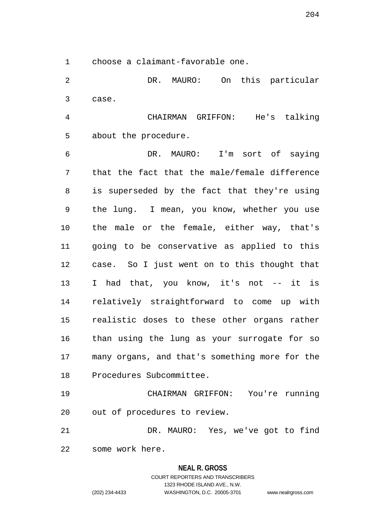choose a claimant-favorable one.

 DR. MAURO: On this particular case.

 CHAIRMAN GRIFFON: He's talking about the procedure.

 DR. MAURO: I'm sort of saying that the fact that the male/female difference is superseded by the fact that they're using the lung. I mean, you know, whether you use the male or the female, either way, that's going to be conservative as applied to this case. So I just went on to this thought that 13 I had that, you know, it's not -- it is relatively straightforward to come up with realistic doses to these other organs rather than using the lung as your surrogate for so many organs, and that's something more for the Procedures Subcommittee.

 CHAIRMAN GRIFFON: You're running out of procedures to review.

 DR. MAURO: Yes, we've got to find some work here.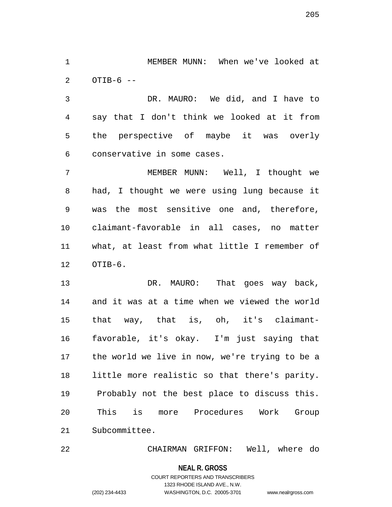MEMBER MUNN: When we've looked at OTIB-6 --

 DR. MAURO: We did, and I have to say that I don't think we looked at it from the perspective of maybe it was overly conservative in some cases.

 MEMBER MUNN: Well, I thought we had, I thought we were using lung because it was the most sensitive one and, therefore, claimant-favorable in all cases, no matter what, at least from what little I remember of OTIB-6.

13 DR. MAURO: That goes way back, and it was at a time when we viewed the world that way, that is, oh, it's claimant- favorable, it's okay. I'm just saying that the world we live in now, we're trying to be a little more realistic so that there's parity. Probably not the best place to discuss this. This is more Procedures Work Group Subcommittee.

CHAIRMAN GRIFFON: Well, where do

**NEAL R. GROSS**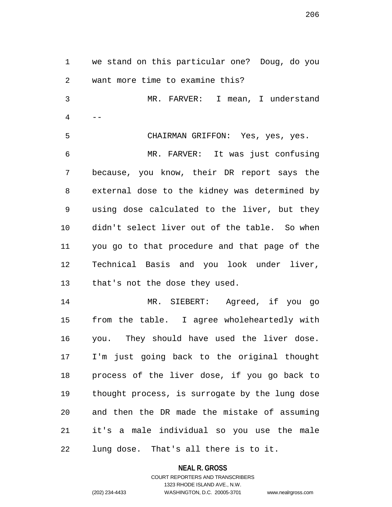we stand on this particular one? Doug, do you want more time to examine this? MR. FARVER: I mean, I understand  $4 \qquad --$  CHAIRMAN GRIFFON: Yes, yes, yes. MR. FARVER: It was just confusing because, you know, their DR report says the external dose to the kidney was determined by using dose calculated to the liver, but they didn't select liver out of the table. So when you go to that procedure and that page of the Technical Basis and you look under liver, that's not the dose they used. MR. SIEBERT: Agreed, if you go from the table. I agree wholeheartedly with you. They should have used the liver dose. I'm just going back to the original thought process of the liver dose, if you go back to thought process, is surrogate by the lung dose and then the DR made the mistake of assuming it's a male individual so you use the male lung dose. That's all there is to it.

**NEAL R. GROSS**

COURT REPORTERS AND TRANSCRIBERS 1323 RHODE ISLAND AVE., N.W. (202) 234-4433 WASHINGTON, D.C. 20005-3701 www.nealrgross.com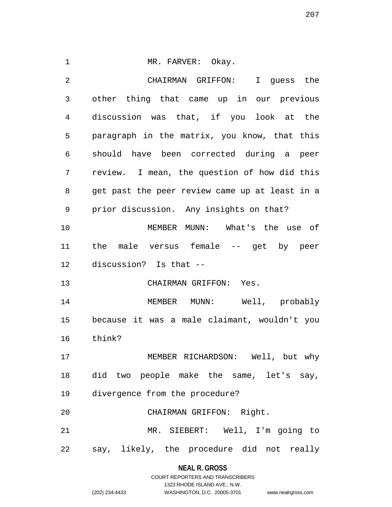1 MR. FARVER: Okay. CHAIRMAN GRIFFON: I guess the other thing that came up in our previous discussion was that, if you look at the paragraph in the matrix, you know, that this should have been corrected during a peer review. I mean, the question of how did this get past the peer review came up at least in a prior discussion. Any insights on that? MEMBER MUNN: What's the use of the male versus female -- get by peer discussion? Is that -- CHAIRMAN GRIFFON: Yes. MEMBER MUNN: Well, probably because it was a male claimant, wouldn't you think? MEMBER RICHARDSON: Well, but why did two people make the same, let's say, divergence from the procedure? CHAIRMAN GRIFFON: Right. MR. SIEBERT: Well, I'm going to say, likely, the procedure did not really

## **NEAL R. GROSS**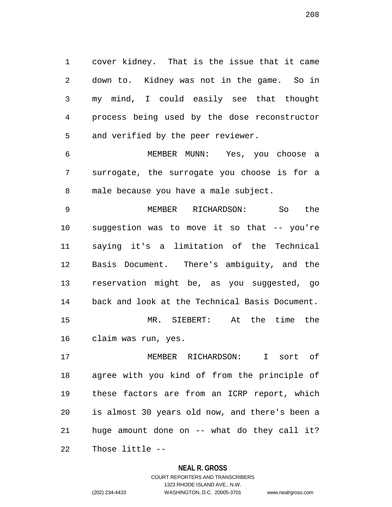cover kidney. That is the issue that it came down to. Kidney was not in the game. So in my mind, I could easily see that thought process being used by the dose reconstructor and verified by the peer reviewer.

 MEMBER MUNN: Yes, you choose a surrogate, the surrogate you choose is for a male because you have a male subject.

 MEMBER RICHARDSON: So the suggestion was to move it so that -- you're saying it's a limitation of the Technical Basis Document. There's ambiguity, and the reservation might be, as you suggested, go back and look at the Technical Basis Document. MR. SIEBERT: At the time the claim was run, yes.

 MEMBER RICHARDSON: I sort of agree with you kind of from the principle of these factors are from an ICRP report, which is almost 30 years old now, and there's been a huge amount done on -- what do they call it? Those little --

#### **NEAL R. GROSS**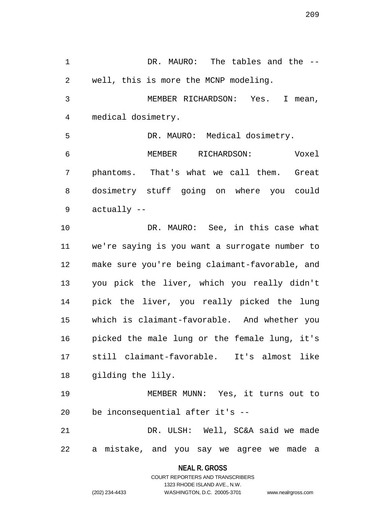DR. MAURO: The tables and the -- well, this is more the MCNP modeling. MEMBER RICHARDSON: Yes. I mean, medical dosimetry. DR. MAURO: Medical dosimetry. MEMBER RICHARDSON: Voxel phantoms. That's what we call them. Great dosimetry stuff going on where you could actually -- DR. MAURO: See, in this case what we're saying is you want a surrogate number to make sure you're being claimant-favorable, and you pick the liver, which you really didn't pick the liver, you really picked the lung which is claimant-favorable. And whether you picked the male lung or the female lung, it's still claimant-favorable. It's almost like gilding the lily. MEMBER MUNN: Yes, it turns out to be inconsequential after it's -- DR. ULSH: Well, SC&A said we made

a mistake, and you say we agree we made a

**NEAL R. GROSS** COURT REPORTERS AND TRANSCRIBERS

1323 RHODE ISLAND AVE., N.W.

(202) 234-4433 WASHINGTON, D.C. 20005-3701 www.nealrgross.com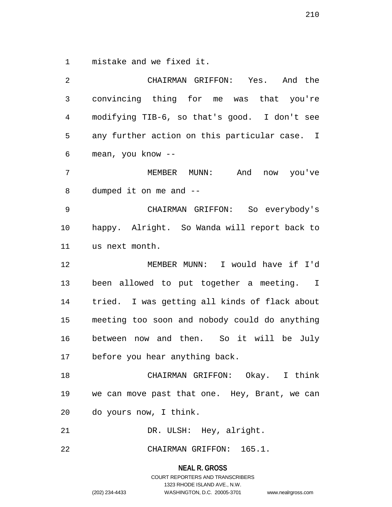mistake and we fixed it.

 CHAIRMAN GRIFFON: Yes. And the convincing thing for me was that you're modifying TIB-6, so that's good. I don't see any further action on this particular case. I mean, you know -- MEMBER MUNN: And now you've dumped it on me and -- CHAIRMAN GRIFFON: So everybody's happy. Alright. So Wanda will report back to us next month. MEMBER MUNN: I would have if I'd been allowed to put together a meeting. I tried. I was getting all kinds of flack about meeting too soon and nobody could do anything between now and then. So it will be July before you hear anything back. CHAIRMAN GRIFFON: Okay. I think we can move past that one. Hey, Brant, we can do yours now, I think. 21 DR. ULSH: Hey, alright.

CHAIRMAN GRIFFON: 165.1.

**NEAL R. GROSS**

COURT REPORTERS AND TRANSCRIBERS 1323 RHODE ISLAND AVE., N.W. (202) 234-4433 WASHINGTON, D.C. 20005-3701 www.nealrgross.com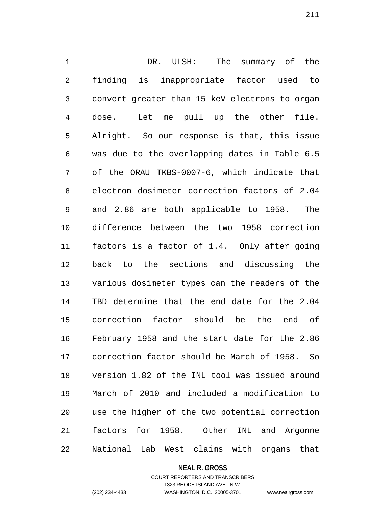DR. ULSH: The summary of the finding is inappropriate factor used to convert greater than 15 keV electrons to organ dose. Let me pull up the other file. Alright. So our response is that, this issue was due to the overlapping dates in Table 6.5 of the ORAU TKBS-0007-6, which indicate that electron dosimeter correction factors of 2.04 and 2.86 are both applicable to 1958. The difference between the two 1958 correction factors is a factor of 1.4. Only after going back to the sections and discussing the various dosimeter types can the readers of the TBD determine that the end date for the 2.04 correction factor should be the end of February 1958 and the start date for the 2.86 correction factor should be March of 1958. So version 1.82 of the INL tool was issued around March of 2010 and included a modification to use the higher of the two potential correction factors for 1958. Other INL and Argonne National Lab West claims with organs that

#### **NEAL R. GROSS**

## COURT REPORTERS AND TRANSCRIBERS 1323 RHODE ISLAND AVE., N.W. (202) 234-4433 WASHINGTON, D.C. 20005-3701 www.nealrgross.com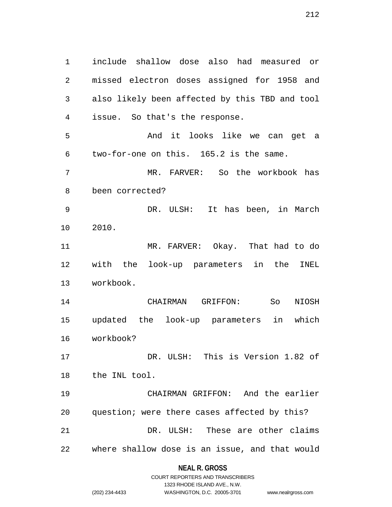include shallow dose also had measured or missed electron doses assigned for 1958 and also likely been affected by this TBD and tool issue. So that's the response. And it looks like we can get a two-for-one on this. 165.2 is the same. MR. FARVER: So the workbook has been corrected? DR. ULSH: It has been, in March 2010. MR. FARVER: Okay. That had to do with the look-up parameters in the INEL workbook. CHAIRMAN GRIFFON: So NIOSH updated the look-up parameters in which workbook? DR. ULSH: This is Version 1.82 of the INL tool. CHAIRMAN GRIFFON: And the earlier question; were there cases affected by this? DR. ULSH: These are other claims where shallow dose is an issue, and that would

### **NEAL R. GROSS**

|                | COURT REPORTERS AND TRANSCRIBERS |                    |
|----------------|----------------------------------|--------------------|
|                | 1323 RHODE ISLAND AVE N.W.       |                    |
| (202) 234-4433 | WASHINGTON, D.C. 20005-3701      | www.nealrgross.com |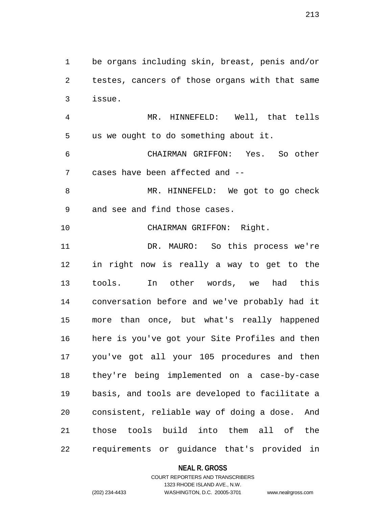be organs including skin, breast, penis and/or testes, cancers of those organs with that same issue. MR. HINNEFELD: Well, that tells us we ought to do something about it. CHAIRMAN GRIFFON: Yes. So other cases have been affected and -- 8 MR. HINNEFELD: We got to go check and see and find those cases. CHAIRMAN GRIFFON: Right. DR. MAURO: So this process we're in right now is really a way to get to the tools. In other words, we had this conversation before and we've probably had it more than once, but what's really happened here is you've got your Site Profiles and then you've got all your 105 procedures and then they're being implemented on a case-by-case basis, and tools are developed to facilitate a consistent, reliable way of doing a dose. And those tools build into them all of the requirements or guidance that's provided in

### **NEAL R. GROSS**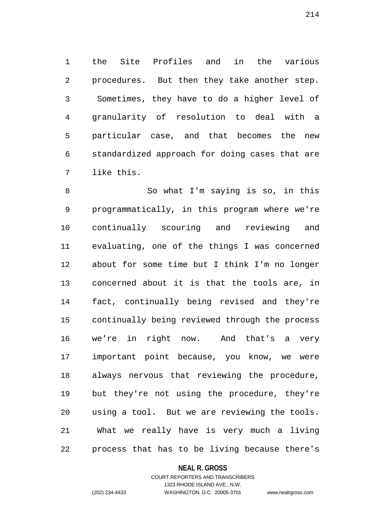the Site Profiles and in the various procedures. But then they take another step. Sometimes, they have to do a higher level of granularity of resolution to deal with a particular case, and that becomes the new standardized approach for doing cases that are like this.

 So what I'm saying is so, in this programmatically, in this program where we're continually scouring and reviewing and evaluating, one of the things I was concerned about for some time but I think I'm no longer concerned about it is that the tools are, in fact, continually being revised and they're continually being reviewed through the process we're in right now. And that's a very important point because, you know, we were always nervous that reviewing the procedure, but they're not using the procedure, they're using a tool. But we are reviewing the tools. What we really have is very much a living process that has to be living because there's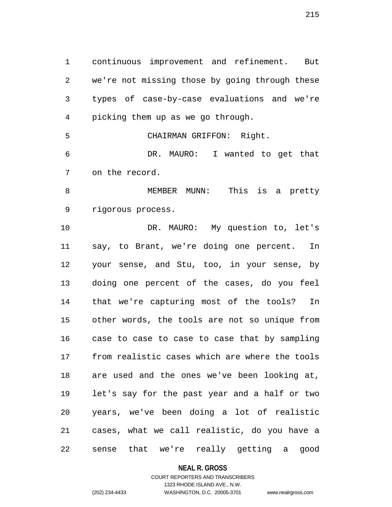continuous improvement and refinement. But we're not missing those by going through these types of case-by-case evaluations and we're picking them up as we go through. CHAIRMAN GRIFFON: Right. DR. MAURO: I wanted to get that on the record. MEMBER MUNN: This is a pretty rigorous process. DR. MAURO: My question to, let's say, to Brant, we're doing one percent. In your sense, and Stu, too, in your sense, by doing one percent of the cases, do you feel that we're capturing most of the tools? In other words, the tools are not so unique from case to case to case to case that by sampling from realistic cases which are where the tools are used and the ones we've been looking at, let's say for the past year and a half or two years, we've been doing a lot of realistic cases, what we call realistic, do you have a

sense that we're really getting a good

#### **NEAL R. GROSS**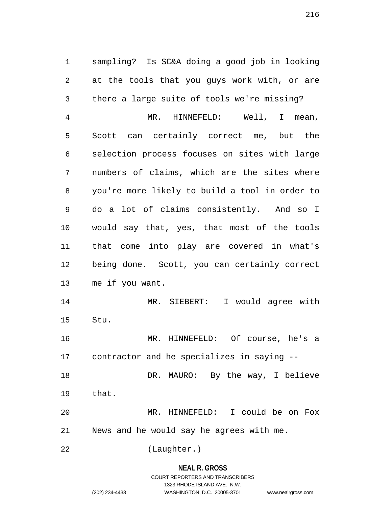sampling? Is SC&A doing a good job in looking at the tools that you guys work with, or are there a large suite of tools we're missing? MR. HINNEFELD: Well, I mean, Scott can certainly correct me, but the selection process focuses on sites with large numbers of claims, which are the sites where you're more likely to build a tool in order to do a lot of claims consistently. And so I would say that, yes, that most of the tools that come into play are covered in what's being done. Scott, you can certainly correct me if you want.

 MR. SIEBERT: I would agree with Stu.

 MR. HINNEFELD: Of course, he's a contractor and he specializes in saying --

18 DR. MAURO: By the way, I believe that.

 MR. HINNEFELD: I could be on Fox News and he would say he agrees with me.

(Laughter.)

# **NEAL R. GROSS** COURT REPORTERS AND TRANSCRIBERS 1323 RHODE ISLAND AVE., N.W.

(202) 234-4433 WASHINGTON, D.C. 20005-3701 www.nealrgross.com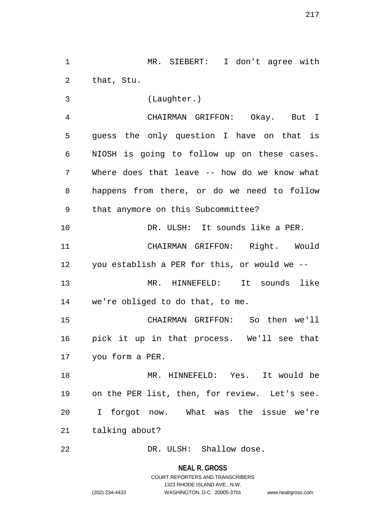MR. SIEBERT: I don't agree with that, Stu.

(Laughter.)

 CHAIRMAN GRIFFON: Okay. But I guess the only question I have on that is NIOSH is going to follow up on these cases. Where does that leave -- how do we know what happens from there, or do we need to follow that anymore on this Subcommittee?

 DR. ULSH: It sounds like a PER. CHAIRMAN GRIFFON: Right. Would you establish a PER for this, or would we --

 MR. HINNEFELD: It sounds like we're obliged to do that, to me.

 CHAIRMAN GRIFFON: So then we'll pick it up in that process. We'll see that you form a PER.

 MR. HINNEFELD: Yes. It would be on the PER list, then, for review. Let's see. I forgot now. What was the issue we're talking about?

DR. ULSH: Shallow dose.

**NEAL R. GROSS**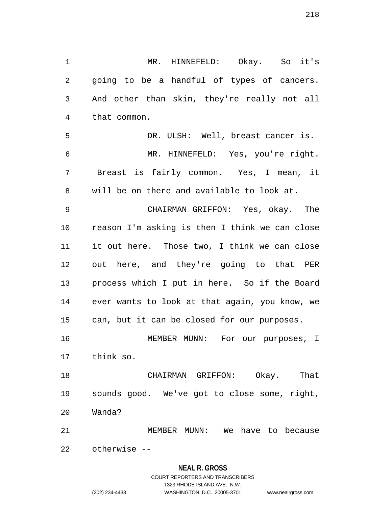MR. HINNEFELD: Okay. So it's going to be a handful of types of cancers. And other than skin, they're really not all that common. DR. ULSH: Well, breast cancer is.

 MR. HINNEFELD: Yes, you're right. Breast is fairly common. Yes, I mean, it will be on there and available to look at.

 CHAIRMAN GRIFFON: Yes, okay. The reason I'm asking is then I think we can close it out here. Those two, I think we can close out here, and they're going to that PER process which I put in here. So if the Board ever wants to look at that again, you know, we can, but it can be closed for our purposes.

 MEMBER MUNN: For our purposes, I think so.

 CHAIRMAN GRIFFON: Okay. That sounds good. We've got to close some, right, Wanda?

 MEMBER MUNN: We have to because otherwise --

# **NEAL R. GROSS**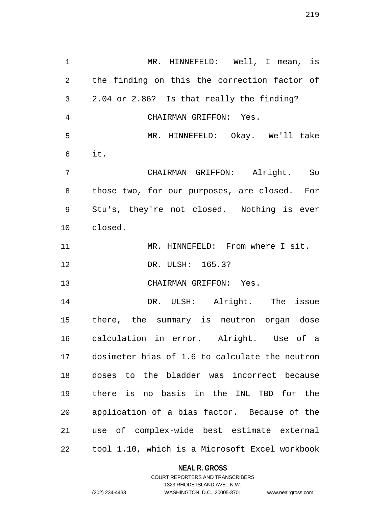MR. HINNEFELD: Well, I mean, is the finding on this the correction factor of 2.04 or 2.86? Is that really the finding? CHAIRMAN GRIFFON: Yes. MR. HINNEFELD: Okay. We'll take it. CHAIRMAN GRIFFON: Alright. So those two, for our purposes, are closed. For Stu's, they're not closed. Nothing is ever closed. MR. HINNEFELD: From where I sit. DR. ULSH: 165.3? CHAIRMAN GRIFFON: Yes. DR. ULSH: Alright. The issue there, the summary is neutron organ dose calculation in error. Alright. Use of a dosimeter bias of 1.6 to calculate the neutron doses to the bladder was incorrect because there is no basis in the INL TBD for the application of a bias factor. Because of the use of complex-wide best estimate external tool 1.10, which is a Microsoft Excel workbook

#### **NEAL R. GROSS**

### COURT REPORTERS AND TRANSCRIBERS 1323 RHODE ISLAND AVE., N.W. (202) 234-4433 WASHINGTON, D.C. 20005-3701 www.nealrgross.com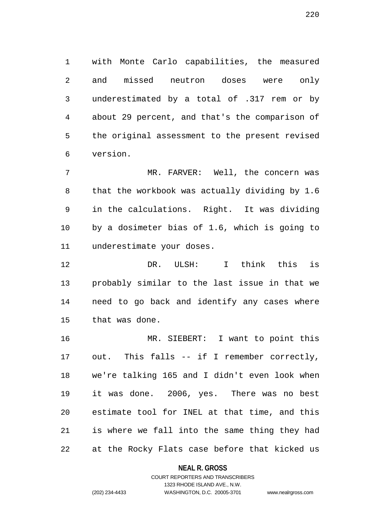with Monte Carlo capabilities, the measured and missed neutron doses were only underestimated by a total of .317 rem or by about 29 percent, and that's the comparison of the original assessment to the present revised version.

 MR. FARVER: Well, the concern was that the workbook was actually dividing by 1.6 in the calculations. Right. It was dividing by a dosimeter bias of 1.6, which is going to underestimate your doses.

 DR. ULSH: I think this is probably similar to the last issue in that we need to go back and identify any cases where that was done.

 MR. SIEBERT: I want to point this out. This falls -- if I remember correctly, we're talking 165 and I didn't even look when it was done. 2006, yes. There was no best estimate tool for INEL at that time, and this is where we fall into the same thing they had at the Rocky Flats case before that kicked us

**NEAL R. GROSS**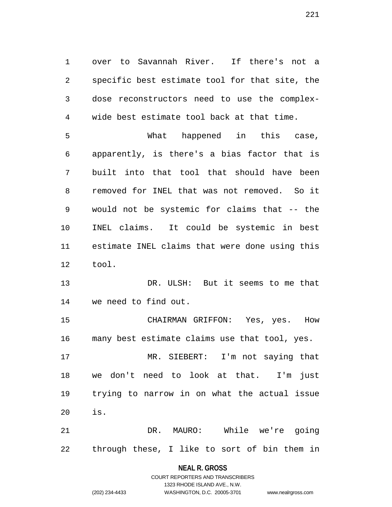over to Savannah River. If there's not a specific best estimate tool for that site, the dose reconstructors need to use the complex-wide best estimate tool back at that time.

 What happened in this case, apparently, is there's a bias factor that is built into that tool that should have been removed for INEL that was not removed. So it would not be systemic for claims that -- the INEL claims. It could be systemic in best estimate INEL claims that were done using this tool.

 DR. ULSH: But it seems to me that we need to find out.

 CHAIRMAN GRIFFON: Yes, yes. How many best estimate claims use that tool, yes.

 MR. SIEBERT: I'm not saying that we don't need to look at that. I'm just trying to narrow in on what the actual issue is.

 DR. MAURO: While we're going through these, I like to sort of bin them in

### **NEAL R. GROSS**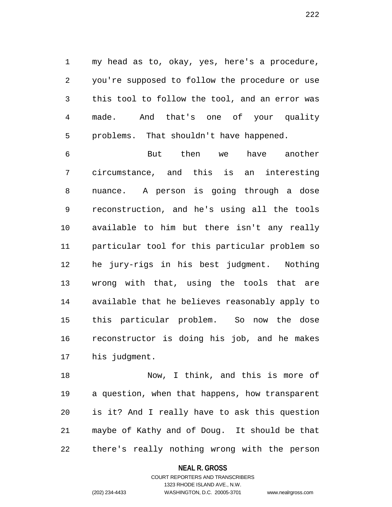my head as to, okay, yes, here's a procedure, you're supposed to follow the procedure or use this tool to follow the tool, and an error was made. And that's one of your quality problems. That shouldn't have happened.

 But then we have another circumstance, and this is an interesting nuance. A person is going through a dose reconstruction, and he's using all the tools available to him but there isn't any really particular tool for this particular problem so he jury-rigs in his best judgment. Nothing wrong with that, using the tools that are available that he believes reasonably apply to this particular problem. So now the dose reconstructor is doing his job, and he makes his judgment.

 Now, I think, and this is more of a question, when that happens, how transparent is it? And I really have to ask this question maybe of Kathy and of Doug. It should be that there's really nothing wrong with the person

### **NEAL R. GROSS**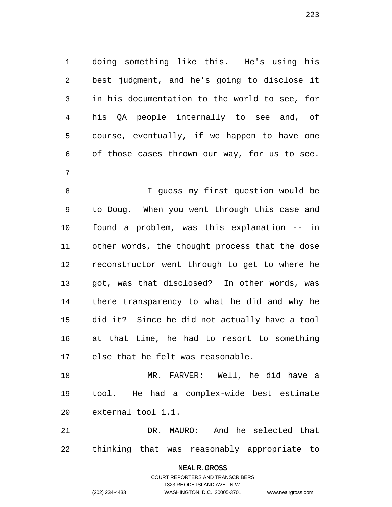doing something like this. He's using his best judgment, and he's going to disclose it in his documentation to the world to see, for his QA people internally to see and, of course, eventually, if we happen to have one of those cases thrown our way, for us to see. 

 I guess my first question would be to Doug. When you went through this case and found a problem, was this explanation -- in other words, the thought process that the dose reconstructor went through to get to where he got, was that disclosed? In other words, was there transparency to what he did and why he did it? Since he did not actually have a tool at that time, he had to resort to something else that he felt was reasonable.

 MR. FARVER: Well, he did have a tool. He had a complex-wide best estimate external tool 1.1.

 DR. MAURO: And he selected that thinking that was reasonably appropriate to

**NEAL R. GROSS**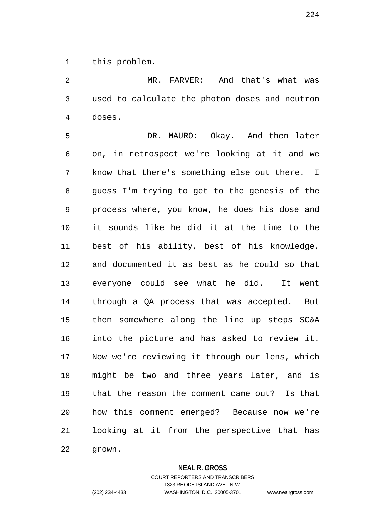this problem.

 MR. FARVER: And that's what was used to calculate the photon doses and neutron doses.

 DR. MAURO: Okay. And then later on, in retrospect we're looking at it and we know that there's something else out there. I guess I'm trying to get to the genesis of the process where, you know, he does his dose and it sounds like he did it at the time to the best of his ability, best of his knowledge, and documented it as best as he could so that everyone could see what he did. It went through a QA process that was accepted. But then somewhere along the line up steps SC&A into the picture and has asked to review it. Now we're reviewing it through our lens, which might be two and three years later, and is that the reason the comment came out? Is that how this comment emerged? Because now we're looking at it from the perspective that has grown.

### **NEAL R. GROSS**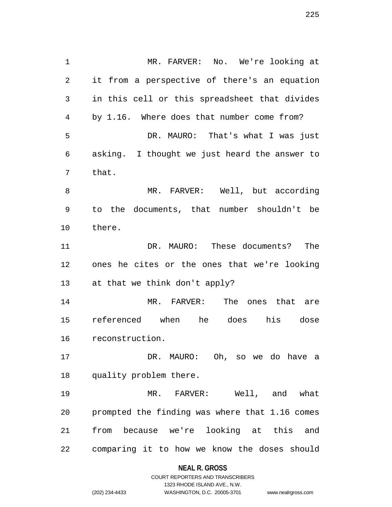MR. FARVER: No. We're looking at it from a perspective of there's an equation in this cell or this spreadsheet that divides by 1.16. Where does that number come from? DR. MAURO: That's what I was just asking. I thought we just heard the answer to that. MR. FARVER: Well, but according to the documents, that number shouldn't be there. DR. MAURO: These documents? The ones he cites or the ones that we're looking at that we think don't apply? MR. FARVER: The ones that are referenced when he does his dose reconstruction. DR. MAURO: Oh, so we do have a quality problem there. MR. FARVER: Well, and what prompted the finding was where that 1.16 comes from because we're looking at this and comparing it to how we know the doses should

#### **NEAL R. GROSS**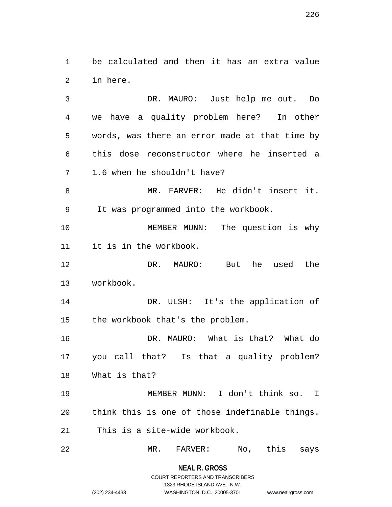be calculated and then it has an extra value in here.

 DR. MAURO: Just help me out. Do we have a quality problem here? In other words, was there an error made at that time by this dose reconstructor where he inserted a 1.6 when he shouldn't have? MR. FARVER: He didn't insert it. It was programmed into the workbook. MEMBER MUNN: The question is why it is in the workbook. DR. MAURO: But he used the workbook. DR. ULSH: It's the application of the workbook that's the problem. DR. MAURO: What is that? What do you call that? Is that a quality problem? What is that?

 MEMBER MUNN: I don't think so. I think this is one of those indefinable things. This is a site-wide workbook.

MR. FARVER: No, this says

**NEAL R. GROSS**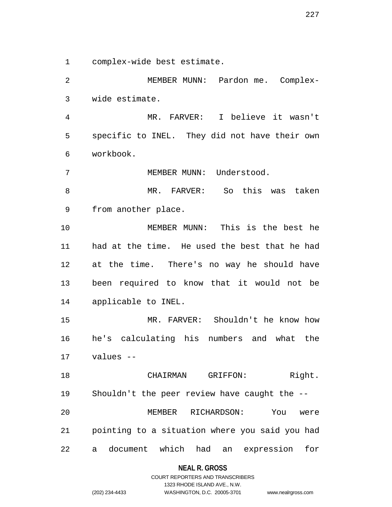complex-wide best estimate.

 MEMBER MUNN: Pardon me. Complex-wide estimate.

 MR. FARVER: I believe it wasn't specific to INEL. They did not have their own workbook.

7 MEMBER MUNN: Understood.

 MR. FARVER: So this was taken from another place.

 MEMBER MUNN: This is the best he had at the time. He used the best that he had at the time. There's no way he should have been required to know that it would not be applicable to INEL.

 MR. FARVER: Shouldn't he know how he's calculating his numbers and what the values --

18 CHAIRMAN GRIFFON: Right. Shouldn't the peer review have caught the -- MEMBER RICHARDSON: You were pointing to a situation where you said you had a document which had an expression for

### **NEAL R. GROSS**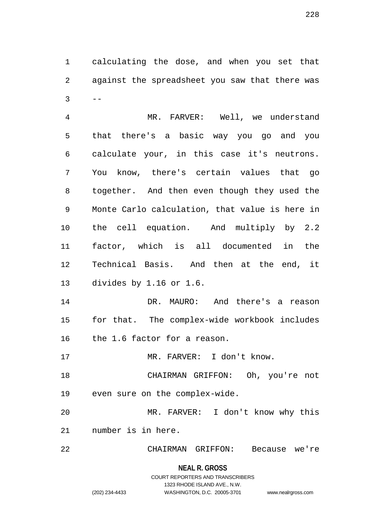calculating the dose, and when you set that against the spreadsheet you saw that there was  $3 \qquad --$ 

 MR. FARVER: Well, we understand that there's a basic way you go and you calculate your, in this case it's neutrons. You know, there's certain values that go together. And then even though they used the Monte Carlo calculation, that value is here in the cell equation. And multiply by 2.2 factor, which is all documented in the Technical Basis. And then at the end, it divides by 1.16 or 1.6. DR. MAURO: And there's a reason

 for that. The complex-wide workbook includes the 1.6 factor for a reason.

MR. FARVER: I don't know.

 CHAIRMAN GRIFFON: Oh, you're not even sure on the complex-wide.

 MR. FARVER: I don't know why this number is in here.

CHAIRMAN GRIFFON: Because we're

# **NEAL R. GROSS**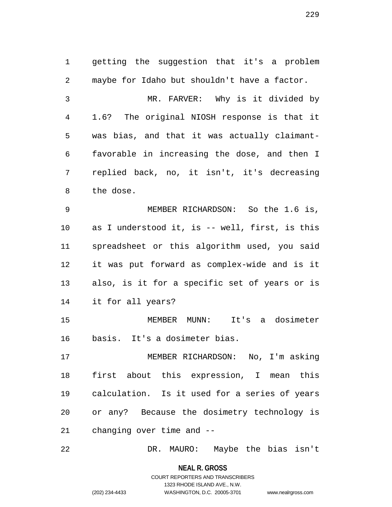getting the suggestion that it's a problem maybe for Idaho but shouldn't have a factor. MR. FARVER: Why is it divided by 1.6? The original NIOSH response is that it was bias, and that it was actually claimant- favorable in increasing the dose, and then I replied back, no, it isn't, it's decreasing the dose. MEMBER RICHARDSON: So the 1.6 is, as I understood it, is -- well, first, is this spreadsheet or this algorithm used, you said it was put forward as complex-wide and is it also, is it for a specific set of years or is it for all years? MEMBER MUNN: It's a dosimeter basis. It's a dosimeter bias. MEMBER RICHARDSON: No, I'm asking first about this expression, I mean this calculation. Is it used for a series of years or any? Because the dosimetry technology is changing over time and --

DR. MAURO: Maybe the bias isn't

**NEAL R. GROSS**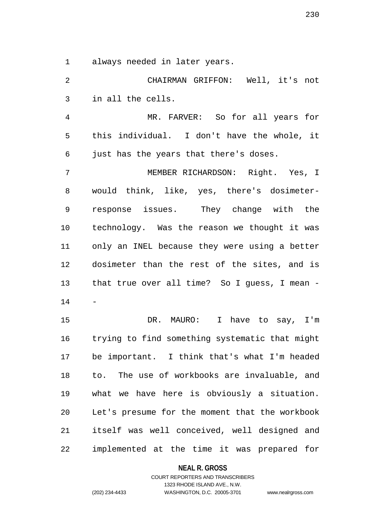always needed in later years.

 CHAIRMAN GRIFFON: Well, it's not in all the cells. MR. FARVER: So for all years for this individual. I don't have the whole, it just has the years that there's doses. MEMBER RICHARDSON: Right. Yes, I would think, like, yes, there's dosimeter- response issues. They change with the technology. Was the reason we thought it was only an INEL because they were using a better dosimeter than the rest of the sites, and is that true over all time? So I guess, I mean - - DR. MAURO: I have to say, I'm trying to find something systematic that might be important. I think that's what I'm headed to. The use of workbooks are invaluable, and what we have here is obviously a situation. Let's presume for the moment that the workbook itself was well conceived, well designed and

implemented at the time it was prepared for

**NEAL R. GROSS**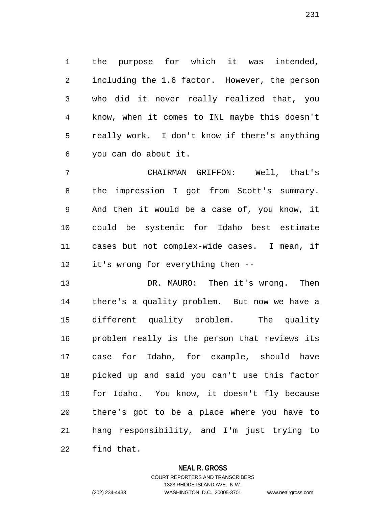the purpose for which it was intended, including the 1.6 factor. However, the person who did it never really realized that, you know, when it comes to INL maybe this doesn't really work. I don't know if there's anything you can do about it.

 CHAIRMAN GRIFFON: Well, that's the impression I got from Scott's summary. And then it would be a case of, you know, it could be systemic for Idaho best estimate cases but not complex-wide cases. I mean, if it's wrong for everything then --

 DR. MAURO: Then it's wrong. Then there's a quality problem. But now we have a different quality problem. The quality problem really is the person that reviews its case for Idaho, for example, should have picked up and said you can't use this factor for Idaho. You know, it doesn't fly because there's got to be a place where you have to hang responsibility, and I'm just trying to find that.

### **NEAL R. GROSS**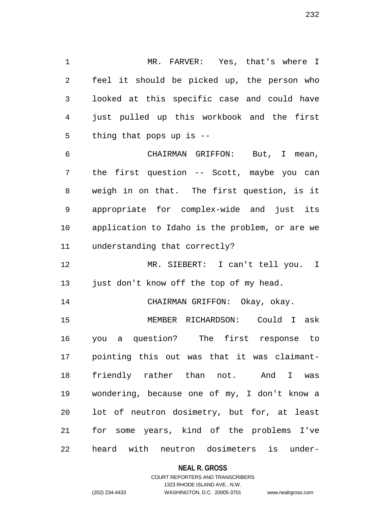MR. FARVER: Yes, that's where I feel it should be picked up, the person who looked at this specific case and could have just pulled up this workbook and the first thing that pops up is -- CHAIRMAN GRIFFON: But, I mean,

 the first question -- Scott, maybe you can weigh in on that. The first question, is it appropriate for complex-wide and just its application to Idaho is the problem, or are we understanding that correctly?

 MR. SIEBERT: I can't tell you. I 13 just don't know off the top of my head.

CHAIRMAN GRIFFON: Okay, okay.

 MEMBER RICHARDSON: Could I ask you a question? The first response to pointing this out was that it was claimant- friendly rather than not. And I was wondering, because one of my, I don't know a lot of neutron dosimetry, but for, at least for some years, kind of the problems I've heard with neutron dosimeters is under-

### **NEAL R. GROSS**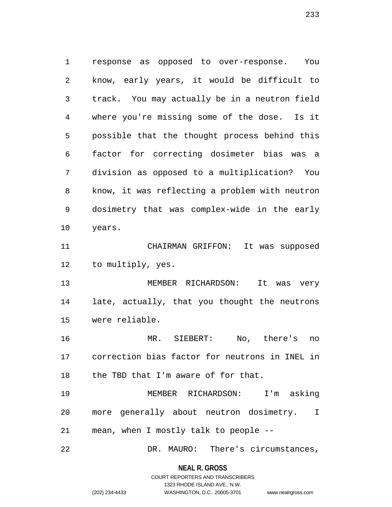response as opposed to over-response. You know, early years, it would be difficult to track. You may actually be in a neutron field where you're missing some of the dose. Is it possible that the thought process behind this factor for correcting dosimeter bias was a division as opposed to a multiplication? You know, it was reflecting a problem with neutron dosimetry that was complex-wide in the early years. CHAIRMAN GRIFFON: It was supposed to multiply, yes. 13 MEMBER RICHARDSON: It was very late, actually, that you thought the neutrons were reliable. MR. SIEBERT: No, there's no correction bias factor for neutrons in INEL in the TBD that I'm aware of for that. MEMBER RICHARDSON: I'm asking more generally about neutron dosimetry. I mean, when I mostly talk to people --

DR. MAURO: There's circumstances,

**NEAL R. GROSS** COURT REPORTERS AND TRANSCRIBERS

1323 RHODE ISLAND AVE., N.W.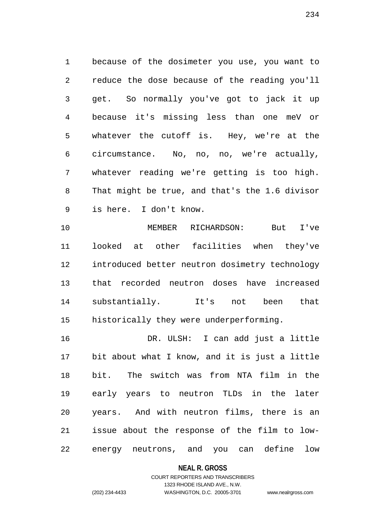because of the dosimeter you use, you want to reduce the dose because of the reading you'll get. So normally you've got to jack it up because it's missing less than one meV or whatever the cutoff is. Hey, we're at the circumstance. No, no, no, we're actually, whatever reading we're getting is too high. That might be true, and that's the 1.6 divisor is here. I don't know.

 MEMBER RICHARDSON: But I've looked at other facilities when they've introduced better neutron dosimetry technology that recorded neutron doses have increased substantially. It's not been that historically they were underperforming.

 DR. ULSH: I can add just a little bit about what I know, and it is just a little bit. The switch was from NTA film in the early years to neutron TLDs in the later years. And with neutron films, there is an issue about the response of the film to low-energy neutrons, and you can define low

**NEAL R. GROSS**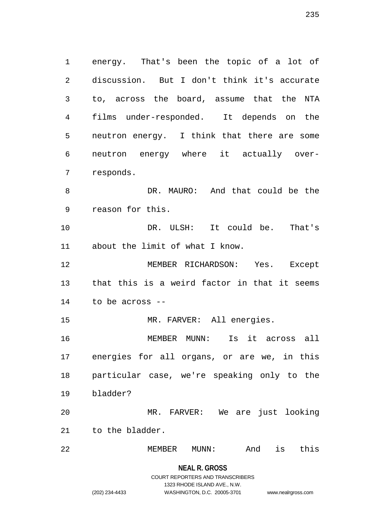energy. That's been the topic of a lot of discussion. But I don't think it's accurate to, across the board, assume that the NTA films under-responded. It depends on the neutron energy. I think that there are some neutron energy where it actually over- responds. DR. MAURO: And that could be the reason for this. DR. ULSH: It could be. That's about the limit of what I know. MEMBER RICHARDSON: Yes. Except that this is a weird factor in that it seems to be across -- MR. FARVER: All energies. MEMBER MUNN: Is it across all

 energies for all organs, or are we, in this particular case, we're speaking only to the bladder?

 MR. FARVER: We are just looking to the bladder.

MEMBER MUNN: And is this

**NEAL R. GROSS**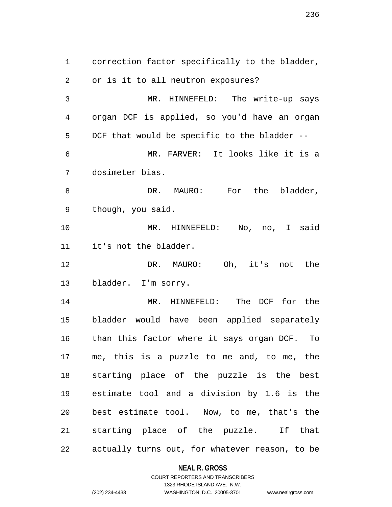correction factor specifically to the bladder, or is it to all neutron exposures? MR. HINNEFELD: The write-up says organ DCF is applied, so you'd have an organ DCF that would be specific to the bladder -- MR. FARVER: It looks like it is a dosimeter bias. 8 DR. MAURO: For the bladder, though, you said. MR. HINNEFELD: No, no, I said it's not the bladder. DR. MAURO: Oh, it's not the bladder. I'm sorry. MR. HINNEFELD: The DCF for the bladder would have been applied separately than this factor where it says organ DCF. To me, this is a puzzle to me and, to me, the starting place of the puzzle is the best estimate tool and a division by 1.6 is the best estimate tool. Now, to me, that's the starting place of the puzzle. If that actually turns out, for whatever reason, to be

#### **NEAL R. GROSS**

COURT REPORTERS AND TRANSCRIBERS 1323 RHODE ISLAND AVE., N.W. (202) 234-4433 WASHINGTON, D.C. 20005-3701 www.nealrgross.com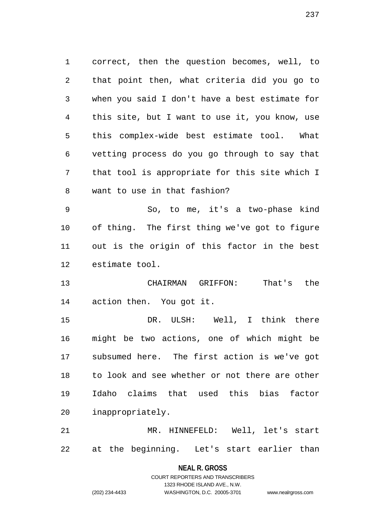correct, then the question becomes, well, to that point then, what criteria did you go to when you said I don't have a best estimate for this site, but I want to use it, you know, use this complex-wide best estimate tool. What vetting process do you go through to say that that tool is appropriate for this site which I want to use in that fashion?

 So, to me, it's a two-phase kind of thing. The first thing we've got to figure out is the origin of this factor in the best estimate tool.

 CHAIRMAN GRIFFON: That's the action then. You got it.

 DR. ULSH: Well, I think there might be two actions, one of which might be subsumed here. The first action is we've got to look and see whether or not there are other Idaho claims that used this bias factor inappropriately.

 MR. HINNEFELD: Well, let's start at the beginning. Let's start earlier than

> **NEAL R. GROSS** COURT REPORTERS AND TRANSCRIBERS

> > 1323 RHODE ISLAND AVE., N.W.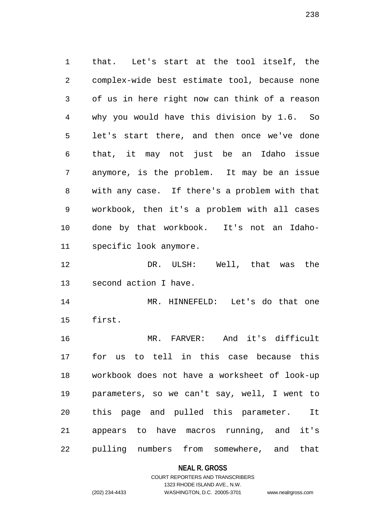that. Let's start at the tool itself, the complex-wide best estimate tool, because none of us in here right now can think of a reason why you would have this division by 1.6. So let's start there, and then once we've done that, it may not just be an Idaho issue anymore, is the problem. It may be an issue with any case. If there's a problem with that workbook, then it's a problem with all cases done by that workbook. It's not an Idaho-specific look anymore.

 DR. ULSH: Well, that was the second action I have.

 MR. HINNEFELD: Let's do that one first.

 MR. FARVER: And it's difficult for us to tell in this case because this workbook does not have a worksheet of look-up parameters, so we can't say, well, I went to this page and pulled this parameter. It appears to have macros running, and it's pulling numbers from somewhere, and that

### **NEAL R. GROSS**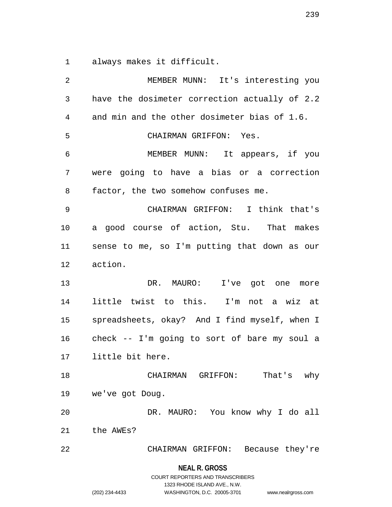always makes it difficult.

 MEMBER MUNN: It's interesting you have the dosimeter correction actually of 2.2 and min and the other dosimeter bias of 1.6. CHAIRMAN GRIFFON: Yes. MEMBER MUNN: It appears, if you were going to have a bias or a correction factor, the two somehow confuses me. CHAIRMAN GRIFFON: I think that's a good course of action, Stu. That makes sense to me, so I'm putting that down as our action. 13 DR. MAURO: I've got one more little twist to this. I'm not a wiz at spreadsheets, okay? And I find myself, when I check -- I'm going to sort of bare my soul a little bit here. CHAIRMAN GRIFFON: That's why we've got Doug. DR. MAURO: You know why I do all the AWEs? CHAIRMAN GRIFFON: Because they're

### **NEAL R. GROSS**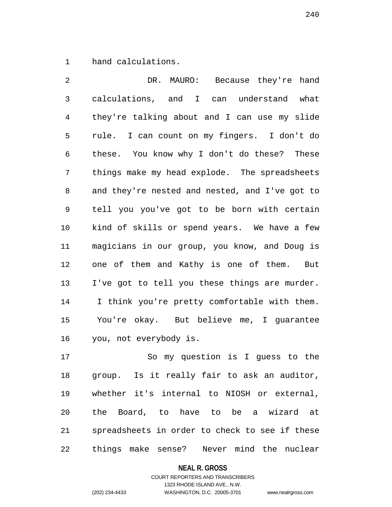hand calculations.

 DR. MAURO: Because they're hand calculations, and I can understand what they're talking about and I can use my slide rule. I can count on my fingers. I don't do these. You know why I don't do these? These things make my head explode. The spreadsheets and they're nested and nested, and I've got to tell you you've got to be born with certain kind of skills or spend years. We have a few magicians in our group, you know, and Doug is one of them and Kathy is one of them. But I've got to tell you these things are murder. I think you're pretty comfortable with them. You're okay. But believe me, I guarantee you, not everybody is.

 So my question is I guess to the group. Is it really fair to ask an auditor, whether it's internal to NIOSH or external, the Board, to have to be a wizard at spreadsheets in order to check to see if these things make sense? Never mind the nuclear

### **NEAL R. GROSS**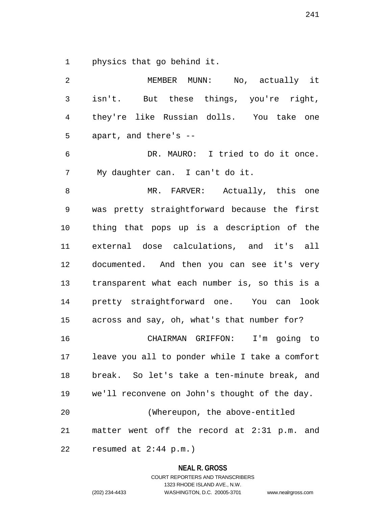physics that go behind it.

| 2              | MEMBER MUNN: No, actually it                   |
|----------------|------------------------------------------------|
| $\mathfrak{Z}$ | isn't. But these things, you're right,         |
| 4              | they're like Russian dolls. You take one       |
| 5              | apart, and there's --                          |
| 6              | DR. MAURO: I tried to do it once.              |
| 7              | My daughter can. I can't do it.                |
| 8              | MR. FARVER: Actually, this one                 |
| 9              | was pretty straightforward because the first   |
| 10             | thing that pops up is a description of the     |
| 11             | external dose calculations, and it's all       |
| 12             | documented. And then you can see it's very     |
| 13             | transparent what each number is, so this is a  |
| 14             | pretty straightforward one. You can look       |
| 15             | across and say, oh, what's that number for?    |
| 16             | CHAIRMAN GRIFFON: I'm going to                 |
| 17             | leave you all to ponder while I take a comfort |
| 18             | break. So let's take a ten-minute break, and   |
| 19             | we'll reconvene on John's thought of the day.  |
| 20             | (Whereupon, the above-entitled                 |
| 21             | matter went off the record at 2:31 p.m. and    |
| 22             | resumed at $2:44$ p.m.)                        |

**NEAL R. GROSS**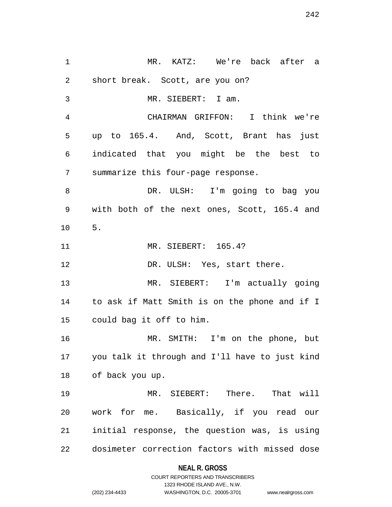MR. KATZ: We're back after a short break. Scott, are you on? MR. SIEBERT: I am. CHAIRMAN GRIFFON: I think we're up to 165.4. And, Scott, Brant has just indicated that you might be the best to summarize this four-page response. DR. ULSH: I'm going to bag you with both of the next ones, Scott, 165.4 and 5. MR. SIEBERT: 165.4? 12 DR. ULSH: Yes, start there. MR. SIEBERT: I'm actually going to ask if Matt Smith is on the phone and if I could bag it off to him. MR. SMITH: I'm on the phone, but you talk it through and I'll have to just kind of back you up. MR. SIEBERT: There. That will work for me. Basically, if you read our initial response, the question was, is using dosimeter correction factors with missed dose

### **NEAL R. GROSS**

COURT REPORTERS AND TRANSCRIBERS 1323 RHODE ISLAND AVE., N.W. (202) 234-4433 WASHINGTON, D.C. 20005-3701 www.nealrgross.com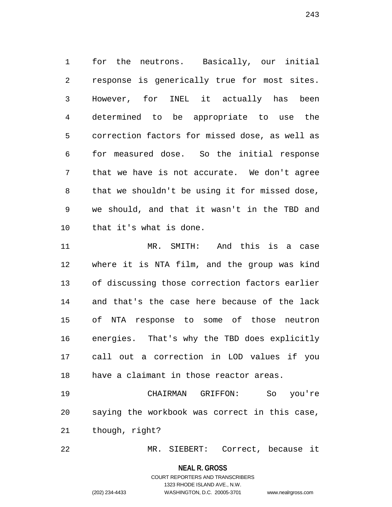for the neutrons. Basically, our initial response is generically true for most sites. However, for INEL it actually has been determined to be appropriate to use the correction factors for missed dose, as well as for measured dose. So the initial response that we have is not accurate. We don't agree that we shouldn't be using it for missed dose, we should, and that it wasn't in the TBD and that it's what is done.

 MR. SMITH: And this is a case where it is NTA film, and the group was kind of discussing those correction factors earlier and that's the case here because of the lack of NTA response to some of those neutron energies. That's why the TBD does explicitly call out a correction in LOD values if you have a claimant in those reactor areas.

 CHAIRMAN GRIFFON: So you're saying the workbook was correct in this case, though, right?

MR. SIEBERT: Correct, because it

#### **NEAL R. GROSS**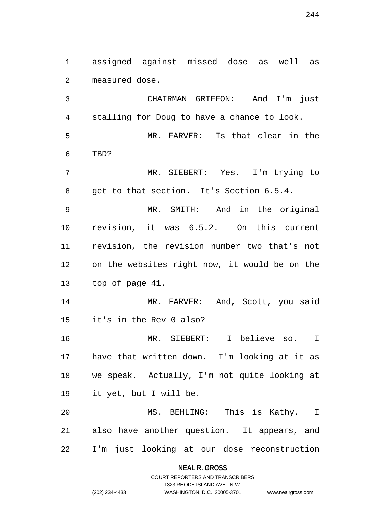assigned against missed dose as well as measured dose.

 CHAIRMAN GRIFFON: And I'm just stalling for Doug to have a chance to look. MR. FARVER: Is that clear in the TBD? MR. SIEBERT: Yes. I'm trying to get to that section. It's Section 6.5.4. MR. SMITH: And in the original revision, it was 6.5.2. On this current revision, the revision number two that's not on the websites right now, it would be on the top of page 41. 14 MR. FARVER: And, Scott, you said it's in the Rev 0 also? MR. SIEBERT: I believe so. I have that written down. I'm looking at it as we speak. Actually, I'm not quite looking at it yet, but I will be. MS. BEHLING: This is Kathy. I also have another question. It appears, and I'm just looking at our dose reconstruction

> **NEAL R. GROSS** COURT REPORTERS AND TRANSCRIBERS

> > 1323 RHODE ISLAND AVE., N.W.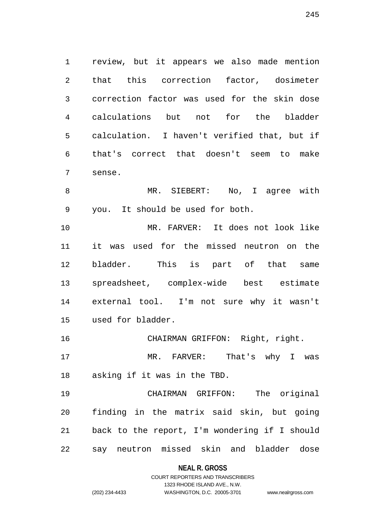review, but it appears we also made mention that this correction factor, dosimeter correction factor was used for the skin dose calculations but not for the bladder calculation. I haven't verified that, but if that's correct that doesn't seem to make sense.

 MR. SIEBERT: No, I agree with you. It should be used for both.

 MR. FARVER: It does not look like it was used for the missed neutron on the bladder. This is part of that same spreadsheet, complex-wide best estimate external tool. I'm not sure why it wasn't used for bladder.

CHAIRMAN GRIFFON: Right, right.

 MR. FARVER: That's why I was asking if it was in the TBD.

 CHAIRMAN GRIFFON: The original finding in the matrix said skin, but going back to the report, I'm wondering if I should say neutron missed skin and bladder dose

**NEAL R. GROSS**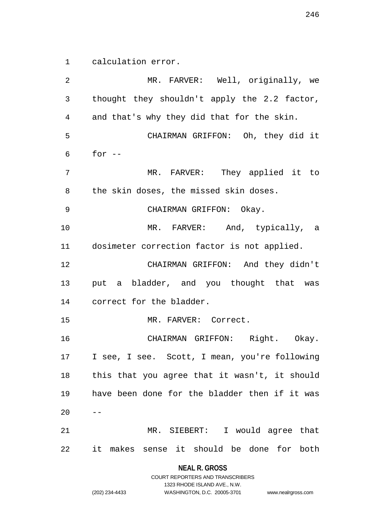calculation error.

 MR. FARVER: Well, originally, we thought they shouldn't apply the 2.2 factor, and that's why they did that for the skin. CHAIRMAN GRIFFON: Oh, they did it for  $-$  MR. FARVER: They applied it to the skin doses, the missed skin doses. CHAIRMAN GRIFFON: Okay. 10 MR. FARVER: And, typically, a dosimeter correction factor is not applied. CHAIRMAN GRIFFON: And they didn't put a bladder, and you thought that was correct for the bladder. MR. FARVER: Correct. CHAIRMAN GRIFFON: Right. Okay. I see, I see. Scott, I mean, you're following this that you agree that it wasn't, it should have been done for the bladder then if it was MR. SIEBERT: I would agree that it makes sense it should be done for both

> **NEAL R. GROSS** COURT REPORTERS AND TRANSCRIBERS

> > 1323 RHODE ISLAND AVE., N.W.

(202) 234-4433 WASHINGTON, D.C. 20005-3701 www.nealrgross.com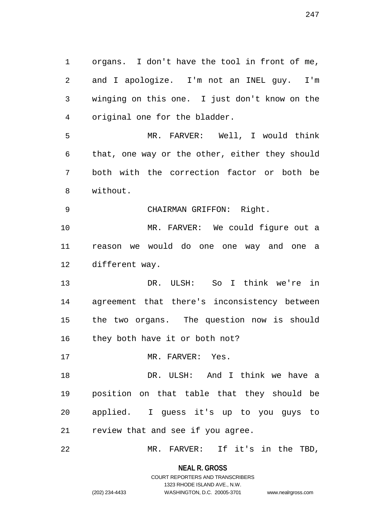organs. I don't have the tool in front of me, and I apologize. I'm not an INEL guy. I'm winging on this one. I just don't know on the original one for the bladder. MR. FARVER: Well, I would think that, one way or the other, either they should both with the correction factor or both be without. CHAIRMAN GRIFFON: Right. MR. FARVER: We could figure out a reason we would do one one way and one a different way. DR. ULSH: So I think we're in agreement that there's inconsistency between the two organs. The question now is should they both have it or both not? 17 MR. FARVER: Yes. DR. ULSH: And I think we have a position on that table that they should be applied. I guess it's up to you guys to review that and see if you agree. MR. FARVER: If it's in the TBD,

> **NEAL R. GROSS** COURT REPORTERS AND TRANSCRIBERS

> > 1323 RHODE ISLAND AVE., N.W.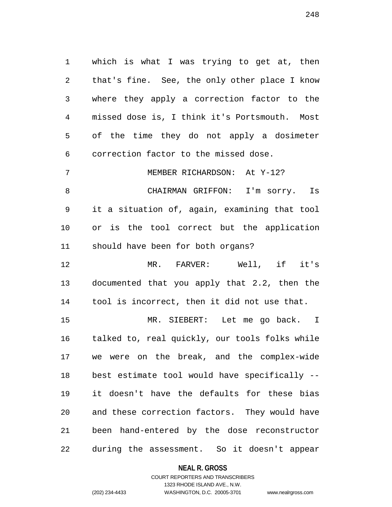which is what I was trying to get at, then that's fine. See, the only other place I know where they apply a correction factor to the missed dose is, I think it's Portsmouth. Most of the time they do not apply a dosimeter correction factor to the missed dose.

MEMBER RICHARDSON: At Y-12?

 CHAIRMAN GRIFFON: I'm sorry. Is it a situation of, again, examining that tool or is the tool correct but the application should have been for both organs?

 MR. FARVER: Well, if it's documented that you apply that 2.2, then the tool is incorrect, then it did not use that.

 MR. SIEBERT: Let me go back. I talked to, real quickly, our tools folks while we were on the break, and the complex-wide best estimate tool would have specifically -- it doesn't have the defaults for these bias and these correction factors. They would have been hand-entered by the dose reconstructor during the assessment. So it doesn't appear

**NEAL R. GROSS**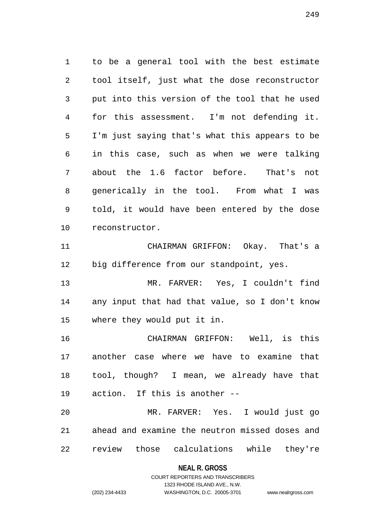to be a general tool with the best estimate tool itself, just what the dose reconstructor put into this version of the tool that he used for this assessment. I'm not defending it. I'm just saying that's what this appears to be in this case, such as when we were talking about the 1.6 factor before. That's not generically in the tool. From what I was told, it would have been entered by the dose reconstructor. CHAIRMAN GRIFFON: Okay. That's a big difference from our standpoint, yes. MR. FARVER: Yes, I couldn't find

 any input that had that value, so I don't know where they would put it in.

 CHAIRMAN GRIFFON: Well, is this another case where we have to examine that tool, though? I mean, we already have that action. If this is another --

 MR. FARVER: Yes. I would just go ahead and examine the neutron missed doses and review those calculations while they're

### **NEAL R. GROSS**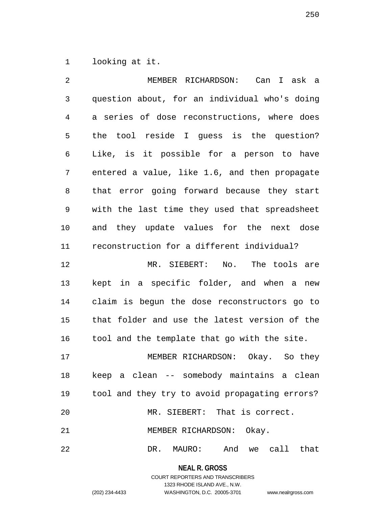looking at it.

 MEMBER RICHARDSON: Can I ask a question about, for an individual who's doing a series of dose reconstructions, where does the tool reside I guess is the question? Like, is it possible for a person to have entered a value, like 1.6, and then propagate that error going forward because they start with the last time they used that spreadsheet and they update values for the next dose reconstruction for a different individual? MR. SIEBERT: No. The tools are kept in a specific folder, and when a new claim is begun the dose reconstructors go to that folder and use the latest version of the tool and the template that go with the site. MEMBER RICHARDSON: Okay. So they keep a clean -- somebody maintains a clean tool and they try to avoid propagating errors? MR. SIEBERT: That is correct. 21 MEMBER RICHARDSON: Okay. DR. MAURO: And we call that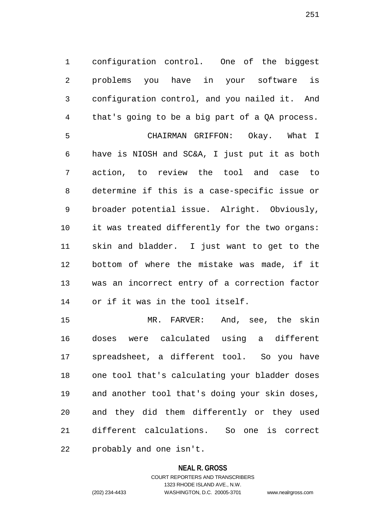configuration control. One of the biggest problems you have in your software is configuration control, and you nailed it. And that's going to be a big part of a QA process. CHAIRMAN GRIFFON: Okay. What I

 have is NIOSH and SC&A, I just put it as both action, to review the tool and case to determine if this is a case-specific issue or broader potential issue. Alright. Obviously, it was treated differently for the two organs: skin and bladder. I just want to get to the bottom of where the mistake was made, if it was an incorrect entry of a correction factor or if it was in the tool itself.

 MR. FARVER: And, see, the skin doses were calculated using a different spreadsheet, a different tool. So you have one tool that's calculating your bladder doses and another tool that's doing your skin doses, and they did them differently or they used different calculations. So one is correct probably and one isn't.

### **NEAL R. GROSS**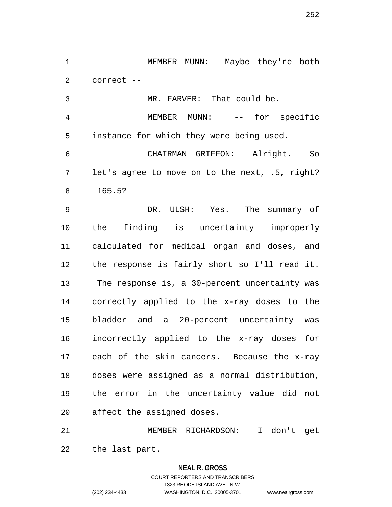1 MEMBER MUNN: Maybe they're both correct --

 MR. FARVER: That could be. MEMBER MUNN: -- for specific instance for which they were being used. CHAIRMAN GRIFFON: Alright. So let's agree to move on to the next, .5, right? 165.5?

 DR. ULSH: Yes. The summary of the finding is uncertainty improperly calculated for medical organ and doses, and the response is fairly short so I'll read it. The response is, a 30-percent uncertainty was correctly applied to the x-ray doses to the bladder and a 20-percent uncertainty was incorrectly applied to the x-ray doses for each of the skin cancers. Because the x-ray doses were assigned as a normal distribution, the error in the uncertainty value did not affect the assigned doses.

 MEMBER RICHARDSON: I don't get the last part.

### **NEAL R. GROSS**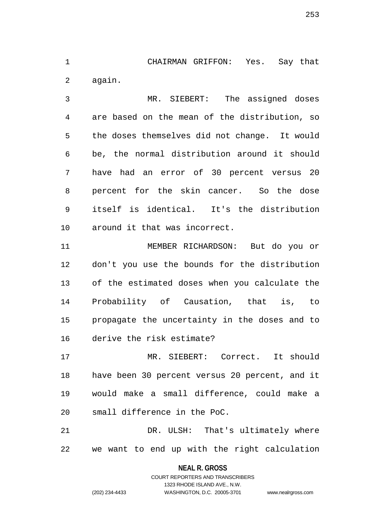CHAIRMAN GRIFFON: Yes. Say that again.

 MR. SIEBERT: The assigned doses are based on the mean of the distribution, so the doses themselves did not change. It would be, the normal distribution around it should have had an error of 30 percent versus 20 percent for the skin cancer. So the dose itself is identical. It's the distribution around it that was incorrect.

 MEMBER RICHARDSON: But do you or don't you use the bounds for the distribution of the estimated doses when you calculate the Probability of Causation, that is, to propagate the uncertainty in the doses and to derive the risk estimate?

 MR. SIEBERT: Correct. It should have been 30 percent versus 20 percent, and it would make a small difference, could make a small difference in the PoC.

 DR. ULSH: That's ultimately where we want to end up with the right calculation

**NEAL R. GROSS**

COURT REPORTERS AND TRANSCRIBERS 1323 RHODE ISLAND AVE., N.W. (202) 234-4433 WASHINGTON, D.C. 20005-3701 www.nealrgross.com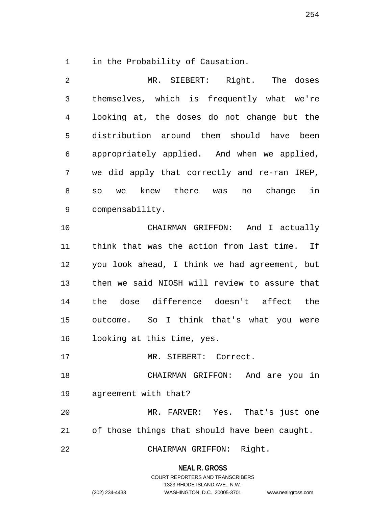in the Probability of Causation.

| 2  | MR. SIEBERT: Right. The doses                 |
|----|-----------------------------------------------|
| 3  | themselves, which is frequently what we're    |
| 4  | looking at, the doses do not change but the   |
| 5  | distribution around them should have been     |
| 6  | appropriately applied. And when we applied,   |
| 7  | we did apply that correctly and re-ran IREP,  |
| 8  | knew there was no change<br>in<br>SO<br>we    |
| 9  | compensability.                               |
| 10 | CHAIRMAN GRIFFON: And I actually              |
| 11 | think that was the action from last time. If  |
| 12 | you look ahead, I think we had agreement, but |
| 13 | then we said NIOSH will review to assure that |
| 14 | the dose difference doesn't affect the        |
| 15 | outcome. So I think that's what you were      |
| 16 | looking at this time, yes.                    |
| 17 | MR. SIEBERT: Correct.                         |
| 18 | CHAIRMAN GRIFFON: And are you in              |
| 19 | agreement with that?                          |
| 20 | MR. FARVER: Yes. That's just one              |
| 21 | of those things that should have been caught. |
| 22 | Right.<br>CHAIRMAN GRIFFON:                   |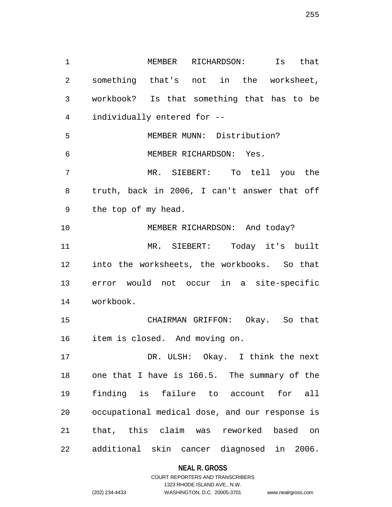MEMBER RICHARDSON: Is that something that's not in the worksheet, workbook? Is that something that has to be individually entered for -- MEMBER MUNN: Distribution? MEMBER RICHARDSON: Yes. MR. SIEBERT: To tell you the truth, back in 2006, I can't answer that off the top of my head. 10 MEMBER RICHARDSON: And today? MR. SIEBERT: Today it's built into the worksheets, the workbooks. So that error would not occur in a site-specific workbook. CHAIRMAN GRIFFON: Okay. So that item is closed. And moving on. DR. ULSH: Okay. I think the next one that I have is 166.5. The summary of the finding is failure to account for all occupational medical dose, and our response is that, this claim was reworked based on additional skin cancer diagnosed in 2006.

#### **NEAL R. GROSS**

COURT REPORTERS AND TRANSCRIBERS 1323 RHODE ISLAND AVE., N.W. (202) 234-4433 WASHINGTON, D.C. 20005-3701 www.nealrgross.com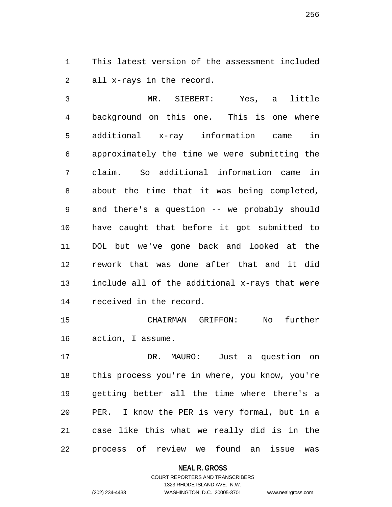This latest version of the assessment included all x-rays in the record.

 MR. SIEBERT: Yes, a little background on this one. This is one where additional x-ray information came in approximately the time we were submitting the claim. So additional information came in about the time that it was being completed, and there's a question -- we probably should have caught that before it got submitted to DOL but we've gone back and looked at the rework that was done after that and it did include all of the additional x-rays that were received in the record.

 CHAIRMAN GRIFFON: No further action, I assume.

 DR. MAURO: Just a question on this process you're in where, you know, you're getting better all the time where there's a PER. I know the PER is very formal, but in a case like this what we really did is in the process of review we found an issue was

**NEAL R. GROSS**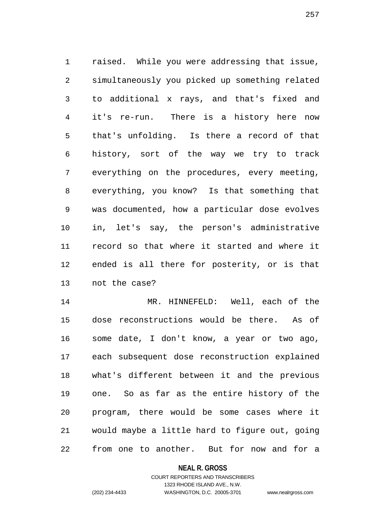raised. While you were addressing that issue, simultaneously you picked up something related to additional x rays, and that's fixed and it's re-run. There is a history here now that's unfolding. Is there a record of that history, sort of the way we try to track everything on the procedures, every meeting, everything, you know? Is that something that was documented, how a particular dose evolves in, let's say, the person's administrative record so that where it started and where it ended is all there for posterity, or is that not the case?

 MR. HINNEFELD: Well, each of the dose reconstructions would be there. As of some date, I don't know, a year or two ago, each subsequent dose reconstruction explained what's different between it and the previous one. So as far as the entire history of the program, there would be some cases where it would maybe a little hard to figure out, going from one to another. But for now and for a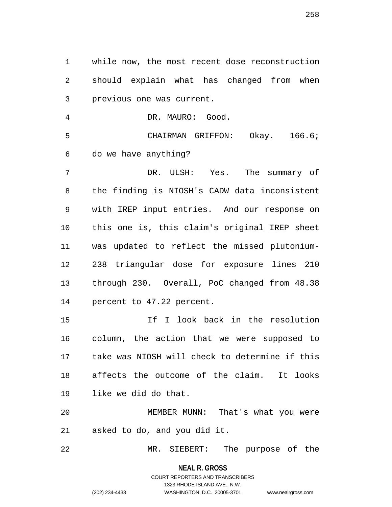while now, the most recent dose reconstruction should explain what has changed from when previous one was current.

DR. MAURO: Good.

 CHAIRMAN GRIFFON: Okay. 166.6; do we have anything?

 DR. ULSH: Yes. The summary of the finding is NIOSH's CADW data inconsistent with IREP input entries. And our response on this one is, this claim's original IREP sheet was updated to reflect the missed plutonium- 238 triangular dose for exposure lines 210 through 230. Overall, PoC changed from 48.38 percent to 47.22 percent.

 If I look back in the resolution column, the action that we were supposed to take was NIOSH will check to determine if this affects the outcome of the claim. It looks like we did do that.

 MEMBER MUNN: That's what you were asked to do, and you did it.

MR. SIEBERT: The purpose of the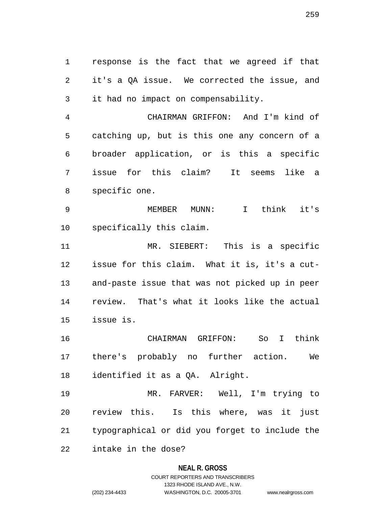response is the fact that we agreed if that it's a QA issue. We corrected the issue, and it had no impact on compensability.

 CHAIRMAN GRIFFON: And I'm kind of catching up, but is this one any concern of a broader application, or is this a specific issue for this claim? It seems like a specific one.

 MEMBER MUNN: I think it's specifically this claim.

 MR. SIEBERT: This is a specific issue for this claim. What it is, it's a cut- and-paste issue that was not picked up in peer review. That's what it looks like the actual issue is.

 CHAIRMAN GRIFFON: So I think there's probably no further action. We identified it as a QA. Alright.

 MR. FARVER: Well, I'm trying to review this. Is this where, was it just typographical or did you forget to include the intake in the dose?

### **NEAL R. GROSS**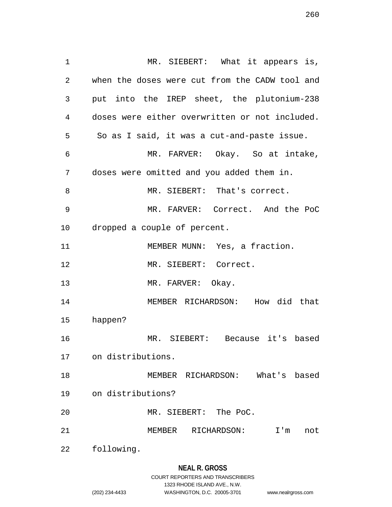MR. SIEBERT: What it appears is, when the doses were cut from the CADW tool and put into the IREP sheet, the plutonium-238 doses were either overwritten or not included. So as I said, it was a cut-and-paste issue. MR. FARVER: Okay. So at intake, doses were omitted and you added them in. MR. SIEBERT: That's correct. MR. FARVER: Correct. And the PoC dropped a couple of percent. 11 MEMBER MUNN: Yes, a fraction. MR. SIEBERT: Correct. 13 MR. FARVER: Okay. MEMBER RICHARDSON: How did that happen? MR. SIEBERT: Because it's based on distributions. MEMBER RICHARDSON: What's based on distributions? MR. SIEBERT: The PoC. MEMBER RICHARDSON: I'm not following.

**NEAL R. GROSS**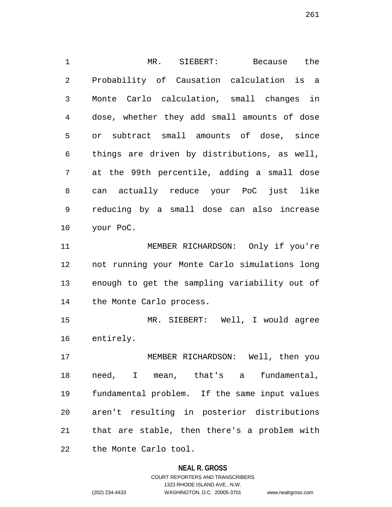MR. SIEBERT: Because the Probability of Causation calculation is a Monte Carlo calculation, small changes in dose, whether they add small amounts of dose or subtract small amounts of dose, since things are driven by distributions, as well, at the 99th percentile, adding a small dose can actually reduce your PoC just like reducing by a small dose can also increase your PoC. MEMBER RICHARDSON: Only if you're not running your Monte Carlo simulations long enough to get the sampling variability out of the Monte Carlo process. MR. SIEBERT: Well, I would agree entirely. MEMBER RICHARDSON: Well, then you

 need, I mean, that's a fundamental, fundamental problem. If the same input values aren't resulting in posterior distributions that are stable, then there's a problem with the Monte Carlo tool.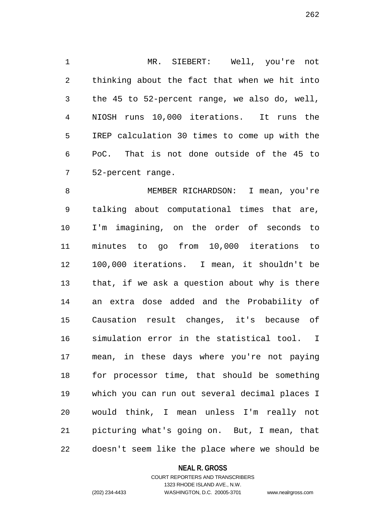MR. SIEBERT: Well, you're not thinking about the fact that when we hit into the 45 to 52-percent range, we also do, well, NIOSH runs 10,000 iterations. It runs the IREP calculation 30 times to come up with the PoC. That is not done outside of the 45 to 52-percent range.

 MEMBER RICHARDSON: I mean, you're talking about computational times that are, I'm imagining, on the order of seconds to minutes to go from 10,000 iterations to 100,000 iterations. I mean, it shouldn't be that, if we ask a question about why is there an extra dose added and the Probability of Causation result changes, it's because of simulation error in the statistical tool. I mean, in these days where you're not paying for processor time, that should be something which you can run out several decimal places I would think, I mean unless I'm really not picturing what's going on. But, I mean, that doesn't seem like the place where we should be

### **NEAL R. GROSS**

### COURT REPORTERS AND TRANSCRIBERS 1323 RHODE ISLAND AVE., N.W. (202) 234-4433 WASHINGTON, D.C. 20005-3701 www.nealrgross.com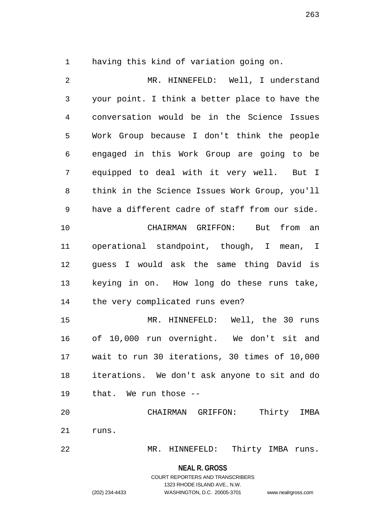having this kind of variation going on.

 MR. HINNEFELD: Well, I understand your point. I think a better place to have the conversation would be in the Science Issues Work Group because I don't think the people engaged in this Work Group are going to be equipped to deal with it very well. But I think in the Science Issues Work Group, you'll have a different cadre of staff from our side. CHAIRMAN GRIFFON: But from an operational standpoint, though, I mean, I guess I would ask the same thing David is keying in on. How long do these runs take, the very complicated runs even? MR. HINNEFELD: Well, the 30 runs of 10,000 run overnight. We don't sit and wait to run 30 iterations, 30 times of 10,000 iterations. We don't ask anyone to sit and do that. We run those -- CHAIRMAN GRIFFON: Thirty IMBA runs. MR. HINNEFELD: Thirty IMBA runs.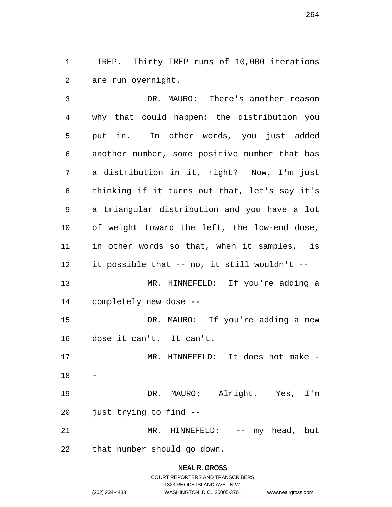IREP. Thirty IREP runs of 10,000 iterations are run overnight.

 DR. MAURO: There's another reason why that could happen: the distribution you put in. In other words, you just added another number, some positive number that has a distribution in it, right? Now, I'm just thinking if it turns out that, let's say it's a triangular distribution and you have a lot of weight toward the left, the low-end dose, in other words so that, when it samples, is it possible that -- no, it still wouldn't -- MR. HINNEFELD: If you're adding a completely new dose -- DR. MAURO: If you're adding a new dose it can't. It can't. 17 MR. HINNEFELD: It does not make - DR. MAURO: Alright. Yes, I'm just trying to find -- 21 MR. HINNEFELD: -- my head, but that number should go down.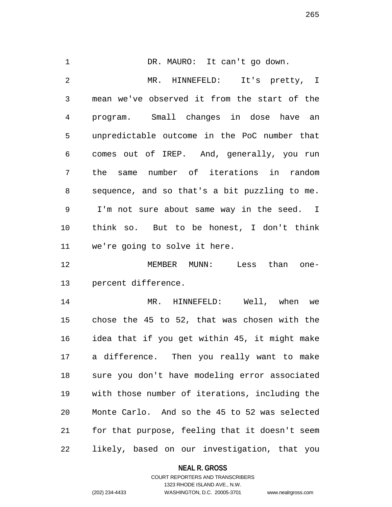1 DR. MAURO: It can't go down. MR. HINNEFELD: It's pretty, I mean we've observed it from the start of the program. Small changes in dose have an unpredictable outcome in the PoC number that comes out of IREP. And, generally, you run the same number of iterations in random sequence, and so that's a bit puzzling to me. I'm not sure about same way in the seed. I think so. But to be honest, I don't think we're going to solve it here.

 MEMBER MUNN: Less than one-percent difference.

 MR. HINNEFELD: Well, when we chose the 45 to 52, that was chosen with the idea that if you get within 45, it might make a difference. Then you really want to make sure you don't have modeling error associated with those number of iterations, including the Monte Carlo. And so the 45 to 52 was selected for that purpose, feeling that it doesn't seem likely, based on our investigation, that you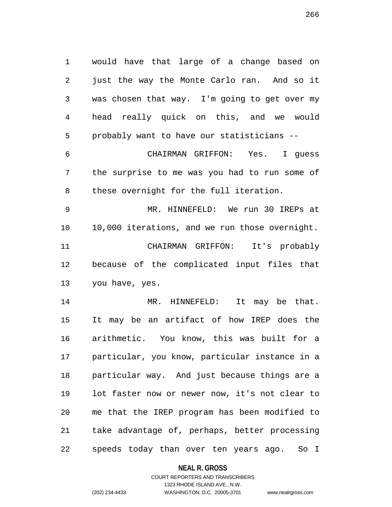would have that large of a change based on just the way the Monte Carlo ran. And so it was chosen that way. I'm going to get over my head really quick on this, and we would probably want to have our statisticians --

 CHAIRMAN GRIFFON: Yes. I guess the surprise to me was you had to run some of these overnight for the full iteration.

 MR. HINNEFELD: We run 30 IREPs at 10,000 iterations, and we run those overnight. CHAIRMAN GRIFFON: It's probably because of the complicated input files that you have, yes.

 MR. HINNEFELD: It may be that. It may be an artifact of how IREP does the arithmetic. You know, this was built for a particular, you know, particular instance in a particular way. And just because things are a lot faster now or newer now, it's not clear to me that the IREP program has been modified to take advantage of, perhaps, better processing speeds today than over ten years ago. So I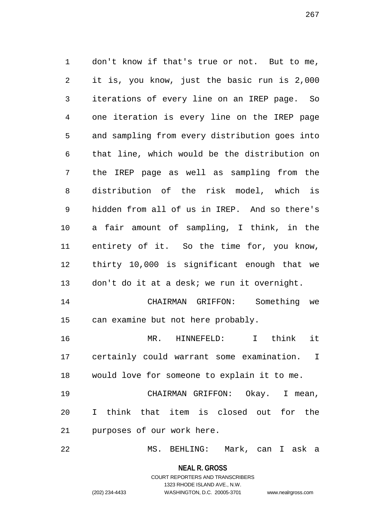don't know if that's true or not. But to me, it is, you know, just the basic run is 2,000 iterations of every line on an IREP page. So one iteration is every line on the IREP page and sampling from every distribution goes into that line, which would be the distribution on the IREP page as well as sampling from the distribution of the risk model, which is hidden from all of us in IREP. And so there's a fair amount of sampling, I think, in the entirety of it. So the time for, you know, thirty 10,000 is significant enough that we don't do it at a desk; we run it overnight. CHAIRMAN GRIFFON: Something we can examine but not here probably. MR. HINNEFELD: I think it certainly could warrant some examination. I would love for someone to explain it to me. CHAIRMAN GRIFFON: Okay. I mean, I think that item is closed out for the purposes of our work here.

MS. BEHLING: Mark, can I ask a

**NEAL R. GROSS** COURT REPORTERS AND TRANSCRIBERS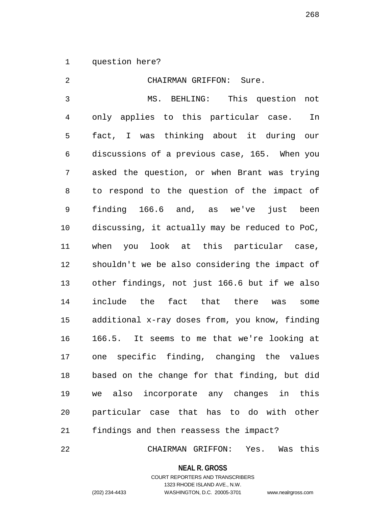question here?

 CHAIRMAN GRIFFON: Sure. MS. BEHLING: This question not only applies to this particular case. In fact, I was thinking about it during our discussions of a previous case, 165. When you asked the question, or when Brant was trying to respond to the question of the impact of finding 166.6 and, as we've just been discussing, it actually may be reduced to PoC, when you look at this particular case, shouldn't we be also considering the impact of other findings, not just 166.6 but if we also include the fact that there was some additional x-ray doses from, you know, finding 166.5. It seems to me that we're looking at one specific finding, changing the values based on the change for that finding, but did we also incorporate any changes in this particular case that has to do with other findings and then reassess the impact?

CHAIRMAN GRIFFON: Yes. Was this

**NEAL R. GROSS**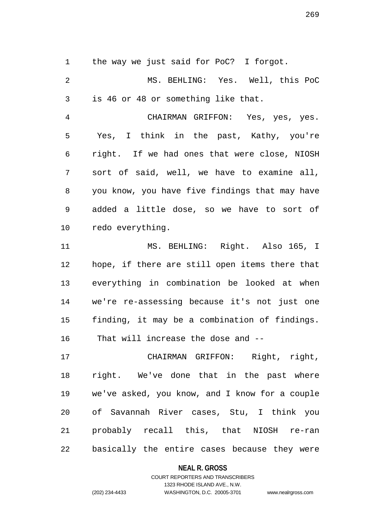the way we just said for PoC? I forgot.

 MS. BEHLING: Yes. Well, this PoC is 46 or 48 or something like that. CHAIRMAN GRIFFON: Yes, yes, yes. Yes, I think in the past, Kathy, you're right. If we had ones that were close, NIOSH sort of said, well, we have to examine all, you know, you have five findings that may have added a little dose, so we have to sort of redo everything. MS. BEHLING: Right. Also 165, I hope, if there are still open items there that everything in combination be looked at when we're re-assessing because it's not just one finding, it may be a combination of findings. That will increase the dose and -- CHAIRMAN GRIFFON: Right, right, right. We've done that in the past where

 we've asked, you know, and I know for a couple of Savannah River cases, Stu, I think you probably recall this, that NIOSH re-ran basically the entire cases because they were

### **NEAL R. GROSS**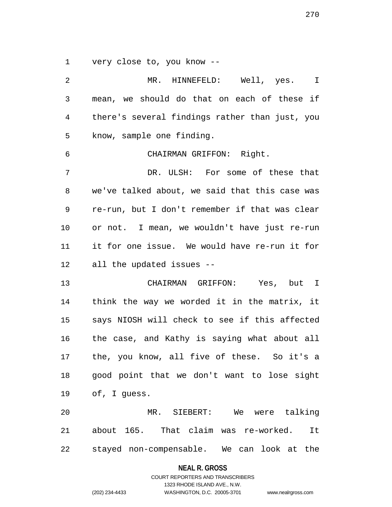very close to, you know --

 MR. HINNEFELD: Well, yes. I mean, we should do that on each of these if there's several findings rather than just, you know, sample one finding. CHAIRMAN GRIFFON: Right. DR. ULSH: For some of these that we've talked about, we said that this case was re-run, but I don't remember if that was clear or not. I mean, we wouldn't have just re-run it for one issue. We would have re-run it for all the updated issues -- CHAIRMAN GRIFFON: Yes, but I think the way we worded it in the matrix, it says NIOSH will check to see if this affected the case, and Kathy is saying what about all the, you know, all five of these. So it's a good point that we don't want to lose sight of, I guess. MR. SIEBERT: We were talking about 165. That claim was re-worked. It stayed non-compensable. We can look at the

**NEAL R. GROSS**

COURT REPORTERS AND TRANSCRIBERS 1323 RHODE ISLAND AVE., N.W. (202) 234-4433 WASHINGTON, D.C. 20005-3701 www.nealrgross.com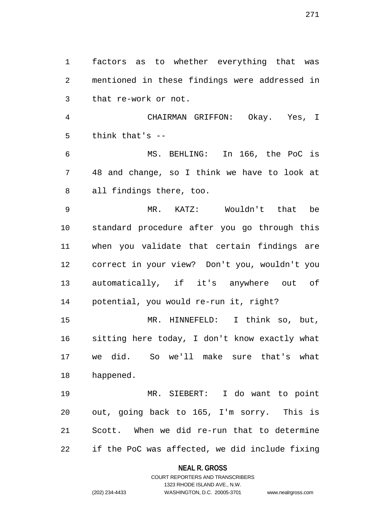factors as to whether everything that was mentioned in these findings were addressed in that re-work or not.

 CHAIRMAN GRIFFON: Okay. Yes, I think that's --

 MS. BEHLING: In 166, the PoC is 48 and change, so I think we have to look at all findings there, too.

 MR. KATZ: Wouldn't that be standard procedure after you go through this when you validate that certain findings are correct in your view? Don't you, wouldn't you automatically, if it's anywhere out of potential, you would re-run it, right?

 MR. HINNEFELD: I think so, but, sitting here today, I don't know exactly what we did. So we'll make sure that's what happened.

 MR. SIEBERT: I do want to point out, going back to 165, I'm sorry. This is Scott. When we did re-run that to determine if the PoC was affected, we did include fixing

### **NEAL R. GROSS**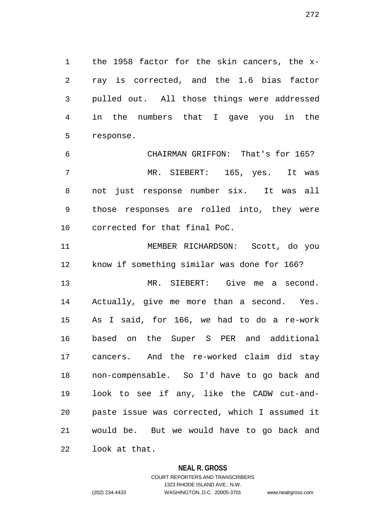the 1958 factor for the skin cancers, the x- ray is corrected, and the 1.6 bias factor pulled out. All those things were addressed in the numbers that I gave you in the response.

 CHAIRMAN GRIFFON: That's for 165? MR. SIEBERT: 165, yes. It was not just response number six. It was all those responses are rolled into, they were corrected for that final PoC.

 MEMBER RICHARDSON: Scott, do you know if something similar was done for 166?

 MR. SIEBERT: Give me a second. Actually, give me more than a second. Yes. As I said, for 166, we had to do a re-work based on the Super S PER and additional cancers. And the re-worked claim did stay non-compensable. So I'd have to go back and look to see if any, like the CADW cut-and- paste issue was corrected, which I assumed it would be. But we would have to go back and look at that.

### **NEAL R. GROSS**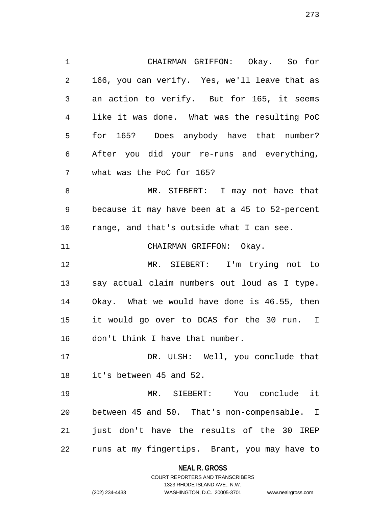CHAIRMAN GRIFFON: Okay. So for 166, you can verify. Yes, we'll leave that as an action to verify. But for 165, it seems like it was done. What was the resulting PoC for 165? Does anybody have that number? After you did your re-runs and everything, what was the PoC for 165? MR. SIEBERT: I may not have that because it may have been at a 45 to 52-percent range, and that's outside what I can see. 11 CHAIRMAN GRIFFON: Okay. MR. SIEBERT: I'm trying not to say actual claim numbers out loud as I type. Okay. What we would have done is 46.55, then it would go over to DCAS for the 30 run. I don't think I have that number. 17 DR. ULSH: Well, you conclude that it's between 45 and 52. MR. SIEBERT: You conclude it between 45 and 50. That's non-compensable. I 21 just don't have the results of the 30 IREP

> **NEAL R. GROSS** COURT REPORTERS AND TRANSCRIBERS

runs at my fingertips. Brant, you may have to

1323 RHODE ISLAND AVE., N.W.

(202) 234-4433 WASHINGTON, D.C. 20005-3701 www.nealrgross.com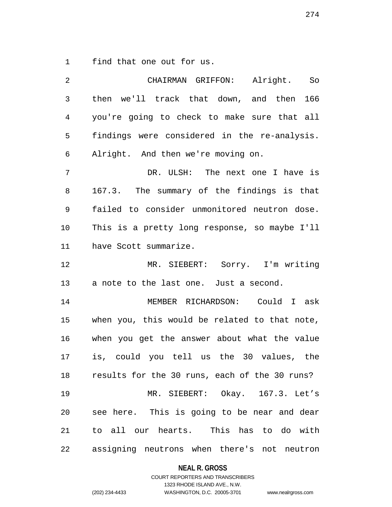find that one out for us.

| 2              | CHAIRMAN GRIFFON: Alright.<br>So                 |
|----------------|--------------------------------------------------|
| 3              | then we'll track that down, and then 166         |
| $\overline{4}$ | you're going to check to make sure that all      |
| 5              | findings were considered in the re-analysis.     |
| 6              | Alright. And then we're moving on.               |
| 7              | DR. ULSH: The next one I have is                 |
| 8              | 167.3. The summary of the findings is that       |
| 9              | failed to consider unmonitored neutron dose.     |
| 10             | This is a pretty long response, so maybe I'll    |
| 11             | have Scott summarize.                            |
| 12             | MR. SIEBERT: Sorry. I'm writing                  |
| 13             | a note to the last one. Just a second.           |
| 14             | MEMBER RICHARDSON: Could I ask                   |
| 15             | when you, this would be related to that note,    |
| 16             | when you get the answer about what the value     |
| 17             | is, could you tell us the 30 values, the         |
|                | 18 results for the 30 runs, each of the 30 runs? |
| 19             | MR. SIEBERT: Okay. 167.3. Let's                  |
| 20             | see here. This is going to be near and dear      |
| 21             | to all our hearts. This has to do with           |
| 22             | assigning neutrons when there's not neutron      |

**NEAL R. GROSS**

COURT REPORTERS AND TRANSCRIBERS 1323 RHODE ISLAND AVE., N.W. (202) 234-4433 WASHINGTON, D.C. 20005-3701 www.nealrgross.com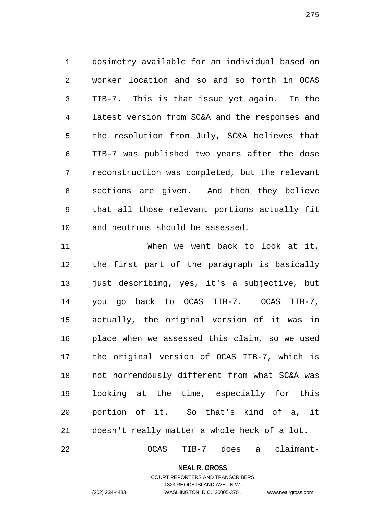dosimetry available for an individual based on worker location and so and so forth in OCAS TIB-7. This is that issue yet again. In the latest version from SC&A and the responses and the resolution from July, SC&A believes that TIB-7 was published two years after the dose reconstruction was completed, but the relevant sections are given. And then they believe that all those relevant portions actually fit and neutrons should be assessed.

 When we went back to look at it, the first part of the paragraph is basically just describing, yes, it's a subjective, but you go back to OCAS TIB-7. OCAS TIB-7, actually, the original version of it was in place when we assessed this claim, so we used the original version of OCAS TIB-7, which is not horrendously different from what SC&A was looking at the time, especially for this portion of it. So that's kind of a, it doesn't really matter a whole heck of a lot.

OCAS TIB-7 does a claimant-

**NEAL R. GROSS**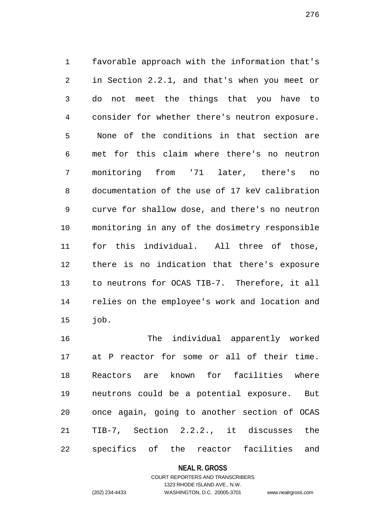favorable approach with the information that's in Section 2.2.1, and that's when you meet or do not meet the things that you have to consider for whether there's neutron exposure. None of the conditions in that section are met for this claim where there's no neutron monitoring from '71 later, there's no documentation of the use of 17 keV calibration curve for shallow dose, and there's no neutron monitoring in any of the dosimetry responsible for this individual. All three of those, there is no indication that there's exposure to neutrons for OCAS TIB-7. Therefore, it all relies on the employee's work and location and job.

 The individual apparently worked at P reactor for some or all of their time. Reactors are known for facilities where neutrons could be a potential exposure. But once again, going to another section of OCAS TIB-7, Section 2.2.2., it discusses the specifics of the reactor facilities and

### **NEAL R. GROSS**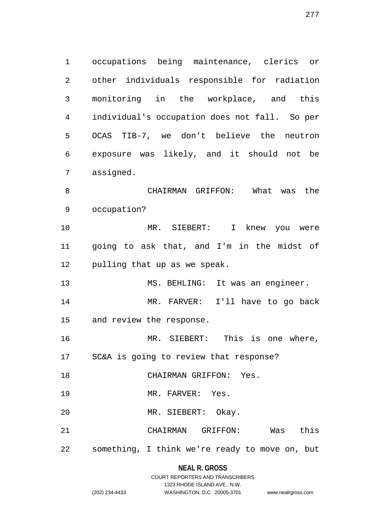occupations being maintenance, clerics or other individuals responsible for radiation monitoring in the workplace, and this individual's occupation does not fall. So per OCAS TIB-7, we don't believe the neutron exposure was likely, and it should not be assigned. CHAIRMAN GRIFFON: What was the occupation? MR. SIEBERT: I knew you were going to ask that, and I'm in the midst of pulling that up as we speak. MS. BEHLING: It was an engineer. MR. FARVER: I'll have to go back and review the response.

MR. SIEBERT: This is one where,

SC&A is going to review that response?

CHAIRMAN GRIFFON: Yes.

19 MR. FARVER: Yes.

MR. SIEBERT: Okay.

CHAIRMAN GRIFFON: Was this

something, I think we're ready to move on, but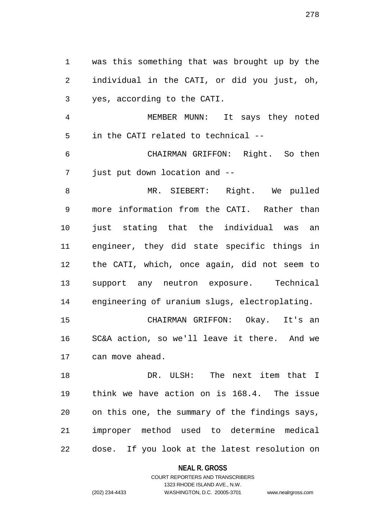was this something that was brought up by the individual in the CATI, or did you just, oh, yes, according to the CATI.

 MEMBER MUNN: It says they noted in the CATI related to technical --

 CHAIRMAN GRIFFON: Right. So then just put down location and --

 MR. SIEBERT: Right. We pulled more information from the CATI. Rather than just stating that the individual was an engineer, they did state specific things in the CATI, which, once again, did not seem to support any neutron exposure. Technical engineering of uranium slugs, electroplating.

 CHAIRMAN GRIFFON: Okay. It's an SC&A action, so we'll leave it there. And we can move ahead.

 DR. ULSH: The next item that I think we have action on is 168.4. The issue on this one, the summary of the findings says, improper method used to determine medical dose. If you look at the latest resolution on

#### **NEAL R. GROSS**

# COURT REPORTERS AND TRANSCRIBERS 1323 RHODE ISLAND AVE., N.W. (202) 234-4433 WASHINGTON, D.C. 20005-3701 www.nealrgross.com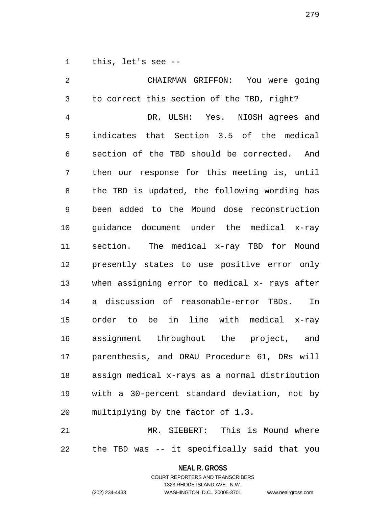this, let's see --

 CHAIRMAN GRIFFON: You were going to correct this section of the TBD, right? DR. ULSH: Yes. NIOSH agrees and indicates that Section 3.5 of the medical section of the TBD should be corrected. And then our response for this meeting is, until the TBD is updated, the following wording has been added to the Mound dose reconstruction guidance document under the medical x-ray section. The medical x-ray TBD for Mound presently states to use positive error only when assigning error to medical x- rays after a discussion of reasonable-error TBDs. In order to be in line with medical x-ray assignment throughout the project, and parenthesis, and ORAU Procedure 61, DRs will assign medical x-rays as a normal distribution with a 30-percent standard deviation, not by multiplying by the factor of 1.3. MR. SIEBERT: This is Mound where

the TBD was -- it specifically said that you

**NEAL R. GROSS**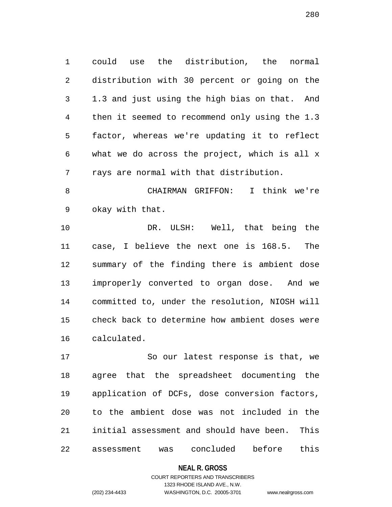could use the distribution, the normal distribution with 30 percent or going on the 1.3 and just using the high bias on that. And then it seemed to recommend only using the 1.3 factor, whereas we're updating it to reflect what we do across the project, which is all x rays are normal with that distribution.

 CHAIRMAN GRIFFON: I think we're okay with that.

 DR. ULSH: Well, that being the case, I believe the next one is 168.5. The summary of the finding there is ambient dose improperly converted to organ dose. And we committed to, under the resolution, NIOSH will check back to determine how ambient doses were calculated.

 So our latest response is that, we agree that the spreadsheet documenting the application of DCFs, dose conversion factors, to the ambient dose was not included in the initial assessment and should have been. This assessment was concluded before this

**NEAL R. GROSS**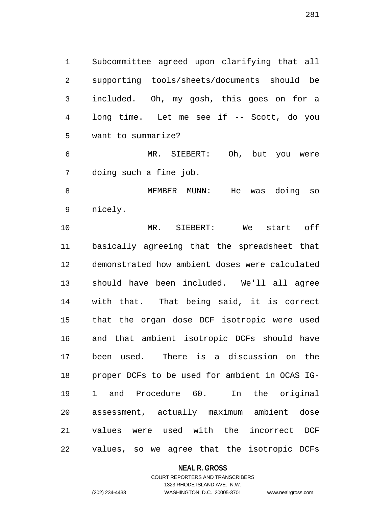Subcommittee agreed upon clarifying that all supporting tools/sheets/documents should be included. Oh, my gosh, this goes on for a long time. Let me see if -- Scott, do you want to summarize?

 MR. SIEBERT: Oh, but you were doing such a fine job.

 MEMBER MUNN: He was doing so nicely.

 MR. SIEBERT: We start off basically agreeing that the spreadsheet that demonstrated how ambient doses were calculated should have been included. We'll all agree with that. That being said, it is correct that the organ dose DCF isotropic were used and that ambient isotropic DCFs should have been used. There is a discussion on the proper DCFs to be used for ambient in OCAS IG- 1 and Procedure 60. In the original assessment, actually maximum ambient dose values were used with the incorrect DCF values, so we agree that the isotropic DCFs

### **NEAL R. GROSS**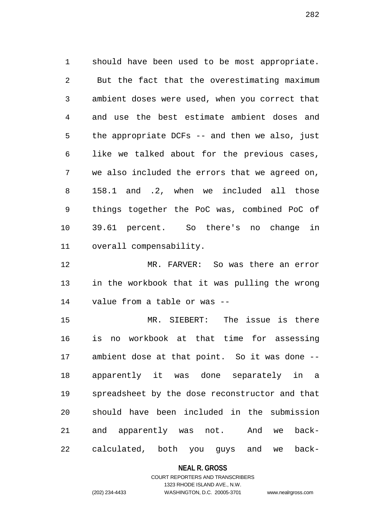should have been used to be most appropriate. But the fact that the overestimating maximum ambient doses were used, when you correct that and use the best estimate ambient doses and the appropriate DCFs -- and then we also, just like we talked about for the previous cases, we also included the errors that we agreed on, 158.1 and .2, when we included all those things together the PoC was, combined PoC of 39.61 percent. So there's no change in overall compensability.

 MR. FARVER: So was there an error in the workbook that it was pulling the wrong value from a table or was --

 MR. SIEBERT: The issue is there is no workbook at that time for assessing ambient dose at that point. So it was done -- apparently it was done separately in a spreadsheet by the dose reconstructor and that should have been included in the submission and apparently was not. And we back-calculated, both you guys and we back-

#### **NEAL R. GROSS**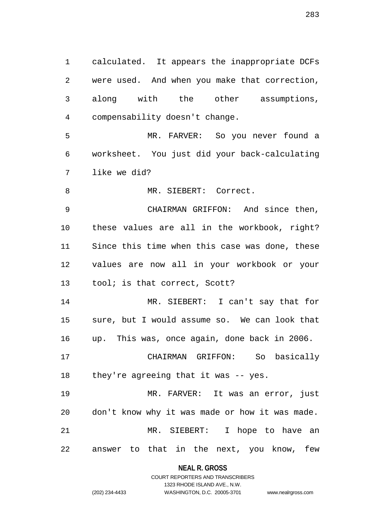calculated. It appears the inappropriate DCFs were used. And when you make that correction, along with the other assumptions, compensability doesn't change.

 MR. FARVER: So you never found a worksheet. You just did your back-calculating like we did?

8 MR. SIEBERT: Correct.

 CHAIRMAN GRIFFON: And since then, these values are all in the workbook, right? Since this time when this case was done, these values are now all in your workbook or your tool; is that correct, Scott?

 MR. SIEBERT: I can't say that for sure, but I would assume so. We can look that up. This was, once again, done back in 2006.

 CHAIRMAN GRIFFON: So basically they're agreeing that it was -- yes.

 MR. FARVER: It was an error, just don't know why it was made or how it was made. MR. SIEBERT: I hope to have an answer to that in the next, you know, few

> **NEAL R. GROSS** COURT REPORTERS AND TRANSCRIBERS

> > 1323 RHODE ISLAND AVE., N.W.

```
(202) 234-4433 WASHINGTON, D.C. 20005-3701 www.nealrgross.com
```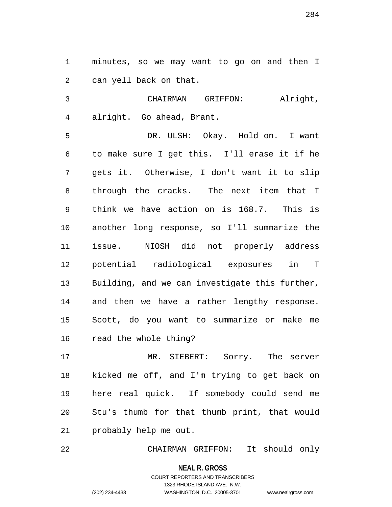minutes, so we may want to go on and then I can yell back on that.

 CHAIRMAN GRIFFON: Alright, alright. Go ahead, Brant.

 DR. ULSH: Okay. Hold on. I want to make sure I get this. I'll erase it if he gets it. Otherwise, I don't want it to slip through the cracks. The next item that I think we have action on is 168.7. This is another long response, so I'll summarize the issue. NIOSH did not properly address potential radiological exposures in T Building, and we can investigate this further, and then we have a rather lengthy response. Scott, do you want to summarize or make me read the whole thing?

 MR. SIEBERT: Sorry. The server kicked me off, and I'm trying to get back on here real quick. If somebody could send me Stu's thumb for that thumb print, that would probably help me out.

CHAIRMAN GRIFFON: It should only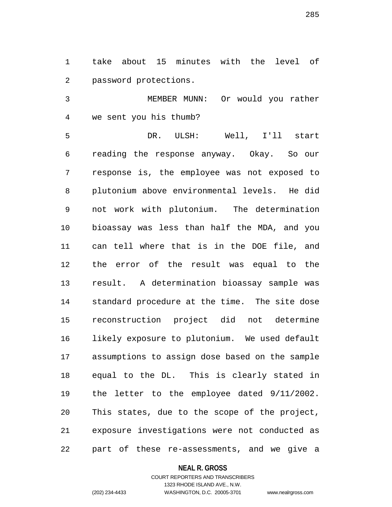take about 15 minutes with the level of password protections.

 MEMBER MUNN: Or would you rather we sent you his thumb?

 DR. ULSH: Well, I'll start reading the response anyway. Okay. So our response is, the employee was not exposed to plutonium above environmental levels. He did not work with plutonium. The determination bioassay was less than half the MDA, and you can tell where that is in the DOE file, and the error of the result was equal to the result. A determination bioassay sample was standard procedure at the time. The site dose reconstruction project did not determine likely exposure to plutonium. We used default assumptions to assign dose based on the sample equal to the DL. This is clearly stated in the letter to the employee dated 9/11/2002. This states, due to the scope of the project, exposure investigations were not conducted as part of these re-assessments, and we give a

### **NEAL R. GROSS**

# COURT REPORTERS AND TRANSCRIBERS 1323 RHODE ISLAND AVE., N.W. (202) 234-4433 WASHINGTON, D.C. 20005-3701 www.nealrgross.com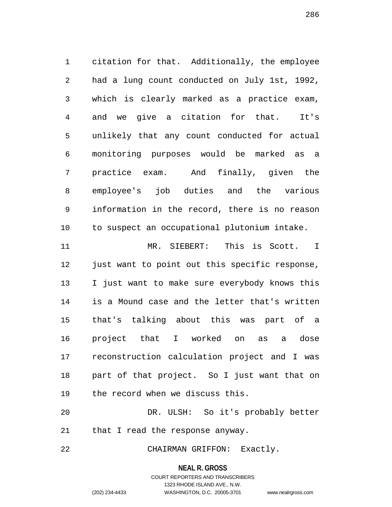citation for that. Additionally, the employee had a lung count conducted on July 1st, 1992, which is clearly marked as a practice exam, and we give a citation for that. It's unlikely that any count conducted for actual monitoring purposes would be marked as a practice exam. And finally, given the employee's job duties and the various information in the record, there is no reason to suspect an occupational plutonium intake.

 MR. SIEBERT: This is Scott. I 12 just want to point out this specific response, I just want to make sure everybody knows this is a Mound case and the letter that's written that's talking about this was part of a project that I worked on as a dose reconstruction calculation project and I was part of that project. So I just want that on the record when we discuss this.

 DR. ULSH: So it's probably better that I read the response anyway.

CHAIRMAN GRIFFON: Exactly.

#### **NEAL R. GROSS**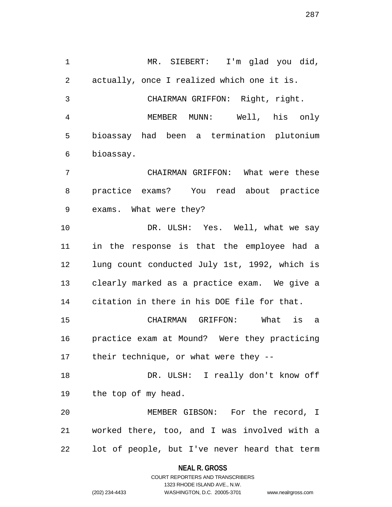MR. SIEBERT: I'm glad you did, actually, once I realized which one it is. CHAIRMAN GRIFFON: Right, right. MEMBER MUNN: Well, his only bioassay had been a termination plutonium bioassay. CHAIRMAN GRIFFON: What were these practice exams? You read about practice exams. What were they? DR. ULSH: Yes. Well, what we say in the response is that the employee had a lung count conducted July 1st, 1992, which is clearly marked as a practice exam. We give a citation in there in his DOE file for that. CHAIRMAN GRIFFON: What is a practice exam at Mound? Were they practicing their technique, or what were they -- DR. ULSH: I really don't know off the top of my head. MEMBER GIBSON: For the record, I worked there, too, and I was involved with a lot of people, but I've never heard that term

#### **NEAL R. GROSS**

COURT REPORTERS AND TRANSCRIBERS 1323 RHODE ISLAND AVE., N.W. (202) 234-4433 WASHINGTON, D.C. 20005-3701 www.nealrgross.com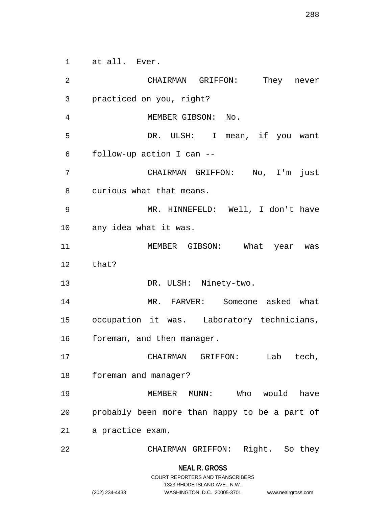at all. Ever.

 CHAIRMAN GRIFFON: They never practiced on you, right? MEMBER GIBSON: No. DR. ULSH: I mean, if you want follow-up action I can -- CHAIRMAN GRIFFON: No, I'm just curious what that means. MR. HINNEFELD: Well, I don't have any idea what it was. MEMBER GIBSON: What year was that? 13 DR. ULSH: Ninety-two. MR. FARVER: Someone asked what occupation it was. Laboratory technicians, foreman, and then manager. CHAIRMAN GRIFFON: Lab tech, foreman and manager? MEMBER MUNN: Who would have probably been more than happy to be a part of a practice exam. CHAIRMAN GRIFFON: Right. So they

1323 RHODE ISLAND AVE., N.W.

(202) 234-4433 WASHINGTON, D.C. 20005-3701 www.nealrgross.com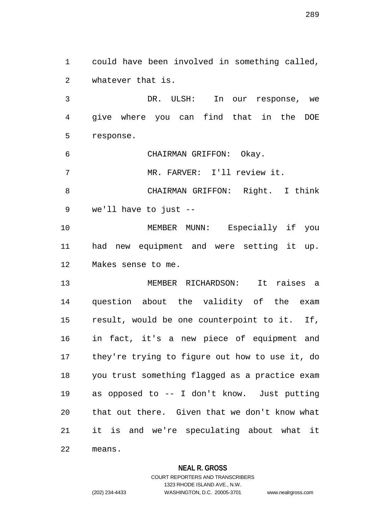could have been involved in something called, whatever that is.

 DR. ULSH: In our response, we give where you can find that in the DOE response.

CHAIRMAN GRIFFON: Okay.

MR. FARVER: I'll review it.

 CHAIRMAN GRIFFON: Right. I think we'll have to just --

 MEMBER MUNN: Especially if you had new equipment and were setting it up. Makes sense to me.

 MEMBER RICHARDSON: It raises a question about the validity of the exam result, would be one counterpoint to it. If, in fact, it's a new piece of equipment and they're trying to figure out how to use it, do you trust something flagged as a practice exam as opposed to -- I don't know. Just putting that out there. Given that we don't know what it is and we're speculating about what it means.

# **NEAL R. GROSS**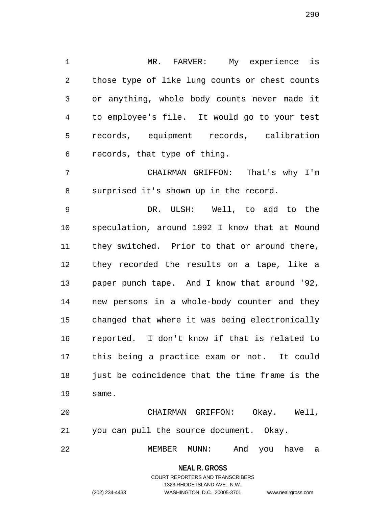MR. FARVER: My experience is those type of like lung counts or chest counts or anything, whole body counts never made it to employee's file. It would go to your test records, equipment records, calibration records, that type of thing.

 CHAIRMAN GRIFFON: That's why I'm surprised it's shown up in the record.

 DR. ULSH: Well, to add to the speculation, around 1992 I know that at Mound they switched. Prior to that or around there, they recorded the results on a tape, like a paper punch tape. And I know that around '92, new persons in a whole-body counter and they changed that where it was being electronically reported. I don't know if that is related to this being a practice exam or not. It could 18 just be coincidence that the time frame is the same.

 CHAIRMAN GRIFFON: Okay. Well, you can pull the source document. Okay.

MEMBER MUNN: And you have a

**NEAL R. GROSS**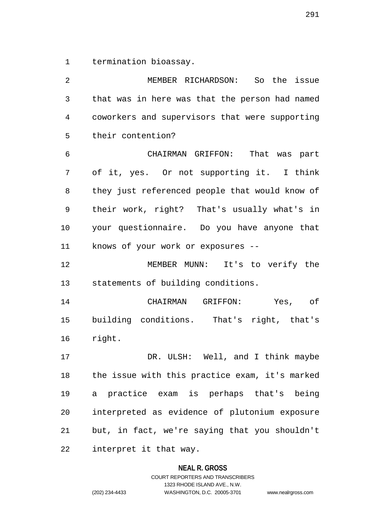termination bioassay.

 MEMBER RICHARDSON: So the issue that was in here was that the person had named coworkers and supervisors that were supporting their contention? CHAIRMAN GRIFFON: That was part of it, yes. Or not supporting it. I think they just referenced people that would know of their work, right? That's usually what's in your questionnaire. Do you have anyone that knows of your work or exposures -- MEMBER MUNN: It's to verify the statements of building conditions. CHAIRMAN GRIFFON: Yes, of building conditions. That's right, that's right. DR. ULSH: Well, and I think maybe the issue with this practice exam, it's marked a practice exam is perhaps that's being interpreted as evidence of plutonium exposure but, in fact, we're saying that you shouldn't interpret it that way.

#### **NEAL R. GROSS**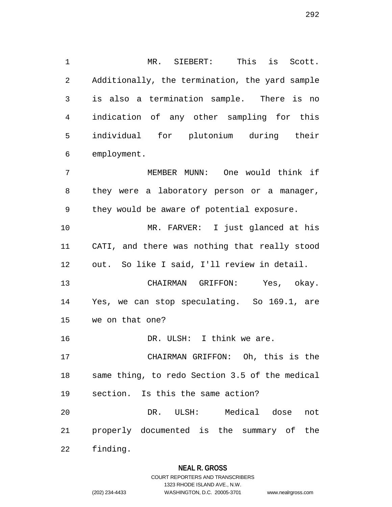MR. SIEBERT: This is Scott. Additionally, the termination, the yard sample is also a termination sample. There is no indication of any other sampling for this individual for plutonium during their employment. MEMBER MUNN: One would think if they were a laboratory person or a manager,

 MR. FARVER: I just glanced at his CATI, and there was nothing that really stood out. So like I said, I'll review in detail.

they would be aware of potential exposure.

 CHAIRMAN GRIFFON: Yes, okay. Yes, we can stop speculating. So 169.1, are we on that one?

DR. ULSH: I think we are.

 CHAIRMAN GRIFFON: Oh, this is the same thing, to redo Section 3.5 of the medical section. Is this the same action?

 DR. ULSH: Medical dose not properly documented is the summary of the

finding.

# **NEAL R. GROSS**

# COURT REPORTERS AND TRANSCRIBERS 1323 RHODE ISLAND AVE., N.W. (202) 234-4433 WASHINGTON, D.C. 20005-3701 www.nealrgross.com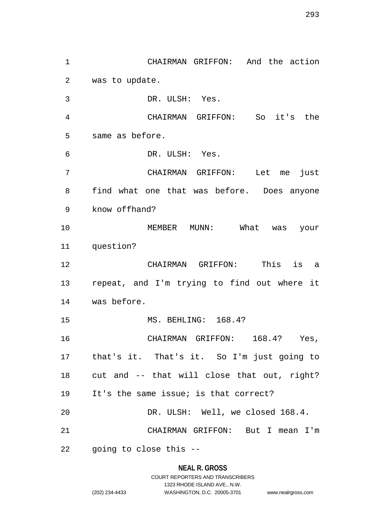CHAIRMAN GRIFFON: And the action was to update. DR. ULSH: Yes. CHAIRMAN GRIFFON: So it's the same as before. DR. ULSH: Yes. CHAIRMAN GRIFFON: Let me just find what one that was before. Does anyone know offhand? MEMBER MUNN: What was your question? CHAIRMAN GRIFFON: This is a repeat, and I'm trying to find out where it was before. MS. BEHLING: 168.4? CHAIRMAN GRIFFON: 168.4? Yes, that's it. That's it. So I'm just going to cut and -- that will close that out, right? It's the same issue; is that correct? DR. ULSH: Well, we closed 168.4. CHAIRMAN GRIFFON: But I mean I'm going to close this --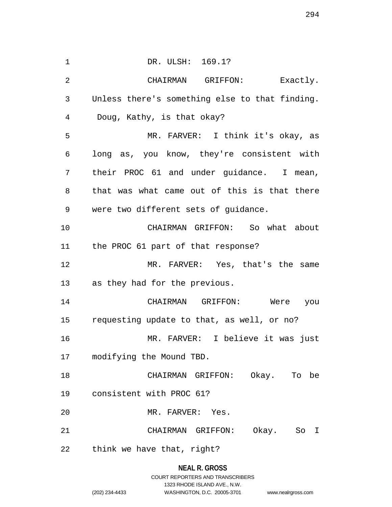1 DR. ULSH: 169.1? CHAIRMAN GRIFFON: Exactly. Unless there's something else to that finding. Doug, Kathy, is that okay? MR. FARVER: I think it's okay, as long as, you know, they're consistent with their PROC 61 and under guidance. I mean, that was what came out of this is that there were two different sets of guidance. CHAIRMAN GRIFFON: So what about the PROC 61 part of that response? MR. FARVER: Yes, that's the same as they had for the previous. CHAIRMAN GRIFFON: Were you requesting update to that, as well, or no? MR. FARVER: I believe it was just modifying the Mound TBD. CHAIRMAN GRIFFON: Okay. To be consistent with PROC 61? MR. FARVER: Yes. CHAIRMAN GRIFFON: Okay. So I think we have that, right?

# **NEAL R. GROSS** COURT REPORTERS AND TRANSCRIBERS 1323 RHODE ISLAND AVE., N.W. (202) 234-4433 WASHINGTON, D.C. 20005-3701 www.nealrgross.com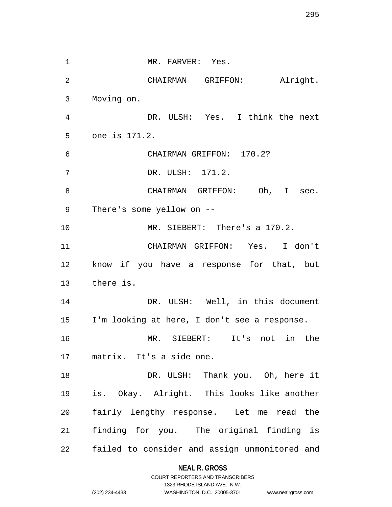1 MR. FARVER: Yes. CHAIRMAN GRIFFON: Alright. Moving on. DR. ULSH: Yes. I think the next one is 171.2. CHAIRMAN GRIFFON: 170.2? DR. ULSH: 171.2. 8 CHAIRMAN GRIFFON: Oh, I see. There's some yellow on -- MR. SIEBERT: There's a 170.2. CHAIRMAN GRIFFON: Yes. I don't know if you have a response for that, but there is. 14 DR. ULSH: Well, in this document I'm looking at here, I don't see a response. MR. SIEBERT: It's not in the matrix. It's a side one. 18 DR. ULSH: Thank you. Oh, here it is. Okay. Alright. This looks like another fairly lengthy response. Let me read the finding for you. The original finding is failed to consider and assign unmonitored and

#### **NEAL R. GROSS**

COURT REPORTERS AND TRANSCRIBERS 1323 RHODE ISLAND AVE., N.W. (202) 234-4433 WASHINGTON, D.C. 20005-3701 www.nealrgross.com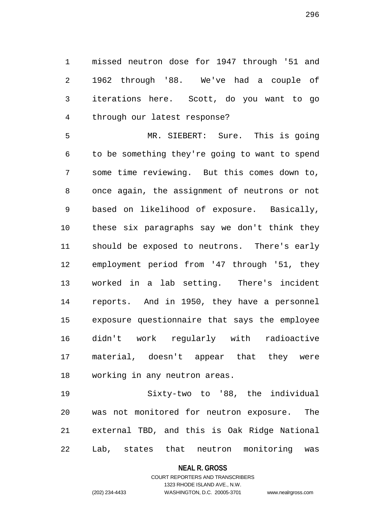missed neutron dose for 1947 through '51 and 1962 through '88. We've had a couple of iterations here. Scott, do you want to go through our latest response?

 MR. SIEBERT: Sure. This is going to be something they're going to want to spend some time reviewing. But this comes down to, once again, the assignment of neutrons or not based on likelihood of exposure. Basically, these six paragraphs say we don't think they should be exposed to neutrons. There's early employment period from '47 through '51, they worked in a lab setting. There's incident reports. And in 1950, they have a personnel exposure questionnaire that says the employee didn't work regularly with radioactive material, doesn't appear that they were working in any neutron areas.

 Sixty-two to '88, the individual was not monitored for neutron exposure. The external TBD, and this is Oak Ridge National Lab, states that neutron monitoring was

#### **NEAL R. GROSS**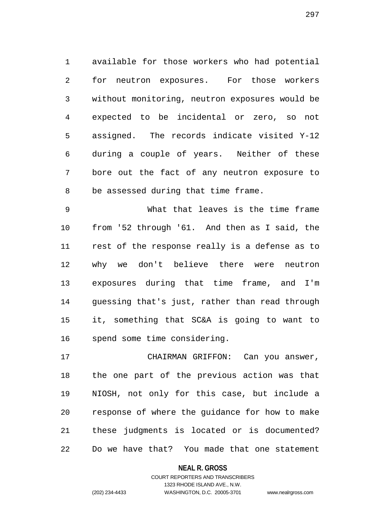available for those workers who had potential for neutron exposures. For those workers without monitoring, neutron exposures would be expected to be incidental or zero, so not assigned. The records indicate visited Y-12 during a couple of years. Neither of these bore out the fact of any neutron exposure to be assessed during that time frame.

 What that leaves is the time frame from '52 through '61. And then as I said, the rest of the response really is a defense as to why we don't believe there were neutron exposures during that time frame, and I'm guessing that's just, rather than read through it, something that SC&A is going to want to spend some time considering.

 CHAIRMAN GRIFFON: Can you answer, the one part of the previous action was that NIOSH, not only for this case, but include a response of where the guidance for how to make these judgments is located or is documented? Do we have that? You made that one statement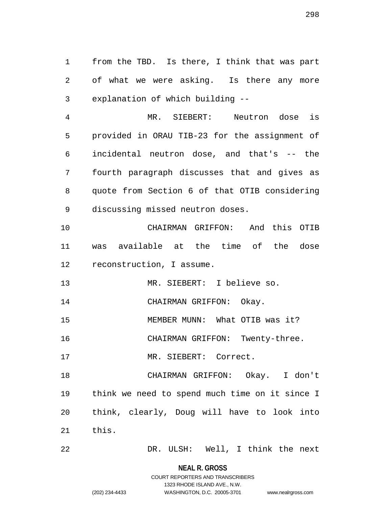from the TBD. Is there, I think that was part of what we were asking. Is there any more explanation of which building --

 MR. SIEBERT: Neutron dose is provided in ORAU TIB-23 for the assignment of incidental neutron dose, and that's -- the fourth paragraph discusses that and gives as quote from Section 6 of that OTIB considering discussing missed neutron doses.

 CHAIRMAN GRIFFON: And this OTIB was available at the time of the dose reconstruction, I assume.

MR. SIEBERT: I believe so.

14 CHAIRMAN GRIFFON: Okay.

MEMBER MUNN: What OTIB was it?

CHAIRMAN GRIFFON: Twenty-three.

17 MR. SIEBERT: Correct.

 CHAIRMAN GRIFFON: Okay. I don't think we need to spend much time on it since I think, clearly, Doug will have to look into this.

DR. ULSH: Well, I think the next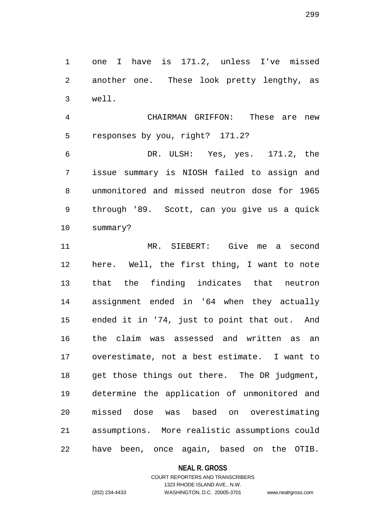one I have is 171.2, unless I've missed another one. These look pretty lengthy, as well.

 CHAIRMAN GRIFFON: These are new responses by you, right? 171.2?

 DR. ULSH: Yes, yes. 171.2, the issue summary is NIOSH failed to assign and unmonitored and missed neutron dose for 1965 through '89. Scott, can you give us a quick summary?

 MR. SIEBERT: Give me a second here. Well, the first thing, I want to note that the finding indicates that neutron assignment ended in '64 when they actually ended it in '74, just to point that out. And the claim was assessed and written as an overestimate, not a best estimate. I want to get those things out there. The DR judgment, determine the application of unmonitored and missed dose was based on overestimating assumptions. More realistic assumptions could have been, once again, based on the OTIB.

**NEAL R. GROSS**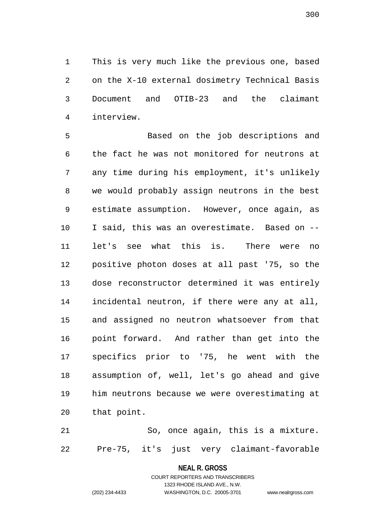This is very much like the previous one, based on the X-10 external dosimetry Technical Basis Document and OTIB-23 and the claimant interview.

 Based on the job descriptions and the fact he was not monitored for neutrons at any time during his employment, it's unlikely we would probably assign neutrons in the best estimate assumption. However, once again, as I said, this was an overestimate. Based on -- let's see what this is. There were no positive photon doses at all past '75, so the dose reconstructor determined it was entirely incidental neutron, if there were any at all, and assigned no neutron whatsoever from that point forward. And rather than get into the specifics prior to '75, he went with the assumption of, well, let's go ahead and give him neutrons because we were overestimating at that point.

 So, once again, this is a mixture. Pre-75, it's just very claimant-favorable

#### **NEAL R. GROSS**

COURT REPORTERS AND TRANSCRIBERS 1323 RHODE ISLAND AVE., N.W. (202) 234-4433 WASHINGTON, D.C. 20005-3701 www.nealrgross.com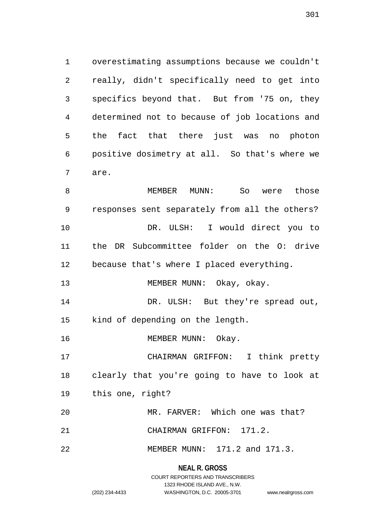overestimating assumptions because we couldn't really, didn't specifically need to get into specifics beyond that. But from '75 on, they determined not to because of job locations and the fact that there just was no photon positive dosimetry at all. So that's where we are.

8 MEMBER MUNN: So were those responses sent separately from all the others? DR. ULSH: I would direct you to the DR Subcommittee folder on the O: drive because that's where I placed everything. 13 MEMBER MUNN: Okay, okay. DR. ULSH: But they're spread out, kind of depending on the length. 16 MEMBER MUNN: Okay. CHAIRMAN GRIFFON: I think pretty clearly that you're going to have to look at this one, right? MR. FARVER: Which one was that? CHAIRMAN GRIFFON: 171.2. MEMBER MUNN: 171.2 and 171.3.

> COURT REPORTERS AND TRANSCRIBERS 1323 RHODE ISLAND AVE., N.W. (202) 234-4433 WASHINGTON, D.C. 20005-3701 www.nealrgross.com

**NEAL R. GROSS**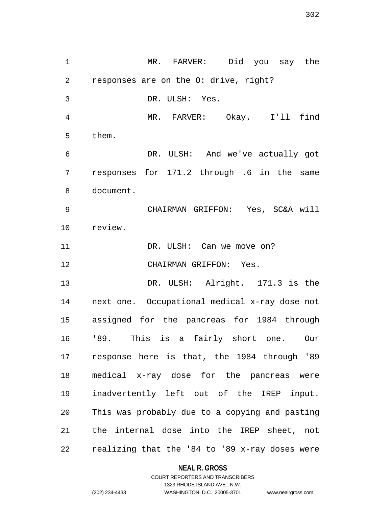MR. FARVER: Did you say the responses are on the O: drive, right? DR. ULSH: Yes. MR. FARVER: Okay. I'll find them. DR. ULSH: And we've actually got responses for 171.2 through .6 in the same document. CHAIRMAN GRIFFON: Yes, SC&A will review. 11 DR. ULSH: Can we move on? CHAIRMAN GRIFFON: Yes. DR. ULSH: Alright. 171.3 is the next one. Occupational medical x-ray dose not assigned for the pancreas for 1984 through '89. This is a fairly short one. Our response here is that, the 1984 through '89 medical x-ray dose for the pancreas were inadvertently left out of the IREP input. This was probably due to a copying and pasting the internal dose into the IREP sheet, not realizing that the '84 to '89 x-ray doses were

#### **NEAL R. GROSS**

```
302
```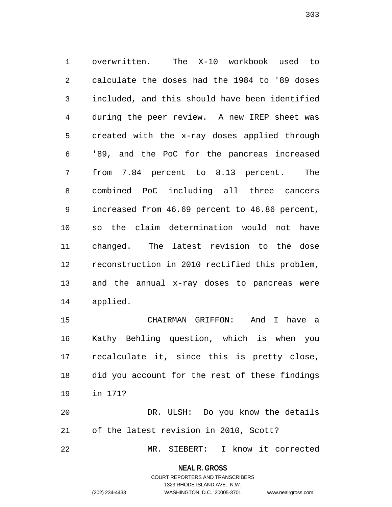overwritten. The X-10 workbook used to calculate the doses had the 1984 to '89 doses included, and this should have been identified during the peer review. A new IREP sheet was created with the x-ray doses applied through '89, and the PoC for the pancreas increased from 7.84 percent to 8.13 percent. The combined PoC including all three cancers increased from 46.69 percent to 46.86 percent, so the claim determination would not have changed. The latest revision to the dose reconstruction in 2010 rectified this problem, and the annual x-ray doses to pancreas were applied.

 CHAIRMAN GRIFFON: And I have a Kathy Behling question, which is when you recalculate it, since this is pretty close, did you account for the rest of these findings in 171?

 DR. ULSH: Do you know the details of the latest revision in 2010, Scott?

MR. SIEBERT: I know it corrected

**NEAL R. GROSS** COURT REPORTERS AND TRANSCRIBERS

1323 RHODE ISLAND AVE., N.W.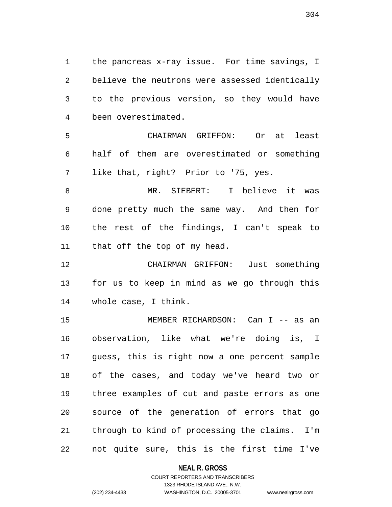the pancreas x-ray issue. For time savings, I believe the neutrons were assessed identically to the previous version, so they would have been overestimated.

 CHAIRMAN GRIFFON: Or at least half of them are overestimated or something like that, right? Prior to '75, yes.

 MR. SIEBERT: I believe it was done pretty much the same way. And then for the rest of the findings, I can't speak to that off the top of my head.

 CHAIRMAN GRIFFON: Just something for us to keep in mind as we go through this whole case, I think.

 MEMBER RICHARDSON: Can I -- as an observation, like what we're doing is, I guess, this is right now a one percent sample of the cases, and today we've heard two or three examples of cut and paste errors as one source of the generation of errors that go through to kind of processing the claims. I'm not quite sure, this is the first time I've

#### **NEAL R. GROSS**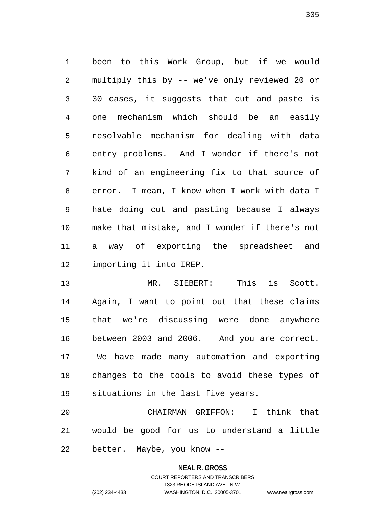been to this Work Group, but if we would multiply this by -- we've only reviewed 20 or 30 cases, it suggests that cut and paste is one mechanism which should be an easily resolvable mechanism for dealing with data entry problems. And I wonder if there's not kind of an engineering fix to that source of error. I mean, I know when I work with data I hate doing cut and pasting because I always make that mistake, and I wonder if there's not a way of exporting the spreadsheet and importing it into IREP.

 MR. SIEBERT: This is Scott. Again, I want to point out that these claims that we're discussing were done anywhere between 2003 and 2006. And you are correct. We have made many automation and exporting changes to the tools to avoid these types of situations in the last five years.

 CHAIRMAN GRIFFON: I think that would be good for us to understand a little better. Maybe, you know --

#### **NEAL R. GROSS**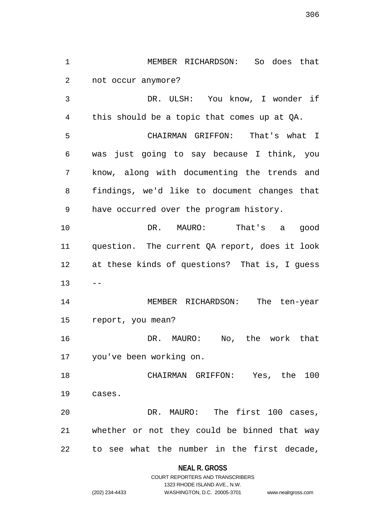DR. ULSH: You know, I wonder if this should be a topic that comes up at QA. CHAIRMAN GRIFFON: That's what I was just going to say because I think, you know, along with documenting the trends and findings, we'd like to document changes that have occurred over the program history. DR. MAURO: That's a good question. The current QA report, does it look at these kinds of questions? That is, I guess  $13 - -$  MEMBER RICHARDSON: The ten-year report, you mean? DR. MAURO: No, the work that you've been working on. CHAIRMAN GRIFFON: Yes, the 100 cases. DR. MAURO: The first 100 cases, whether or not they could be binned that way

MEMBER RICHARDSON: So does that

not occur anymore?

to see what the number in the first decade,

**NEAL R. GROSS** COURT REPORTERS AND TRANSCRIBERS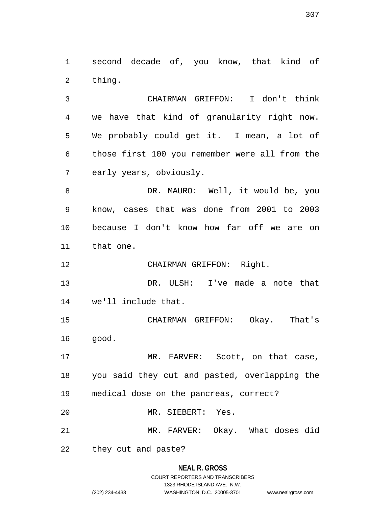second decade of, you know, that kind of thing.

 CHAIRMAN GRIFFON: I don't think we have that kind of granularity right now. We probably could get it. I mean, a lot of those first 100 you remember were all from the early years, obviously.

8 DR. MAURO: Well, it would be, you know, cases that was done from 2001 to 2003 because I don't know how far off we are on that one.

CHAIRMAN GRIFFON: Right.

 DR. ULSH: I've made a note that we'll include that.

 CHAIRMAN GRIFFON: Okay. That's good.

17 MR. FARVER: Scott, on that case, you said they cut and pasted, overlapping the medical dose on the pancreas, correct?

MR. SIEBERT: Yes.

MR. FARVER: Okay. What doses did

they cut and paste?

# **NEAL R. GROSS** COURT REPORTERS AND TRANSCRIBERS 1323 RHODE ISLAND AVE., N.W.

(202) 234-4433 WASHINGTON, D.C. 20005-3701 www.nealrgross.com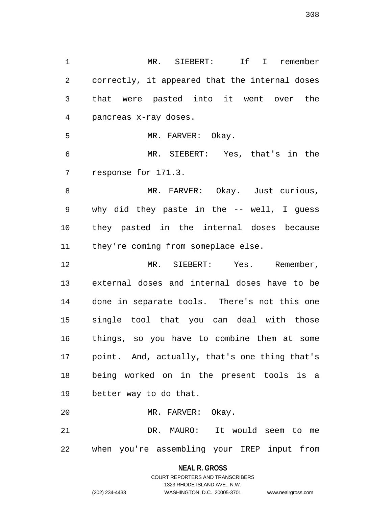MR. SIEBERT: If I remember correctly, it appeared that the internal doses that were pasted into it went over the pancreas x-ray doses. MR. FARVER: Okay. MR. SIEBERT: Yes, that's in the response for 171.3. 8 MR. FARVER: Okay. Just curious, why did they paste in the -- well, I guess they pasted in the internal doses because 11 they're coming from someplace else. MR. SIEBERT: Yes. Remember, external doses and internal doses have to be done in separate tools. There's not this one single tool that you can deal with those things, so you have to combine them at some point. And, actually, that's one thing that's being worked on in the present tools is a better way to do that. MR. FARVER: Okay. DR. MAURO: It would seem to me when you're assembling your IREP input from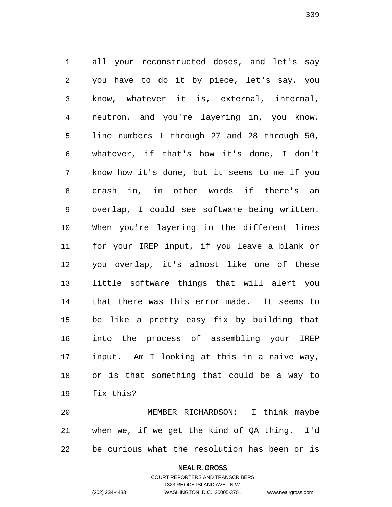all your reconstructed doses, and let's say you have to do it by piece, let's say, you know, whatever it is, external, internal, neutron, and you're layering in, you know, line numbers 1 through 27 and 28 through 50, whatever, if that's how it's done, I don't know how it's done, but it seems to me if you crash in, in other words if there's an overlap, I could see software being written. When you're layering in the different lines for your IREP input, if you leave a blank or you overlap, it's almost like one of these little software things that will alert you that there was this error made. It seems to be like a pretty easy fix by building that into the process of assembling your IREP input. Am I looking at this in a naive way, or is that something that could be a way to fix this?

 MEMBER RICHARDSON: I think maybe when we, if we get the kind of QA thing. I'd be curious what the resolution has been or is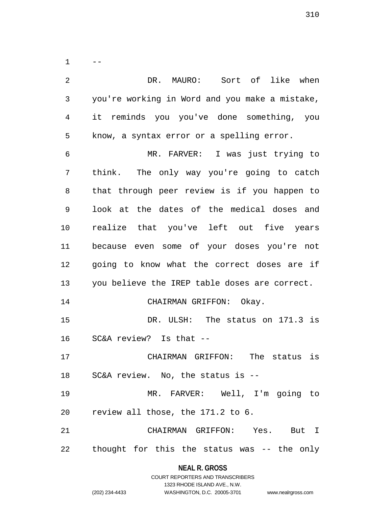$1 - -$  DR. MAURO: Sort of like when you're working in Word and you make a mistake, it reminds you you've done something, you know, a syntax error or a spelling error. MR. FARVER: I was just trying to think. The only way you're going to catch that through peer review is if you happen to look at the dates of the medical doses and realize that you've left out five years because even some of your doses you're not going to know what the correct doses are if you believe the IREP table doses are correct. 14 CHAIRMAN GRIFFON: Okay. 15 DR. ULSH: The status on 171.3 is SC&A review? Is that -- CHAIRMAN GRIFFON: The status is SC&A review. No, the status is -- MR. FARVER: Well, I'm going to review all those, the 171.2 to 6. CHAIRMAN GRIFFON: Yes. But I thought for this the status was -- the only

**NEAL R. GROSS**

|                | COURT REPORTERS AND TRANSCRIBERS |                    |
|----------------|----------------------------------|--------------------|
|                | 1323 RHODE ISLAND AVE N.W.       |                    |
| (202) 234-4433 | WASHINGTON, D.C. 20005-3701      | www.nealrgross.com |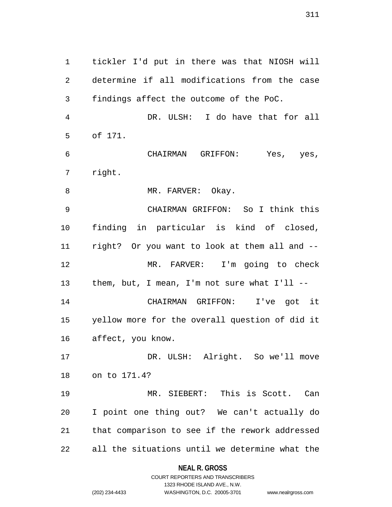tickler I'd put in there was that NIOSH will determine if all modifications from the case findings affect the outcome of the PoC. DR. ULSH: I do have that for all of 171. CHAIRMAN GRIFFON: Yes, yes, right. 8 MR. FARVER: Okay. CHAIRMAN GRIFFON: So I think this finding in particular is kind of closed, right? Or you want to look at them all and -- MR. FARVER: I'm going to check them, but, I mean, I'm not sure what I'll -- CHAIRMAN GRIFFON: I've got it yellow more for the overall question of did it affect, you know. DR. ULSH: Alright. So we'll move on to 171.4? MR. SIEBERT: This is Scott. Can I point one thing out? We can't actually do that comparison to see if the rework addressed all the situations until we determine what the

> **NEAL R. GROSS** COURT REPORTERS AND TRANSCRIBERS

> > 1323 RHODE ISLAND AVE., N.W.

(202) 234-4433 WASHINGTON, D.C. 20005-3701 www.nealrgross.com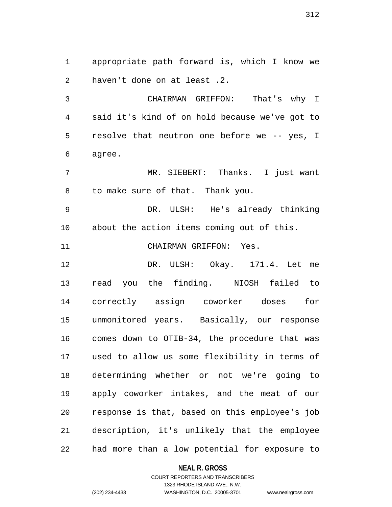appropriate path forward is, which I know we haven't done on at least .2.

 CHAIRMAN GRIFFON: That's why I said it's kind of on hold because we've got to resolve that neutron one before we -- yes, I agree.

 MR. SIEBERT: Thanks. I just want to make sure of that. Thank you.

 DR. ULSH: He's already thinking about the action items coming out of this.

CHAIRMAN GRIFFON: Yes.

 DR. ULSH: Okay. 171.4. Let me read you the finding. NIOSH failed to correctly assign coworker doses for unmonitored years. Basically, our response comes down to OTIB-34, the procedure that was used to allow us some flexibility in terms of determining whether or not we're going to apply coworker intakes, and the meat of our response is that, based on this employee's job description, it's unlikely that the employee had more than a low potential for exposure to

#### **NEAL R. GROSS**

### COURT REPORTERS AND TRANSCRIBERS 1323 RHODE ISLAND AVE., N.W. (202) 234-4433 WASHINGTON, D.C. 20005-3701 www.nealrgross.com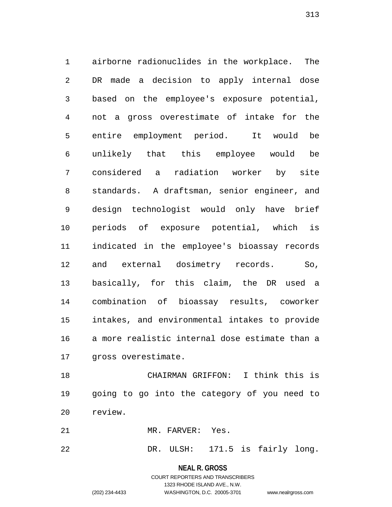airborne radionuclides in the workplace. The DR made a decision to apply internal dose based on the employee's exposure potential, not a gross overestimate of intake for the entire employment period. It would be unlikely that this employee would be considered a radiation worker by site standards. A draftsman, senior engineer, and design technologist would only have brief periods of exposure potential, which is indicated in the employee's bioassay records and external dosimetry records. So, basically, for this claim, the DR used a combination of bioassay results, coworker intakes, and environmental intakes to provide a more realistic internal dose estimate than a gross overestimate.

 CHAIRMAN GRIFFON: I think this is going to go into the category of you need to review.

MR. FARVER: Yes.

DR. ULSH: 171.5 is fairly long.

# **NEAL R. GROSS**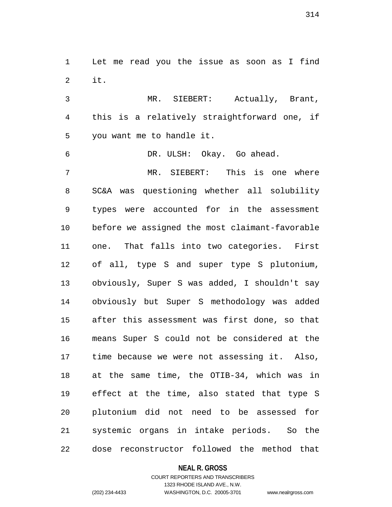Let me read you the issue as soon as I find it.

 MR. SIEBERT: Actually, Brant, this is a relatively straightforward one, if you want me to handle it.

 DR. ULSH: Okay. Go ahead. MR. SIEBERT: This is one where SC&A was questioning whether all solubility types were accounted for in the assessment before we assigned the most claimant-favorable one. That falls into two categories. First of all, type S and super type S plutonium, obviously, Super S was added, I shouldn't say obviously but Super S methodology was added after this assessment was first done, so that means Super S could not be considered at the time because we were not assessing it. Also, at the same time, the OTIB-34, which was in effect at the time, also stated that type S plutonium did not need to be assessed for systemic organs in intake periods. So the dose reconstructor followed the method that

#### **NEAL R. GROSS**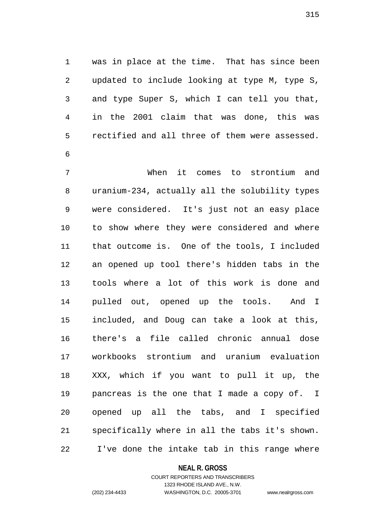was in place at the time. That has since been updated to include looking at type M, type S, and type Super S, which I can tell you that, in the 2001 claim that was done, this was rectified and all three of them were assessed. 

 When it comes to strontium and uranium-234, actually all the solubility types were considered. It's just not an easy place to show where they were considered and where that outcome is. One of the tools, I included an opened up tool there's hidden tabs in the tools where a lot of this work is done and pulled out, opened up the tools. And I included, and Doug can take a look at this, there's a file called chronic annual dose workbooks strontium and uranium evaluation XXX, which if you want to pull it up, the pancreas is the one that I made a copy of. I opened up all the tabs, and I specified specifically where in all the tabs it's shown. I've done the intake tab in this range where

#### **NEAL R. GROSS**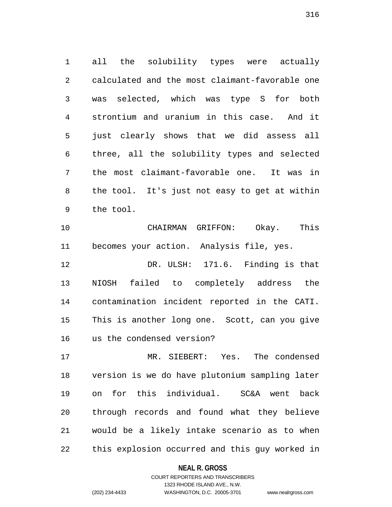all the solubility types were actually calculated and the most claimant-favorable one was selected, which was type S for both strontium and uranium in this case. And it just clearly shows that we did assess all three, all the solubility types and selected the most claimant-favorable one. It was in the tool. It's just not easy to get at within the tool.

 CHAIRMAN GRIFFON: Okay. This becomes your action. Analysis file, yes.

 DR. ULSH: 171.6. Finding is that NIOSH failed to completely address the contamination incident reported in the CATI. This is another long one. Scott, can you give us the condensed version?

 MR. SIEBERT: Yes. The condensed version is we do have plutonium sampling later on for this individual. SC&A went back through records and found what they believe would be a likely intake scenario as to when this explosion occurred and this guy worked in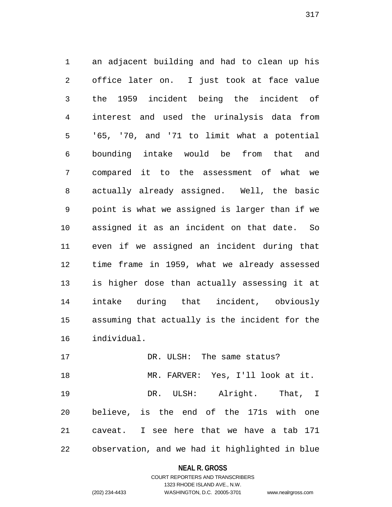an adjacent building and had to clean up his office later on. I just took at face value the 1959 incident being the incident of interest and used the urinalysis data from '65, '70, and '71 to limit what a potential bounding intake would be from that and compared it to the assessment of what we actually already assigned. Well, the basic point is what we assigned is larger than if we assigned it as an incident on that date. So even if we assigned an incident during that time frame in 1959, what we already assessed is higher dose than actually assessing it at intake during that incident, obviously assuming that actually is the incident for the individual.

17 DR. ULSH: The same status? MR. FARVER: Yes, I'll look at it. DR. ULSH: Alright. That, I believe, is the end of the 171s with one caveat. I see here that we have a tab 171 observation, and we had it highlighted in blue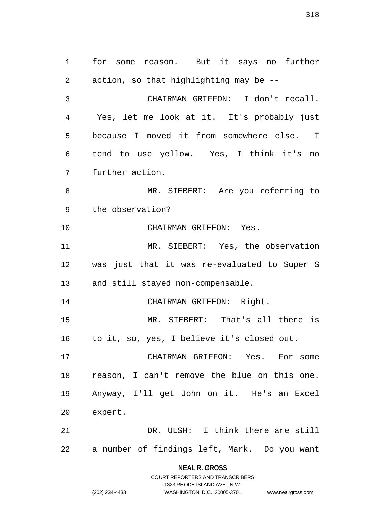for some reason. But it says no further action, so that highlighting may be -- CHAIRMAN GRIFFON: I don't recall. Yes, let me look at it. It's probably just because I moved it from somewhere else. I tend to use yellow. Yes, I think it's no further action. 8 MR. SIEBERT: Are you referring to the observation? CHAIRMAN GRIFFON: Yes. MR. SIEBERT: Yes, the observation was just that it was re-evaluated to Super S and still stayed non-compensable. CHAIRMAN GRIFFON: Right. MR. SIEBERT: That's all there is to it, so, yes, I believe it's closed out. CHAIRMAN GRIFFON: Yes. For some reason, I can't remove the blue on this one. Anyway, I'll get John on it. He's an Excel expert. DR. ULSH: I think there are still a number of findings left, Mark. Do you want

> **NEAL R. GROSS** COURT REPORTERS AND TRANSCRIBERS

> > 1323 RHODE ISLAND AVE., N.W.

(202) 234-4433 WASHINGTON, D.C. 20005-3701 www.nealrgross.com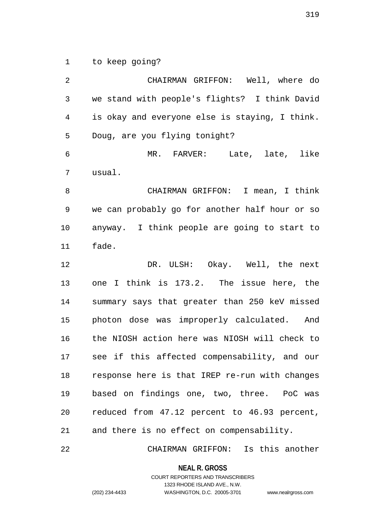to keep going?

 CHAIRMAN GRIFFON: Well, where do we stand with people's flights? I think David is okay and everyone else is staying, I think. Doug, are you flying tonight? MR. FARVER: Late, late, like usual. CHAIRMAN GRIFFON: I mean, I think we can probably go for another half hour or so anyway. I think people are going to start to fade. DR. ULSH: Okay. Well, the next one I think is 173.2. The issue here, the summary says that greater than 250 keV missed photon dose was improperly calculated. And the NIOSH action here was NIOSH will check to see if this affected compensability, and our response here is that IREP re-run with changes based on findings one, two, three. PoC was reduced from 47.12 percent to 46.93 percent, and there is no effect on compensability.

CHAIRMAN GRIFFON: Is this another

**NEAL R. GROSS**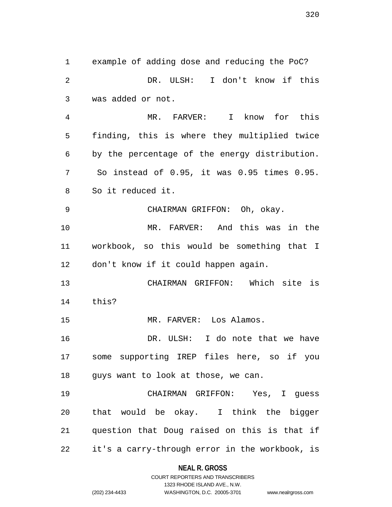example of adding dose and reducing the PoC? DR. ULSH: I don't know if this was added or not. MR. FARVER: I know for this finding, this is where they multiplied twice by the percentage of the energy distribution. So instead of 0.95, it was 0.95 times 0.95. So it reduced it. CHAIRMAN GRIFFON: Oh, okay. MR. FARVER: And this was in the workbook, so this would be something that I don't know if it could happen again. CHAIRMAN GRIFFON: Which site is this? 15 MR. FARVER: Los Alamos. DR. ULSH: I do note that we have some supporting IREP files here, so if you guys want to look at those, we can. CHAIRMAN GRIFFON: Yes, I guess that would be okay. I think the bigger question that Doug raised on this is that if it's a carry-through error in the workbook, is

> **NEAL R. GROSS** COURT REPORTERS AND TRANSCRIBERS

> > 1323 RHODE ISLAND AVE., N.W.

(202) 234-4433 WASHINGTON, D.C. 20005-3701 www.nealrgross.com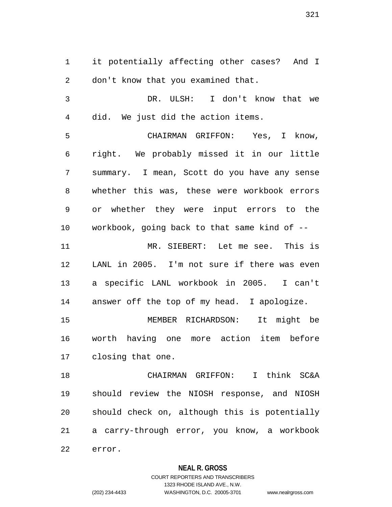it potentially affecting other cases? And I don't know that you examined that.

 DR. ULSH: I don't know that we did. We just did the action items.

 CHAIRMAN GRIFFON: Yes, I know, right. We probably missed it in our little summary. I mean, Scott do you have any sense whether this was, these were workbook errors or whether they were input errors to the workbook, going back to that same kind of --

 MR. SIEBERT: Let me see. This is LANL in 2005. I'm not sure if there was even a specific LANL workbook in 2005. I can't answer off the top of my head. I apologize.

 MEMBER RICHARDSON: It might be worth having one more action item before closing that one.

 CHAIRMAN GRIFFON: I think SC&A should review the NIOSH response, and NIOSH should check on, although this is potentially a carry-through error, you know, a workbook error.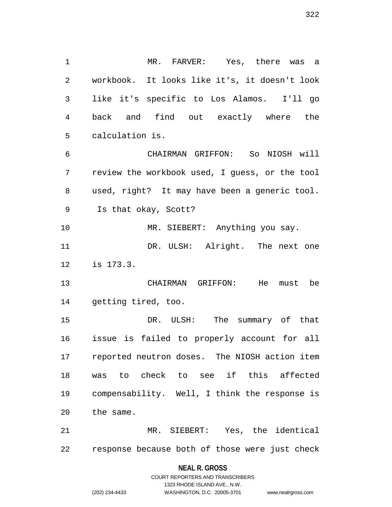MR. FARVER: Yes, there was a workbook. It looks like it's, it doesn't look like it's specific to Los Alamos. I'll go back and find out exactly where the calculation is.

 CHAIRMAN GRIFFON: So NIOSH will review the workbook used, I guess, or the tool used, right? It may have been a generic tool. Is that okay, Scott?

10 MR. SIEBERT: Anything you say. 11 DR. ULSH: Alright. The next one is 173.3.

 CHAIRMAN GRIFFON: He must be getting tired, too.

 DR. ULSH: The summary of that issue is failed to properly account for all reported neutron doses. The NIOSH action item was to check to see if this affected compensability. Well, I think the response is the same.

 MR. SIEBERT: Yes, the identical response because both of those were just check

**NEAL R. GROSS**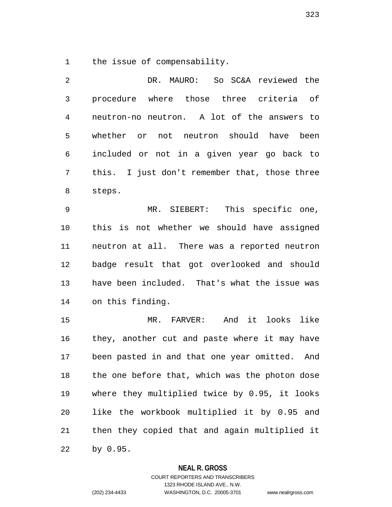the issue of compensability.

 DR. MAURO: So SC&A reviewed the procedure where those three criteria of neutron-no neutron. A lot of the answers to whether or not neutron should have been included or not in a given year go back to this. I just don't remember that, those three steps.

 MR. SIEBERT: This specific one, this is not whether we should have assigned neutron at all. There was a reported neutron badge result that got overlooked and should have been included. That's what the issue was on this finding.

 MR. FARVER: And it looks like they, another cut and paste where it may have been pasted in and that one year omitted. And the one before that, which was the photon dose where they multiplied twice by 0.95, it looks like the workbook multiplied it by 0.95 and then they copied that and again multiplied it by 0.95.

#### **NEAL R. GROSS**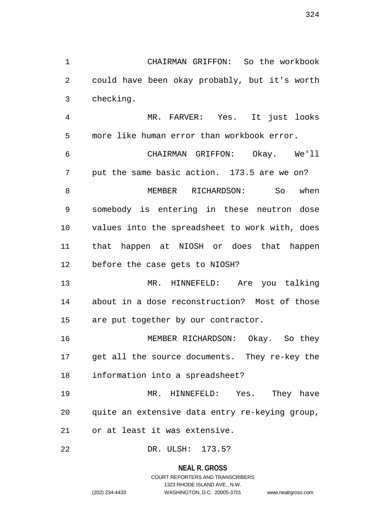1323 RHODE ISLAND AVE., N.W. (202) 234-4433 WASHINGTON, D.C. 20005-3701 www.nealrgross.com

 MEMBER RICHARDSON: So when somebody is entering in these neutron dose values into the spreadsheet to work with, does that happen at NIOSH or does that happen

CHAIRMAN GRIFFON: So the workbook

could have been okay probably, but it's worth

MR. FARVER: Yes. It just looks

CHAIRMAN GRIFFON: Okay. We'll

put the same basic action. 173.5 are we on?

more like human error than workbook error.

before the case gets to NIOSH?

checking.

 MR. HINNEFELD: Are you talking about in a dose reconstruction? Most of those are put together by our contractor.

 MEMBER RICHARDSON: Okay. So they get all the source documents. They re-key the information into a spreadsheet?

 MR. HINNEFELD: Yes. They have quite an extensive data entry re-keying group, or at least it was extensive.

DR. ULSH: 173.5?

# **NEAL R. GROSS** COURT REPORTERS AND TRANSCRIBERS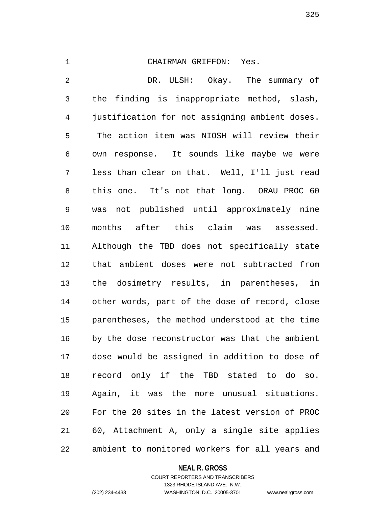## CHAIRMAN GRIFFON: Yes.

 DR. ULSH: Okay. The summary of the finding is inappropriate method, slash, justification for not assigning ambient doses. The action item was NIOSH will review their own response. It sounds like maybe we were less than clear on that. Well, I'll just read this one. It's not that long. ORAU PROC 60 was not published until approximately nine months after this claim was assessed. Although the TBD does not specifically state that ambient doses were not subtracted from the dosimetry results, in parentheses, in other words, part of the dose of record, close parentheses, the method understood at the time by the dose reconstructor was that the ambient dose would be assigned in addition to dose of record only if the TBD stated to do so. Again, it was the more unusual situations. For the 20 sites in the latest version of PROC 60, Attachment A, only a single site applies ambient to monitored workers for all years and

### **NEAL R. GROSS**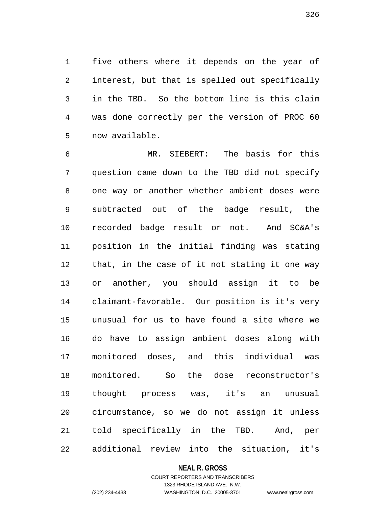five others where it depends on the year of interest, but that is spelled out specifically in the TBD. So the bottom line is this claim was done correctly per the version of PROC 60 now available.

 MR. SIEBERT: The basis for this question came down to the TBD did not specify one way or another whether ambient doses were subtracted out of the badge result, the recorded badge result or not. And SC&A's position in the initial finding was stating that, in the case of it not stating it one way or another, you should assign it to be claimant-favorable. Our position is it's very unusual for us to have found a site where we do have to assign ambient doses along with monitored doses, and this individual was monitored. So the dose reconstructor's thought process was, it's an unusual circumstance, so we do not assign it unless told specifically in the TBD. And, per additional review into the situation, it's

#### **NEAL R. GROSS**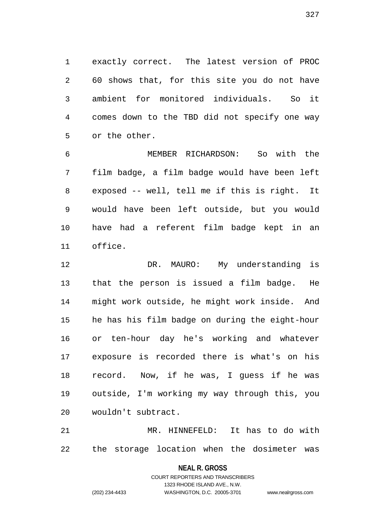exactly correct. The latest version of PROC 60 shows that, for this site you do not have ambient for monitored individuals. So it comes down to the TBD did not specify one way or the other.

 MEMBER RICHARDSON: So with the film badge, a film badge would have been left exposed -- well, tell me if this is right. It would have been left outside, but you would have had a referent film badge kept in an office.

 DR. MAURO: My understanding is that the person is issued a film badge. He might work outside, he might work inside. And he has his film badge on during the eight-hour or ten-hour day he's working and whatever exposure is recorded there is what's on his record. Now, if he was, I guess if he was outside, I'm working my way through this, you wouldn't subtract.

 MR. HINNEFELD: It has to do with the storage location when the dosimeter was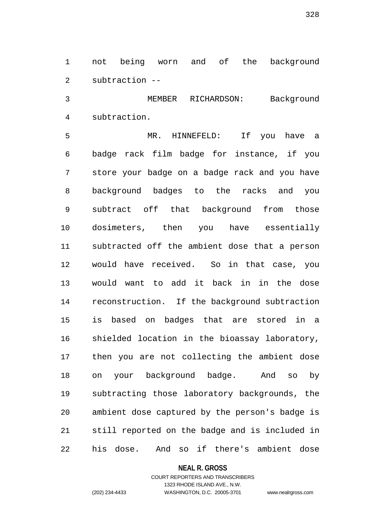not being worn and of the background subtraction --

 MEMBER RICHARDSON: Background subtraction.

 MR. HINNEFELD: If you have a badge rack film badge for instance, if you store your badge on a badge rack and you have background badges to the racks and you subtract off that background from those dosimeters, then you have essentially subtracted off the ambient dose that a person would have received. So in that case, you would want to add it back in in the dose reconstruction. If the background subtraction is based on badges that are stored in a shielded location in the bioassay laboratory, then you are not collecting the ambient dose on your background badge. And so by subtracting those laboratory backgrounds, the ambient dose captured by the person's badge is still reported on the badge and is included in his dose. And so if there's ambient dose

### **NEAL R. GROSS**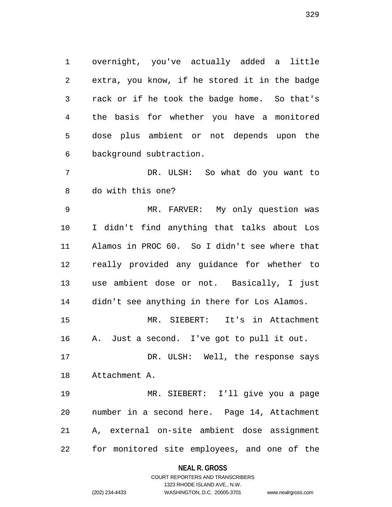overnight, you've actually added a little extra, you know, if he stored it in the badge rack or if he took the badge home. So that's the basis for whether you have a monitored dose plus ambient or not depends upon the background subtraction.

 DR. ULSH: So what do you want to do with this one?

 MR. FARVER: My only question was I didn't find anything that talks about Los Alamos in PROC 60. So I didn't see where that really provided any guidance for whether to use ambient dose or not. Basically, I just didn't see anything in there for Los Alamos.

 MR. SIEBERT: It's in Attachment A. Just a second. I've got to pull it out.

17 DR. ULSH: Well, the response says Attachment A.

 MR. SIEBERT: I'll give you a page number in a second here. Page 14, Attachment A, external on-site ambient dose assignment for monitored site employees, and one of the

### **NEAL R. GROSS**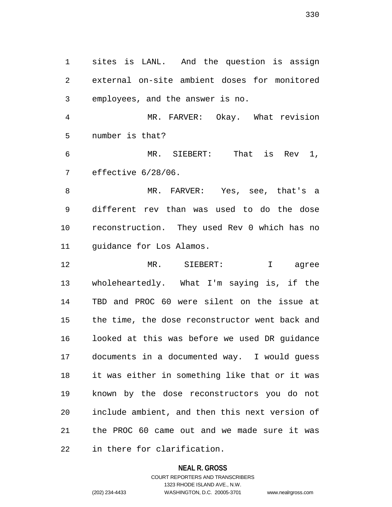sites is LANL. And the question is assign external on-site ambient doses for monitored employees, and the answer is no.

 MR. FARVER: Okay. What revision number is that?

 MR. SIEBERT: That is Rev 1, effective 6/28/06.

 MR. FARVER: Yes, see, that's a different rev than was used to do the dose reconstruction. They used Rev 0 which has no 11 quidance for Los Alamos.

 MR. SIEBERT: I agree wholeheartedly. What I'm saying is, if the TBD and PROC 60 were silent on the issue at the time, the dose reconstructor went back and looked at this was before we used DR guidance documents in a documented way. I would guess it was either in something like that or it was known by the dose reconstructors you do not include ambient, and then this next version of the PROC 60 came out and we made sure it was in there for clarification.

### **NEAL R. GROSS**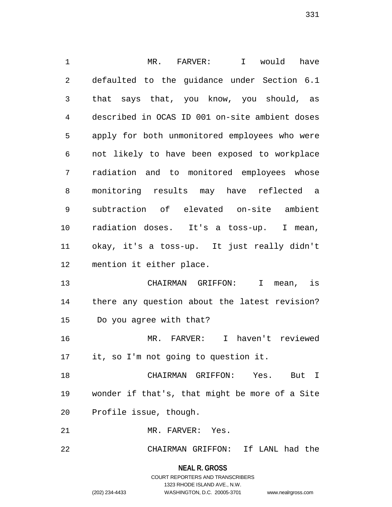MR. FARVER: I would have defaulted to the guidance under Section 6.1 that says that, you know, you should, as described in OCAS ID 001 on-site ambient doses apply for both unmonitored employees who were not likely to have been exposed to workplace radiation and to monitored employees whose monitoring results may have reflected a subtraction of elevated on-site ambient radiation doses. It's a toss-up. I mean, okay, it's a toss-up. It just really didn't mention it either place. CHAIRMAN GRIFFON: I mean, is there any question about the latest revision? Do you agree with that? MR. FARVER: I haven't reviewed it, so I'm not going to question it. CHAIRMAN GRIFFON: Yes. But I wonder if that's, that might be more of a Site Profile issue, though. MR. FARVER: Yes.

CHAIRMAN GRIFFON: If LANL had the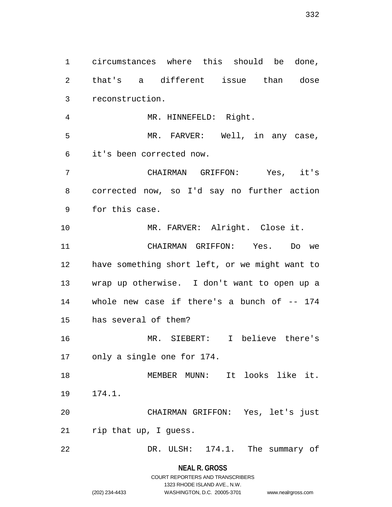circumstances where this should be done, that's a different issue than dose reconstruction. MR. HINNEFELD: Right. 5 MR. FARVER: Well, in any case, it's been corrected now. CHAIRMAN GRIFFON: Yes, it's corrected now, so I'd say no further action for this case. MR. FARVER: Alright. Close it. CHAIRMAN GRIFFON: Yes. Do we have something short left, or we might want to wrap up otherwise. I don't want to open up a whole new case if there's a bunch of -- 174 has several of them? MR. SIEBERT: I believe there's only a single one for 174. MEMBER MUNN: It looks like it. 174.1. CHAIRMAN GRIFFON: Yes, let's just rip that up, I guess. 22 DR. ULSH: 174.1. The summary of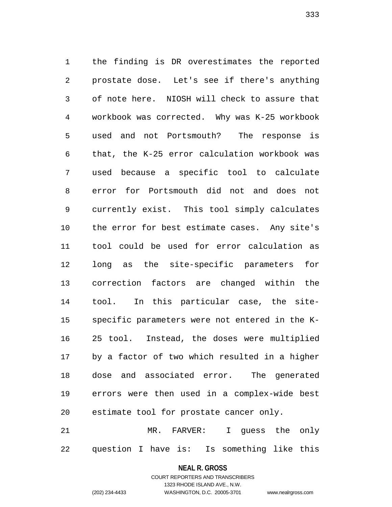the finding is DR overestimates the reported prostate dose. Let's see if there's anything of note here. NIOSH will check to assure that workbook was corrected. Why was K-25 workbook used and not Portsmouth? The response is that, the K-25 error calculation workbook was used because a specific tool to calculate error for Portsmouth did not and does not currently exist. This tool simply calculates the error for best estimate cases. Any site's tool could be used for error calculation as long as the site-specific parameters for correction factors are changed within the tool. In this particular case, the site- specific parameters were not entered in the K- 25 tool. Instead, the doses were multiplied by a factor of two which resulted in a higher dose and associated error. The generated errors were then used in a complex-wide best estimate tool for prostate cancer only.

 MR. FARVER: I guess the only question I have is: Is something like this

#### **NEAL R. GROSS**

COURT REPORTERS AND TRANSCRIBERS 1323 RHODE ISLAND AVE., N.W. (202) 234-4433 WASHINGTON, D.C. 20005-3701 www.nealrgross.com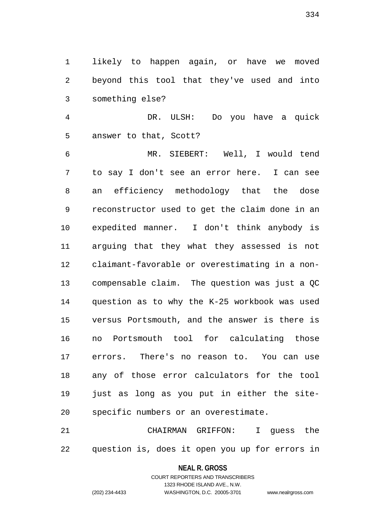likely to happen again, or have we moved beyond this tool that they've used and into something else?

 DR. ULSH: Do you have a quick answer to that, Scott?

 MR. SIEBERT: Well, I would tend to say I don't see an error here. I can see an efficiency methodology that the dose reconstructor used to get the claim done in an expedited manner. I don't think anybody is arguing that they what they assessed is not claimant-favorable or overestimating in a non- compensable claim. The question was just a QC question as to why the K-25 workbook was used versus Portsmouth, and the answer is there is no Portsmouth tool for calculating those errors. There's no reason to. You can use any of those error calculators for the tool just as long as you put in either the site-specific numbers or an overestimate.

 CHAIRMAN GRIFFON: I guess the question is, does it open you up for errors in

# **NEAL R. GROSS** COURT REPORTERS AND TRANSCRIBERS

1323 RHODE ISLAND AVE., N.W.

(202) 234-4433 WASHINGTON, D.C. 20005-3701 www.nealrgross.com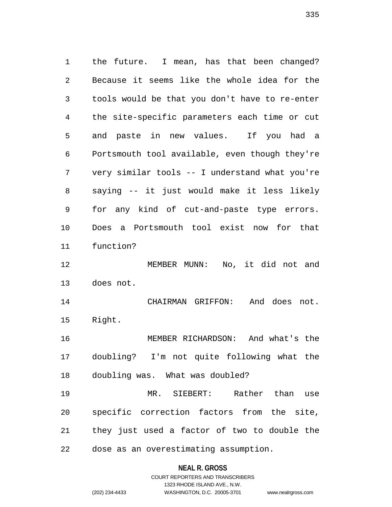the future. I mean, has that been changed? Because it seems like the whole idea for the tools would be that you don't have to re-enter the site-specific parameters each time or cut and paste in new values. If you had a Portsmouth tool available, even though they're very similar tools -- I understand what you're saying -- it just would make it less likely for any kind of cut-and-paste type errors. Does a Portsmouth tool exist now for that function? MEMBER MUNN: No, it did not and does not. CHAIRMAN GRIFFON: And does not. Right. MEMBER RICHARDSON: And what's the doubling? I'm not quite following what the doubling was. What was doubled? MR. SIEBERT: Rather than use specific correction factors from the site, they just used a factor of two to double the dose as an overestimating assumption.

# **NEAL R. GROSS** COURT REPORTERS AND TRANSCRIBERS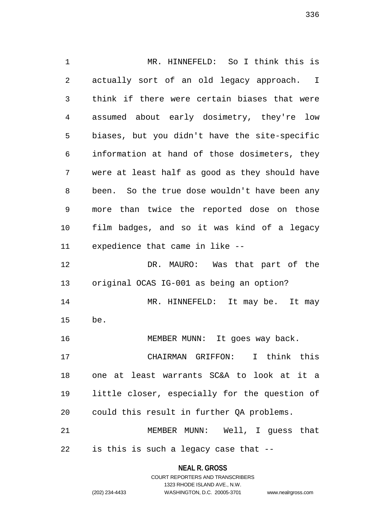MR. HINNEFELD: So I think this is actually sort of an old legacy approach. I think if there were certain biases that were assumed about early dosimetry, they're low biases, but you didn't have the site-specific information at hand of those dosimeters, they were at least half as good as they should have been. So the true dose wouldn't have been any more than twice the reported dose on those film badges, and so it was kind of a legacy expedience that came in like -- DR. MAURO: Was that part of the original OCAS IG-001 as being an option? MR. HINNEFELD: It may be. It may be. 16 MEMBER MUNN: It goes way back. CHAIRMAN GRIFFON: I think this one at least warrants SC&A to look at it a little closer, especially for the question of could this result in further QA problems. MEMBER MUNN: Well, I guess that is this is such a legacy case that --

**NEAL R. GROSS**

|                | COURT REPORTERS AND TRANSCRIBERS |                    |
|----------------|----------------------------------|--------------------|
|                | 1323 RHODE ISLAND AVE N.W.       |                    |
| (202) 234-4433 | WASHINGTON, D.C. 20005-3701      | www.nealrgross.com |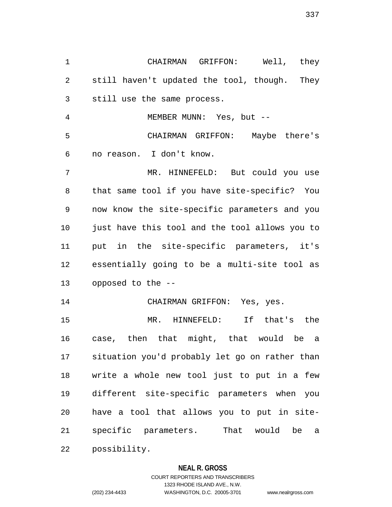CHAIRMAN GRIFFON: Well, they still haven't updated the tool, though. They still use the same process. MEMBER MUNN: Yes, but -- CHAIRMAN GRIFFON: Maybe there's no reason. I don't know. MR. HINNEFELD: But could you use that same tool if you have site-specific? You now know the site-specific parameters and you just have this tool and the tool allows you to put in the site-specific parameters, it's essentially going to be a multi-site tool as opposed to the -- CHAIRMAN GRIFFON: Yes, yes. MR. HINNEFELD: If that's the case, then that might, that would be a situation you'd probably let go on rather than write a whole new tool just to put in a few different site-specific parameters when you have a tool that allows you to put in site- specific parameters. That would be a possibility.

## **NEAL R. GROSS**

COURT REPORTERS AND TRANSCRIBERS 1323 RHODE ISLAND AVE., N.W. (202) 234-4433 WASHINGTON, D.C. 20005-3701 www.nealrgross.com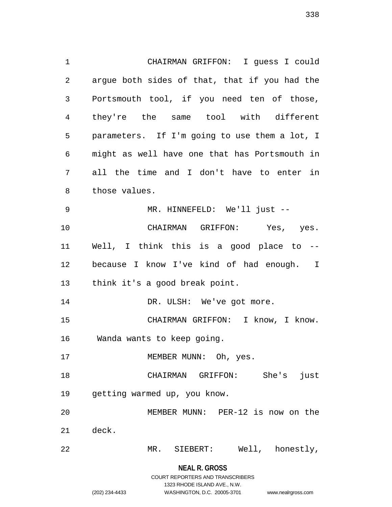CHAIRMAN GRIFFON: I guess I could argue both sides of that, that if you had the Portsmouth tool, if you need ten of those, they're the same tool with different parameters. If I'm going to use them a lot, I might as well have one that has Portsmouth in all the time and I don't have to enter in those values. MR. HINNEFELD: We'll just -- CHAIRMAN GRIFFON: Yes, yes. Well, I think this is a good place to -- because I know I've kind of had enough. I think it's a good break point. 14 DR. ULSH: We've got more. CHAIRMAN GRIFFON: I know, I know. Wanda wants to keep going. 17 MEMBER MUNN: Oh, yes. CHAIRMAN GRIFFON: She's just getting warmed up, you know. MEMBER MUNN: PER-12 is now on the deck. MR. SIEBERT: Well, honestly,

> **NEAL R. GROSS** COURT REPORTERS AND TRANSCRIBERS 1323 RHODE ISLAND AVE., N.W.

(202) 234-4433 WASHINGTON, D.C. 20005-3701 www.nealrgross.com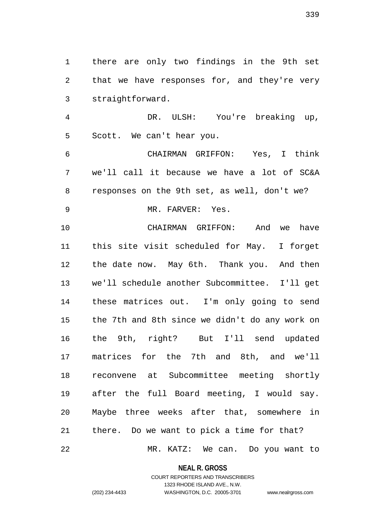there are only two findings in the 9th set that we have responses for, and they're very straightforward.

 DR. ULSH: You're breaking up, Scott. We can't hear you.

 CHAIRMAN GRIFFON: Yes, I think we'll call it because we have a lot of SC&A responses on the 9th set, as well, don't we?

9 MR. FARVER: Yes.

 CHAIRMAN GRIFFON: And we have this site visit scheduled for May. I forget the date now. May 6th. Thank you. And then we'll schedule another Subcommittee. I'll get these matrices out. I'm only going to send the 7th and 8th since we didn't do any work on the 9th, right? But I'll send updated matrices for the 7th and 8th, and we'll reconvene at Subcommittee meeting shortly after the full Board meeting, I would say. Maybe three weeks after that, somewhere in there. Do we want to pick a time for that?

MR. KATZ: We can. Do you want to

**NEAL R. GROSS**

## COURT REPORTERS AND TRANSCRIBERS 1323 RHODE ISLAND AVE., N.W. (202) 234-4433 WASHINGTON, D.C. 20005-3701 www.nealrgross.com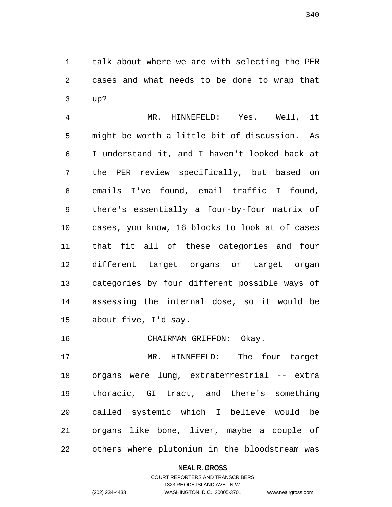talk about where we are with selecting the PER cases and what needs to be done to wrap that up?

 MR. HINNEFELD: Yes. Well, it might be worth a little bit of discussion. As I understand it, and I haven't looked back at the PER review specifically, but based on emails I've found, email traffic I found, there's essentially a four-by-four matrix of cases, you know, 16 blocks to look at of cases that fit all of these categories and four different target organs or target organ categories by four different possible ways of assessing the internal dose, so it would be about five, I'd say.

16 CHAIRMAN GRIFFON: Okay.

 MR. HINNEFELD: The four target organs were lung, extraterrestrial -- extra thoracic, GI tract, and there's something called systemic which I believe would be organs like bone, liver, maybe a couple of others where plutonium in the bloodstream was

# **NEAL R. GROSS**

# COURT REPORTERS AND TRANSCRIBERS 1323 RHODE ISLAND AVE., N.W. (202) 234-4433 WASHINGTON, D.C. 20005-3701 www.nealrgross.com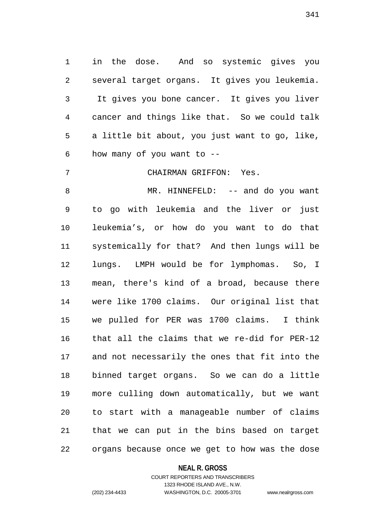in the dose. And so systemic gives you several target organs. It gives you leukemia. It gives you bone cancer. It gives you liver cancer and things like that. So we could talk a little bit about, you just want to go, like, how many of you want to --

CHAIRMAN GRIFFON: Yes.

 MR. HINNEFELD: -- and do you want to go with leukemia and the liver or just leukemia's, or how do you want to do that systemically for that? And then lungs will be lungs. LMPH would be for lymphomas. So, I mean, there's kind of a broad, because there were like 1700 claims. Our original list that we pulled for PER was 1700 claims. I think that all the claims that we re-did for PER-12 and not necessarily the ones that fit into the binned target organs. So we can do a little more culling down automatically, but we want to start with a manageable number of claims that we can put in the bins based on target organs because once we get to how was the dose

### **NEAL R. GROSS**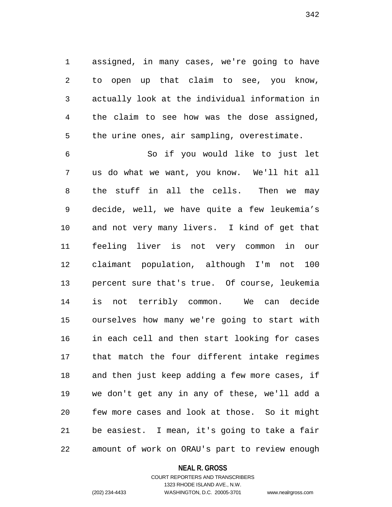assigned, in many cases, we're going to have to open up that claim to see, you know, actually look at the individual information in the claim to see how was the dose assigned, the urine ones, air sampling, overestimate.

 So if you would like to just let us do what we want, you know. We'll hit all the stuff in all the cells. Then we may decide, well, we have quite a few leukemia's and not very many livers. I kind of get that feeling liver is not very common in our claimant population, although I'm not 100 percent sure that's true. Of course, leukemia is not terribly common. We can decide ourselves how many we're going to start with in each cell and then start looking for cases that match the four different intake regimes and then just keep adding a few more cases, if we don't get any in any of these, we'll add a few more cases and look at those. So it might be easiest. I mean, it's going to take a fair amount of work on ORAU's part to review enough

#### **NEAL R. GROSS**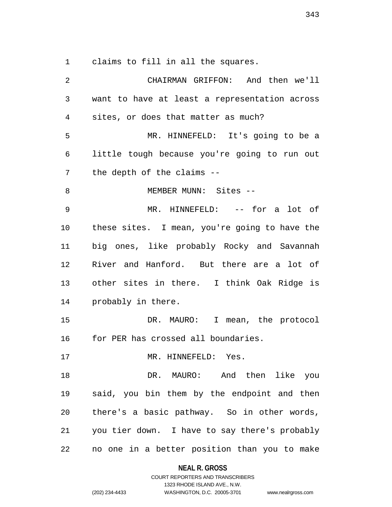claims to fill in all the squares.

 CHAIRMAN GRIFFON: And then we'll want to have at least a representation across sites, or does that matter as much? MR. HINNEFELD: It's going to be a little tough because you're going to run out the depth of the claims -- 8 MEMBER MUNN: Sites -- MR. HINNEFELD: -- for a lot of these sites. I mean, you're going to have the big ones, like probably Rocky and Savannah River and Hanford. But there are a lot of other sites in there. I think Oak Ridge is probably in there. DR. MAURO: I mean, the protocol for PER has crossed all boundaries. 17 MR. HINNEFELD: Yes. 18 DR. MAURO: And then like you said, you bin them by the endpoint and then there's a basic pathway. So in other words, you tier down. I have to say there's probably no one in a better position than you to make

> **NEAL R. GROSS** COURT REPORTERS AND TRANSCRIBERS

1323 RHODE ISLAND AVE., N.W. (202) 234-4433 WASHINGTON, D.C. 20005-3701 www.nealrgross.com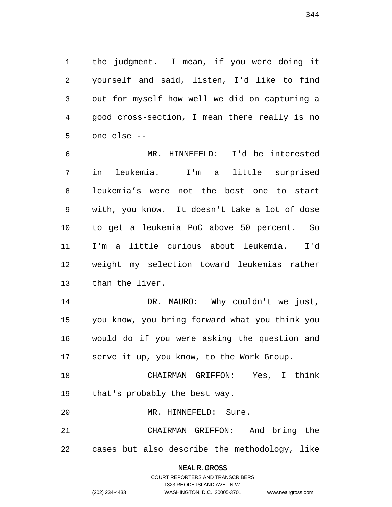the judgment. I mean, if you were doing it yourself and said, listen, I'd like to find out for myself how well we did on capturing a good cross-section, I mean there really is no one else --

 MR. HINNEFELD: I'd be interested in leukemia. I'm a little surprised leukemia's were not the best one to start with, you know. It doesn't take a lot of dose to get a leukemia PoC above 50 percent. So I'm a little curious about leukemia. I'd weight my selection toward leukemias rather than the liver.

 DR. MAURO: Why couldn't we just, you know, you bring forward what you think you would do if you were asking the question and serve it up, you know, to the Work Group.

 CHAIRMAN GRIFFON: Yes, I think that's probably the best way.

MR. HINNEFELD: Sure.

 CHAIRMAN GRIFFON: And bring the cases but also describe the methodology, like

### **NEAL R. GROSS**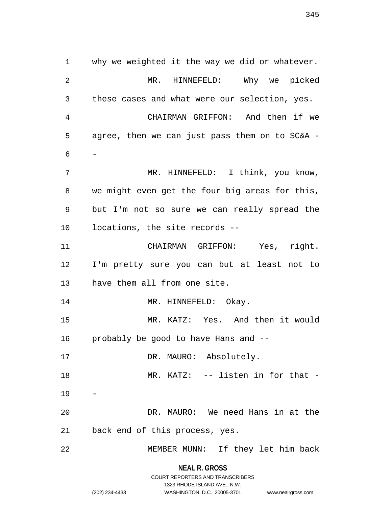why we weighted it the way we did or whatever. MR. HINNEFELD: Why we picked these cases and what were our selection, yes. CHAIRMAN GRIFFON: And then if we agree, then we can just pass them on to SC&A - - MR. HINNEFELD: I think, you know, we might even get the four big areas for this, but I'm not so sure we can really spread the locations, the site records -- CHAIRMAN GRIFFON: Yes, right. I'm pretty sure you can but at least not to have them all from one site. 14 MR. HINNEFELD: Okay. MR. KATZ: Yes. And then it would probably be good to have Hans and -- 17 DR. MAURO: Absolutely. 18 MR. KATZ: -- listen in for that - DR. MAURO: We need Hans in at the back end of this process, yes. MEMBER MUNN: If they let him back

> **NEAL R. GROSS** COURT REPORTERS AND TRANSCRIBERS

> > 1323 RHODE ISLAND AVE., N.W.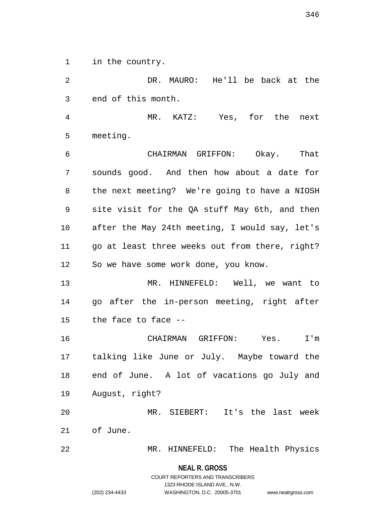in the country.

 DR. MAURO: He'll be back at the end of this month.

 MR. KATZ: Yes, for the next meeting.

 CHAIRMAN GRIFFON: Okay. That sounds good. And then how about a date for the next meeting? We're going to have a NIOSH site visit for the QA stuff May 6th, and then after the May 24th meeting, I would say, let's go at least three weeks out from there, right? So we have some work done, you know.

 MR. HINNEFELD: Well, we want to go after the in-person meeting, right after the face to face --

 CHAIRMAN GRIFFON: Yes. I'm talking like June or July. Maybe toward the end of June. A lot of vacations go July and August, right?

 MR. SIEBERT: It's the last week of June.

MR. HINNEFELD: The Health Physics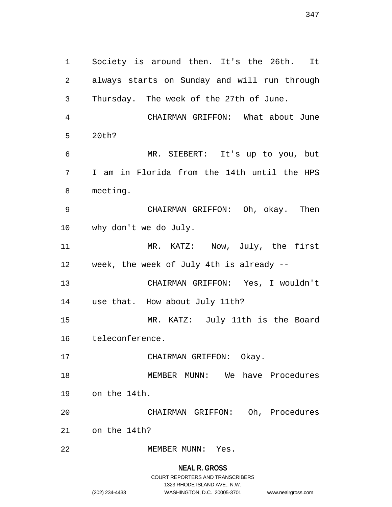Society is around then. It's the 26th. It always starts on Sunday and will run through Thursday. The week of the 27th of June. CHAIRMAN GRIFFON: What about June 20th? MR. SIEBERT: It's up to you, but I am in Florida from the 14th until the HPS meeting. CHAIRMAN GRIFFON: Oh, okay. Then why don't we do July. MR. KATZ: Now, July, the first week, the week of July 4th is already -- CHAIRMAN GRIFFON: Yes, I wouldn't use that. How about July 11th? MR. KATZ: July 11th is the Board teleconference. 17 CHAIRMAN GRIFFON: Okay. MEMBER MUNN: We have Procedures on the 14th. CHAIRMAN GRIFFON: Oh, Procedures on the 14th? 22 MEMBER MUNN: Yes.